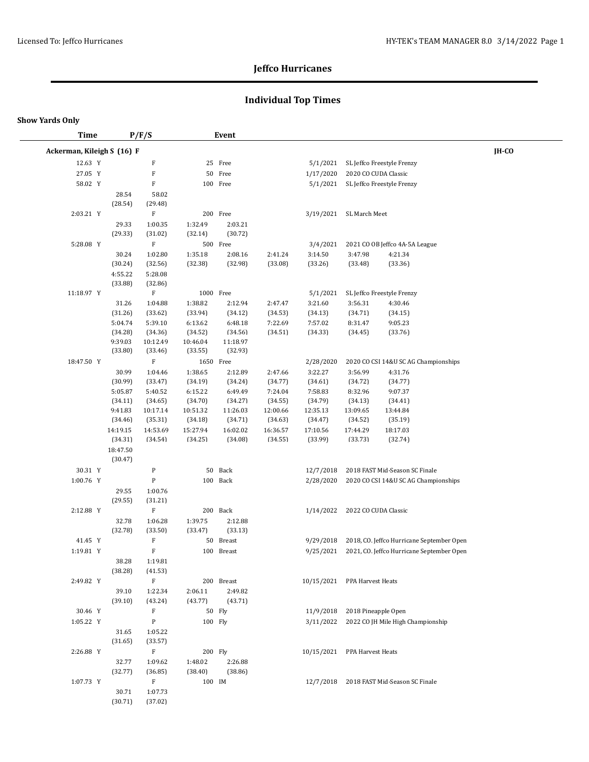## **Individual Top Times**

#### **Show Yards Only**

 $\overline{\phantom{0}}$ 

| <b>Time</b>                |                     | P/F/S                     |           | Event                   |          |                               |               |                                                                                        |       |
|----------------------------|---------------------|---------------------------|-----------|-------------------------|----------|-------------------------------|---------------|----------------------------------------------------------------------------------------|-------|
| Ackerman, Kileigh S (16) F |                     |                           |           |                         |          |                               |               |                                                                                        | IH-CO |
| 12.63 Y                    |                     | $\mathbf F$               |           | 25 Free                 |          | 5/1/2021                      |               | SL Jeffco Freestyle Frenzy                                                             |       |
| 27.05 Y                    |                     | $\boldsymbol{\mathrm{F}}$ | 50        | Free                    |          | 1/17/2020                     |               | 2020 CO CUDA Classic                                                                   |       |
| 58.02 Y                    |                     | $\mathbf F$               |           | 100 Free                |          | 5/1/2021                      |               | SL Jeffco Freestyle Frenzy                                                             |       |
|                            | 28.54               | 58.02                     |           |                         |          |                               |               |                                                                                        |       |
|                            | (28.54)             | (29.48)                   |           |                         |          |                               |               |                                                                                        |       |
| 2:03.21 Y                  |                     | $\mathbf F$               |           | 200 Free                |          | 3/19/2021                     | SL March Meet |                                                                                        |       |
|                            | 29.33               | 1:00.35                   | 1:32.49   | 2:03.21                 |          |                               |               |                                                                                        |       |
|                            | (29.33)             | (31.02)                   | (32.14)   | (30.72)                 |          |                               |               |                                                                                        |       |
| 5:28.08 Y                  |                     | $\mathbf F$               |           | 500 Free                |          | 3/4/2021                      |               | 2021 CO OB Jeffco 4A-5A League                                                         |       |
|                            | 30.24               | 1:02.80                   | 1:35.18   | 2:08.16                 | 2:41.24  | 3:14.50                       | 3:47.98       | 4:21.34                                                                                |       |
|                            | (30.24)             | (32.56)                   | (32.38)   | (32.98)                 | (33.08)  | (33.26)                       | (33.48)       | (33.36)                                                                                |       |
|                            | 4:55.22             | 5:28.08                   |           |                         |          |                               |               |                                                                                        |       |
| 11:18.97 Y                 | (33.88)             | (32.86)<br>F              | 1000 Free |                         |          | 5/1/2021                      |               | SL Jeffco Freestyle Frenzy                                                             |       |
|                            | 31.26               | 1:04.88                   | 1:38.82   | 2:12.94                 | 2:47.47  | 3:21.60                       | 3:56.31       | 4:30.46                                                                                |       |
|                            | (31.26)             | (33.62)                   | (33.94)   | (34.12)                 | (34.53)  | (34.13)                       | (34.71)       | (34.15)                                                                                |       |
|                            | 5:04.74             | 5:39.10                   | 6:13.62   | 6:48.18                 | 7:22.69  | 7:57.02                       | 8:31.47       | 9:05.23                                                                                |       |
|                            | (34.28)             | (34.36)                   | (34.52)   | (34.56)                 | (34.51)  | (34.33)                       | (34.45)       | (33.76)                                                                                |       |
|                            | 9:39.03             | 10:12.49                  | 10:46.04  | 11:18.97                |          |                               |               |                                                                                        |       |
|                            | (33.80)             | (33.46)                   | (33.55)   | (32.93)                 |          |                               |               |                                                                                        |       |
| 18:47.50 Y                 |                     | $\mathbf F$               | 1650 Free |                         |          | 2/28/2020                     |               | 2020 CO CSI 14&U SC AG Championships                                                   |       |
|                            | 30.99               | 1:04.46                   | 1:38.65   | 2:12.89                 | 2:47.66  | 3:22.27                       | 3:56.99       | 4:31.76                                                                                |       |
|                            | (30.99)             | (33.47)                   | (34.19)   | (34.24)                 | (34.77)  | (34.61)                       | (34.72)       | (34.77)                                                                                |       |
|                            | 5:05.87             | 5:40.52                   | 6:15.22   | 6:49.49                 | 7:24.04  | 7:58.83                       | 8:32.96       | 9:07.37                                                                                |       |
|                            | (34.11)             | (34.65)                   | (34.70)   | (34.27)                 | (34.55)  | (34.79)                       | (34.13)       | (34.41)                                                                                |       |
|                            | 9:41.83             | 10:17.14                  | 10:51.32  | 11:26.03                | 12:00.66 | 12:35.13                      | 13:09.65      | 13:44.84                                                                               |       |
|                            | (34.46)             | (35.31)                   | (34.18)   | (34.71)                 | (34.63)  | (34.47)                       | (34.52)       | (35.19)                                                                                |       |
|                            | 14:19.15            | 14:53.69                  | 15:27.94  | 16:02.02                | 16:36.57 | 17:10.56                      | 17:44.29      | 18:17.03                                                                               |       |
|                            | (34.31)             | (34.54)                   | (34.25)   | (34.08)                 | (34.55)  | (33.99)                       | (33.73)       | (32.74)                                                                                |       |
|                            | 18:47.50<br>(30.47) |                           |           |                         |          |                               |               |                                                                                        |       |
| 30.31 Y                    |                     | P                         | 50        | Back                    |          | 12/7/2018                     |               | 2018 FAST Mid-Season SC Finale                                                         |       |
| 1:00.76 Y                  |                     | ${\bf P}$                 |           | 100 Back                |          | 2/28/2020                     |               | 2020 CO CSI 14&U SC AG Championships                                                   |       |
|                            | 29.55               | 1:00.76                   |           |                         |          |                               |               |                                                                                        |       |
|                            | (29.55)             | (31.21)                   |           |                         |          |                               |               |                                                                                        |       |
| 2:12.88 Y                  |                     | $\rm F$                   |           | 200 Back                |          | 1/14/2022                     |               | 2022 CO CUDA Classic                                                                   |       |
|                            | 32.78               | 1:06.28                   | 1:39.75   | 2:12.88                 |          |                               |               |                                                                                        |       |
| 41.45 Y                    | (32.78)             | (33.50)<br>F              | (33.47)   | (33.13)                 |          |                               |               |                                                                                        |       |
| 1:19.81 Y                  |                     | $\mathbf F$               |           | 50 Breast<br>100 Breast |          | 9/29/2018<br>9/25/2021        |               | 2018, CO. Jeffco Hurricane September Open<br>2021, CO. Jeffco Hurricane September Open |       |
|                            | 38.28               | 1:19.81                   |           |                         |          |                               |               |                                                                                        |       |
|                            | (38.28)             | (41.53)                   |           |                         |          |                               |               |                                                                                        |       |
| 2:49.82 Y                  |                     | $\mathbf F$               |           | 200 Breast              |          | 10/15/2021 PPA Harvest Heats  |               |                                                                                        |       |
|                            | 39.10               | 1:22.34                   | 2:06.11   | 2:49.82                 |          |                               |               |                                                                                        |       |
|                            | (39.10)             | (43.24)                   | (43.77)   | (43.71)                 |          |                               |               |                                                                                        |       |
| 30.46 Y                    |                     | $\boldsymbol{\mathrm{F}}$ |           | 50 Fly                  |          | 11/9/2018 2018 Pineapple Open |               |                                                                                        |       |
| 1:05.22 Y                  |                     | P                         | 100 Fly   |                         |          |                               |               | 3/11/2022 2022 CO JH Mile High Championship                                            |       |
|                            | 31.65               | 1:05.22                   |           |                         |          |                               |               |                                                                                        |       |
|                            | (31.65)             | (33.57)                   |           |                         |          |                               |               |                                                                                        |       |
| 2:26.88 Y                  |                     | $\mathbf F$               | 200 Fly   |                         |          | 10/15/2021 PPA Harvest Heats  |               |                                                                                        |       |
|                            | 32.77               | 1:09.62                   | 1:48.02   | 2:26.88                 |          |                               |               |                                                                                        |       |
|                            | (32.77)             | (36.85)                   | (38.40)   | (38.86)                 |          |                               |               |                                                                                        |       |
| 1:07.73 Y                  |                     | $\mathbf F$               | 100 IM    |                         |          |                               |               | 12/7/2018 2018 FAST Mid-Season SC Finale                                               |       |
|                            | 30.71               | 1:07.73                   |           |                         |          |                               |               |                                                                                        |       |
|                            | (30.71)             | (37.02)                   |           |                         |          |                               |               |                                                                                        |       |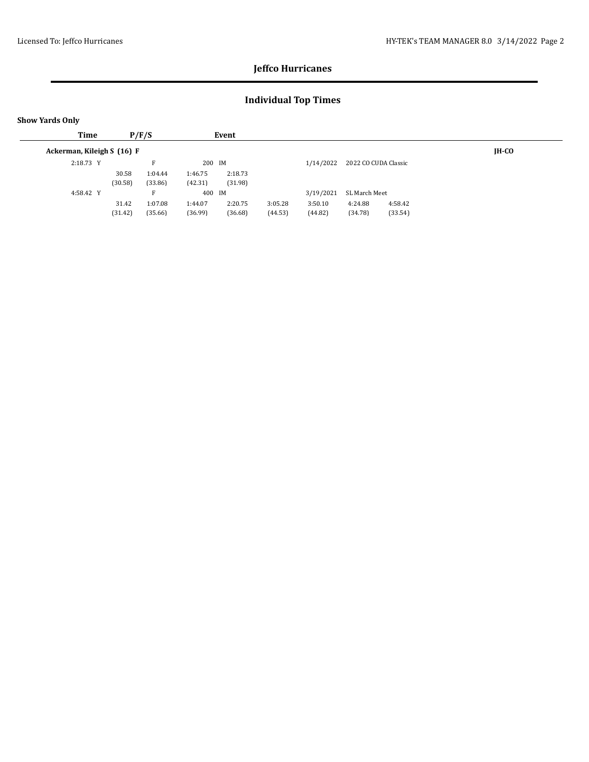## **Individual Top Times**

| <b>Show Yards Only</b>     |         |         |         |         |         |           |               |                      |         |
|----------------------------|---------|---------|---------|---------|---------|-----------|---------------|----------------------|---------|
| Time                       |         | P/F/S   |         | Event   |         |           |               |                      |         |
| Ackerman, Kileigh S (16) F |         |         |         |         |         |           |               |                      | $IH-CO$ |
| 2:18.73 Y                  |         | F       | 200 IM  |         |         | 1/14/2022 |               | 2022 CO CUDA Classic |         |
|                            | 30.58   | 1:04.44 | 1:46.75 | 2:18.73 |         |           |               |                      |         |
|                            | (30.58) | (33.86) | (42.31) | (31.98) |         |           |               |                      |         |
| 4:58.42 Y                  |         | F       | 400 IM  |         |         | 3/19/2021 | SL March Meet |                      |         |
|                            | 31.42   | 1:07.08 | 1:44.07 | 2:20.75 | 3:05.28 | 3:50.10   | 4:24.88       | 4:58.42              |         |
|                            | (31.42) | (35.66) | (36.99) | (36.68) | (44.53) | (44.82)   | (34.78)       | (33.54)              |         |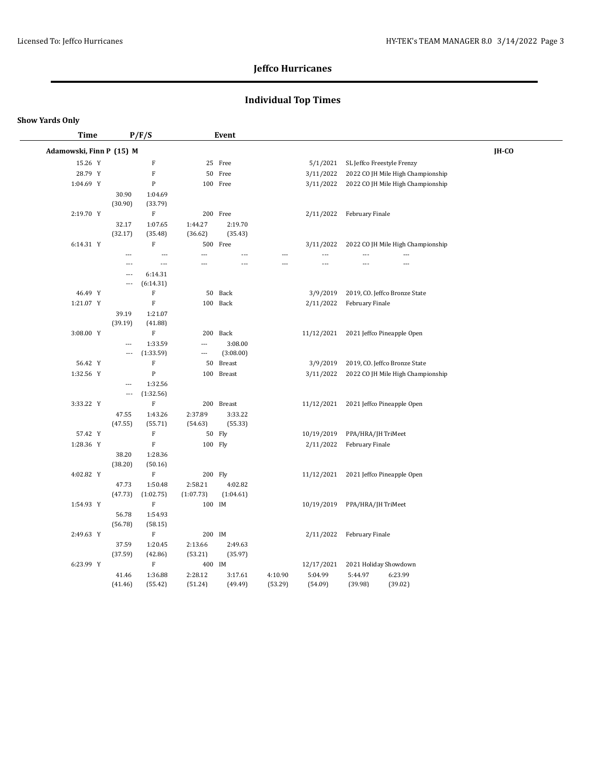## **Individual Top Times**

| Time                     |                          | P/F/S                     |           | Event          |         |                |                          |                                   |       |  |
|--------------------------|--------------------------|---------------------------|-----------|----------------|---------|----------------|--------------------------|-----------------------------------|-------|--|
| Adamowski, Finn P (15) M |                          |                           |           |                |         |                |                          |                                   | IH-CO |  |
| 15.26 Y                  |                          | $\boldsymbol{\mathrm{F}}$ |           | 25 Free        |         | 5/1/2021       |                          | SL Jeffco Freestyle Frenzy        |       |  |
| 28.79 Y                  |                          | ${\bf F}$                 |           | 50 Free        |         | 3/11/2022      |                          | 2022 CO JH Mile High Championship |       |  |
| 1:04.69 Y                |                          | ${\bf P}$                 |           | 100 Free       |         | 3/11/2022      |                          | 2022 CO JH Mile High Championship |       |  |
|                          | 30.90<br>(30.90)         | 1:04.69<br>(33.79)        |           |                |         |                |                          |                                   |       |  |
| 2:19.70 Y                |                          | ${\bf F}$                 |           | 200 Free       |         | 2/11/2022      | February Finale          |                                   |       |  |
|                          | 32.17                    | 1:07.65                   | 1:44.27   | 2:19.70        |         |                |                          |                                   |       |  |
|                          | (32.17)                  | (35.48)                   | (36.62)   | (35.43)        |         |                |                          |                                   |       |  |
| 6:14.31 Y                |                          | ${\bf F}$                 |           | 500 Free       |         | 3/11/2022      |                          | 2022 CO JH Mile High Championship |       |  |
|                          | $\overline{a}$           | ---                       | ---       | $\overline{a}$ |         | $\overline{a}$ | ---                      | ---                               |       |  |
|                          | $\overline{a}$           | ---                       | ---       | $\overline{a}$ | ---     | $\overline{a}$ | $\overline{\phantom{a}}$ | $\overline{a}$                    |       |  |
|                          | $\overline{\phantom{a}}$ | 6:14.31                   |           |                |         |                |                          |                                   |       |  |
|                          | $\overline{\phantom{a}}$ | (6:14.31)                 |           |                |         |                |                          |                                   |       |  |
| 46.49 Y                  |                          | $\mathbf F$               |           | 50 Back        |         | 3/9/2019       |                          | 2019, CO. Jeffco Bronze State     |       |  |
| 1:21.07 Y                |                          | ${\bf F}$                 |           | 100 Back       |         | 2/11/2022      | February Finale          |                                   |       |  |
|                          | 39.19                    | 1:21.07                   |           |                |         |                |                          |                                   |       |  |
|                          | (39.19)                  | (41.88)                   |           |                |         |                |                          |                                   |       |  |
| 3:08.00 Y                |                          | $\mathbf F$               |           | 200 Back       |         | 11/12/2021     |                          | 2021 Jeffco Pineapple Open        |       |  |
|                          | $\overline{a}$           | 1:33.59                   | ---       | 3:08.00        |         |                |                          |                                   |       |  |
|                          | $\qquad \qquad -$        | (1:33.59)                 | ---       | (3:08.00)      |         |                |                          |                                   |       |  |
| 56.42 Y                  |                          | $\mathbf F$               | 50        | <b>Breast</b>  |         | 3/9/2019       |                          | 2019, CO. Jeffco Bronze State     |       |  |
| 1:32.56 Y                |                          | ${\bf P}$                 |           | 100 Breast     |         | 3/11/2022      |                          | 2022 CO JH Mile High Championship |       |  |
|                          | $\overline{\phantom{a}}$ | 1:32.56                   |           |                |         |                |                          |                                   |       |  |
|                          | $---$                    | (1:32.56)                 |           |                |         |                |                          |                                   |       |  |
| 3:33.22 Y                |                          | ${\bf F}$                 |           | 200 Breast     |         | 11/12/2021     |                          | 2021 Jeffco Pineapple Open        |       |  |
|                          | 47.55                    | 1:43.26                   | 2:37.89   | 3:33.22        |         |                |                          |                                   |       |  |
|                          | (47.55)                  | (55.71)                   | (54.63)   | (55.33)        |         |                |                          |                                   |       |  |
| 57.42 Y                  |                          | ${\bf F}$                 |           | 50 Fly         |         | 10/19/2019     | PPA/HRA/JH TriMeet       |                                   |       |  |
| 1:28.36 Y                |                          | ${\bf F}$                 | 100 Fly   |                |         | 2/11/2022      | February Finale          |                                   |       |  |
|                          | 38.20                    | 1:28.36                   |           |                |         |                |                          |                                   |       |  |
|                          | (38.20)                  | (50.16)                   |           |                |         |                |                          |                                   |       |  |
| 4:02.82 Y                |                          | $\mathbf F$               | 200 Fly   |                |         | 11/12/2021     |                          | 2021 Jeffco Pineapple Open        |       |  |
|                          | 47.73                    | 1:50.48                   | 2:58.21   | 4:02.82        |         |                |                          |                                   |       |  |
|                          | (47.73)                  | (1:02.75)                 | (1:07.73) | (1:04.61)      |         |                |                          |                                   |       |  |
| 1:54.93 Y                |                          | $\boldsymbol{\mathrm{F}}$ | 100 IM    |                |         | 10/19/2019     | PPA/HRA/JH TriMeet       |                                   |       |  |
|                          | 56.78                    | 1:54.93                   |           |                |         |                |                          |                                   |       |  |
|                          | (56.78)                  | (58.15)                   |           |                |         |                |                          |                                   |       |  |
| 2:49.63 Y                |                          | $\mathbf F$               | 200 IM    |                |         | 2/11/2022      | February Finale          |                                   |       |  |
|                          | 37.59                    | 1:20.45                   | 2:13.66   | 2:49.63        |         |                |                          |                                   |       |  |
|                          | (37.59)                  | (42.86)                   | (53.21)   | (35.97)        |         |                |                          |                                   |       |  |
| 6:23.99 Y                |                          | $\mathbf F$               | 400 IM    |                |         | 12/17/2021     | 2021 Holiday Showdown    |                                   |       |  |
|                          | 41.46                    | 1:36.88                   | 2:28.12   | 3:17.61        | 4:10.90 | 5:04.99        | 5:44.97                  | 6:23.99                           |       |  |
|                          | (41.46)                  | (55.42)                   | (51.24)   | (49.49)        | (53.29) | (54.09)        | (39.98)                  | (39.02)                           |       |  |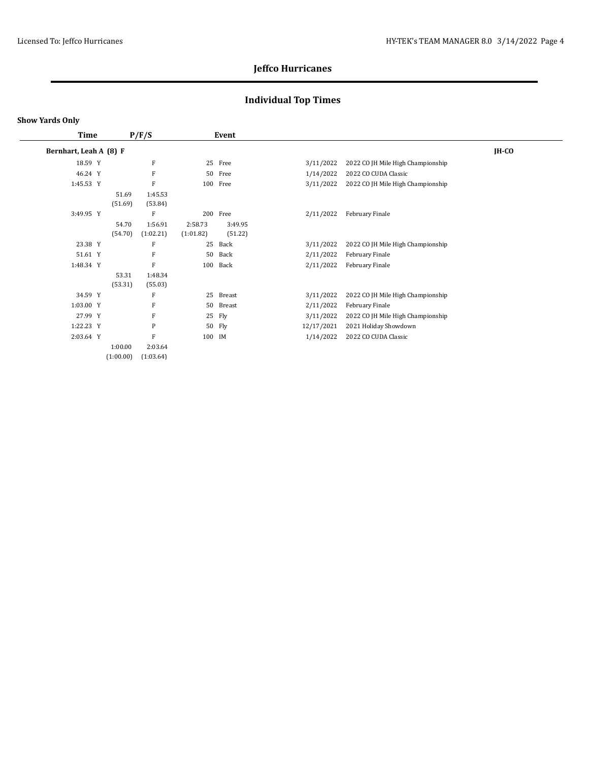## **Individual Top Times**

| Time                   |           | P/F/S     |           | Event         |            |                                   |         |
|------------------------|-----------|-----------|-----------|---------------|------------|-----------------------------------|---------|
| Bernhart, Leah A (8) F |           |           |           |               |            |                                   | $IH-CO$ |
| 18.59 Y                |           | F         | 25        | Free          | 3/11/2022  | 2022 CO JH Mile High Championship |         |
| 46.24 Y                |           | F         | 50        | Free          | 1/14/2022  | 2022 CO CUDA Classic              |         |
| 1:45.53 Y              |           | F         |           | 100 Free      | 3/11/2022  | 2022 CO JH Mile High Championship |         |
|                        | 51.69     | 1:45.53   |           |               |            |                                   |         |
|                        | (51.69)   | (53.84)   |           |               |            |                                   |         |
| 3:49.95 Y              |           | F         | 200       | Free          | 2/11/2022  | February Finale                   |         |
|                        | 54.70     | 1:56.91   | 2:58.73   | 3:49.95       |            |                                   |         |
|                        | (54.70)   | (1:02.21) | (1:01.82) | (51.22)       |            |                                   |         |
| 23.38 Y                |           | F         | 25        | Back          | 3/11/2022  | 2022 CO JH Mile High Championship |         |
| 51.61 Y                |           | F         | 50        | Back          | 2/11/2022  | February Finale                   |         |
| 1:48.34 Y              |           | F         | 100       | Back          | 2/11/2022  | February Finale                   |         |
|                        | 53.31     | 1:48.34   |           |               |            |                                   |         |
|                        | (53.31)   | (55.03)   |           |               |            |                                   |         |
| 34.59 Y                |           | F         | 25        | Breast        | 3/11/2022  | 2022 CO JH Mile High Championship |         |
| 1:03.00 Y              |           | F         | 50        | <b>Breast</b> | 2/11/2022  | February Finale                   |         |
| 27.99 Y                |           | F         | 25        | Fly           | 3/11/2022  | 2022 CO JH Mile High Championship |         |
| 1:22.23 Y              |           | P         | 50        | Fly           | 12/17/2021 | 2021 Holiday Showdown             |         |
| 2:03.64 Y              |           | F         | 100 IM    |               | 1/14/2022  | 2022 CO CUDA Classic              |         |
|                        | 1:00.00   | 2:03.64   |           |               |            |                                   |         |
|                        | (1:00.00) | (1:03.64) |           |               |            |                                   |         |
|                        |           |           |           |               |            |                                   |         |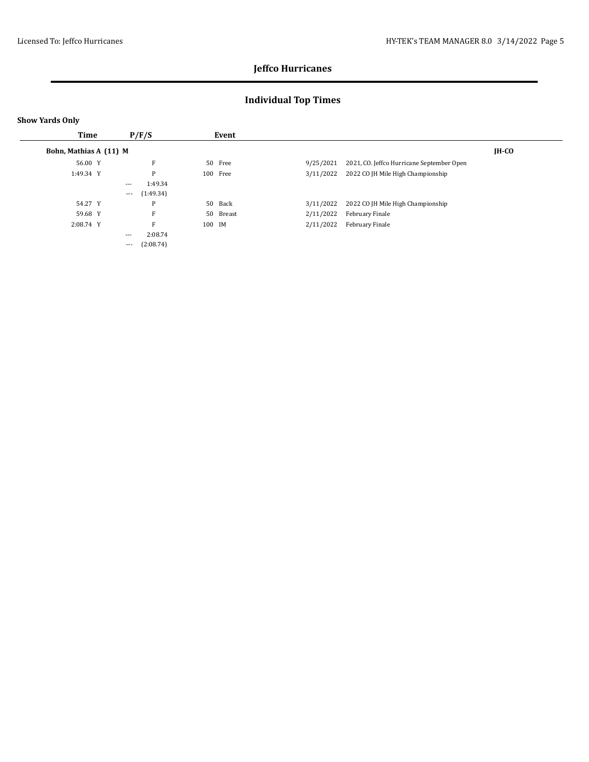## **Individual Top Times**

| <b>Time</b>            |          | P/F/S     |        | Event     |           |                                           |         |
|------------------------|----------|-----------|--------|-----------|-----------|-------------------------------------------|---------|
| Bohn, Mathias A (11) M |          |           |        |           |           |                                           | $IH-CO$ |
| 56.00 Y                |          | F         |        | 50 Free   | 9/25/2021 | 2021, CO. Jeffco Hurricane September Open |         |
| 1:49.34 Y              |          | P         |        | 100 Free  | 3/11/2022 | 2022 CO JH Mile High Championship         |         |
|                        | $---$    | 1:49.34   |        |           |           |                                           |         |
|                        | $\cdots$ | (1:49.34) |        |           |           |                                           |         |
| 54.27 Y                |          | P         |        | 50 Back   | 3/11/2022 | 2022 CO JH Mile High Championship         |         |
| 59.68 Y                |          | F         |        | 50 Breast | 2/11/2022 | February Finale                           |         |
| 2:08.74 Y              |          | F         | 100 IM |           | 2/11/2022 | February Finale                           |         |
|                        | $---$    | 2:08.74   |        |           |           |                                           |         |
|                        | $\cdots$ | (2:08.74) |        |           |           |                                           |         |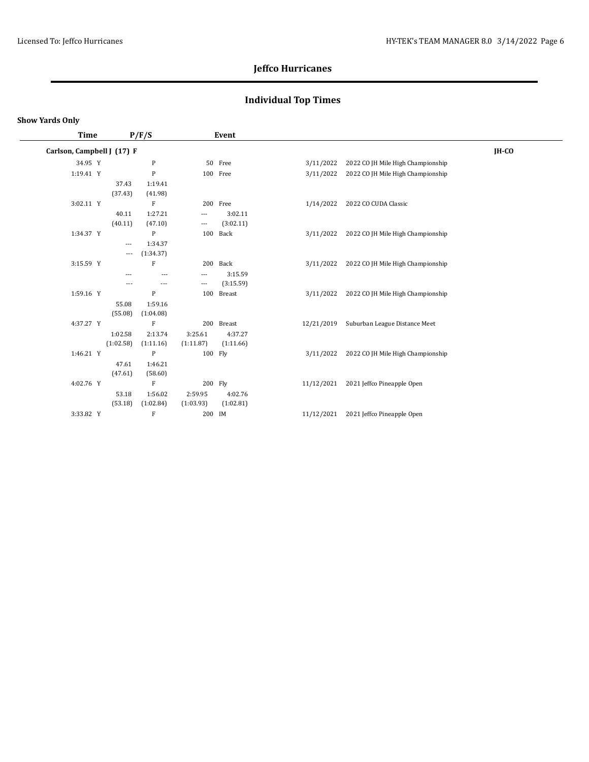## **Individual Top Times**

| Time                       |                                   | P/F/S                |                                                 | Event                |            |                                   |         |
|----------------------------|-----------------------------------|----------------------|-------------------------------------------------|----------------------|------------|-----------------------------------|---------|
| Carlson, Campbell J (17) F |                                   |                      |                                                 |                      |            |                                   | $IH-CO$ |
| 34.95 Y                    |                                   | $\mathbf{P}$         |                                                 | 50 Free              | 3/11/2022  | 2022 CO JH Mile High Championship |         |
| 1:19.41 Y                  |                                   | ${\bf P}$            |                                                 | 100 Free             | 3/11/2022  | 2022 CO JH Mile High Championship |         |
|                            | 37.43<br>(37.43)                  | 1:19.41<br>(41.98)   |                                                 |                      |            |                                   |         |
| 3:02.11 Y                  |                                   | F                    |                                                 | 200 Free             | 1/14/2022  | 2022 CO CUDA Classic              |         |
|                            | 40.11<br>(40.11)                  | 1:27.21<br>(47.10)   | $\qquad \qquad - -$<br>$\overline{\phantom{a}}$ | 3:02.11<br>(3:02.11) |            |                                   |         |
| 1:34.37 Y                  |                                   | P                    | 100                                             | Back                 | 3/11/2022  | 2022 CO JH Mile High Championship |         |
|                            | $---$<br>$\hspace{0.05cm} \ldots$ | 1:34.37<br>(1:34.37) |                                                 |                      |            |                                   |         |
| 3:15.59 Y                  |                                   | $\mathbf F$          |                                                 | 200 Back             | 3/11/2022  | 2022 CO JH Mile High Championship |         |
|                            | $---$                             | $---$                | $\overline{\phantom{a}}$                        | 3:15.59              |            |                                   |         |
|                            | $---$                             | $\qquad \qquad -$    | $\overline{\phantom{a}}$                        | (3:15.59)            |            |                                   |         |
| 1:59.16 Y                  |                                   | P                    | 100                                             | <b>Breast</b>        | 3/11/2022  | 2022 CO JH Mile High Championship |         |
|                            | 55.08<br>(55.08)                  | 1:59.16<br>(1:04.08) |                                                 |                      |            |                                   |         |
| 4:37.27 Y                  |                                   | $\rm F$              |                                                 | 200 Breast           | 12/21/2019 | Suburban League Distance Meet     |         |
|                            | 1:02.58                           | 2:13.74              | 3:25.61                                         | 4:37.27              |            |                                   |         |
|                            | (1:02.58)                         | (1:11.16)            | (1:11.87)                                       | (1:11.66)            |            |                                   |         |
| 1:46.21 Y                  |                                   | P                    | 100 Fly                                         |                      | 3/11/2022  | 2022 CO JH Mile High Championship |         |
|                            | 47.61                             | 1:46.21              |                                                 |                      |            |                                   |         |
|                            | (47.61)                           | (58.60)              |                                                 |                      |            |                                   |         |
| 4:02.76 Y                  |                                   | $\mathbf F$          | 200 Fly                                         |                      | 11/12/2021 | 2021 Jeffco Pineapple Open        |         |
|                            | 53.18                             | 1:56.02              | 2:59.95                                         | 4:02.76              |            |                                   |         |
|                            | (53.18)                           | (1:02.84)            | (1:03.93)                                       | (1:02.81)            |            |                                   |         |
| 3:33.82 Y                  |                                   | F                    | 200                                             | IM                   | 11/12/2021 | 2021 Jeffco Pineapple Open        |         |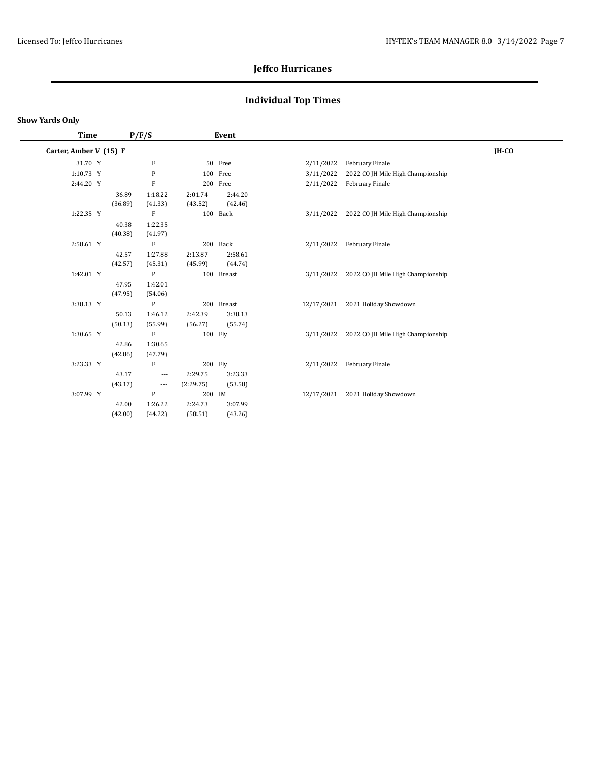## **Individual Top Times**

| Time                   |         | P/F/S                    |           | Event      |            |                                             |       |
|------------------------|---------|--------------------------|-----------|------------|------------|---------------------------------------------|-------|
| Carter, Amber V (15) F |         |                          |           |            |            |                                             | IH-CO |
| 31.70 Y                |         | $\rm F$                  |           | 50 Free    | 2/11/2022  | February Finale                             |       |
| 1:10.73 Y              |         | $\, {\bf P}$             |           | 100 Free   | 3/11/2022  | 2022 CO JH Mile High Championship           |       |
| 2:44.20 Y              |         | $\mathbf F$              |           | 200 Free   | 2/11/2022  | February Finale                             |       |
|                        | 36.89   | 1:18.22                  | 2:01.74   | 2:44.20    |            |                                             |       |
|                        | (36.89) | (41.33)                  | (43.52)   | (42.46)    |            |                                             |       |
| 1:22.35 Y              |         | F                        |           | 100 Back   | 3/11/2022  | 2022 CO JH Mile High Championship           |       |
|                        | 40.38   | 1:22.35                  |           |            |            |                                             |       |
|                        | (40.38) | (41.97)                  |           |            |            |                                             |       |
| 2:58.61 Y              |         | $\mathbf F$              |           | 200 Back   | 2/11/2022  | February Finale                             |       |
|                        | 42.57   | 1:27.88                  | 2:13.87   | 2:58.61    |            |                                             |       |
|                        | (42.57) | (45.31)                  | (45.99)   | (44.74)    |            |                                             |       |
| 1:42.01 Y              |         | P                        |           | 100 Breast |            | 3/11/2022 2022 CO JH Mile High Championship |       |
|                        | 47.95   | 1:42.01                  |           |            |            |                                             |       |
|                        | (47.95) | (54.06)                  |           |            |            |                                             |       |
| 3:38.13 Y              |         | P                        |           | 200 Breast | 12/17/2021 | 2021 Holiday Showdown                       |       |
|                        | 50.13   | 1:46.12                  | 2:42.39   | 3:38.13    |            |                                             |       |
|                        | (50.13) | (55.99)                  | (56.27)   | (55.74)    |            |                                             |       |
| 1:30.65 Y              |         | F                        | 100 Fly   |            |            | 3/11/2022 2022 CO JH Mile High Championship |       |
|                        | 42.86   | 1:30.65                  |           |            |            |                                             |       |
|                        | (42.86) | (47.79)                  |           |            |            |                                             |       |
| 3:23.33 Y              |         | F                        | 200 Fly   |            | 2/11/2022  | February Finale                             |       |
|                        | 43.17   | $\cdots$                 | 2:29.75   | 3:23.33    |            |                                             |       |
|                        | (43.17) | $\hspace{0.05cm} \ldots$ | (2:29.75) | (53.58)    |            |                                             |       |
| 3:07.99 Y              |         | P                        | 200 IM    |            | 12/17/2021 | 2021 Holiday Showdown                       |       |
|                        | 42.00   | 1:26.22                  | 2:24.73   | 3:07.99    |            |                                             |       |
|                        | (42.00) | (44.22)                  | (58.51)   | (43.26)    |            |                                             |       |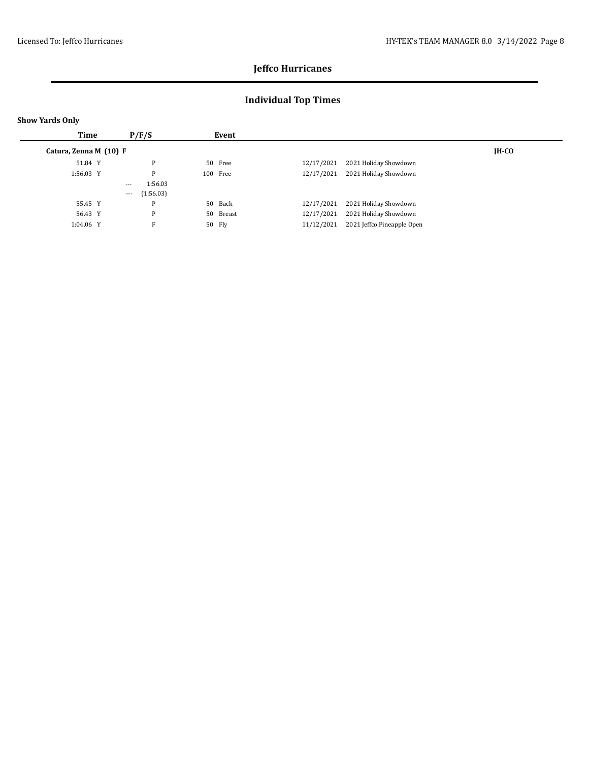## **Individual Top Times**

| <b>Show Yards Only</b> |                       |           |                                          |
|------------------------|-----------------------|-----------|------------------------------------------|
| <b>Time</b>            | P/F/S                 | Event     |                                          |
| Catura, Zenna M (10) F |                       |           | $IH-CO$                                  |
| 51.84 Y                | P                     | 50 Free   | 12/17/2021<br>2021 Holiday Showdown      |
| 1:56.03 Y              | P                     | 100 Free  | 12/17/2021<br>2021 Holiday Showdown      |
|                        | 1:56.03<br>$---$      |           |                                          |
|                        | (1:56.03)<br>$\cdots$ |           |                                          |
| 55.45 Y                | P                     | 50 Back   | 12/17/2021<br>2021 Holiday Showdown      |
| 56.43 Y                | P                     | 50 Breast | 12/17/2021<br>2021 Holiday Showdown      |
| 1:04.06 Y              | F                     | 50 Fly    | 11/12/2021<br>2021 Jeffco Pineapple Open |
|                        |                       |           |                                          |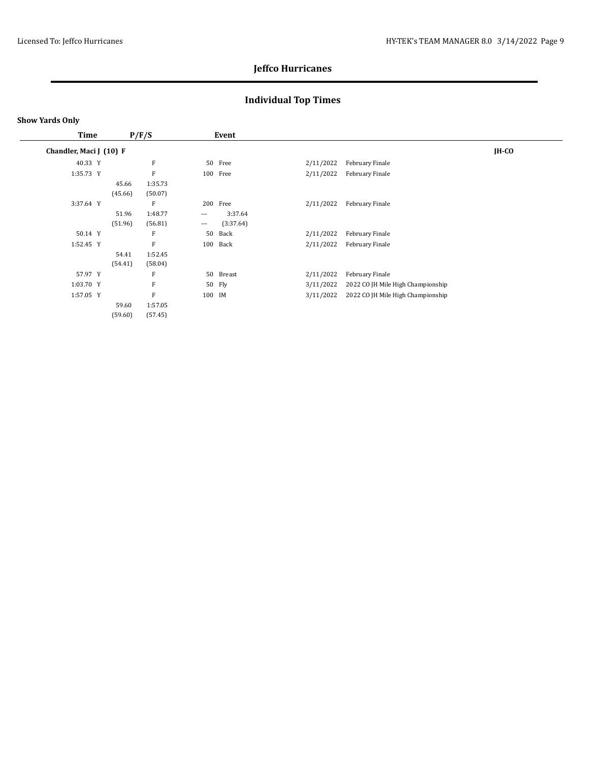## **Individual Top Times**

| Time      |       |                                                                     |          | Event     |                                                    |                                                                                                      |         |
|-----------|-------|---------------------------------------------------------------------|----------|-----------|----------------------------------------------------|------------------------------------------------------------------------------------------------------|---------|
|           |       |                                                                     |          |           |                                                    |                                                                                                      | $IH-CO$ |
| 40.33 Y   |       | F                                                                   |          | Free      |                                                    | February Finale                                                                                      |         |
| 1:35.73 Y |       | F                                                                   |          |           |                                                    | February Finale                                                                                      |         |
|           | 45.66 | 1:35.73                                                             |          |           |                                                    |                                                                                                      |         |
|           |       | (50.07)                                                             |          |           |                                                    |                                                                                                      |         |
| 3:37.64 Y |       | F                                                                   |          | Free      |                                                    | February Finale                                                                                      |         |
|           | 51.96 | 1:48.77                                                             | $\cdots$ | 3:37.64   |                                                    |                                                                                                      |         |
|           |       | (56.81)                                                             | $\cdots$ | (3:37.64) |                                                    |                                                                                                      |         |
| 50.14 Y   |       | F                                                                   | 50       | Back      |                                                    | February Finale                                                                                      |         |
| 1:52.45 Y |       | F                                                                   |          | Back      |                                                    | February Finale                                                                                      |         |
|           | 54.41 | 1:52.45                                                             |          |           |                                                    |                                                                                                      |         |
|           |       | (58.04)                                                             |          |           |                                                    |                                                                                                      |         |
| 57.97 Y   |       | F                                                                   |          | Breast    |                                                    | February Finale                                                                                      |         |
| 1:03.70 Y |       | F                                                                   |          | Fly       |                                                    | 2022 CO JH Mile High Championship                                                                    |         |
| 1:57.05 Y |       | F                                                                   |          |           |                                                    | 2022 CO JH Mile High Championship                                                                    |         |
|           | 59.60 | 1:57.05                                                             |          |           |                                                    |                                                                                                      |         |
|           |       | (57.45)                                                             |          |           |                                                    |                                                                                                      |         |
|           |       | Chandler, Maci J (10) F<br>(45.66)<br>(51.96)<br>(54.41)<br>(59.60) | P/F/S    |           | 50<br>100 Free<br>200<br>100<br>50<br>50<br>100 IM | 2/11/2022<br>2/11/2022<br>2/11/2022<br>2/11/2022<br>2/11/2022<br>2/11/2022<br>3/11/2022<br>3/11/2022 |         |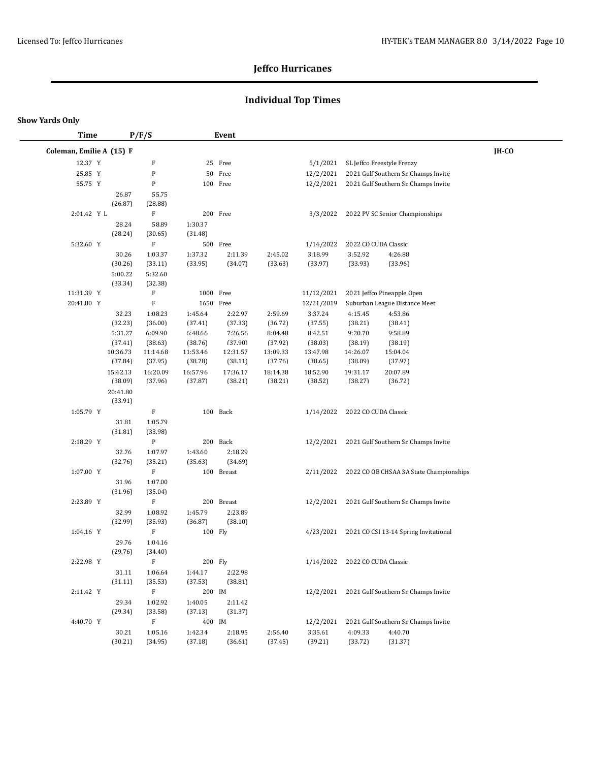## **Individual Top Times**

| <b>Time</b>              |                     | P/F/S                       |                    | Event      |          |            |                      |                                                   |       |
|--------------------------|---------------------|-----------------------------|--------------------|------------|----------|------------|----------------------|---------------------------------------------------|-------|
| Coleman, Emilie A (15) F |                     |                             |                    |            |          |            |                      |                                                   | IH-CO |
| 12.37 Y                  |                     | F                           |                    | 25 Free    |          | 5/1/2021   |                      | SL Jeffco Freestyle Frenzy                        |       |
| 25.85 Y                  |                     | P                           |                    | 50 Free    |          | 12/2/2021  |                      | 2021 Gulf Southern Sr. Champs Invite              |       |
| 55.75 Y                  |                     | ${\bf P}$                   |                    | 100 Free   |          | 12/2/2021  |                      | 2021 Gulf Southern Sr. Champs Invite              |       |
|                          |                     | 26.87<br>55.75              |                    |            |          |            |                      |                                                   |       |
|                          | (26.87)             | (28.88)                     |                    |            |          |            |                      |                                                   |       |
| 2:01.42 Y L              |                     | F                           |                    | 200 Free   |          | 3/3/2022   |                      | 2022 PV SC Senior Championships                   |       |
|                          |                     | 28.24<br>58.89              | 1:30.37            |            |          |            |                      |                                                   |       |
|                          | (28.24)             | (30.65)                     | (31.48)            |            |          |            |                      |                                                   |       |
| 5:32.60 Y                |                     | $\mathbf F$                 |                    | 500 Free   |          | 1/14/2022  |                      | 2022 CO CUDA Classic                              |       |
|                          |                     | 30.26<br>1:03.37            | 1:37.32            | 2:11.39    | 2:45.02  | 3:18.99    | 3:52.92              | 4:26.88                                           |       |
|                          | (30.26)             | (33.11)                     | (33.95)            | (34.07)    | (33.63)  | (33.97)    | (33.93)              | (33.96)                                           |       |
|                          | 5:00.22             | 5:32.60                     |                    |            |          |            |                      |                                                   |       |
|                          | (33.34)             | (32.38)                     |                    |            |          |            |                      |                                                   |       |
| 11:31.39 Y               |                     | $\mathbf F$                 | 1000 Free          |            |          | 11/12/2021 |                      | 2021 Jeffco Pineapple Open                        |       |
| 20:41.80 Y               |                     | $\mathbf F$                 | 1650 Free          |            |          | 12/21/2019 |                      | Suburban League Distance Meet                     |       |
|                          |                     | 32.23<br>1:08.23            | 1:45.64            | 2:22.97    | 2:59.69  | 3:37.24    | 4:15.45              | 4:53.86                                           |       |
|                          | (32.23)             | (36.00)                     | (37.41)            | (37.33)    | (36.72)  | (37.55)    | (38.21)              | (38.41)                                           |       |
|                          | 5:31.27             | 6:09.90                     | 6:48.66            | 7:26.56    | 8:04.48  | 8:42.51    | 9:20.70              | 9:58.89                                           |       |
|                          | (37.41)             | (38.63)                     | (38.76)            | (37.90)    | (37.92)  | (38.03)    | (38.19)              | (38.19)                                           |       |
|                          | 10:36.73            | 11:14.68                    | 11:53.46           | 12:31.57   | 13:09.33 | 13:47.98   | 14:26.07             | 15:04.04                                          |       |
|                          | (37.84)             | (37.95)                     | (38.78)            | (38.11)    | (37.76)  | (38.65)    | (38.09)              | (37.97)                                           |       |
|                          | 15:42.13            | 16:20.09                    | 16:57.96           | 17:36.17   | 18:14.38 | 18:52.90   | 19:31.17             | 20:07.89                                          |       |
|                          | (38.09)             | (37.96)                     | (37.87)            | (38.21)    | (38.21)  | (38.52)    | (38.27)              | (36.72)                                           |       |
|                          | 20:41.80<br>(33.91) |                             |                    |            |          |            |                      |                                                   |       |
|                          |                     |                             |                    |            |          |            |                      |                                                   |       |
| 1:05.79 Y                |                     | F                           |                    | 100 Back   |          | 1/14/2022  | 2022 CO CUDA Classic |                                                   |       |
|                          | (31.81)             | 1:05.79<br>31.81<br>(33.98) |                    |            |          |            |                      |                                                   |       |
| 2:18.29 Y                |                     | $\, {\bf P}$                |                    | 200 Back   |          | 12/2/2021  |                      | 2021 Gulf Southern Sr. Champs Invite              |       |
|                          |                     | 32.76<br>1:07.97            |                    | 2:18.29    |          |            |                      |                                                   |       |
|                          | (32.76)             | (35.21)                     | 1:43.60<br>(35.63) | (34.69)    |          |            |                      |                                                   |       |
| 1:07.00 Y                |                     | $\mathbf F$                 |                    | 100 Breast |          |            |                      | 2/11/2022 2022 CO OB CHSAA 3A State Championships |       |
|                          |                     | 1:07.00<br>31.96            |                    |            |          |            |                      |                                                   |       |
|                          | (31.96)             | (35.04)                     |                    |            |          |            |                      |                                                   |       |
| 2:23.89 Y                |                     | $\mathbf F$                 |                    | 200 Breast |          |            |                      | 12/2/2021 2021 Gulf Southern Sr. Champs Invite    |       |
|                          |                     | 32.99<br>1:08.92            | 1:45.79            | 2:23.89    |          |            |                      |                                                   |       |
|                          | (32.99)             | (35.93)                     | (36.87)            | (38.10)    |          |            |                      |                                                   |       |
| 1:04.16 Y                |                     | F                           |                    | 100 Fly    |          |            |                      | 4/23/2021 2021 CO CSI 13-14 Spring Invitational   |       |
|                          |                     | 29.76<br>1:04.16            |                    |            |          |            |                      |                                                   |       |
|                          | (29.76)             | (34.40)                     |                    |            |          |            |                      |                                                   |       |
| 2:22.98 Y                |                     | F                           |                    | 200 Fly    |          | 1/14/2022  | 2022 CO CUDA Classic |                                                   |       |
|                          |                     | 31.11<br>1:06.64            | 1:44.17            | 2:22.98    |          |            |                      |                                                   |       |
|                          | (31.11)             | (35.53)                     | (37.53)            | (38.81)    |          |            |                      |                                                   |       |
| 2:11.42 Y                |                     | $\mathbf F$                 | 200 IM             |            |          | 12/2/2021  |                      | 2021 Gulf Southern Sr. Champs Invite              |       |
|                          |                     | 29.34<br>1:02.92            | 1:40.05            | 2:11.42    |          |            |                      |                                                   |       |
|                          | (29.34)             | (33.58)                     | (37.13)            | (31.37)    |          |            |                      |                                                   |       |
| 4:40.70 Y                |                     | $\mathbf F$                 | 400 IM             |            |          | 12/2/2021  |                      | 2021 Gulf Southern Sr. Champs Invite              |       |
|                          |                     | 30.21<br>1:05.16            | 1:42.34            | 2:18.95    | 2:56.40  | 3:35.61    | 4:09.33              | 4:40.70                                           |       |
|                          | (30.21)             | (34.95)                     | (37.18)            | (36.61)    | (37.45)  | (39.21)    | (33.72)              | (31.37)                                           |       |
|                          |                     |                             |                    |            |          |            |                      |                                                   |       |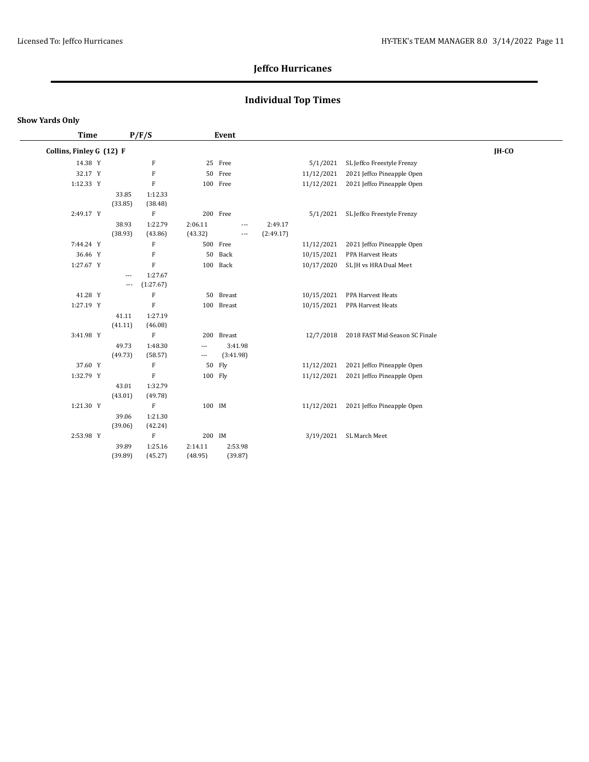## **Individual Top Times**

#### **Show Yards Only**

| <b>Time</b>              |          | P/F/S                     |                          | Event      |           |            |                                |       |
|--------------------------|----------|---------------------------|--------------------------|------------|-----------|------------|--------------------------------|-------|
| Collins, Finley G (12) F |          |                           |                          |            |           |            |                                | IH-CO |
| 14.38 Y                  |          | F                         |                          | 25 Free    |           | 5/1/2021   | SL Jeffco Freestyle Frenzy     |       |
| 32.17 Y                  |          | $\mathbf F$               |                          | 50 Free    |           | 11/12/2021 | 2021 Jeffco Pineapple Open     |       |
| 1:12.33 Y                |          | $\mathbf F$               |                          | 100 Free   |           | 11/12/2021 | 2021 Jeffco Pineapple Open     |       |
|                          | 33.85    | 1:12.33                   |                          |            |           |            |                                |       |
|                          | (33.85)  | (38.48)                   |                          |            |           |            |                                |       |
| 2:49.17 Y                |          | $\rm F$                   |                          | 200 Free   |           | 5/1/2021   | SL Jeffco Freestyle Frenzy     |       |
|                          | 38.93    | 1:22.79                   | 2:06.11                  | ---        | 2:49.17   |            |                                |       |
|                          | (38.93)  | (43.86)                   | (43.32)                  | ---        | (2:49.17) |            |                                |       |
| 7:44.24 Y                |          | $\boldsymbol{\mathrm{F}}$ |                          | 500 Free   |           | 11/12/2021 | 2021 Jeffco Pineapple Open     |       |
| 36.46 Y                  |          | $\mathbf F$               | 50                       | Back       |           | 10/15/2021 | PPA Harvest Heats              |       |
| 1:27.67 Y                |          | ${\bf F}$                 |                          | 100 Back   |           | 10/17/2020 | SL JH vs HRA Dual Meet         |       |
|                          | ---      | 1:27.67                   |                          |            |           |            |                                |       |
|                          | $\cdots$ | (1:27.67)                 |                          |            |           |            |                                |       |
| 41.28 Y                  |          | $\mathbf F$               |                          | 50 Breast  |           | 10/15/2021 | PPA Harvest Heats              |       |
| 1:27.19 Y                |          | $\mathbf F$               |                          | 100 Breast |           | 10/15/2021 | PPA Harvest Heats              |       |
|                          | 41.11    | 1:27.19                   |                          |            |           |            |                                |       |
|                          | (41.11)  | (46.08)                   |                          |            |           |            |                                |       |
| 3:41.98 Y                |          | $\mathbf F$               |                          | 200 Breast |           | 12/7/2018  | 2018 FAST Mid-Season SC Finale |       |
|                          | 49.73    | 1:48.30                   | $\overline{\phantom{a}}$ | 3:41.98    |           |            |                                |       |
|                          | (49.73)  | (58.57)                   | $\overline{\phantom{a}}$ | (3:41.98)  |           |            |                                |       |
| 37.60 Y                  |          | F                         | 50                       | Fly        |           | 11/12/2021 | 2021 Jeffco Pineapple Open     |       |
| 1:32.79 Y                |          | $\rm F$                   | 100 Fly                  |            |           | 11/12/2021 | 2021 Jeffco Pineapple Open     |       |
|                          | 43.01    | 1:32.79                   |                          |            |           |            |                                |       |
|                          | (43.01)  | (49.78)                   |                          |            |           |            |                                |       |
| 1:21.30 Y                |          | $\rm F$                   | 100 IM                   |            |           | 11/12/2021 | 2021 Jeffco Pineapple Open     |       |
|                          | 39.06    | 1:21.30                   |                          |            |           |            |                                |       |
|                          | (39.06)  | (42.24)                   |                          |            |           |            |                                |       |
| 2:53.98 Y                |          | $\rm F$                   | 200 IM                   |            |           | 3/19/2021  | SL March Meet                  |       |
|                          | 39.89    | 1:25.16                   | 2:14.11                  | 2:53.98    |           |            |                                |       |
|                          | (39.89)  | (45.27)                   | (48.95)                  | (39.87)    |           |            |                                |       |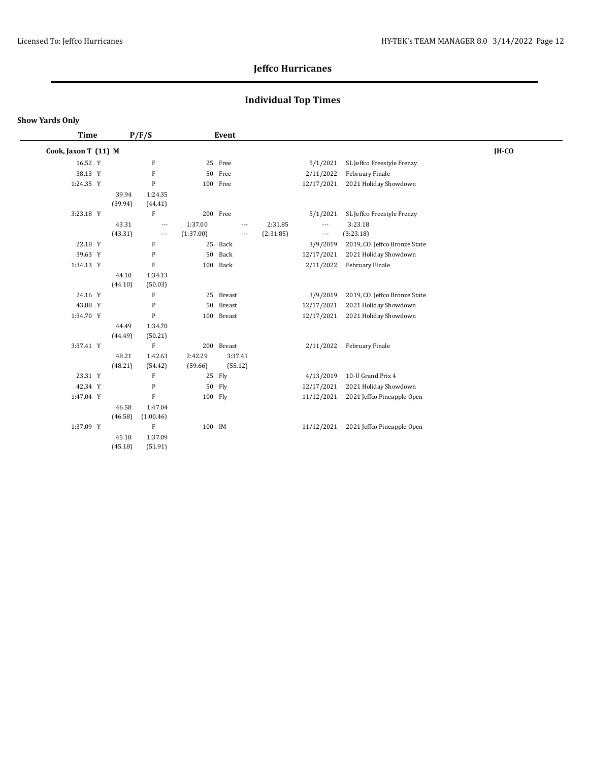## **Individual Top Times**

| <b>Time</b>          |         | P/F/S                     |           | Event          |           |                          |                               |       |
|----------------------|---------|---------------------------|-----------|----------------|-----------|--------------------------|-------------------------------|-------|
| Cook, Jaxon T (11) M |         |                           |           |                |           |                          |                               | IH-CO |
| 16.52 Y              |         | $\rm F$                   |           | 25 Free        |           | 5/1/2021                 | SL Jeffco Freestyle Frenzy    |       |
| 38.13 Y              |         | $\rm F$                   | 50        | Free           |           | 2/11/2022                | February Finale               |       |
| 1:24.35 Y            |         | $\mathbf{P}$              |           | 100 Free       |           | 12/17/2021               | 2021 Holiday Showdown         |       |
|                      | 39.94   | 1:24.35                   |           |                |           |                          |                               |       |
|                      | (39.94) | (44.41)                   |           |                |           |                          |                               |       |
| 3:23.18 Y            |         | $\rm F$                   |           | 200 Free       |           | 5/1/2021                 | SL Jeffco Freestyle Frenzy    |       |
|                      | 43.31   | $\overline{\phantom{a}}$  | 1:37.00   | $\overline{a}$ | 2:31.85   | $\overline{\phantom{a}}$ | 3:23.18                       |       |
|                      | (43.31) | $\overline{\phantom{a}}$  | (1:37.00) | $---$          | (2:31.85) | ---                      | (3:23.18)                     |       |
| 22.18 Y              |         | $\boldsymbol{\mathrm{F}}$ |           | 25 Back        |           | 3/9/2019                 | 2019, CO. Jeffco Bronze State |       |
| 39.63 Y              |         | P                         | 50        | Back           |           | 12/17/2021               | 2021 Holiday Showdown         |       |
| 1:34.13 Y            |         | $\rm F$                   |           | 100 Back       |           | 2/11/2022                | February Finale               |       |
|                      | 44.10   | 1:34.13                   |           |                |           |                          |                               |       |
|                      | (44.10) | (50.03)                   |           |                |           |                          |                               |       |
| 24.16 Y              |         | $\boldsymbol{\mathrm{F}}$ |           | 25 Breast      |           | 3/9/2019                 | 2019, CO. Jeffco Bronze State |       |
| 43.88 Y              |         | P                         | 50        | Breast         |           | 12/17/2021               | 2021 Holiday Showdown         |       |
| 1:34.70 Y            |         | $\mathbf{P}$              |           | 100 Breast     |           | 12/17/2021               | 2021 Holiday Showdown         |       |
|                      | 44.49   | 1:34.70                   |           |                |           |                          |                               |       |
|                      | (44.49) | (50.21)                   |           |                |           |                          |                               |       |
| 3:37.41 Y            |         | $\mathbf{F}$              |           | 200 Breast     |           | 2/11/2022                | February Finale               |       |
|                      | 48.21   | 1:42.63                   | 2:42.29   | 3:37.41        |           |                          |                               |       |
|                      | (48.21) | (54.42)                   | (59.66)   | (55.12)        |           |                          |                               |       |
| 23.31 Y              |         | F                         | 25        | Fly            |           | 4/13/2019                | 10-U Grand Prix 4             |       |
| 42.34 Y              |         | P                         | 50        | Fly            |           | 12/17/2021               | 2021 Holiday Showdown         |       |
| 1:47.04 Y            |         | $\rm F$                   | 100 Fly   |                |           | 11/12/2021               | 2021 Jeffco Pineapple Open    |       |
|                      | 46.58   | 1:47.04                   |           |                |           |                          |                               |       |
|                      | (46.58) | (1:00.46)                 |           |                |           |                          |                               |       |
| 1:37.09 Y            |         | $\mathbf F$               | 100 IM    |                |           | 11/12/2021               | 2021 Jeffco Pineapple Open    |       |
|                      | 45.18   | 1:37.09                   |           |                |           |                          |                               |       |
|                      | (45.18) | (51.91)                   |           |                |           |                          |                               |       |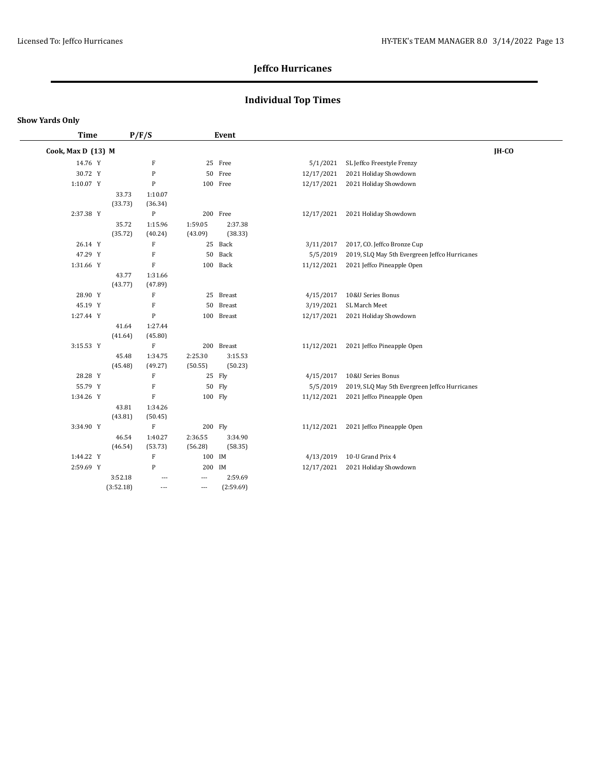## **Individual Top Times**

| <b>Time</b>        |                  | P/F/S                     |                          | Event              |            |                                               |       |
|--------------------|------------------|---------------------------|--------------------------|--------------------|------------|-----------------------------------------------|-------|
| Cook, Max D (13) M |                  |                           |                          |                    |            |                                               | IH-CO |
| 14.76 Y            |                  | F                         |                          | 25 Free            | 5/1/2021   | SL Jeffco Freestyle Frenzy                    |       |
| 30.72 Y            |                  | P                         |                          | 50 Free            | 12/17/2021 | 2021 Holiday Showdown                         |       |
| 1:10.07 Y          |                  | ${\bf P}$                 |                          | 100 Free           | 12/17/2021 | 2021 Holiday Showdown                         |       |
|                    | 33.73            | 1:10.07                   |                          |                    |            |                                               |       |
|                    | (33.73)          | (36.34)                   |                          |                    |            |                                               |       |
| 2:37.38 Y          |                  | $\, {\bf P}$              |                          | 200 Free           | 12/17/2021 | 2021 Holiday Showdown                         |       |
|                    | 35.72            | 1:15.96                   | 1:59.05                  | 2:37.38            |            |                                               |       |
|                    | (35.72)          | (40.24)                   | (43.09)                  | (38.33)            |            |                                               |       |
| 26.14 Y            |                  | F                         |                          | 25 Back            | 3/11/2017  | 2017, CO. Jeffco Bronze Cup                   |       |
| 47.29 Y            |                  | F                         | 50                       | Back               | 5/5/2019   | 2019, SLQ May 5th Evergreen Jeffco Hurricanes |       |
| 1:31.66 Y          |                  | ${\bf F}$                 |                          | 100 Back           | 11/12/2021 | 2021 Jeffco Pineapple Open                    |       |
|                    | 43.77            | 1:31.66                   |                          |                    |            |                                               |       |
|                    | (43.77)          | (47.89)                   |                          |                    |            |                                               |       |
| 28.90 Y            |                  | F                         |                          | 25 Breast          | 4/15/2017  | 10&U Series Bonus                             |       |
| 45.19 Y            |                  | F                         | 50                       | <b>Breast</b>      | 3/19/2021  | SL March Meet                                 |       |
| 1:27.44 Y          |                  | P                         |                          | 100 Breast         | 12/17/2021 | 2021 Holiday Showdown                         |       |
|                    | 41.64            | 1:27.44                   |                          |                    |            |                                               |       |
|                    | (41.64)          | (45.80)                   |                          |                    |            |                                               |       |
| 3:15.53 Y          |                  | $\boldsymbol{\mathrm{F}}$ |                          | 200 Breast         | 11/12/2021 | 2021 Jeffco Pineapple Open                    |       |
|                    | 45.48<br>(45.48) | 1:34.75<br>(49.27)        | 2:25.30<br>(50.55)       | 3:15.53<br>(50.23) |            |                                               |       |
| 28.28 Y            |                  | F                         |                          | 25 Fly             | 4/15/2017  | 10&U Series Bonus                             |       |
| 55.79 Y            |                  | F                         |                          | 50 Fly             | 5/5/2019   | 2019, SLQ May 5th Evergreen Jeffco Hurricanes |       |
| 1:34.26 Y          |                  | ${\bf F}$                 | 100 Fly                  |                    | 11/12/2021 | 2021 Jeffco Pineapple Open                    |       |
|                    | 43.81            | 1:34.26                   |                          |                    |            |                                               |       |
|                    | (43.81)          | (50.45)                   |                          |                    |            |                                               |       |
| 3:34.90 Y          |                  | $\rm F$                   | 200 Fly                  |                    | 11/12/2021 | 2021 Jeffco Pineapple Open                    |       |
|                    | 46.54            | 1:40.27                   | 2:36.55                  | 3:34.90            |            |                                               |       |
|                    | (46.54)          | (53.73)                   | (56.28)                  | (58.35)            |            |                                               |       |
| 1:44.22 Y          |                  | F                         | 100 IM                   |                    | 4/13/2019  | 10-U Grand Prix 4                             |       |
| 2:59.69 Y          |                  | ${\bf P}$                 | 200 IM                   |                    | 12/17/2021 | 2021 Holiday Showdown                         |       |
|                    | 3:52.18          | ---                       | $\overline{\phantom{a}}$ | 2:59.69            |            |                                               |       |
|                    | (3:52.18)        | $\overline{a}$            | $\overline{\phantom{a}}$ | (2:59.69)          |            |                                               |       |
|                    |                  |                           |                          |                    |            |                                               |       |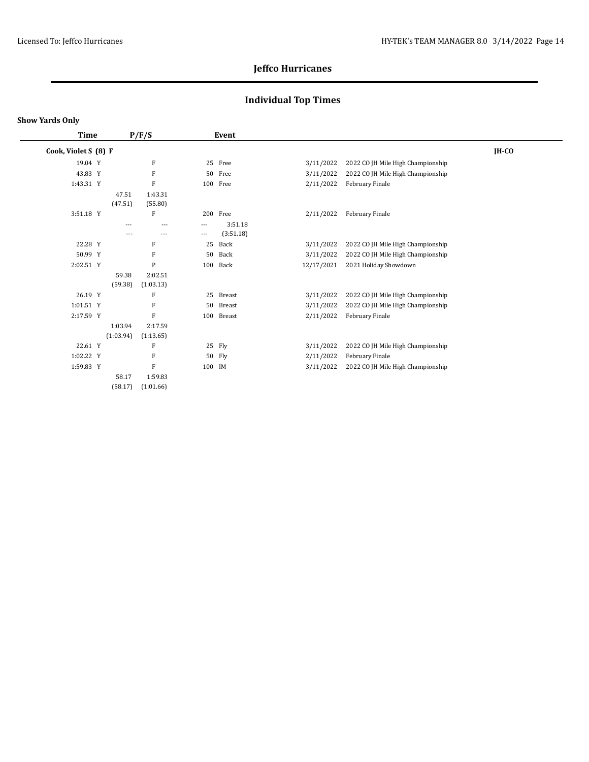## **Individual Top Times**

| <b>Time</b>          |  |           | P/F/S     |          | Event         |            |                                   |         |
|----------------------|--|-----------|-----------|----------|---------------|------------|-----------------------------------|---------|
| Cook, Violet S (8) F |  |           |           |          |               |            |                                   | $IH-CO$ |
| 19.04 Y              |  |           | F         |          | 25 Free       | 3/11/2022  | 2022 CO JH Mile High Championship |         |
| 43.83 Y              |  |           | F         | 50       | Free          | 3/11/2022  | 2022 CO JH Mile High Championship |         |
| 1:43.31 Y            |  |           | F         |          | 100 Free      | 2/11/2022  | February Finale                   |         |
|                      |  | 47.51     | 1:43.31   |          |               |            |                                   |         |
|                      |  | (47.51)   | (55.80)   |          |               |            |                                   |         |
| 3:51.18 Y            |  |           | F         |          | 200 Free      | 2/11/2022  | February Finale                   |         |
|                      |  | $---$     | $---$     | $\cdots$ | 3:51.18       |            |                                   |         |
|                      |  | $---$     | $- - -$   | $\cdots$ | (3:51.18)     |            |                                   |         |
| 22.28 Y              |  |           | F         | 25       | Back          | 3/11/2022  | 2022 CO JH Mile High Championship |         |
| 50.99 Y              |  |           | F         | 50       | Back          | 3/11/2022  | 2022 CO JH Mile High Championship |         |
| 2:02.51 Y            |  |           | P         | 100      | Back          | 12/17/2021 | 2021 Holiday Showdown             |         |
|                      |  | 59.38     | 2:02.51   |          |               |            |                                   |         |
|                      |  | (59.38)   | (1:03.13) |          |               |            |                                   |         |
| 26.19 Y              |  |           | F         | 25       | Breast        | 3/11/2022  | 2022 CO JH Mile High Championship |         |
| 1:01.51 Y            |  |           | F         | 50       | <b>Breast</b> | 3/11/2022  | 2022 CO JH Mile High Championship |         |
| 2:17.59 Y            |  |           | F         | 100      | Breast        | 2/11/2022  | February Finale                   |         |
|                      |  | 1:03.94   | 2:17.59   |          |               |            |                                   |         |
|                      |  | (1:03.94) | (1:13.65) |          |               |            |                                   |         |
| 22.61 Y              |  |           | F         |          | 25 Fly        | 3/11/2022  | 2022 CO JH Mile High Championship |         |
| 1:02.22 Y            |  |           | F         |          | 50 Fly        | 2/11/2022  | February Finale                   |         |
| 1:59.83 Y            |  |           | F         | 100 IM   |               | 3/11/2022  | 2022 CO JH Mile High Championship |         |
|                      |  | 58.17     | 1:59.83   |          |               |            |                                   |         |
|                      |  | (58.17)   | (1:01.66) |          |               |            |                                   |         |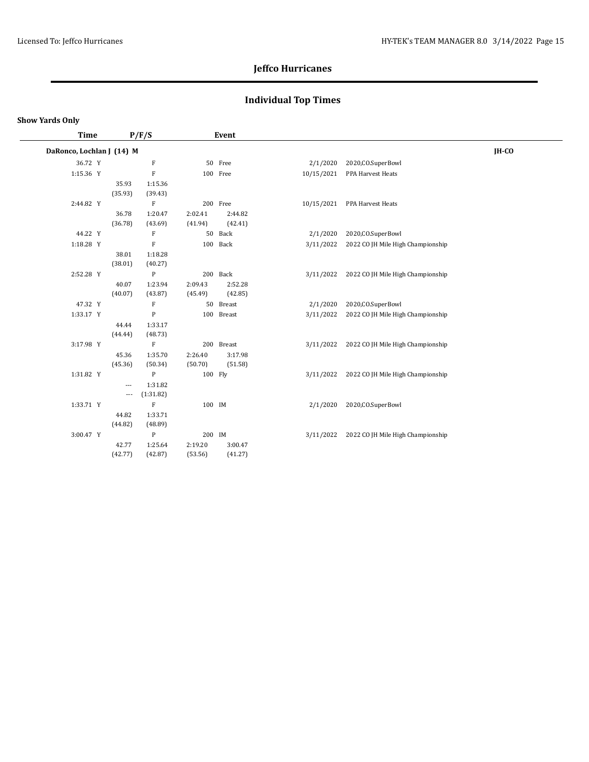## **Individual Top Times**

| <b>Time</b>               | P/F/S                    |                           | Event   |            |            |                                             |       |
|---------------------------|--------------------------|---------------------------|---------|------------|------------|---------------------------------------------|-------|
| DaRonco, Lochlan J (14) M |                          |                           |         |            |            |                                             | IH-CO |
| 36.72 Y                   |                          | $\boldsymbol{\mathrm{F}}$ |         | 50 Free    | 2/1/2020   | 2020, CO. SuperBowl                         |       |
| 1:15.36 Y                 |                          | $\mathbf F$               |         | 100 Free   | 10/15/2021 | PPA Harvest Heats                           |       |
|                           | 35.93                    | 1:15.36                   |         |            |            |                                             |       |
|                           | (35.93)                  | (39.43)                   |         |            |            |                                             |       |
| 2:44.82 Y                 |                          | F                         |         | 200 Free   | 10/15/2021 | PPA Harvest Heats                           |       |
|                           | 36.78                    | 1:20.47                   | 2:02.41 | 2:44.82    |            |                                             |       |
|                           | (36.78)                  | (43.69)                   | (41.94) | (42.41)    |            |                                             |       |
| 44.22 Y                   |                          | $\boldsymbol{\mathrm{F}}$ |         | 50 Back    | 2/1/2020   | 2020, CO. SuperBowl                         |       |
| 1:18.28 Y                 |                          | $\mathbf F$               |         | 100 Back   | 3/11/2022  | 2022 CO JH Mile High Championship           |       |
|                           | 38.01                    | 1:18.28                   |         |            |            |                                             |       |
|                           | (38.01)                  | (40.27)                   |         |            |            |                                             |       |
| 2:52.28 Y                 |                          | ${\bf P}$                 |         | 200 Back   | 3/11/2022  | 2022 CO JH Mile High Championship           |       |
|                           | 40.07                    | 1:23.94                   | 2:09.43 | 2:52.28    |            |                                             |       |
|                           | (40.07)                  | (43.87)                   | (45.49) | (42.85)    |            |                                             |       |
| 47.32 Y                   |                          | F                         |         | 50 Breast  | 2/1/2020   | 2020, CO. SuperBowl                         |       |
| 1:33.17 Y                 |                          | ${\bf P}$                 |         | 100 Breast | 3/11/2022  | 2022 CO JH Mile High Championship           |       |
|                           | 44.44                    | 1:33.17                   |         |            |            |                                             |       |
|                           | (44.44)                  | (48.73)                   |         |            |            |                                             |       |
| 3:17.98 Y                 |                          | $\mathbf F$               |         | 200 Breast |            | 3/11/2022 2022 CO JH Mile High Championship |       |
|                           | 45.36                    | 1:35.70                   | 2:26.40 | 3:17.98    |            |                                             |       |
|                           | (45.36)                  | (50.34)                   | (50.70) | (51.58)    |            |                                             |       |
| 1:31.82 Y                 |                          | $\mathbf{P}$              | 100 Fly |            | 3/11/2022  | 2022 CO JH Mile High Championship           |       |
|                           | $\overline{\phantom{a}}$ | 1:31.82                   |         |            |            |                                             |       |
|                           | $\cdots$                 | (1:31.82)                 |         |            |            |                                             |       |
| 1:33.71 Y                 |                          | ${\bf F}$                 | 100 IM  |            | 2/1/2020   | 2020, CO. SuperBowl                         |       |
|                           | 44.82                    | 1:33.71                   |         |            |            |                                             |       |
|                           | (44.82)                  | (48.89)                   |         |            |            |                                             |       |
| 3:00.47 Y                 |                          | ${\bf P}$                 | 200 IM  |            | 3/11/2022  | 2022 CO JH Mile High Championship           |       |
|                           | 42.77                    | 1:25.64                   | 2:19.20 | 3:00.47    |            |                                             |       |
|                           | (42.77)                  | (42.87)                   | (53.56) | (41.27)    |            |                                             |       |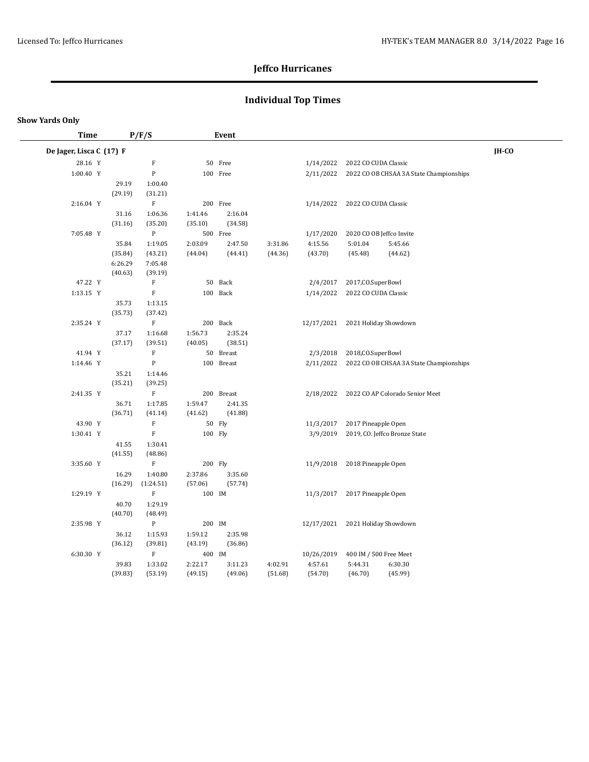## **Individual Top Times**

| Time                     |                  | P/F/S                                |         | Event             |         |            |                        |                                           |         |
|--------------------------|------------------|--------------------------------------|---------|-------------------|---------|------------|------------------------|-------------------------------------------|---------|
| De Jager, Lisca C (17) F |                  |                                      |         |                   |         |            |                        |                                           | $IH-CO$ |
| 28.16 Y                  |                  | $\rm F$                              |         | 50 Free           |         | 1/14/2022  | 2022 CO CUDA Classic   |                                           |         |
| 1:00.40 Y                |                  | ${\bf P}$                            |         | 100 Free          |         | 2/11/2022  |                        | 2022 CO OB CHSAA 3A State Championships   |         |
|                          | 29.19            | 1:00.40                              |         |                   |         |            |                        |                                           |         |
|                          | (29.19)          | (31.21)                              |         |                   |         |            |                        |                                           |         |
| 2:16.04 Y                |                  | $\mathbf F$                          |         | 200 Free          |         | 1/14/2022  | 2022 CO CUDA Classic   |                                           |         |
|                          | 31.16            | 1:06.36                              | 1:41.46 | 2:16.04           |         |            |                        |                                           |         |
|                          | (31.16)          | (35.20)                              | (35.10) | (34.58)           |         |            |                        |                                           |         |
| 7:05.48 Y                |                  | $\, {\bf P}$                         |         | 500 Free          |         | 1/17/2020  |                        | 2020 CO OB Jeffco Invite                  |         |
|                          | 35.84            | 1:19.05                              | 2:03.09 | 2:47.50           | 3:31.86 | 4:15.56    | 5:01.04                | 5:45.66                                   |         |
|                          | (35.84)          | (43.21)                              | (44.04) | (44.41)           | (44.36) | (43.70)    | (45.48)                | (44.62)                                   |         |
|                          | 6:26.29          | 7:05.48                              |         |                   |         |            |                        |                                           |         |
|                          | (40.63)          | (39.19)                              |         |                   |         |            |                        |                                           |         |
| 47.22 Y                  |                  | F                                    |         | 50 Back           |         | 2/4/2017   | 2017, CO. SuperBowl    |                                           |         |
| 1:13.15 Y                |                  | $\mathbf F$                          |         | 100 Back          |         | 1/14/2022  | 2022 CO CUDA Classic   |                                           |         |
|                          | 35.73            | 1:13.15                              |         |                   |         |            |                        |                                           |         |
|                          | (35.73)          | (37.42)                              |         |                   |         |            |                        |                                           |         |
| 2:35.24 Y                |                  | $\rm F$                              |         | 200 Back          |         | 12/17/2021 |                        | 2021 Holiday Showdown                     |         |
|                          | 37.17            | 1:16.68                              | 1:56.73 | 2:35.24           |         |            |                        |                                           |         |
|                          | (37.17)          | (39.51)                              | (40.05) | (38.51)           |         |            |                        |                                           |         |
| 41.94 Y                  |                  | $\boldsymbol{\mathrm{F}}$            |         | 50 Breast         |         | 2/3/2018   | 2018, CO. SuperBowl    |                                           |         |
| 1:14.46 Y                |                  | ${\sf P}$                            |         | 100 Breast        |         | 2/11/2022  |                        | 2022 CO OB CHSAA 3A State Championships   |         |
|                          | 35.21            | 1:14.46                              |         |                   |         |            |                        |                                           |         |
|                          | (35.21)          | (39.25)                              |         |                   |         |            |                        |                                           |         |
| 2:41.35 Y                |                  | $\mathbf F$                          |         | 200 Breast        |         |            |                        | 2/18/2022 2022 CO AP Colorado Senior Meet |         |
|                          | 36.71            | 1:17.85                              | 1:59.47 | 2:41.35           |         |            |                        |                                           |         |
| 43.90 Y                  | (36.71)          | (41.14)<br>$\boldsymbol{\mathrm{F}}$ | (41.62) | (41.88)<br>50 Fly |         | 11/3/2017  | 2017 Pineapple Open    |                                           |         |
| 1:30.41 Y                |                  | $\mathbf F$                          | 100 Fly |                   |         | 3/9/2019   |                        | 2019, CO. Jeffco Bronze State             |         |
|                          |                  |                                      |         |                   |         |            |                        |                                           |         |
|                          | 41.55<br>(41.55) | 1:30.41<br>(48.86)                   |         |                   |         |            |                        |                                           |         |
| 3:35.60 Y                |                  | $\mathbf F$                          | 200 Fly |                   |         | 11/9/2018  | 2018 Pineapple Open    |                                           |         |
|                          | 16.29            | 1:40.80                              | 2:37.86 | 3:35.60           |         |            |                        |                                           |         |
|                          | (16.29)          | (1:24.51)                            | (57.06) | (57.74)           |         |            |                        |                                           |         |
| 1:29.19 Y                |                  | F                                    | 100 IM  |                   |         | 11/3/2017  | 2017 Pineapple Open    |                                           |         |
|                          | 40.70            | 1:29.19                              |         |                   |         |            |                        |                                           |         |
|                          | (40.70)          | (48.49)                              |         |                   |         |            |                        |                                           |         |
| 2:35.98 Y                |                  | $\mathbf{P}$                         | 200 IM  |                   |         | 12/17/2021 |                        | 2021 Holiday Showdown                     |         |
|                          | 36.12            | 1:15.93                              | 1:59.12 | 2:35.98           |         |            |                        |                                           |         |
|                          | (36.12)          | (39.81)                              | (43.19) | (36.86)           |         |            |                        |                                           |         |
| 6:30.30 Y                |                  | $\mathbf F$                          | 400 IM  |                   |         | 10/26/2019 | 400 IM / 500 Free Meet |                                           |         |
|                          | 39.83            | 1:33.02                              | 2:22.17 | 3:11.23           | 4:02.91 | 4:57.61    | 5:44.31                | 6:30.30                                   |         |
|                          | (39.83)          | (53.19)                              | (49.15) | (49.06)           | (51.68) | (54.70)    | (46.70)                | (45.99)                                   |         |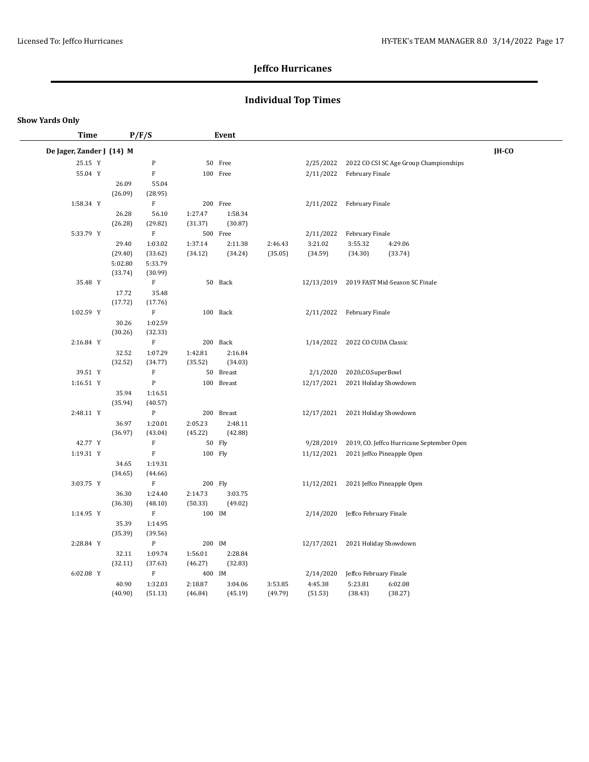## **Individual Top Times**

| <b>Time</b>               |                  | P/F/S              |                    | Event              |         |                                  |                           |                                           |              |
|---------------------------|------------------|--------------------|--------------------|--------------------|---------|----------------------------------|---------------------------|-------------------------------------------|--------------|
| De Jager, Zander J (14) M |                  |                    |                    |                    |         |                                  |                           |                                           | <b>IH-CO</b> |
| 25.15 Y                   |                  | ${\bf P}$          |                    | 50 Free            |         | 2/25/2022                        |                           | 2022 CO CSI SC Age Group Championships    |              |
| 55.04 Y                   |                  | ${\bf F}$          |                    | 100 Free           |         | 2/11/2022                        | February Finale           |                                           |              |
|                           | 26.09            | 55.04              |                    |                    |         |                                  |                           |                                           |              |
|                           | (26.09)          | (28.95)            |                    |                    |         |                                  |                           |                                           |              |
| 1:58.34 Y                 |                  | F                  |                    | 200 Free           |         |                                  | 2/11/2022 February Finale |                                           |              |
|                           | 26.28            | 56.10              | 1:27.47            | 1:58.34            |         |                                  |                           |                                           |              |
|                           | (26.28)          | (29.82)            | (31.37)            | (30.87)            |         |                                  |                           |                                           |              |
| 5:33.79 Y                 |                  | $\rm F$            |                    | 500 Free           |         | 2/11/2022                        | February Finale           |                                           |              |
|                           | 29.40            | 1:03.02            | 1:37.14            | 2:11.38            | 2:46.43 | 3:21.02                          | 3:55.32                   | 4:29.06                                   |              |
|                           | (29.40)          | (33.62)            | (34.12)            | (34.24)            | (35.05) | (34.59)                          | (34.30)                   | (33.74)                                   |              |
|                           | 5:02.80          | 5:33.79            |                    |                    |         |                                  |                           |                                           |              |
|                           | (33.74)          | (30.99)            |                    |                    |         |                                  |                           |                                           |              |
| 35.48 Y                   |                  | F                  |                    | 50 Back            |         | 12/13/2019                       |                           | 2019 FAST Mid-Season SC Finale            |              |
|                           | 17.72            | 35.48              |                    |                    |         |                                  |                           |                                           |              |
|                           | (17.72)          | (17.76)            |                    |                    |         |                                  |                           |                                           |              |
| 1:02.59 Y                 |                  | $\mathbf F$        |                    | 100 Back           |         | 2/11/2022                        | February Finale           |                                           |              |
|                           | 30.26            | 1:02.59            |                    |                    |         |                                  |                           |                                           |              |
|                           | (30.26)          | (32.33)            |                    |                    |         |                                  |                           |                                           |              |
| 2:16.84 Y                 |                  | $\mathbf F$        |                    | 200 Back           |         | 1/14/2022                        | 2022 CO CUDA Classic      |                                           |              |
|                           | 32.52<br>(32.52) | 1:07.29<br>(34.77) | 1:42.81<br>(35.52) | 2:16.84<br>(34.03) |         |                                  |                           |                                           |              |
| 39.51 Y                   |                  | $\mathbf F$        |                    | 50 Breast          |         | 2/1/2020                         | 2020, CO. SuperBowl       |                                           |              |
| 1:16.51 Y                 |                  | ${\bf P}$          |                    | 100 Breast         |         | 12/17/2021                       |                           | 2021 Holiday Showdown                     |              |
|                           | 35.94            | 1:16.51            |                    |                    |         |                                  |                           |                                           |              |
|                           | (35.94)          | (40.57)            |                    |                    |         |                                  |                           |                                           |              |
| 2:48.11 Y                 |                  | ${\bf P}$          |                    | 200 Breast         |         | 12/17/2021 2021 Holiday Showdown |                           |                                           |              |
|                           | 36.97            | 1:20.01            | 2:05.23            | 2:48.11            |         |                                  |                           |                                           |              |
|                           | (36.97)          | (43.04)            | (45.22)            | (42.88)            |         |                                  |                           |                                           |              |
| 42.77 Y                   |                  | ${\bf F}$          |                    | 50 Fly             |         | 9/28/2019                        |                           | 2019, CO. Jeffco Hurricane September Open |              |
| 1:19.31 Y                 |                  | $\mathbf F$        | 100 Fly            |                    |         | 11/12/2021                       |                           | 2021 Jeffco Pineapple Open                |              |
|                           | 34.65            | 1:19.31            |                    |                    |         |                                  |                           |                                           |              |
|                           | (34.65)          | (44.66)            |                    |                    |         |                                  |                           |                                           |              |
| 3:03.75 Y                 |                  | $\mathbf F$        |                    | 200 Fly            |         |                                  |                           | 11/12/2021 2021 Jeffco Pineapple Open     |              |
|                           | 36.30            | 1:24.40            | 2:14.73            | 3:03.75            |         |                                  |                           |                                           |              |
|                           | (36.30)          | (48.10)            | (50.33)            | (49.02)            |         |                                  |                           |                                           |              |
| 1:14.95 Y                 |                  | $\mathbf F$        | 100 IM             |                    |         | 2/14/2020                        | Jeffco February Finale    |                                           |              |
|                           | 35.39            | 1:14.95            |                    |                    |         |                                  |                           |                                           |              |
|                           | (35.39)          | (39.56)            |                    |                    |         |                                  |                           |                                           |              |
| 2:28.84 Y                 |                  | ${\bf P}$          | 200 IM             |                    |         | 12/17/2021 2021 Holiday Showdown |                           |                                           |              |
|                           | 32.11            | 1:09.74            | 1:56.01            | 2:28.84            |         |                                  |                           |                                           |              |
|                           | (32.11)          | (37.63)            | (46.27)            | (32.83)            |         |                                  |                           |                                           |              |
| 6:02.08 Y                 |                  | $\mathbf F$        | 400 IM             |                    |         | 2/14/2020                        | Jeffco February Finale    |                                           |              |
|                           | 40.90            | 1:32.03            | 2:18.87            | 3:04.06            | 3:53.85 | 4:45.38                          | 5:23.81                   | 6:02.08                                   |              |
|                           | (40.90)          | (51.13)            | (46.84)            | (45.19)            | (49.79) | (51.53)                          | (38.43)                   | (38.27)                                   |              |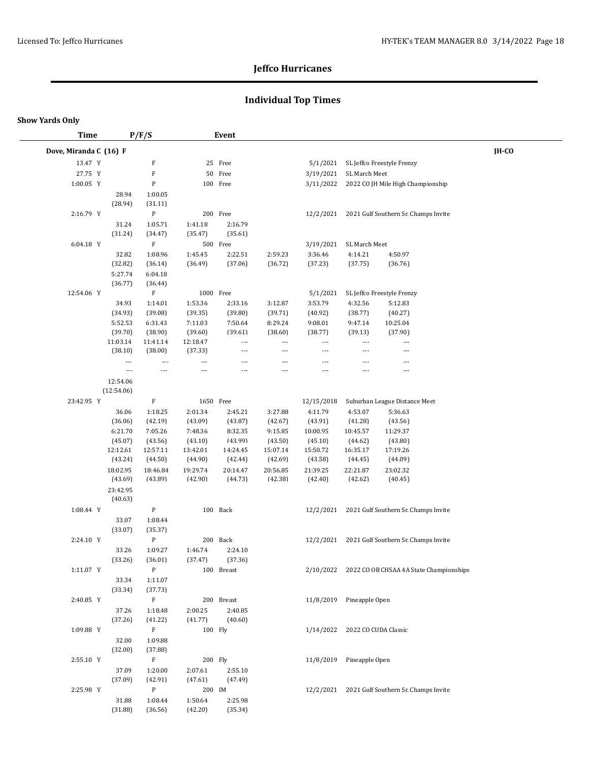## **Individual Top Times**

| <b>Time</b>            |                          | P/F/S                     |                           | Event          |                                     |                                     |                                     |                                                   |       |
|------------------------|--------------------------|---------------------------|---------------------------|----------------|-------------------------------------|-------------------------------------|-------------------------------------|---------------------------------------------------|-------|
| Dove, Miranda C (16) F |                          |                           |                           |                |                                     |                                     |                                     |                                                   | IH-CO |
| 13.47 Y                |                          | F                         |                           | 25 Free        |                                     | 5/1/2021                            |                                     | SL Jeffco Freestyle Frenzy                        |       |
| 27.75 Y                |                          | $\boldsymbol{\mathrm{F}}$ |                           | 50 Free        |                                     | 3/19/2021                           | SL March Meet                       |                                                   |       |
| 1:00.05 Y              |                          | ${\bf P}$                 |                           | 100 Free       |                                     | 3/11/2022                           |                                     | 2022 CO JH Mile High Championship                 |       |
|                        | 28.94                    | 1:00.05                   |                           |                |                                     |                                     |                                     |                                                   |       |
|                        | (28.94)                  | (31.11)                   |                           |                |                                     |                                     |                                     |                                                   |       |
| 2:16.79 Y              |                          | ${\bf P}$                 |                           | 200 Free       |                                     | 12/2/2021                           |                                     | 2021 Gulf Southern Sr. Champs Invite              |       |
|                        | 31.24                    | 1:05.71                   | 1:41.18                   | 2:16.79        |                                     |                                     |                                     |                                                   |       |
|                        | (31.24)                  | (34.47)                   | (35.47)                   | (35.61)        |                                     |                                     |                                     |                                                   |       |
| 6:04.18 Y              |                          | $\mathbf F$               |                           | 500 Free       |                                     | 3/19/2021                           | SL March Meet                       |                                                   |       |
|                        | 32.82                    | 1:08.96                   | 1:45.45                   | 2:22.51        | 2:59.23                             | 3:36.46                             | 4:14.21                             | 4:50.97                                           |       |
|                        | (32.82)                  | (36.14)                   | (36.49)                   | (37.06)        | (36.72)                             | (37.23)                             | (37.75)                             | (36.76)                                           |       |
|                        | 5:27.74                  | 6:04.18                   |                           |                |                                     |                                     |                                     |                                                   |       |
|                        | (36.77)                  | (36.44)                   |                           |                |                                     |                                     |                                     |                                                   |       |
| 12:54.06 Y             |                          | F                         | 1000 Free                 |                |                                     | 5/1/2021                            |                                     | SL Jeffco Freestyle Frenzy                        |       |
|                        | 34.93                    | 1:14.01                   | 1:53.36                   | 2:33.16        | 3:12.87                             | 3:53.79                             | 4:32.56                             | 5:12.83                                           |       |
|                        | (34.93)                  | (39.08)                   | (39.35)                   | (39.80)        | (39.71)                             | (40.92)                             | (38.77)                             | (40.27)                                           |       |
|                        | 5:52.53                  | 6:31.43                   | 7:11.03                   | 7:50.64        | 8:29.24                             | 9:08.01                             | 9:47.14                             | 10:25.04                                          |       |
|                        | (39.70)                  | (38.90)                   | (39.60)                   | (39.61)<br>--- | (38.60)<br>$\overline{\phantom{a}}$ | (38.77)<br>$\overline{\phantom{a}}$ | (39.13)<br>$\overline{\phantom{a}}$ | (37.90)<br>---                                    |       |
|                        | 11:03.14<br>(38.10)      | 11:41.14<br>(38.00)       | 12:18.47<br>(37.33)       | ---            | $\overline{a}$                      | $\overline{a}$                      | $\overline{a}$                      | ---                                               |       |
|                        | ---                      | $\overline{a}$            | $\overline{a}$            | $\overline{a}$ | $\overline{a}$                      | ---                                 | $\overline{a}$                      | ---                                               |       |
|                        | $\overline{\phantom{a}}$ | $\overline{\phantom{a}}$  | $\qquad \qquad -\qquad -$ | $\overline{a}$ | ---                                 | ---                                 | $\overline{a}$                      | $\overline{a}$                                    |       |
|                        | 12:54.06                 |                           |                           |                |                                     |                                     |                                     |                                                   |       |
|                        | (12:54.06)               |                           |                           |                |                                     |                                     |                                     |                                                   |       |
| 23:42.95 Y             |                          | $\mathbf F$               | 1650 Free                 |                |                                     | 12/15/2018                          |                                     | Suburban League Distance Meet                     |       |
|                        | 36.06                    | 1:18.25                   | 2:01.34                   | 2:45.21        | 3:27.88                             | 4:11.79                             | 4:53.07                             | 5:36.63                                           |       |
|                        | (36.06)                  | (42.19)                   | (43.09)                   | (43.87)        | (42.67)                             | (43.91)                             | (41.28)                             | (43.56)                                           |       |
|                        | 6:21.70                  | 7:05.26                   | 7:48.36                   | 8:32.35        | 9:15.85                             | 10:00.95                            | 10:45.57                            | 11:29.37                                          |       |
|                        | (45.07)                  | (43.56)                   | (43.10)                   | (43.99)        | (43.50)                             | (45.10)                             | (44.62)                             | (43.80)                                           |       |
|                        | 12:12.61                 | 12:57.11                  | 13:42.01                  | 14:24.45       | 15:07.14                            | 15:50.72                            | 16:35.17                            | 17:19.26                                          |       |
|                        | (43.24)                  | (44.50)                   | (44.90)                   | (42.44)        | (42.69)                             | (43.58)                             | (44.45)                             | (44.09)                                           |       |
|                        | 18:02.95                 | 18:46.84                  | 19:29.74                  | 20:14.47       | 20:56.85                            | 21:39.25                            | 22:21.87                            | 23:02.32                                          |       |
|                        | (43.69)                  | (43.89)                   | (42.90)                   | (44.73)        | (42.38)                             | (42.40)                             | (42.62)                             | (40.45)                                           |       |
|                        | 23:42.95<br>(40.63)      |                           |                           |                |                                     |                                     |                                     |                                                   |       |
|                        |                          |                           |                           |                |                                     |                                     |                                     |                                                   |       |
| 1:08.44 Y              |                          | ${\bf P}$                 |                           | 100 Back       |                                     | 12/2/2021                           |                                     | 2021 Gulf Southern Sr. Champs Invite              |       |
|                        | 33.07<br>(33.07)         | 1:08.44<br>(35.37)        |                           |                |                                     |                                     |                                     |                                                   |       |
| 2:24.10 Y              |                          | ${\bf P}$                 |                           | 200 Back       |                                     | 12/2/2021                           |                                     | 2021 Gulf Southern Sr. Champs Invite              |       |
|                        | 33.26                    | 1:09.27                   | 1:46.74                   | 2:24.10        |                                     |                                     |                                     |                                                   |       |
|                        | (33.26)                  | (36.01)                   | (37.47)                   | (37.36)        |                                     |                                     |                                     |                                                   |       |
| 1:11.07 Y              |                          | P                         |                           | 100 Breast     |                                     |                                     |                                     | 2/10/2022 2022 CO OB CHSAA 4A State Championships |       |
|                        | 33.34                    | 1:11.07                   |                           |                |                                     |                                     |                                     |                                                   |       |
|                        | (33.34)                  | (37.73)                   |                           |                |                                     |                                     |                                     |                                                   |       |
| 2:40.85 Y              |                          | $\mathbf F$               |                           | 200 Breast     |                                     |                                     | 11/8/2019 Pineapple Open            |                                                   |       |
|                        | 37.26                    | 1:18.48                   | 2:00.25                   | 2:40.85        |                                     |                                     |                                     |                                                   |       |
|                        | (37.26)                  | (41.22)                   | (41.77)                   | (40.60)        |                                     |                                     |                                     |                                                   |       |
| 1:09.88 Y              |                          | F                         | 100 Fly                   |                |                                     |                                     | 1/14/2022 2022 CO CUDA Classic      |                                                   |       |
|                        | 32.00                    | 1:09.88                   |                           |                |                                     |                                     |                                     |                                                   |       |
|                        | (32.00)                  | (37.88)                   |                           |                |                                     |                                     |                                     |                                                   |       |
| 2:55.10 Y              |                          | $\rm F$                   | 200 Fly                   |                |                                     |                                     | 11/8/2019 Pineapple Open            |                                                   |       |
|                        | 37.09                    | 1:20.00                   | 2:07.61                   | 2:55.10        |                                     |                                     |                                     |                                                   |       |
|                        | (37.09)                  | (42.91)                   | (47.61)                   | (47.49)        |                                     |                                     |                                     |                                                   |       |
| 2:25.98 Y              |                          | ${\bf P}$                 | 200 IM                    |                |                                     |                                     |                                     | 12/2/2021 2021 Gulf Southern Sr. Champs Invite    |       |
|                        | 31.88<br>(31.88)         | 1:08.44                   | 1:50.64<br>(42.20)        | 2:25.98        |                                     |                                     |                                     |                                                   |       |
|                        |                          | (36.56)                   |                           | (35.34)        |                                     |                                     |                                     |                                                   |       |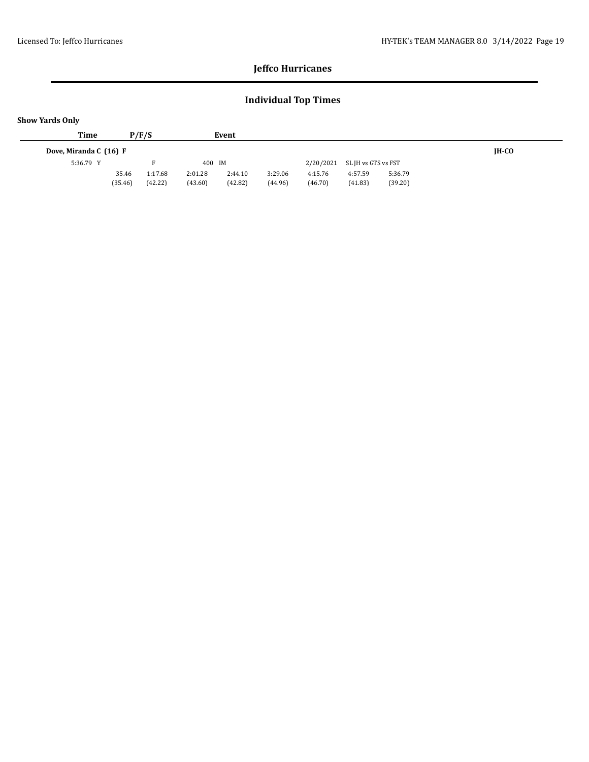## **Individual Top Times**

| <b>Show Yards Only</b> |                  |                    |                    |                    |                    |                    |                     |                    |       |
|------------------------|------------------|--------------------|--------------------|--------------------|--------------------|--------------------|---------------------|--------------------|-------|
| Time                   |                  | P/F/S              |                    | Event              |                    |                    |                     |                    |       |
| Dove, Miranda C (16) F |                  |                    |                    |                    |                    |                    |                     |                    | IH-CO |
| 5:36.79 Y              |                  |                    | 400 IM             |                    |                    | 2/20/2021          | SL JH vs GTS vs FST |                    |       |
|                        | 35.46<br>(35.46) | 1:17.68<br>(42.22) | 2:01.28<br>(43.60) | 2:44.10<br>(42.82) | 3:29.06<br>(44.96) | 4:15.76<br>(46.70) | 4:57.59<br>(41.83)  | 5:36.79<br>(39.20) |       |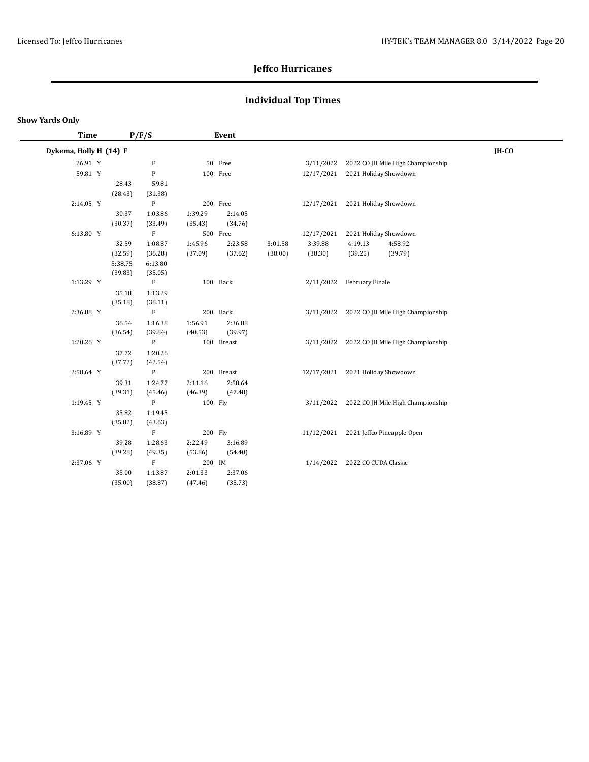## **Individual Top Times**

| <b>Time</b> |                                                                                         |                                                                                                                                                         |                                                                                                                                                                                                                                             |                                                                           |                                                                                                                                                                                                                       |            |                        |                                                                               |                                                                                                                                                                                                                                                                                                                                                    |  |
|-------------|-----------------------------------------------------------------------------------------|---------------------------------------------------------------------------------------------------------------------------------------------------------|---------------------------------------------------------------------------------------------------------------------------------------------------------------------------------------------------------------------------------------------|---------------------------------------------------------------------------|-----------------------------------------------------------------------------------------------------------------------------------------------------------------------------------------------------------------------|------------|------------------------|-------------------------------------------------------------------------------|----------------------------------------------------------------------------------------------------------------------------------------------------------------------------------------------------------------------------------------------------------------------------------------------------------------------------------------------------|--|
|             |                                                                                         |                                                                                                                                                         |                                                                                                                                                                                                                                             |                                                                           |                                                                                                                                                                                                                       |            |                        |                                                                               | IH-CO                                                                                                                                                                                                                                                                                                                                              |  |
| 26.91 Y     |                                                                                         | F                                                                                                                                                       |                                                                                                                                                                                                                                             |                                                                           |                                                                                                                                                                                                                       |            |                        |                                                                               |                                                                                                                                                                                                                                                                                                                                                    |  |
| 59.81 Y     |                                                                                         | ${\bf P}$                                                                                                                                               |                                                                                                                                                                                                                                             |                                                                           |                                                                                                                                                                                                                       |            |                        |                                                                               |                                                                                                                                                                                                                                                                                                                                                    |  |
|             | 28.43                                                                                   | 59.81                                                                                                                                                   |                                                                                                                                                                                                                                             |                                                                           |                                                                                                                                                                                                                       |            |                        |                                                                               |                                                                                                                                                                                                                                                                                                                                                    |  |
|             | (28.43)                                                                                 | (31.38)                                                                                                                                                 |                                                                                                                                                                                                                                             |                                                                           |                                                                                                                                                                                                                       |            |                        |                                                                               |                                                                                                                                                                                                                                                                                                                                                    |  |
| 2:14.05 Y   |                                                                                         | ${\bf P}$                                                                                                                                               |                                                                                                                                                                                                                                             |                                                                           |                                                                                                                                                                                                                       |            |                        |                                                                               |                                                                                                                                                                                                                                                                                                                                                    |  |
|             | 30.37                                                                                   | 1:03.86                                                                                                                                                 | 1:39.29                                                                                                                                                                                                                                     | 2:14.05                                                                   |                                                                                                                                                                                                                       |            |                        |                                                                               |                                                                                                                                                                                                                                                                                                                                                    |  |
|             | (30.37)                                                                                 | (33.49)                                                                                                                                                 | (35.43)                                                                                                                                                                                                                                     | (34.76)                                                                   |                                                                                                                                                                                                                       |            |                        |                                                                               |                                                                                                                                                                                                                                                                                                                                                    |  |
| 6:13.80 Y   |                                                                                         | $\mathbf{F}$                                                                                                                                            |                                                                                                                                                                                                                                             |                                                                           |                                                                                                                                                                                                                       | 12/17/2021 |                        |                                                                               |                                                                                                                                                                                                                                                                                                                                                    |  |
|             | 32.59                                                                                   | 1:08.87                                                                                                                                                 | 1:45.96                                                                                                                                                                                                                                     | 2:23.58                                                                   | 3:01.58                                                                                                                                                                                                               | 3:39.88    | 4:19.13                | 4:58.92                                                                       |                                                                                                                                                                                                                                                                                                                                                    |  |
|             | (32.59)                                                                                 | (36.28)                                                                                                                                                 | (37.09)                                                                                                                                                                                                                                     | (37.62)                                                                   | (38.00)                                                                                                                                                                                                               | (38.30)    | (39.25)                | (39.79)                                                                       |                                                                                                                                                                                                                                                                                                                                                    |  |
|             | 5:38.75                                                                                 | 6:13.80                                                                                                                                                 |                                                                                                                                                                                                                                             |                                                                           |                                                                                                                                                                                                                       |            |                        |                                                                               |                                                                                                                                                                                                                                                                                                                                                    |  |
|             | (39.83)                                                                                 | (35.05)                                                                                                                                                 |                                                                                                                                                                                                                                             |                                                                           |                                                                                                                                                                                                                       |            |                        |                                                                               |                                                                                                                                                                                                                                                                                                                                                    |  |
|             |                                                                                         |                                                                                                                                                         |                                                                                                                                                                                                                                             |                                                                           |                                                                                                                                                                                                                       |            |                        |                                                                               |                                                                                                                                                                                                                                                                                                                                                    |  |
|             |                                                                                         |                                                                                                                                                         |                                                                                                                                                                                                                                             |                                                                           |                                                                                                                                                                                                                       |            |                        |                                                                               |                                                                                                                                                                                                                                                                                                                                                    |  |
|             |                                                                                         |                                                                                                                                                         |                                                                                                                                                                                                                                             |                                                                           |                                                                                                                                                                                                                       |            |                        |                                                                               |                                                                                                                                                                                                                                                                                                                                                    |  |
|             |                                                                                         |                                                                                                                                                         |                                                                                                                                                                                                                                             |                                                                           |                                                                                                                                                                                                                       |            |                        |                                                                               |                                                                                                                                                                                                                                                                                                                                                    |  |
|             |                                                                                         |                                                                                                                                                         |                                                                                                                                                                                                                                             |                                                                           |                                                                                                                                                                                                                       |            |                        |                                                                               |                                                                                                                                                                                                                                                                                                                                                    |  |
|             |                                                                                         |                                                                                                                                                         |                                                                                                                                                                                                                                             |                                                                           |                                                                                                                                                                                                                       |            |                        |                                                                               |                                                                                                                                                                                                                                                                                                                                                    |  |
|             |                                                                                         |                                                                                                                                                         |                                                                                                                                                                                                                                             |                                                                           |                                                                                                                                                                                                                       |            |                        |                                                                               |                                                                                                                                                                                                                                                                                                                                                    |  |
|             |                                                                                         |                                                                                                                                                         |                                                                                                                                                                                                                                             |                                                                           |                                                                                                                                                                                                                       |            |                        |                                                                               |                                                                                                                                                                                                                                                                                                                                                    |  |
|             |                                                                                         |                                                                                                                                                         |                                                                                                                                                                                                                                             |                                                                           |                                                                                                                                                                                                                       |            |                        |                                                                               |                                                                                                                                                                                                                                                                                                                                                    |  |
|             |                                                                                         |                                                                                                                                                         |                                                                                                                                                                                                                                             |                                                                           |                                                                                                                                                                                                                       |            |                        |                                                                               |                                                                                                                                                                                                                                                                                                                                                    |  |
|             |                                                                                         |                                                                                                                                                         |                                                                                                                                                                                                                                             |                                                                           |                                                                                                                                                                                                                       |            |                        |                                                                               |                                                                                                                                                                                                                                                                                                                                                    |  |
|             |                                                                                         |                                                                                                                                                         |                                                                                                                                                                                                                                             |                                                                           |                                                                                                                                                                                                                       |            |                        |                                                                               |                                                                                                                                                                                                                                                                                                                                                    |  |
|             |                                                                                         |                                                                                                                                                         |                                                                                                                                                                                                                                             |                                                                           |                                                                                                                                                                                                                       |            |                        |                                                                               |                                                                                                                                                                                                                                                                                                                                                    |  |
|             |                                                                                         |                                                                                                                                                         |                                                                                                                                                                                                                                             |                                                                           |                                                                                                                                                                                                                       |            |                        |                                                                               |                                                                                                                                                                                                                                                                                                                                                    |  |
|             |                                                                                         |                                                                                                                                                         |                                                                                                                                                                                                                                             |                                                                           |                                                                                                                                                                                                                       |            |                        |                                                                               |                                                                                                                                                                                                                                                                                                                                                    |  |
|             |                                                                                         |                                                                                                                                                         |                                                                                                                                                                                                                                             |                                                                           |                                                                                                                                                                                                                       |            |                        |                                                                               |                                                                                                                                                                                                                                                                                                                                                    |  |
|             |                                                                                         |                                                                                                                                                         |                                                                                                                                                                                                                                             |                                                                           |                                                                                                                                                                                                                       |            |                        |                                                                               |                                                                                                                                                                                                                                                                                                                                                    |  |
|             |                                                                                         |                                                                                                                                                         |                                                                                                                                                                                                                                             |                                                                           |                                                                                                                                                                                                                       |            |                        |                                                                               |                                                                                                                                                                                                                                                                                                                                                    |  |
|             |                                                                                         |                                                                                                                                                         |                                                                                                                                                                                                                                             |                                                                           |                                                                                                                                                                                                                       |            |                        |                                                                               |                                                                                                                                                                                                                                                                                                                                                    |  |
|             | (35.00)                                                                                 | (38.87)                                                                                                                                                 | (47.46)                                                                                                                                                                                                                                     | (35.73)                                                                   |                                                                                                                                                                                                                       |            |                        |                                                                               |                                                                                                                                                                                                                                                                                                                                                    |  |
|             | 1:13.29 Y<br>2:36.88 Y<br>1:20.26 Y<br>2:58.64 Y<br>1:19.45 Y<br>3:16.89 Y<br>2:37.06 Y | Dykema, Holly H (14) F<br>35.18<br>(35.18)<br>36.54<br>(36.54)<br>37.72<br>(37.72)<br>39.31<br>(39.31)<br>35.82<br>(35.82)<br>39.28<br>(39.28)<br>35.00 | P/F/S<br>$\mathbf{F}$<br>1:13.29<br>(38.11)<br>$\rm F$<br>1:16.38<br>(39.84)<br>P<br>1:20.26<br>(42.54)<br>${\bf P}$<br>1:24.77<br>(45.46)<br>${\bf P}$<br>1:19.45<br>(43.63)<br>$_{\rm F}$<br>1:28.63<br>(49.35)<br>$\mathbf F$<br>1:13.87 | 1:56.91<br>(40.53)<br>2:11.16<br>(46.39)<br>2:22.49<br>(53.86)<br>2:01.33 | Event<br>50 Free<br>100 Free<br>200 Free<br>500 Free<br>100 Back<br>200 Back<br>2:36.88<br>(39.97)<br>100 Breast<br>200 Breast<br>2:58.64<br>(47.48)<br>100 Fly<br>200 Fly<br>3:16.89<br>(54.40)<br>200 IM<br>2:37.06 |            | 2/11/2022<br>3/11/2022 | 3/11/2022<br>12/17/2021<br>12/17/2021<br>3/11/2022<br>11/12/2021<br>1/14/2022 | 2022 CO JH Mile High Championship<br>2021 Holiday Showdown<br>2021 Holiday Showdown<br>2021 Holiday Showdown<br>February Finale<br>2022 CO JH Mile High Championship<br>3/11/2022 2022 CO JH Mile High Championship<br>12/17/2021 2021 Holiday Showdown<br>2022 CO JH Mile High Championship<br>2021 Jeffco Pineapple Open<br>2022 CO CUDA Classic |  |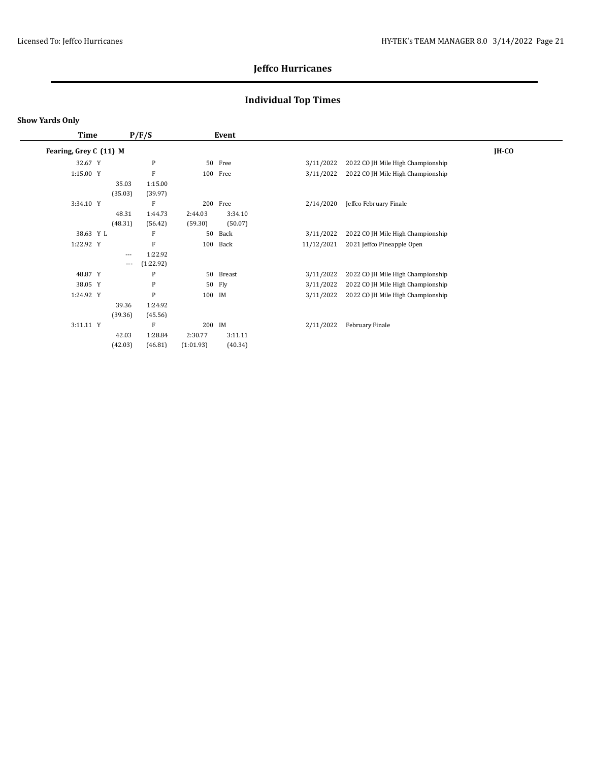## **Individual Top Times**

| <b>Time</b><br>P/F/S   |  |                      | Event                |                    |                    |            |                                   |         |
|------------------------|--|----------------------|----------------------|--------------------|--------------------|------------|-----------------------------------|---------|
| Fearing, Grey C (11) M |  |                      |                      |                    |                    |            |                                   | $IH-CO$ |
| 32.67 Y                |  |                      | $\mathbf{P}$         | 50                 | Free               | 3/11/2022  | 2022 CO JH Mile High Championship |         |
| 1:15.00 Y              |  |                      | F                    |                    | 100 Free           | 3/11/2022  | 2022 CO JH Mile High Championship |         |
|                        |  | 35.03<br>(35.03)     | 1:15.00<br>(39.97)   |                    |                    |            |                                   |         |
| 3:34.10 Y              |  |                      | F                    | 200                | Free               | 2/14/2020  | Jeffco February Finale            |         |
|                        |  | 48.31<br>(48.31)     | 1:44.73<br>(56.42)   | 2:44.03<br>(59.30) | 3:34.10<br>(50.07) |            |                                   |         |
| 38.63 Y L              |  |                      | F                    | 50                 | Back               | 3/11/2022  | 2022 CO JH Mile High Championship |         |
| 1:22.92 Y              |  |                      | F                    | 100                | Back               | 11/12/2021 | 2021 Jeffco Pineapple Open        |         |
|                        |  | $\cdots$<br>$\cdots$ | 1:22.92<br>(1:22.92) |                    |                    |            |                                   |         |
| 48.87 Y                |  |                      | $\mathbf{P}$         | 50                 | Breast             | 3/11/2022  | 2022 CO JH Mile High Championship |         |
| 38.05 Y                |  |                      | $\mathbf{P}$         | 50                 | Fly                | 3/11/2022  | 2022 CO JH Mile High Championship |         |
| 1:24.92 Y              |  |                      | P                    | 100                | IM                 | 3/11/2022  | 2022 CO JH Mile High Championship |         |
|                        |  | 39.36<br>(39.36)     | 1:24.92<br>(45.56)   |                    |                    |            |                                   |         |
| 3:11.11 Y              |  |                      | F                    | 200                | IM                 | 2/11/2022  | February Finale                   |         |
|                        |  | 42.03                | 1:28.84              | 2:30.77            | 3:11.11            |            |                                   |         |
|                        |  | (42.03)              | (46.81)              | (1:01.93)          | (40.34)            |            |                                   |         |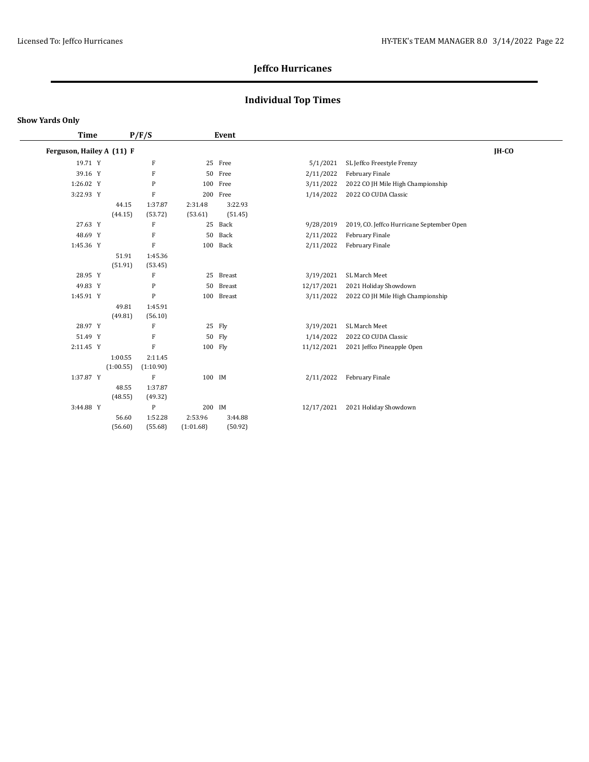## **Individual Top Times**

| <b>Time</b>               |           | P/F/S        |           | Event         |            |                                           |         |
|---------------------------|-----------|--------------|-----------|---------------|------------|-------------------------------------------|---------|
| Ferguson, Hailey A (11) F |           |              |           |               |            |                                           | $IH-CO$ |
| 19.71 Y                   |           | $\mathbf{F}$ | 25        | Free          | 5/1/2021   | SL Jeffco Freestyle Frenzy                |         |
| 39.16 Y                   |           | F            | 50        | Free          | 2/11/2022  | February Finale                           |         |
| 1:26.02 Y                 |           | P            | 100       | Free          | 3/11/2022  | 2022 CO JH Mile High Championship         |         |
| 3:22.93 Y                 |           | $\mathbf{F}$ | 200       | Free          | 1/14/2022  | 2022 CO CUDA Classic                      |         |
|                           | 44.15     | 1:37.87      | 2:31.48   | 3:22.93       |            |                                           |         |
|                           | (44.15)   | (53.72)      | (53.61)   | (51.45)       |            |                                           |         |
| 27.63 Y                   |           | F            | 25        | Back          | 9/28/2019  | 2019, CO. Jeffco Hurricane September Open |         |
| 48.69 Y                   |           | F            | 50        | Back          | 2/11/2022  | February Finale                           |         |
| 1:45.36 Y                 |           | F            | 100       | Back          | 2/11/2022  | February Finale                           |         |
|                           | 51.91     | 1:45.36      |           |               |            |                                           |         |
|                           | (51.91)   | (53.45)      |           |               |            |                                           |         |
| 28.95 Y                   |           | ${\bf F}$    | 25        | Breast        | 3/19/2021  | SL March Meet                             |         |
| 49.83 Y                   |           | P            | 50        | <b>Breast</b> | 12/17/2021 | 2021 Holiday Showdown                     |         |
| 1:45.91 Y                 |           | P            | 100       | Breast        | 3/11/2022  | 2022 CO JH Mile High Championship         |         |
|                           | 49.81     | 1:45.91      |           |               |            |                                           |         |
|                           | (49.81)   | (56.10)      |           |               |            |                                           |         |
| 28.97 Y                   |           | F            | 25        | Fly           | 3/19/2021  | SL March Meet                             |         |
| 51.49 Y                   |           | F            | 50        | Fly           | 1/14/2022  | 2022 CO CUDA Classic                      |         |
| 2:11.45 Y                 |           | F            | 100 Fly   |               | 11/12/2021 | 2021 Jeffco Pineapple Open                |         |
|                           | 1:00.55   | 2:11.45      |           |               |            |                                           |         |
|                           | (1:00.55) | (1:10.90)    |           |               |            |                                           |         |
| 1:37.87 Y                 |           | F            | 100 IM    |               | 2/11/2022  | February Finale                           |         |
|                           | 48.55     | 1:37.87      |           |               |            |                                           |         |
|                           | (48.55)   | (49.32)      |           |               |            |                                           |         |
| 3:44.88 Y                 |           | $\mathbf{P}$ | 200 IM    |               | 12/17/2021 | 2021 Holiday Showdown                     |         |
|                           | 56.60     | 1:52.28      | 2:53.96   | 3:44.88       |            |                                           |         |
|                           | (56.60)   | (55.68)      | (1:01.68) | (50.92)       |            |                                           |         |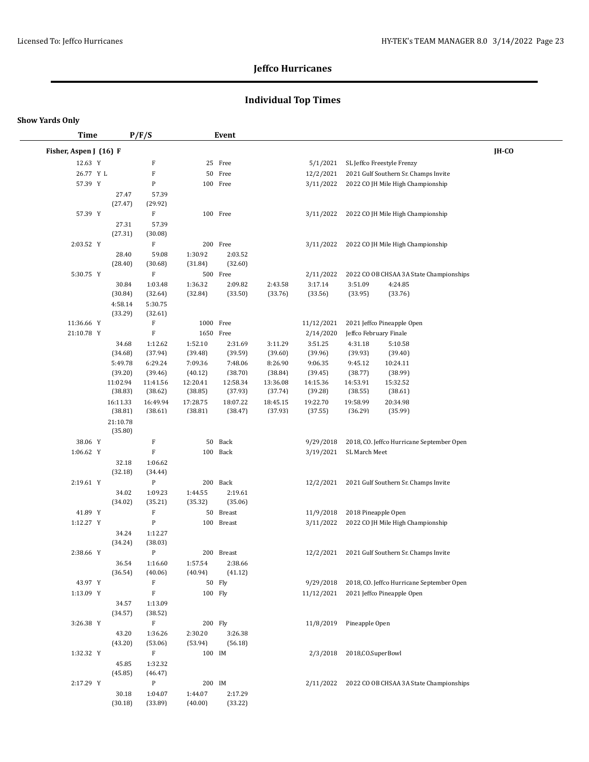## **Individual Top Times**

| <b>Time</b>            |                     | P/F/S                     |                     | Event              |                    |                    |                                           |       |
|------------------------|---------------------|---------------------------|---------------------|--------------------|--------------------|--------------------|-------------------------------------------|-------|
| Fisher, Aspen J (16) F |                     |                           |                     |                    |                    |                    |                                           | IH-CO |
| 12.63 Y                |                     | F                         |                     | 25 Free            |                    | 5/1/2021           | SL Jeffco Freestyle Frenzy                |       |
| 26.77 Y L              |                     | $\boldsymbol{\mathrm{F}}$ | 50                  | Free               |                    | 12/2/2021          | 2021 Gulf Southern Sr. Champs Invite      |       |
| 57.39 Y                |                     | P                         |                     | 100 Free           |                    | 3/11/2022          | 2022 CO JH Mile High Championship         |       |
|                        | 27.47               | 57.39                     |                     |                    |                    |                    |                                           |       |
|                        | (27.47)             | (29.92)                   |                     |                    |                    |                    |                                           |       |
| 57.39 Y                |                     | $\rm F$                   |                     | 100 Free           |                    | 3/11/2022          | 2022 CO JH Mile High Championship         |       |
|                        | 27.31               | 57.39                     |                     |                    |                    |                    |                                           |       |
|                        | (27.31)             | (30.08)                   |                     |                    |                    |                    |                                           |       |
| 2:03.52 Y              |                     | $\rm F$                   |                     | 200 Free           |                    | 3/11/2022          | 2022 CO JH Mile High Championship         |       |
|                        | 28.40               | 59.08                     | 1:30.92             | 2:03.52            |                    |                    |                                           |       |
|                        | (28.40)             | (30.68)<br>$\mathbf F$    | (31.84)             | (32.60)            |                    |                    |                                           |       |
| 5:30.75 Y              |                     |                           |                     | 500 Free           |                    | 2/11/2022          | 2022 CO OB CHSAA 3A State Championships   |       |
|                        | 30.84<br>(30.84)    | 1:03.48<br>(32.64)        | 1:36.32<br>(32.84)  | 2:09.82<br>(33.50) | 2:43.58<br>(33.76) | 3:17.14<br>(33.56) | 3:51.09<br>4:24.85<br>(33.95)<br>(33.76)  |       |
|                        | 4:58.14             | 5:30.75                   |                     |                    |                    |                    |                                           |       |
|                        | (33.29)             | (32.61)                   |                     |                    |                    |                    |                                           |       |
| 11:36.66 Y             |                     | $\mathbf F$               | 1000 Free           |                    |                    | 11/12/2021         | 2021 Jeffco Pineapple Open                |       |
| 21:10.78 Y             |                     | $\rm F$                   | 1650 Free           |                    |                    | 2/14/2020          | Jeffco February Finale                    |       |
|                        | 34.68               | 1:12.62                   | 1:52.10             | 2:31.69            | 3:11.29            | 3:51.25            | 4:31.18<br>5:10.58                        |       |
|                        | (34.68)             | (37.94)                   | (39.48)             | (39.59)            | (39.60)            | (39.96)            | (39.93)<br>(39.40)                        |       |
|                        | 5:49.78             | 6:29.24                   | 7:09.36             | 7:48.06            | 8:26.90            | 9:06.35            | 9:45.12<br>10:24.11                       |       |
|                        | (39.20)             | (39.46)                   | (40.12)             | (38.70)            | (38.84)            | (39.45)            | (38.77)<br>(38.99)                        |       |
|                        | 11:02.94            | 11:41.56                  | 12:20.41            | 12:58.34           | 13:36.08           | 14:15.36           | 15:32.52<br>14:53.91                      |       |
|                        | (38.83)             | (38.62)                   | (38.85)             | (37.93)            | (37.74)            | (39.28)            | (38.55)<br>(38.61)                        |       |
|                        | 16:11.33<br>(38.81) | 16:49.94                  | 17:28.75<br>(38.81) | 18:07.22           | 18:45.15           | 19:22.70           | 19:58.99<br>20:34.98                      |       |
|                        | 21:10.78            | (38.61)                   |                     | (38.47)            | (37.93)            | (37.55)            | (36.29)<br>(35.99)                        |       |
|                        | (35.80)             |                           |                     |                    |                    |                    |                                           |       |
| 38.06 Y                |                     | F                         | 50                  | Back               |                    | 9/29/2018          | 2018, CO. Jeffco Hurricane September Open |       |
| 1:06.62 Y              |                     | $\rm F$                   |                     | 100 Back           |                    | 3/19/2021          | SL March Meet                             |       |
|                        | 32.18               | 1:06.62                   |                     |                    |                    |                    |                                           |       |
|                        | (32.18)             | (34.44)                   |                     |                    |                    |                    |                                           |       |
| 2:19.61 Y              |                     | P                         |                     | 200 Back           |                    | 12/2/2021          | 2021 Gulf Southern Sr. Champs Invite      |       |
|                        | 34.02               | 1:09.23                   | 1:44.55             | 2:19.61            |                    |                    |                                           |       |
|                        | (34.02)             | (35.21)                   | (35.32)             | (35.06)            |                    |                    |                                           |       |
| 41.89 Y                |                     | ${\bf F}$                 |                     | 50 Breast          |                    | 11/9/2018          | 2018 Pineapple Open                       |       |
| 1:12.27 Y              |                     | ${\bf P}$                 |                     | 100 Breast         |                    | 3/11/2022          | 2022 CO JH Mile High Championship         |       |
|                        | 34.24               | 1:12.27                   |                     |                    |                    |                    |                                           |       |
|                        | (34.24)             | (38.03)                   |                     |                    |                    |                    |                                           |       |
| 2:38.66 Y              |                     | ${\bf P}$                 |                     | 200 Breast         |                    | 12/2/2021          | 2021 Gulf Southern Sr. Champs Invite      |       |
|                        | 36.54<br>(36.54)    | 1:16.60<br>(40.06)        | 1:57.54<br>(40.94)  | 2:38.66<br>(41.12) |                    |                    |                                           |       |
| 43.97 Y                |                     | $\mathbf F$               |                     | 50 Fly             |                    | 9/29/2018          | 2018, CO. Jeffco Hurricane September Open |       |
| 1:13.09 Y              |                     | $\mathbf F$               | 100 Fly             |                    |                    | 11/12/2021         | 2021 Jeffco Pineapple Open                |       |
|                        | 34.57               | 1:13.09                   |                     |                    |                    |                    |                                           |       |
|                        | (34.57)             | (38.52)                   |                     |                    |                    |                    |                                           |       |
| 3:26.38 Y              |                     | $\mathbf F$               | 200 Fly             |                    |                    | 11/8/2019          | Pineapple Open                            |       |
|                        | 43.20               | 1:36.26                   | 2:30.20             | 3:26.38            |                    |                    |                                           |       |
|                        | (43.20)             | (53.06)                   | (53.94)             | (56.18)            |                    |                    |                                           |       |
| 1:32.32 Y              |                     | $\mathbf F$               | 100 IM              |                    |                    | 2/3/2018           | 2018, CO. SuperBowl                       |       |
|                        | 45.85               | 1:32.32                   |                     |                    |                    |                    |                                           |       |
|                        | (45.85)             | (46.47)                   |                     |                    |                    |                    |                                           |       |
| 2:17.29 Y              |                     | $\, {\bf P}$              | 200 IM              |                    |                    | 2/11/2022          | 2022 CO OB CHSAA 3A State Championships   |       |
|                        | 30.18               | 1:04.07                   | 1:44.07             | 2:17.29            |                    |                    |                                           |       |
|                        | (30.18)             | (33.89)                   | (40.00)             | (33.22)            |                    |                    |                                           |       |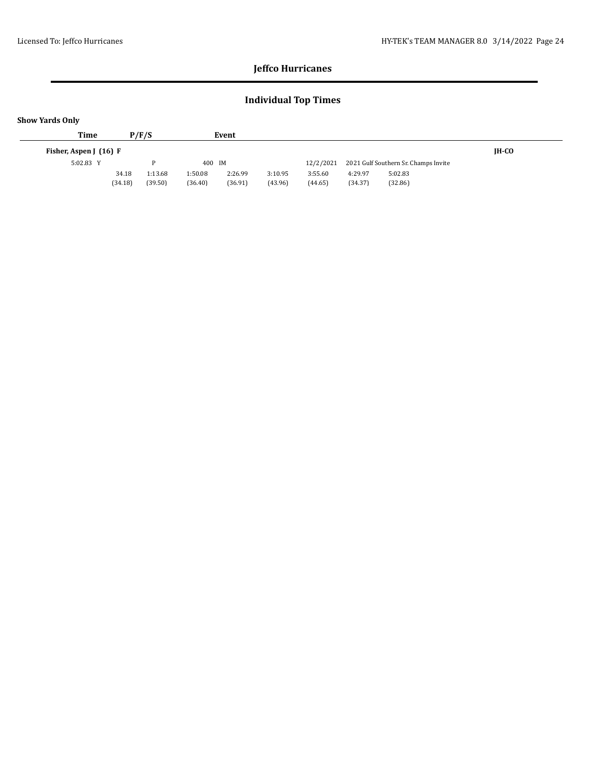## **Individual Top Times**

| P/F/S                                  | Event                                    |                                          |                                          |              |
|----------------------------------------|------------------------------------------|------------------------------------------|------------------------------------------|--------------|
|                                        |                                          |                                          |                                          | <b>IH-CO</b> |
| D                                      | 400 IM                                   | 12/2/2021                                | 2021 Gulf Southern Sr. Champs Invite     |              |
| 1:13.68<br>34.18<br>(34.18)<br>(39.50) | 2:26.99<br>1:50.08<br>(36.91)<br>(36.40) | 3:10.95<br>3:55.60<br>(43.96)<br>(44.65) | 4:29.97<br>5:02.83<br>(34.37)<br>(32.86) |              |
|                                        |                                          |                                          |                                          |              |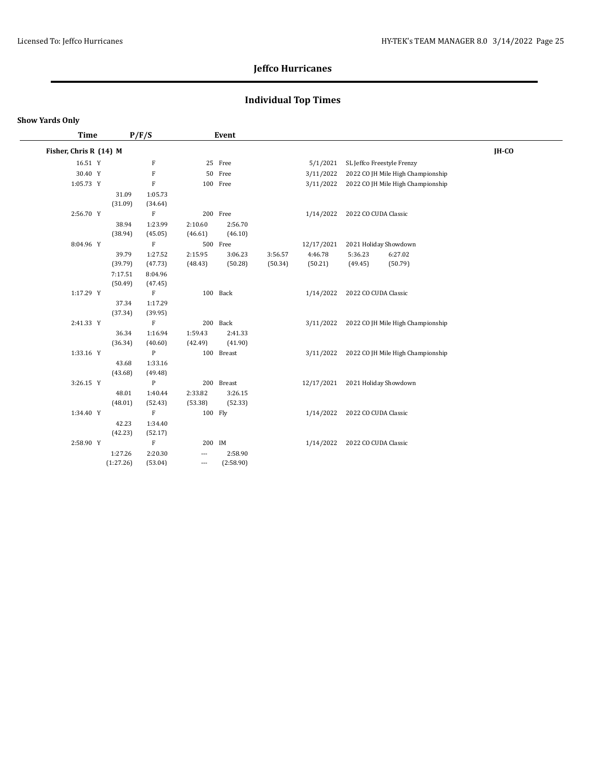## **Individual Top Times**

#### **Show Yards Only**

| Time                   |           | P/F/S        |                   | Event      |         |            |                      |                                   |         |  |
|------------------------|-----------|--------------|-------------------|------------|---------|------------|----------------------|-----------------------------------|---------|--|
| Fisher, Chris R (14) M |           |              |                   |            |         |            |                      |                                   | $IH-CO$ |  |
| 16.51 Y                |           | F            |                   | 25 Free    |         | 5/1/2021   |                      | SL Jeffco Freestyle Frenzy        |         |  |
| 30.40 Y                |           | $\mathbf F$  |                   | 50 Free    |         | 3/11/2022  |                      | 2022 CO JH Mile High Championship |         |  |
| 1:05.73 Y              |           | $\mathbf F$  |                   | 100 Free   |         | 3/11/2022  |                      | 2022 CO JH Mile High Championship |         |  |
|                        | 31.09     | 1:05.73      |                   |            |         |            |                      |                                   |         |  |
|                        | (31.09)   | (34.64)      |                   |            |         |            |                      |                                   |         |  |
| 2:56.70 Y              |           | $\mathbf F$  |                   | 200 Free   |         | 1/14/2022  | 2022 CO CUDA Classic |                                   |         |  |
|                        | 38.94     | 1:23.99      | 2:10.60           | 2:56.70    |         |            |                      |                                   |         |  |
|                        | (38.94)   | (45.05)      | (46.61)           | (46.10)    |         |            |                      |                                   |         |  |
| 8:04.96 Y              |           | $\rm F$      |                   | 500 Free   |         | 12/17/2021 |                      | 2021 Holiday Showdown             |         |  |
|                        | 39.79     | 1:27.52      | 2:15.95           | 3:06.23    | 3:56.57 | 4:46.78    | 5:36.23              | 6:27.02                           |         |  |
|                        | (39.79)   | (47.73)      | (48.43)           | (50.28)    | (50.34) | (50.21)    | (49.45)              | (50.79)                           |         |  |
|                        | 7:17.51   | 8:04.96      |                   |            |         |            |                      |                                   |         |  |
|                        | (50.49)   | (47.45)      |                   |            |         |            |                      |                                   |         |  |
| 1:17.29 Y              |           | $\mathbf F$  |                   | 100 Back   |         | 1/14/2022  | 2022 CO CUDA Classic |                                   |         |  |
|                        | 37.34     | 1:17.29      |                   |            |         |            |                      |                                   |         |  |
|                        | (37.34)   | (39.95)      |                   |            |         |            |                      |                                   |         |  |
| 2:41.33 Y              |           | $\rm F$      |                   | 200 Back   |         | 3/11/2022  |                      | 2022 CO JH Mile High Championship |         |  |
|                        | 36.34     | 1:16.94      | 1:59.43           | 2:41.33    |         |            |                      |                                   |         |  |
|                        | (36.34)   | (40.60)      | (42.49)           | (41.90)    |         |            |                      |                                   |         |  |
| 1:33.16 Y              |           | ${\bf P}$    |                   | 100 Breast |         | 3/11/2022  |                      | 2022 CO JH Mile High Championship |         |  |
|                        | 43.68     | 1:33.16      |                   |            |         |            |                      |                                   |         |  |
|                        | (43.68)   | (49.48)      |                   |            |         |            |                      |                                   |         |  |
| 3:26.15 Y              |           | $\mathbf{P}$ |                   | 200 Breast |         | 12/17/2021 |                      | 2021 Holiday Showdown             |         |  |
|                        | 48.01     | 1:40.44      | 2:33.82           | 3:26.15    |         |            |                      |                                   |         |  |
|                        | (48.01)   | (52.43)      | (53.38)           | (52.33)    |         |            |                      |                                   |         |  |
| 1:34.40 Y              |           | ${\bf F}$    | 100 Fly           |            |         | 1/14/2022  | 2022 CO CUDA Classic |                                   |         |  |
|                        | 42.23     | 1:34.40      |                   |            |         |            |                      |                                   |         |  |
|                        | (42.23)   | (52.17)      |                   |            |         |            |                      |                                   |         |  |
| 2:58.90 Y              |           | $\rm F$      | 200 IM            |            |         | 1/14/2022  | 2022 CO CUDA Classic |                                   |         |  |
|                        | 1:27.26   | 2:20.30      | ---               | 2:58.90    |         |            |                      |                                   |         |  |
|                        | (1:27.26) | (53.04)      | $\qquad \qquad -$ | (2:58.90)  |         |            |                      |                                   |         |  |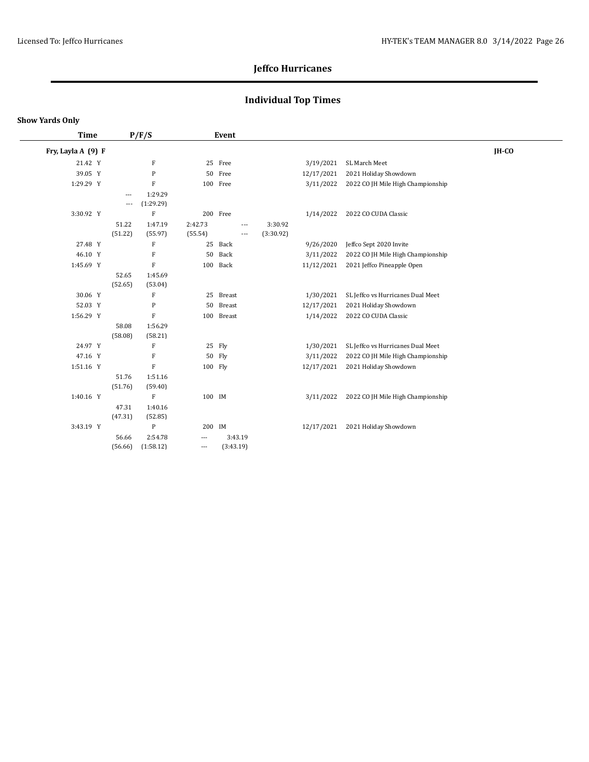## **Individual Top Times**

| <b>Time</b>        |                          | P/F/S                     | Event    |                          |           |            |                                   |         |  |
|--------------------|--------------------------|---------------------------|----------|--------------------------|-----------|------------|-----------------------------------|---------|--|
| Fry, Layla A (9) F |                          |                           |          |                          |           |            |                                   | $IH-CO$ |  |
| 21.42 Y            |                          | $\boldsymbol{\mathrm{F}}$ |          | 25 Free                  |           | 3/19/2021  | SL March Meet                     |         |  |
| 39.05 Y            |                          | ${\bf P}$                 | 50       | Free                     |           | 12/17/2021 | 2021 Holiday Showdown             |         |  |
| 1:29.29 Y          |                          | F                         |          | 100 Free                 |           | 3/11/2022  | 2022 CO JH Mile High Championship |         |  |
|                    | ---                      | 1:29.29                   |          |                          |           |            |                                   |         |  |
|                    | $\overline{\phantom{a}}$ | (1:29.29)                 |          |                          |           |            |                                   |         |  |
| 3:30.92 Y          |                          | $\mathbf F$               |          | 200 Free                 |           | 1/14/2022  | 2022 CO CUDA Classic              |         |  |
|                    | 51.22                    | 1:47.19                   | 2:42.73  | $\overline{a}$           | 3:30.92   |            |                                   |         |  |
|                    | (51.22)                  | (55.97)                   | (55.54)  | $\overline{\phantom{a}}$ | (3:30.92) |            |                                   |         |  |
| 27.48 Y            |                          | $\mathbf F$               | 25       | Back                     |           | 9/26/2020  | Jeffco Sept 2020 Invite           |         |  |
| 46.10 Y            |                          | $\mathbf F$               | 50       | Back                     |           | 3/11/2022  | 2022 CO JH Mile High Championship |         |  |
| 1:45.69 Y          |                          | $\rm F$                   |          | 100 Back                 |           | 11/12/2021 | 2021 Jeffco Pineapple Open        |         |  |
|                    | 52.65                    | 1:45.69                   |          |                          |           |            |                                   |         |  |
|                    | (52.65)                  | (53.04)                   |          |                          |           |            |                                   |         |  |
| 30.06 Y            |                          | $\boldsymbol{\mathrm{F}}$ |          | 25 Breast                |           | 1/30/2021  | SL Jeffco vs Hurricanes Dual Meet |         |  |
| 52.03 Y            |                          | P                         | 50       | <b>Breast</b>            |           | 12/17/2021 | 2021 Holiday Showdown             |         |  |
| 1:56.29 Y          |                          | $\rm F$                   |          | 100 Breast               |           | 1/14/2022  | 2022 CO CUDA Classic              |         |  |
|                    | 58.08                    | 1:56.29                   |          |                          |           |            |                                   |         |  |
|                    | (58.08)                  | (58.21)                   |          |                          |           |            |                                   |         |  |
| 24.97 Y            |                          | $\boldsymbol{\mathrm{F}}$ |          | 25 Fly                   |           | 1/30/2021  | SL Jeffco vs Hurricanes Dual Meet |         |  |
| 47.16 Y            |                          | $\mathbf F$               |          | 50 Fly                   |           | 3/11/2022  | 2022 CO JH Mile High Championship |         |  |
| 1:51.16 Y          |                          | $\rm F$                   | 100 Fly  |                          |           | 12/17/2021 | 2021 Holiday Showdown             |         |  |
|                    | 51.76                    | 1:51.16                   |          |                          |           |            |                                   |         |  |
|                    | (51.76)                  | (59.40)                   |          |                          |           |            |                                   |         |  |
| 1:40.16 Y          |                          | $\rm F$                   | 100 IM   |                          |           | 3/11/2022  | 2022 CO JH Mile High Championship |         |  |
|                    | 47.31                    | 1:40.16                   |          |                          |           |            |                                   |         |  |
|                    | (47.31)                  | (52.85)                   |          |                          |           |            |                                   |         |  |
| 3:43.19 Y          |                          | ${\bf P}$                 | 200 IM   |                          |           | 12/17/2021 | 2021 Holiday Showdown             |         |  |
|                    | 56.66                    | 2:54.78                   | $\cdots$ | 3:43.19                  |           |            |                                   |         |  |
|                    | (56.66)                  | (1:58.12)                 | ---      | (3:43.19)                |           |            |                                   |         |  |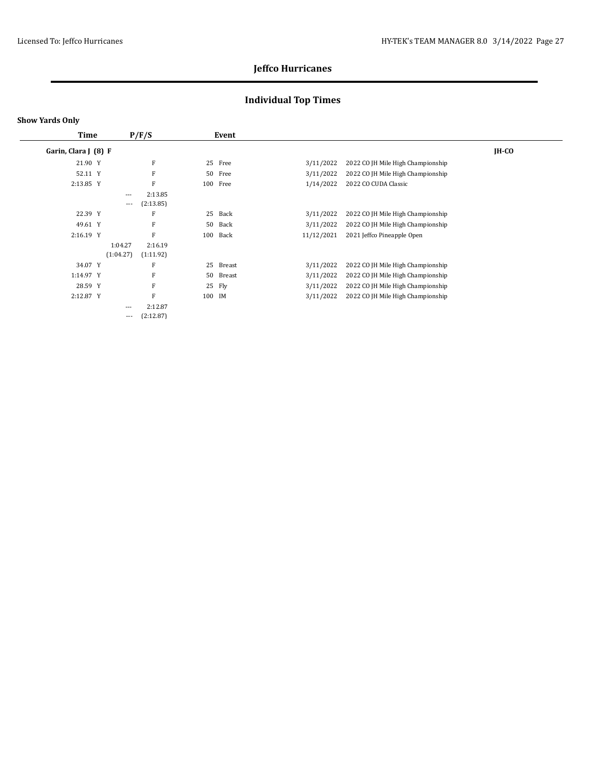## **Individual Top Times**

| <b>Time</b>          |           | P/F/S     |        | Event    |            |                                   |         |
|----------------------|-----------|-----------|--------|----------|------------|-----------------------------------|---------|
| Garin, Clara J (8) F |           |           |        |          |            |                                   | $IH-CO$ |
| 21.90 Y              |           | F         | 25     | Free     | 3/11/2022  | 2022 CO JH Mile High Championship |         |
| 52.11 Y              |           | F         | 50     | Free     | 3/11/2022  | 2022 CO JH Mile High Championship |         |
| 2:13.85 Y            |           | F         |        | 100 Free | 1/14/2022  | 2022 CO CUDA Classic              |         |
|                      | $---$     | 2:13.85   |        |          |            |                                   |         |
|                      | $\cdots$  | (2:13.85) |        |          |            |                                   |         |
| 22.39 Y              |           | F         | 25     | Back     | 3/11/2022  | 2022 CO JH Mile High Championship |         |
| 49.61 Y              |           | F         | 50     | Back     | 3/11/2022  | 2022 CO JH Mile High Championship |         |
| 2:16.19 Y            |           | F         |        | 100 Back | 11/12/2021 | 2021 Jeffco Pineapple Open        |         |
|                      | 1:04.27   | 2:16.19   |        |          |            |                                   |         |
|                      | (1:04.27) | (1:11.92) |        |          |            |                                   |         |
| 34.07 Y              |           | F         | 25     | Breast   | 3/11/2022  | 2022 CO JH Mile High Championship |         |
| 1:14.97 Y            |           | F         | 50     | Breast   | 3/11/2022  | 2022 CO JH Mile High Championship |         |
| 28.59 Y              |           | F         | 25     | Fly      | 3/11/2022  | 2022 CO JH Mile High Championship |         |
| 2:12.87 Y            |           | F         | 100 IM |          | 3/11/2022  | 2022 CO JH Mile High Championship |         |
|                      | $\cdots$  | 2:12.87   |        |          |            |                                   |         |
|                      | $---$     | (2:12.87) |        |          |            |                                   |         |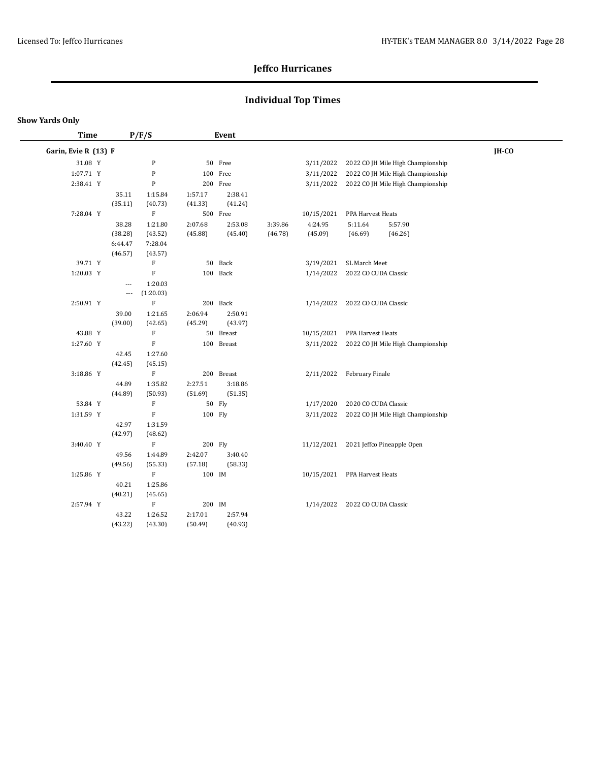## **Individual Top Times**

|  | Show Yards Only |  |
|--|-----------------|--|
|--|-----------------|--|

| <b>Time</b>          | P/F/S                   |                           |         | Event      |         |            |                      |                                   |       |  |
|----------------------|-------------------------|---------------------------|---------|------------|---------|------------|----------------------|-----------------------------------|-------|--|
| Garin, Evie R (13) F |                         |                           |         |            |         |            |                      |                                   | IH-CO |  |
| 31.08 Y              |                         | ${\bf P}$                 |         | 50 Free    |         | 3/11/2022  |                      | 2022 CO JH Mile High Championship |       |  |
| 1:07.71 Y            |                         | ${\bf P}$                 |         | 100 Free   |         | 3/11/2022  |                      | 2022 CO JH Mile High Championship |       |  |
| 2:38.41 Y            |                         | $\mathbf P$               |         | 200 Free   |         | 3/11/2022  |                      | 2022 CO JH Mile High Championship |       |  |
|                      | 35.11                   | 1:15.84                   | 1:57.17 | 2:38.41    |         |            |                      |                                   |       |  |
|                      | (35.11)                 | (40.73)                   | (41.33) | (41.24)    |         |            |                      |                                   |       |  |
| 7:28.04 Y            |                         | $\boldsymbol{\mathrm{F}}$ |         | 500 Free   |         | 10/15/2021 | PPA Harvest Heats    |                                   |       |  |
|                      | 38.28                   | 1:21.80                   | 2:07.68 | 2:53.08    | 3:39.86 | 4:24.95    | 5:11.64              | 5:57.90                           |       |  |
|                      | (38.28)                 | (43.52)                   | (45.88) | (45.40)    | (46.78) | (45.09)    | (46.69)              | (46.26)                           |       |  |
|                      | 6:44.47                 | 7:28.04                   |         |            |         |            |                      |                                   |       |  |
|                      | (46.57)                 | (43.57)                   |         |            |         |            |                      |                                   |       |  |
| 39.71 Y              |                         | ${\bf F}$                 | 50      | Back       |         | 3/19/2021  | SL March Meet        |                                   |       |  |
| 1:20.03 Y            |                         | ${\bf F}$                 | 100     | Back       |         | 1/14/2022  | 2022 CO CUDA Classic |                                   |       |  |
|                      | $\overline{a}$<br>$---$ | 1:20.03<br>(1:20.03)      |         |            |         |            |                      |                                   |       |  |
| 2:50.91 Y            |                         | $\rm F$                   |         | 200 Back   |         | 1/14/2022  | 2022 CO CUDA Classic |                                   |       |  |
|                      | 39.00                   | 1:21.65                   | 2:06.94 | 2:50.91    |         |            |                      |                                   |       |  |
|                      | (39.00)                 | (42.65)                   | (45.29) | (43.97)    |         |            |                      |                                   |       |  |
| 43.88 Y              |                         | ${\bf F}$                 | 50      | Breast     |         | 10/15/2021 | PPA Harvest Heats    |                                   |       |  |
| 1:27.60 Y            |                         | $\mathbf F$               |         | 100 Breast |         | 3/11/2022  |                      | 2022 CO JH Mile High Championship |       |  |
|                      | 42.45                   | 1:27.60                   |         |            |         |            |                      |                                   |       |  |
|                      | (42.45)                 | (45.15)                   |         |            |         |            |                      |                                   |       |  |
| 3:18.86 Y            |                         | $\mathbf F$               |         | 200 Breast |         | 2/11/2022  | February Finale      |                                   |       |  |
|                      | 44.89                   | 1:35.82                   | 2:27.51 | 3:18.86    |         |            |                      |                                   |       |  |
|                      | (44.89)                 | (50.93)                   | (51.69) | (51.35)    |         |            |                      |                                   |       |  |
| 53.84 Y              |                         | $\rm F$                   |         | 50 Fly     |         | 1/17/2020  | 2020 CO CUDA Classic |                                   |       |  |
| 1:31.59 Y            |                         | $\mathbf F$               | 100 Fly |            |         | 3/11/2022  |                      | 2022 CO JH Mile High Championship |       |  |
|                      | 42.97                   | 1:31.59                   |         |            |         |            |                      |                                   |       |  |
|                      | (42.97)                 | (48.62)                   |         |            |         |            |                      |                                   |       |  |
| 3:40.40 Y            |                         | $\mathbf F$               | 200 Fly |            |         | 11/12/2021 |                      | 2021 Jeffco Pineapple Open        |       |  |
|                      | 49.56                   | 1:44.89                   | 2:42.07 | 3:40.40    |         |            |                      |                                   |       |  |
| 1:25.86 Y            | (49.56)                 | (55.33)                   | (57.18) | (58.33)    |         |            |                      |                                   |       |  |
|                      |                         | ${\bf F}$                 | 100 IM  |            |         | 10/15/2021 | PPA Harvest Heats    |                                   |       |  |
|                      | 40.21<br>(40.21)        | 1:25.86<br>(45.65)        |         |            |         |            |                      |                                   |       |  |
| 2:57.94 Y            |                         | $\mathbf F$               | 200 IM  |            |         | 1/14/2022  | 2022 CO CUDA Classic |                                   |       |  |
|                      | 43.22                   | 1:26.52                   | 2:17.01 | 2:57.94    |         |            |                      |                                   |       |  |
|                      | (43.22)                 | (43.30)                   | (50.49) | (40.93)    |         |            |                      |                                   |       |  |
|                      |                         |                           |         |            |         |            |                      |                                   |       |  |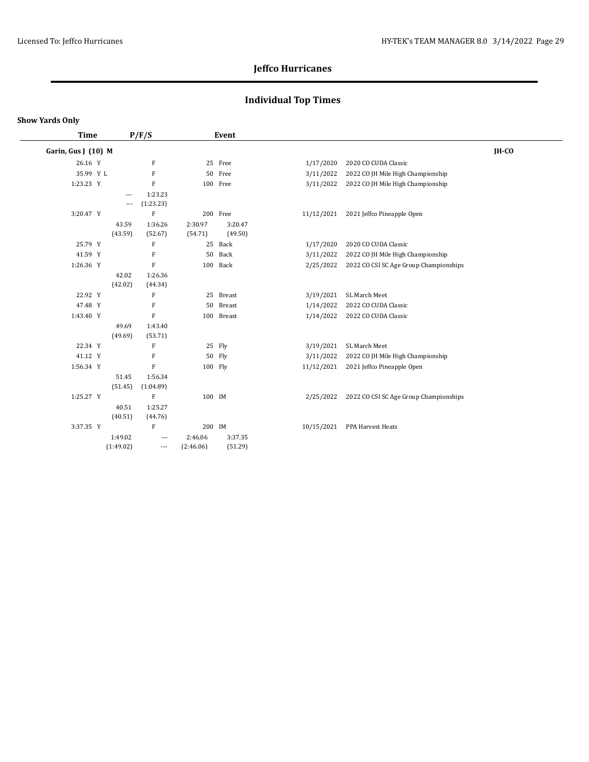## **Individual Top Times**

#### **Show Yards Only**

 $\overline{\phantom{0}}$ 

| <b>Time</b>         | P/F/S     |                          | Event     |            |            |                                        |       |
|---------------------|-----------|--------------------------|-----------|------------|------------|----------------------------------------|-------|
| Garin, Gus J (10) M |           |                          |           |            |            |                                        | IH-CO |
| 26.16 Y             |           | F                        |           | 25 Free    | 1/17/2020  | 2020 CO CUDA Classic                   |       |
| 35.99 Y L           |           | ${\bf F}$                |           | 50 Free    | 3/11/2022  | 2022 CO JH Mile High Championship      |       |
| 1:23.23 Y           |           | $\rm F$                  |           | 100 Free   | 3/11/2022  | 2022 CO JH Mile High Championship      |       |
|                     | $---$     | 1:23.23                  |           |            |            |                                        |       |
|                     | $\cdots$  | (1:23.23)                |           |            |            |                                        |       |
| 3:20.47 Y           |           | F                        |           | 200 Free   | 11/12/2021 | 2021 Jeffco Pineapple Open             |       |
|                     | 43.59     | 1:36.26                  | 2:30.97   | 3:20.47    |            |                                        |       |
|                     | (43.59)   | (52.67)                  | (54.71)   | (49.50)    |            |                                        |       |
| 25.79 Y             |           | F                        |           | 25 Back    | 1/17/2020  | 2020 CO CUDA Classic                   |       |
| 41.59 Y             |           | F                        | 50        | Back       | 3/11/2022  | 2022 CO JH Mile High Championship      |       |
| 1:26.36 Y           |           | $\rm F$                  |           | 100 Back   | 2/25/2022  | 2022 CO CSI SC Age Group Championships |       |
|                     | 42.02     | 1:26.36                  |           |            |            |                                        |       |
|                     | (42.02)   | (44.34)                  |           |            |            |                                        |       |
| 22.92 Y             |           | F                        |           | 25 Breast  | 3/19/2021  | SL March Meet                          |       |
| 47.48 Y             |           | F                        | 50        | Breast     | 1/14/2022  | 2022 CO CUDA Classic                   |       |
| 1:43.40 Y           |           | $\mathbf F$              |           | 100 Breast | 1/14/2022  | 2022 CO CUDA Classic                   |       |
|                     | 49.69     | 1:43.40                  |           |            |            |                                        |       |
|                     | (49.69)   | (53.71)                  |           |            |            |                                        |       |
| 22.34 Y             |           | F                        |           | 25 Fly     | 3/19/2021  | SL March Meet                          |       |
| 41.12 Y             |           | ${\bf F}$                |           | 50 Fly     | 3/11/2022  | 2022 CO JH Mile High Championship      |       |
| 1:56.34 Y           |           | $\rm F$                  |           | 100 Fly    | 11/12/2021 | 2021 Jeffco Pineapple Open             |       |
|                     | 51.45     | 1:56.34                  |           |            |            |                                        |       |
|                     | (51.45)   | (1:04.89)                |           |            |            |                                        |       |
| 1:25.27 Y           |           | $\rm F$                  | 100 IM    |            | 2/25/2022  | 2022 CO CSI SC Age Group Championships |       |
|                     | 40.51     | 1:25.27                  |           |            |            |                                        |       |
|                     | (40.51)   | (44.76)                  |           |            |            |                                        |       |
| 3:37.35 Y           |           | $\rm F$                  |           | 200 IM     | 10/15/2021 | PPA Harvest Heats                      |       |
|                     | 1:49.02   | ---                      | 2:46.06   | 3:37.35    |            |                                        |       |
|                     | (1:49.02) | $\overline{\phantom{a}}$ | (2:46.06) | (51.29)    |            |                                        |       |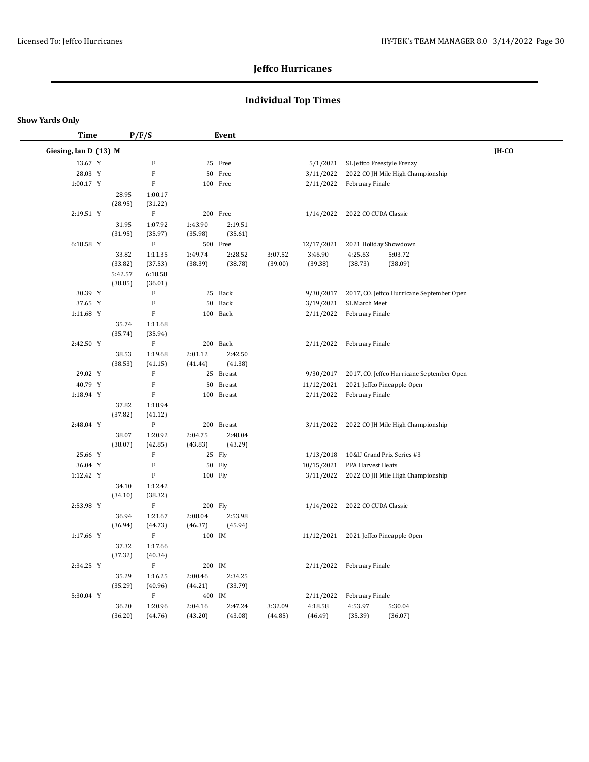## **Individual Top Times**

#### **Show Yards Only**

 $\overline{\phantom{a}}$ 

| Time                  |                  | P/F/S              |         | Event         |         |            |                      |                                           |       |
|-----------------------|------------------|--------------------|---------|---------------|---------|------------|----------------------|-------------------------------------------|-------|
| Giesing, Ian D (13) M |                  |                    |         |               |         |            |                      |                                           | IH-CO |
| 13.67 Y               |                  | ${\bf F}$          |         | 25 Free       |         | 5/1/2021   |                      | SL Jeffco Freestyle Frenzy                |       |
| 28.03 Y               |                  | $\mathbf F$        |         | 50 Free       |         | 3/11/2022  |                      | 2022 CO JH Mile High Championship         |       |
| 1:00.17 Y             |                  | $\mathbf F$        |         | 100 Free      |         | 2/11/2022  | February Finale      |                                           |       |
|                       | 28.95            | 1:00.17            |         |               |         |            |                      |                                           |       |
|                       | (28.95)          | (31.22)            |         |               |         |            |                      |                                           |       |
| 2:19.51 Y             |                  | $\rm F$            |         | 200 Free      |         | 1/14/2022  | 2022 CO CUDA Classic |                                           |       |
|                       | 31.95            | 1:07.92            | 1:43.90 | 2:19.51       |         |            |                      |                                           |       |
|                       | (31.95)          | (35.97)            | (35.98) | (35.61)       |         |            |                      |                                           |       |
| 6:18.58 Y             |                  | $\rm F$            |         | 500 Free      |         | 12/17/2021 |                      | 2021 Holiday Showdown                     |       |
|                       | 33.82            | 1:11.35            | 1:49.74 | 2:28.52       | 3:07.52 | 3:46.90    | 4:25.63              | 5:03.72                                   |       |
|                       | (33.82)          | (37.53)            | (38.39) | (38.78)       | (39.00) | (39.38)    | (38.73)              | (38.09)                                   |       |
|                       | 5:42.57          | 6:18.58            |         |               |         |            |                      |                                           |       |
|                       | (38.85)          | (36.01)            |         |               |         |            |                      |                                           |       |
| 30.39 Y               |                  | F                  | 25      | Back          |         | 9/30/2017  |                      | 2017, CO. Jeffco Hurricane September Open |       |
| 37.65 Y               |                  | $\mathbf F$        | 50      | Back          |         | 3/19/2021  | SL March Meet        |                                           |       |
| 1:11.68 Y             |                  | $\mathbf F$        |         | 100 Back      |         | 2/11/2022  | February Finale      |                                           |       |
|                       | 35.74            | 1:11.68            |         |               |         |            |                      |                                           |       |
|                       | (35.74)          | (35.94)            |         |               |         |            |                      |                                           |       |
| 2:42.50 Y             |                  | $\rm F$            |         | 200 Back      |         | 2/11/2022  | February Finale      |                                           |       |
|                       | 38.53            | 1:19.68            | 2:01.12 | 2:42.50       |         |            |                      |                                           |       |
|                       | (38.53)          | (41.15)            | (41.44) | (41.38)       |         |            |                      |                                           |       |
| 29.02 Y               |                  | $\mathbf F$        |         | 25 Breast     |         | 9/30/2017  |                      | 2017, CO. Jeffco Hurricane September Open |       |
| 40.79 Y               |                  | $\mathbf F$        | 50      | <b>Breast</b> |         | 11/12/2021 |                      | 2021 Jeffco Pineapple Open                |       |
| 1:18.94 Y             |                  | $\mathbf F$        |         | 100 Breast    |         | 2/11/2022  | February Finale      |                                           |       |
|                       | 37.82<br>(37.82) | 1:18.94<br>(41.12) |         |               |         |            |                      |                                           |       |
| 2:48.04 Y             |                  | ${\bf P}$          |         | 200 Breast    |         | 3/11/2022  |                      | 2022 CO JH Mile High Championship         |       |
|                       | 38.07            | 1:20.92            | 2:04.75 | 2:48.04       |         |            |                      |                                           |       |
|                       | (38.07)          | (42.85)            | (43.83) | (43.29)       |         |            |                      |                                           |       |
| 25.66 Y               |                  | $\mathbf F$        |         | 25 Fly        |         | 1/13/2018  |                      | 10&U Grand Prix Series #3                 |       |
| 36.04 Y               |                  | $\mathbf F$        |         | 50 Fly        |         | 10/15/2021 | PPA Harvest Heats    |                                           |       |
| 1:12.42 Y             |                  | $\mathbf F$        | 100 Fly |               |         | 3/11/2022  |                      | 2022 CO JH Mile High Championship         |       |
|                       | 34.10            | 1:12.42            |         |               |         |            |                      |                                           |       |
|                       | (34.10)          | (38.32)            |         |               |         |            |                      |                                           |       |
| 2:53.98 Y             |                  | $\rm F$            | 200 Fly |               |         | 1/14/2022  | 2022 CO CUDA Classic |                                           |       |
|                       | 36.94            | 1:21.67            | 2:08.04 | 2:53.98       |         |            |                      |                                           |       |
|                       | (36.94)          | (44.73)            | (46.37) | (45.94)       |         |            |                      |                                           |       |
| 1:17.66 Y             |                  | $\rm F$            | 100 IM  |               |         |            |                      | 11/12/2021 2021 Jeffco Pineapple Open     |       |
|                       | 37.32            | 1:17.66            |         |               |         |            |                      |                                           |       |
|                       | (37.32)          | (40.34)            |         |               |         |            |                      |                                           |       |
| 2:34.25 Y             |                  | $\rm F$            | 200 IM  |               |         | 2/11/2022  | February Finale      |                                           |       |
|                       | 35.29            | 1:16.25            | 2:00.46 | 2:34.25       |         |            |                      |                                           |       |
|                       | (35.29)          | (40.96)            | (44.21) | (33.79)       |         |            |                      |                                           |       |
| 5:30.04 Y             |                  | $\rm F$            | 400 IM  |               |         | 2/11/2022  | February Finale      |                                           |       |
|                       | 36.20            | 1:20.96            | 2:04.16 | 2:47.24       | 3:32.09 | 4:18.58    | 4:53.97              | 5:30.04                                   |       |
|                       | (36.20)          | (44.76)            | (43.20) | (43.08)       | (44.85) | (46.49)    | (35.39)              | (36.07)                                   |       |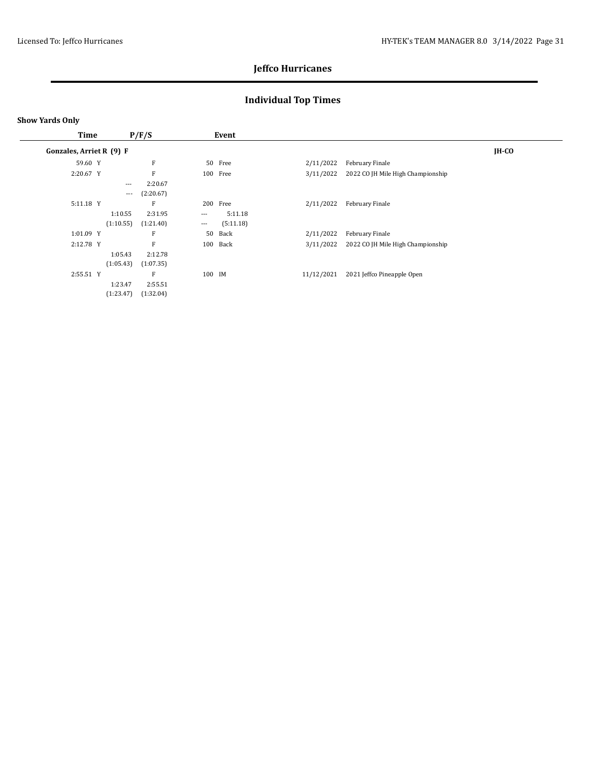## **Individual Top Times**

| Time                     | P/F/S                        |                      |                      | Event     |            |                                   |              |
|--------------------------|------------------------------|----------------------|----------------------|-----------|------------|-----------------------------------|--------------|
| Gonzales, Arriet R (9) F |                              |                      |                      |           |            |                                   | <b>IH-CO</b> |
| 59.60 Y                  |                              | F                    |                      | 50 Free   | 2/11/2022  | February Finale                   |              |
| 2:20.67 Y                |                              | F                    |                      | 100 Free  | 3/11/2022  | 2022 CO JH Mile High Championship |              |
|                          | $---$<br>$\qquad \qquad - -$ | 2:20.67<br>(2:20.67) |                      |           |            |                                   |              |
| 5:11.18 Y                |                              | $\mathbf{F}$         |                      | 200 Free  | 2/11/2022  | February Finale                   |              |
|                          | 1:10.55                      | 2:31.95              | $\ldots$ .           | 5:11.18   |            |                                   |              |
|                          | (1:10.55)                    | (1:21.40)            | $\scriptstyle\cdots$ | (5:11.18) |            |                                   |              |
| 1:01.09 Y                |                              | F                    | 50                   | Back      | 2/11/2022  | February Finale                   |              |
| 2:12.78 Y                |                              | F                    |                      | 100 Back  | 3/11/2022  | 2022 CO JH Mile High Championship |              |
|                          | 1:05.43                      | 2:12.78              |                      |           |            |                                   |              |
|                          | (1:05.43)                    | (1:07.35)            |                      |           |            |                                   |              |
| 2:55.51 Y                |                              | F                    | 100 IM               |           | 11/12/2021 | 2021 Jeffco Pineapple Open        |              |
|                          | 1:23.47                      | 2:55.51              |                      |           |            |                                   |              |
|                          | (1:23.47)                    | (1:32.04)            |                      |           |            |                                   |              |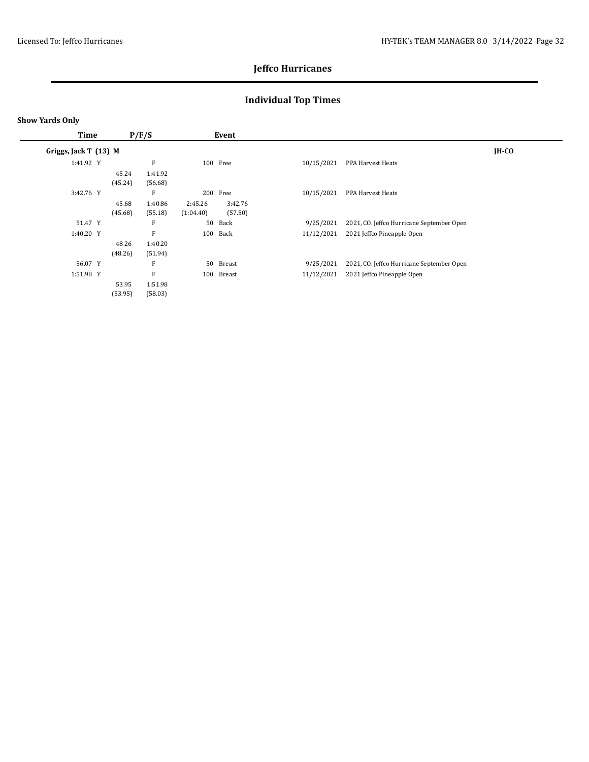## **Individual Top Times**

| Time                  | P/F/S   |         | Event     |           |            |                                           |              |
|-----------------------|---------|---------|-----------|-----------|------------|-------------------------------------------|--------------|
| Griggs, Jack T (13) M |         |         |           |           |            |                                           | <b>IH-CO</b> |
| 1:41.92 Y             |         | F       |           | 100 Free  | 10/15/2021 | PPA Harvest Heats                         |              |
|                       | 45.24   | 1:41.92 |           |           |            |                                           |              |
|                       | (45.24) | (56.68) |           |           |            |                                           |              |
| 3:42.76 Y             |         | F       | 200       | Free      | 10/15/2021 | PPA Harvest Heats                         |              |
|                       | 45.68   | 1:40.86 | 2:45.26   | 3:42.76   |            |                                           |              |
|                       | (45.68) | (55.18) | (1:04.40) | (57.50)   |            |                                           |              |
| 51.47 Y               |         | F       | 50        | Back      | 9/25/2021  | 2021, CO. Jeffco Hurricane September Open |              |
| 1:40.20 Y             |         | F       | 100       | Back      | 11/12/2021 | 2021 Jeffco Pineapple Open                |              |
|                       | 48.26   | 1:40.20 |           |           |            |                                           |              |
|                       | (48.26) | (51.94) |           |           |            |                                           |              |
| 56.07 Y               |         | F       |           | 50 Breast | 9/25/2021  | 2021, CO. Jeffco Hurricane September Open |              |
| 1:51.98 Y             |         | F       | 100       | Breast    | 11/12/2021 | 2021 Jeffco Pineapple Open                |              |
|                       | 53.95   | 1:51.98 |           |           |            |                                           |              |
|                       | (53.95) | (58.03) |           |           |            |                                           |              |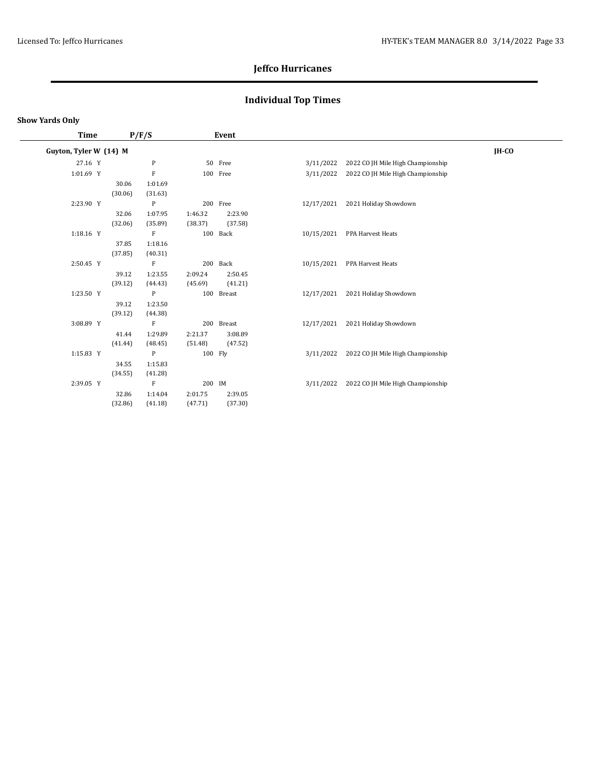## **Individual Top Times**

| Time                   | P/F/S   |              |         | Event      |            |                                   |       |
|------------------------|---------|--------------|---------|------------|------------|-----------------------------------|-------|
| Guyton, Tyler W (14) M |         |              |         |            |            |                                   | IH-CO |
| 27.16 Y                |         | $\, {\bf p}$ |         | 50 Free    | 3/11/2022  | 2022 CO JH Mile High Championship |       |
| 1:01.69 Y              |         | ${\bf F}$    |         | 100 Free   | 3/11/2022  | 2022 CO JH Mile High Championship |       |
|                        | 30.06   | 1:01.69      |         |            |            |                                   |       |
|                        | (30.06) | (31.63)      |         |            |            |                                   |       |
| 2:23.90 Y              |         | $\mathbf{P}$ |         | 200 Free   | 12/17/2021 | 2021 Holiday Showdown             |       |
|                        | 32.06   | 1:07.95      | 1:46.32 | 2:23.90    |            |                                   |       |
|                        | (32.06) | (35.89)      | (38.37) | (37.58)    |            |                                   |       |
| 1:18.16 Y              |         | F            |         | 100 Back   | 10/15/2021 | PPA Harvest Heats                 |       |
|                        | 37.85   | 1:18.16      |         |            |            |                                   |       |
|                        | (37.85) | (40.31)      |         |            |            |                                   |       |
| 2:50.45 Y              |         | F            |         | 200 Back   | 10/15/2021 | PPA Harvest Heats                 |       |
|                        | 39.12   | 1:23.55      | 2:09.24 | 2:50.45    |            |                                   |       |
|                        | (39.12) | (44.43)      | (45.69) | (41.21)    |            |                                   |       |
| 1:23.50 Y              |         | $\mathbf{P}$ |         | 100 Breast | 12/17/2021 | 2021 Holiday Showdown             |       |
|                        | 39.12   | 1:23.50      |         |            |            |                                   |       |
|                        | (39.12) | (44.38)      |         |            |            |                                   |       |
| 3:08.89 Y              |         | F            |         | 200 Breast | 12/17/2021 | 2021 Holiday Showdown             |       |
|                        | 41.44   | 1:29.89      | 2:21.37 | 3:08.89    |            |                                   |       |
|                        | (41.44) | (48.45)      | (51.48) | (47.52)    |            |                                   |       |
| 1:15.83 Y              |         | $\mathbf{P}$ | 100 Fly |            | 3/11/2022  | 2022 CO JH Mile High Championship |       |
|                        | 34.55   | 1:15.83      |         |            |            |                                   |       |
|                        | (34.55) | (41.28)      |         |            |            |                                   |       |
| 2:39.05 Y              |         | $\rm F$      | 200 IM  |            | 3/11/2022  | 2022 CO JH Mile High Championship |       |
|                        | 32.86   | 1:14.04      | 2:01.75 | 2:39.05    |            |                                   |       |
|                        | (32.86) | (41.18)      | (47.71) | (37.30)    |            |                                   |       |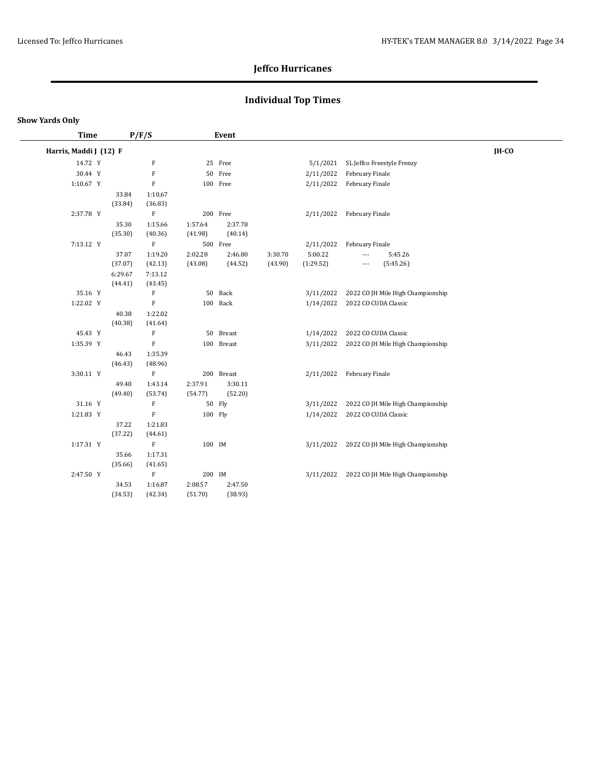## **Individual Top Times**

#### **Show Yards Only**

| Time                   |                    | P/F/S              |                    | Event              |         |           |                                             |       |
|------------------------|--------------------|--------------------|--------------------|--------------------|---------|-----------|---------------------------------------------|-------|
| Harris, Maddi J (12) F |                    |                    |                    |                    |         |           |                                             | IH-CO |
| 14.72 Y                |                    | $\rm F$            |                    | 25 Free            |         | 5/1/2021  | SL Jeffco Freestyle Frenzy                  |       |
| 30.44 Y                |                    | $\mathbf F$        |                    | 50 Free            |         | 2/11/2022 | February Finale                             |       |
| 1:10.67 Y              |                    | $\rm F$            |                    | 100 Free           |         | 2/11/2022 | February Finale                             |       |
|                        | 33.84<br>(33.84)   | 1:10.67<br>(36.83) |                    |                    |         |           |                                             |       |
| 2:37.78 Y              |                    | $\rm F$            |                    | 200 Free           |         | 2/11/2022 | February Finale                             |       |
|                        | 35.30<br>(35.30)   | 1:15.66<br>(40.36) | 1:57.64<br>(41.98) | 2:37.78<br>(40.14) |         |           |                                             |       |
| 7:13.12 Y              |                    | $\rm F$            |                    | 500 Free           |         | 2/11/2022 | February Finale                             |       |
|                        | 37.07              | 1:19.20            | 2:02.28            | 2:46.80            | 3:30.70 | 5:00.22   | 5:45.26<br>---                              |       |
|                        | (37.07)            | (42.13)            | (43.08)            | (44.52)            | (43.90) | (1:29.52) | (5:45.26)<br>---                            |       |
|                        | 6:29.67<br>(44.41) | 7:13.12<br>(43.45) |                    |                    |         |           |                                             |       |
| 35.16 Y                |                    | F                  |                    | 50 Back            |         | 3/11/2022 | 2022 CO JH Mile High Championship           |       |
| 1:22.02 Y              |                    | $\rm F$            |                    | 100 Back           |         | 1/14/2022 | 2022 CO CUDA Classic                        |       |
|                        | 40.38<br>(40.38)   | 1:22.02<br>(41.64) |                    |                    |         |           |                                             |       |
| 45.43 Y                |                    | $\mathbf F$        |                    | 50 Breast          |         | 1/14/2022 | 2022 CO CUDA Classic                        |       |
| 1:35.39 Y              |                    | $\rm F$            |                    | 100 Breast         |         | 3/11/2022 | 2022 CO JH Mile High Championship           |       |
|                        | 46.43<br>(46.43)   | 1:35.39<br>(48.96) |                    |                    |         |           |                                             |       |
| 3:30.11 Y              |                    | $\mathbf F$        |                    | 200 Breast         |         | 2/11/2022 | February Finale                             |       |
|                        | 49.40<br>(49.40)   | 1:43.14<br>(53.74) | 2:37.91<br>(54.77) | 3:30.11<br>(52.20) |         |           |                                             |       |
| 31.16 Y                |                    | $\mathbf F$        |                    | 50 Fly             |         | 3/11/2022 | 2022 CO JH Mile High Championship           |       |
| 1:21.83 Y              |                    | $\rm F$            | 100 Fly            |                    |         | 1/14/2022 | 2022 CO CUDA Classic                        |       |
|                        | 37.22<br>(37.22)   | 1:21.83<br>(44.61) |                    |                    |         |           |                                             |       |
| 1:17.31 Y              |                    | $\rm F$            | 100 IM             |                    |         |           | 3/11/2022 2022 CO JH Mile High Championship |       |
|                        | 35.66<br>(35.66)   | 1:17.31<br>(41.65) |                    |                    |         |           |                                             |       |
| 2:47.50 Y              |                    | $\rm F$            | 200 IM             |                    |         | 3/11/2022 | 2022 CO JH Mile High Championship           |       |
|                        | 34.53<br>(34.53)   | 1:16.87<br>(42.34) | 2:08.57<br>(51.70) | 2:47.50<br>(38.93) |         |           |                                             |       |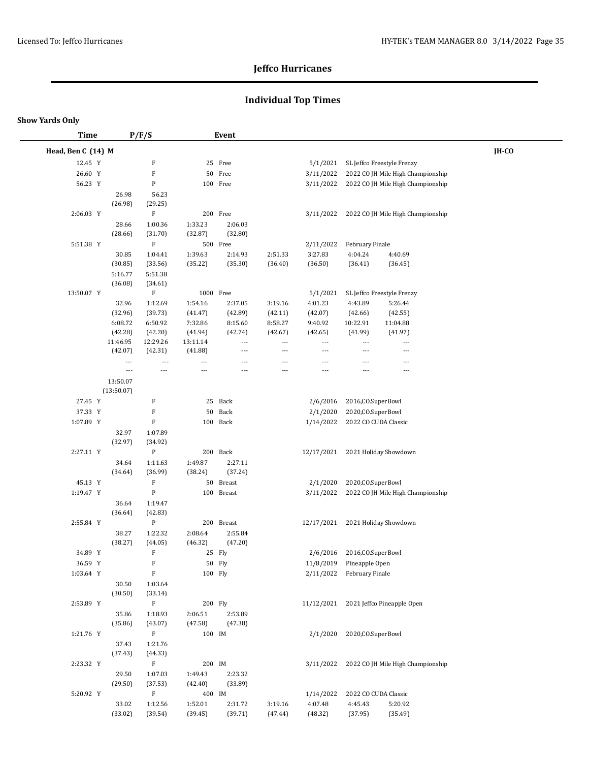## **Individual Top Times**

| <b>Time</b>        |                          | P/F/S                     |                    | Event                    |                          |                          |                           |                                             |       |  |
|--------------------|--------------------------|---------------------------|--------------------|--------------------------|--------------------------|--------------------------|---------------------------|---------------------------------------------|-------|--|
| Head, Ben C (14) M |                          |                           |                    |                          |                          |                          |                           |                                             | IH-CO |  |
| 12.45 Y            |                          | F                         |                    | 25 Free                  |                          | 5/1/2021                 |                           | SL Jeffco Freestyle Frenzy                  |       |  |
| 26.60 Y            |                          | $\mathbf F$               |                    | 50 Free                  |                          | 3/11/2022                |                           | 2022 CO JH Mile High Championship           |       |  |
| 56.23 Y            |                          | P                         |                    | 100 Free                 |                          | 3/11/2022                |                           | 2022 CO JH Mile High Championship           |       |  |
|                    | 26.98                    | 56.23                     |                    |                          |                          |                          |                           |                                             |       |  |
|                    | (26.98)                  | (29.25)                   |                    |                          |                          |                          |                           |                                             |       |  |
| 2:06.03 Y          |                          | $\mathbf F$               |                    | 200 Free                 |                          | 3/11/2022                |                           | 2022 CO JH Mile High Championship           |       |  |
|                    | 28.66                    | 1:00.36                   | 1:33.23            | 2:06.03                  |                          |                          |                           |                                             |       |  |
|                    | (28.66)                  | (31.70)                   | (32.87)            | (32.80)                  |                          |                          |                           |                                             |       |  |
| 5:51.38 Y          |                          | $\mathbf F$               |                    | 500 Free                 |                          | 2/11/2022                | February Finale           |                                             |       |  |
|                    | 30.85                    | 1:04.41                   | 1:39.63            | 2:14.93                  | 2:51.33                  | 3:27.83                  | 4:04.24                   | 4:40.69                                     |       |  |
|                    | (30.85)                  | (33.56)                   | (35.22)            | (35.30)                  | (36.40)                  | (36.50)                  | (36.41)                   | (36.45)                                     |       |  |
|                    | 5:16.77                  | 5:51.38                   |                    |                          |                          |                          |                           |                                             |       |  |
| 13:50.07 Y         | (36.08)                  | (34.61)<br>$\mathbf F$    | 1000 Free          |                          |                          | 5/1/2021                 |                           | SL Jeffco Freestyle Frenzy                  |       |  |
|                    | 32.96                    | 1:12.69                   | 1:54.16            | 2:37.05                  | 3:19.16                  | 4:01.23                  | 4.43.89                   | 5:26.44                                     |       |  |
|                    | (32.96)                  | (39.73)                   | (41.47)            | (42.89)                  | (42.11)                  | (42.07)                  | (42.66)                   | (42.55)                                     |       |  |
|                    | 6:08.72                  | 6:50.92                   | 7:32.86            | 8:15.60                  | 8:58.27                  | 9:40.92                  | 10:22.91                  | 11:04.88                                    |       |  |
|                    | (42.28)                  | (42.20)                   | (41.94)            | (42.74)                  | (42.67)                  | (42.65)                  | (41.99)                   | (41.97)                                     |       |  |
|                    | 11:46.95                 | 12:29.26                  | 13:11.14           | $\overline{\phantom{a}}$ | $\overline{\phantom{a}}$ | $---$                    | $\cdots$                  | $\overline{\phantom{a}}$                    |       |  |
|                    | (42.07)                  | (42.31)                   | (41.88)            | $\overline{\phantom{a}}$ | $---$                    | $\overline{\phantom{a}}$ | ---                       | $---$                                       |       |  |
|                    | $\overline{\phantom{a}}$ | $\overline{\phantom{a}}$  | ---                | $---$                    | $\overline{a}$           | ---                      | ---                       | ---                                         |       |  |
|                    | ---                      | $\overline{\phantom{a}}$  | ---                |                          | ---                      | ---                      |                           | ---                                         |       |  |
|                    | 13:50.07                 |                           |                    |                          |                          |                          |                           |                                             |       |  |
|                    | (13:50.07)               |                           |                    |                          |                          |                          |                           |                                             |       |  |
| 27.45 Y            |                          | F                         |                    | 25 Back                  |                          | 2/6/2016                 | 2016, CO. SuperBowl       |                                             |       |  |
| 37.33 Y            |                          | $\mathbf F$               |                    | 50 Back                  |                          | 2/1/2020                 | 2020, CO. SuperBowl       |                                             |       |  |
| 1:07.89 Y          |                          | $\mathbf F$               |                    | 100 Back                 |                          | 1/14/2022                | 2022 CO CUDA Classic      |                                             |       |  |
|                    | 32.97                    | 1:07.89                   |                    |                          |                          |                          |                           |                                             |       |  |
| 2:27.11 Y          | (32.97)                  | (34.92)<br>P              |                    | 200 Back                 |                          | 12/17/2021               |                           | 2021 Holiday Showdown                       |       |  |
|                    | 34.64                    | 1:11.63                   | 1:49.87            | 2:27.11                  |                          |                          |                           |                                             |       |  |
|                    | (34.64)                  | (36.99)                   | (38.24)            | (37.24)                  |                          |                          |                           |                                             |       |  |
| 45.13 Y            |                          | $\mathbf F$               |                    | 50 Breast                |                          | 2/1/2020                 | 2020, CO. SuperBowl       |                                             |       |  |
| 1:19.47 Y          |                          | ${\bf P}$                 |                    | 100 Breast               |                          | 3/11/2022                |                           | 2022 CO JH Mile High Championship           |       |  |
|                    | 36.64                    | 1:19.47                   |                    |                          |                          |                          |                           |                                             |       |  |
|                    | (36.64)                  | (42.83)                   |                    |                          |                          |                          |                           |                                             |       |  |
| 2:55.84 Y          |                          | $\, {\bf P}$              |                    | 200 Breast               |                          | 12/17/2021               |                           | 2021 Holiday Showdown                       |       |  |
|                    | 38.27                    | 1:22.32                   | 2:08.64            | 2:55.84                  |                          |                          |                           |                                             |       |  |
|                    | (38.27)                  | (44.05)                   | (46.32)            | (47.20)                  |                          |                          |                           |                                             |       |  |
| 34.89 Y            |                          | $\boldsymbol{\mathrm{F}}$ |                    | 25 Fly                   |                          | 2/6/2016                 | 2016, CO. SuperBowl       |                                             |       |  |
| 36.59 Y            |                          | F                         |                    | 50 Fly                   |                          |                          | 11/8/2019 Pineapple Open  |                                             |       |  |
| 1:03.64 Y          |                          | $\mathbf F$               | 100 Fly            |                          |                          |                          | 2/11/2022 February Finale |                                             |       |  |
|                    | 30.50                    | 1:03.64                   |                    |                          |                          |                          |                           |                                             |       |  |
|                    | (30.50)                  | (33.14)                   |                    |                          |                          |                          |                           |                                             |       |  |
| 2:53.89 Y          |                          | $\rm F$                   | 200 Fly            |                          |                          |                          |                           | 11/12/2021 2021 Jeffco Pineapple Open       |       |  |
|                    | 35.86<br>(35.86)         | 1:18.93                   | 2:06.51<br>(47.58) | 2:53.89<br>(47.38)       |                          |                          |                           |                                             |       |  |
| 1:21.76 Y          |                          | (43.07)<br>$\mathbf F$    | 100 IM             |                          |                          | 2/1/2020                 | 2020, CO. SuperBowl       |                                             |       |  |
|                    | 37.43                    | 1:21.76                   |                    |                          |                          |                          |                           |                                             |       |  |
|                    | (37.43)                  | (44.33)                   |                    |                          |                          |                          |                           |                                             |       |  |
| 2:23.32 Y          |                          | $\mathbf F$               | 200 IM             |                          |                          |                          |                           | 3/11/2022 2022 CO JH Mile High Championship |       |  |
|                    | 29.50                    | 1:07.03                   | 1:49.43            | 2:23.32                  |                          |                          |                           |                                             |       |  |
|                    | (29.50)                  | (37.53)                   | (42.40)            | (33.89)                  |                          |                          |                           |                                             |       |  |
| 5:20.92 Y          |                          | $\mathbf F$               | 400 IM             |                          |                          | 1/14/2022                | 2022 CO CUDA Classic      |                                             |       |  |
|                    | 33.02                    | 1:12.56                   | 1:52.01            | 2:31.72                  | 3:19.16                  | 4:07.48                  | 4:45.43                   | 5:20.92                                     |       |  |
|                    | (33.02)                  | (39.54)                   | (39.45)            | (39.71)                  | (47.44)                  | (48.32)                  | (37.95)                   | (35.49)                                     |       |  |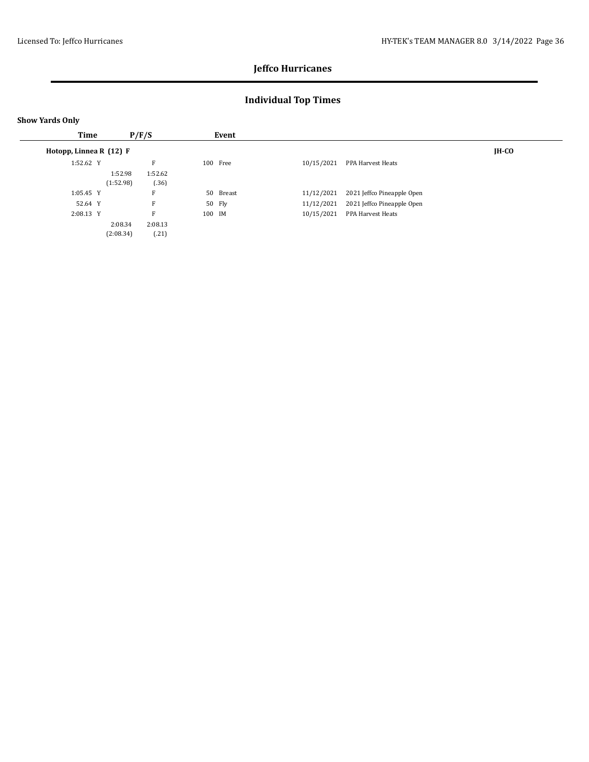## **Individual Top Times**

|  | <b>Show Yards Only</b> |  |
|--|------------------------|--|
|--|------------------------|--|

| Time                    |           | P/F/S   |        | Event     |            |                            |              |
|-------------------------|-----------|---------|--------|-----------|------------|----------------------------|--------------|
| Hotopp, Linnea R (12) F |           |         |        |           |            |                            | <b>IH-CO</b> |
| 1:52.62 Y               |           | F       |        | 100 Free  | 10/15/2021 | PPA Harvest Heats          |              |
|                         | 1:52.98   | 1:52.62 |        |           |            |                            |              |
|                         | (1:52.98) | (36)    |        |           |            |                            |              |
| $1:05.45$ Y             |           | п       |        | 50 Breast | 11/12/2021 | 2021 Jeffco Pineapple Open |              |
| 52.64 Y                 |           | F       |        | 50 Fly    | 11/12/2021 | 2021 Jeffco Pineapple Open |              |
| 2:08.13 Y               |           | F       | 100 IM |           | 10/15/2021 | PPA Harvest Heats          |              |
|                         | 2:08.34   | 2:08.13 |        |           |            |                            |              |
|                         | (2:08.34) | (.21)   |        |           |            |                            |              |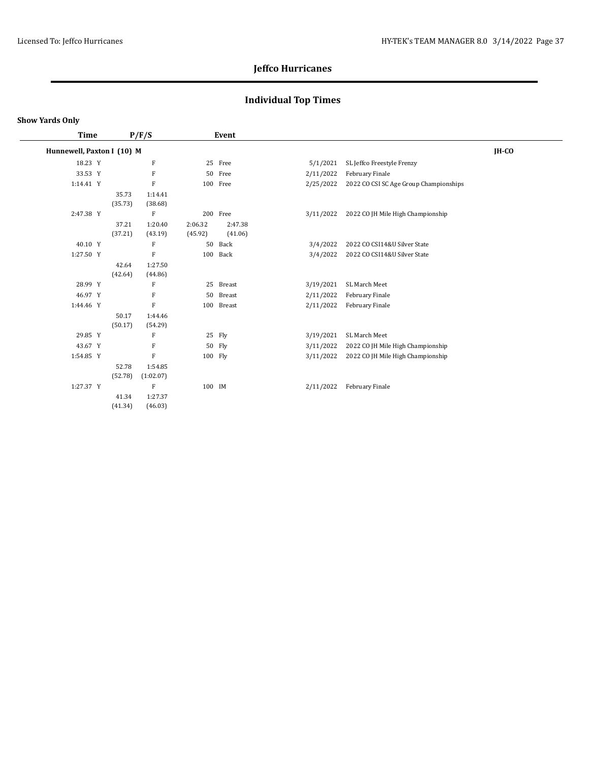## **Individual Top Times**

#### **Show Yards Only**

 $\overline{\phantom{a}}$ 

| Time                       |         | P/F/S                     |         | Event      |           |                                        |       |
|----------------------------|---------|---------------------------|---------|------------|-----------|----------------------------------------|-------|
| Hunnewell, Paxton I (10) M |         |                           |         |            |           |                                        | IH-CO |
| 18.23 Y                    |         | $\boldsymbol{\mathrm{F}}$ |         | 25 Free    | 5/1/2021  | SL Jeffco Freestyle Frenzy             |       |
| 33.53 Y                    |         | F                         |         | 50 Free    | 2/11/2022 | February Finale                        |       |
| 1:14.41 Y                  |         | $\mathbf F$               |         | 100 Free   | 2/25/2022 | 2022 CO CSI SC Age Group Championships |       |
|                            | 35.73   | 1:14.41                   |         |            |           |                                        |       |
|                            | (35.73) | (38.68)                   |         |            |           |                                        |       |
| 2:47.38 Y                  |         | F                         |         | 200 Free   | 3/11/2022 | 2022 CO JH Mile High Championship      |       |
|                            | 37.21   | 1:20.40                   | 2:06.32 | 2:47.38    |           |                                        |       |
|                            | (37.21) | (43.19)                   | (45.92) | (41.06)    |           |                                        |       |
| 40.10 Y                    |         | F                         | 50      | Back       | 3/4/2022  | 2022 CO CSI14&U Silver State           |       |
| 1:27.50 Y                  |         | F                         |         | 100 Back   | 3/4/2022  | 2022 CO CSI14&U Silver State           |       |
|                            | 42.64   | 1:27.50                   |         |            |           |                                        |       |
|                            | (42.64) | (44.86)                   |         |            |           |                                        |       |
| 28.99 Y                    |         | F                         |         | 25 Breast  | 3/19/2021 | SL March Meet                          |       |
| 46.97 Y                    |         | F                         |         | 50 Breast  | 2/11/2022 | February Finale                        |       |
| 1:44.46 Y                  |         | $\mathbf F$               |         | 100 Breast | 2/11/2022 | February Finale                        |       |
|                            | 50.17   | 1:44.46                   |         |            |           |                                        |       |
|                            | (50.17) | (54.29)                   |         |            |           |                                        |       |
| 29.85 Y                    |         | F                         |         | 25 Fly     | 3/19/2021 | SL March Meet                          |       |
| 43.67 Y                    |         | F                         |         | 50 Fly     | 3/11/2022 | 2022 CO JH Mile High Championship      |       |
| 1:54.85 Y                  |         | $\rm F$                   | 100 Fly |            | 3/11/2022 | 2022 CO JH Mile High Championship      |       |
|                            | 52.78   | 1:54.85                   |         |            |           |                                        |       |
|                            | (52.78) | (1:02.07)                 |         |            |           |                                        |       |
| 1:27.37 Y                  |         | F                         | 100 IM  |            | 2/11/2022 | February Finale                        |       |
|                            | 41.34   | 1:27.37                   |         |            |           |                                        |       |
|                            | (41.34) | (46.03)                   |         |            |           |                                        |       |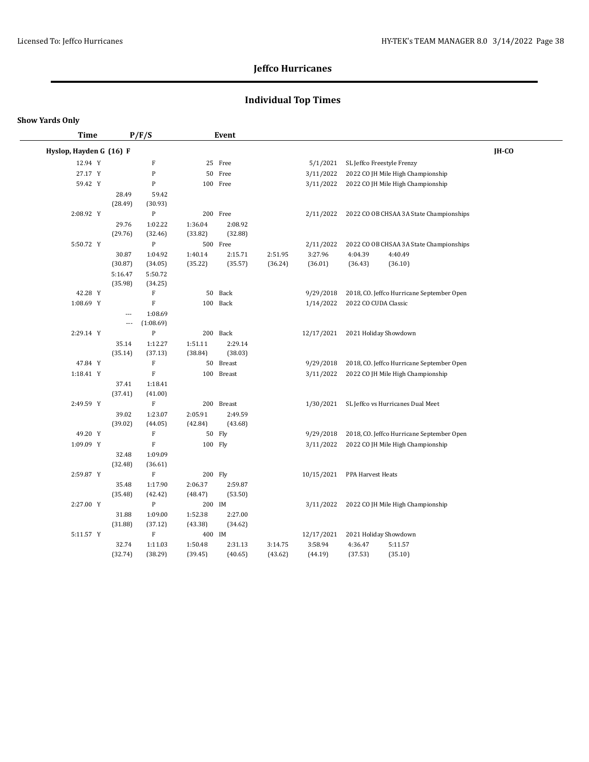## **Individual Top Times**

| Time                    |                          | P/F/S                     |                    | Event              |                    |            |                            |                                           |       |
|-------------------------|--------------------------|---------------------------|--------------------|--------------------|--------------------|------------|----------------------------|-------------------------------------------|-------|
| Hyslop, Hayden G (16) F |                          |                           |                    |                    |                    |            |                            |                                           | IH-CO |
| 12.94 Y                 |                          | $\boldsymbol{\mathrm{F}}$ |                    | 25 Free            |                    | 5/1/2021   | SL Jeffco Freestyle Frenzy |                                           |       |
| 27.17 Y                 |                          | ${\bf P}$                 |                    | 50 Free            |                    | 3/11/2022  |                            | 2022 CO JH Mile High Championship         |       |
| 59.42 Y                 |                          | ${\bf P}$                 |                    | 100 Free           |                    | 3/11/2022  |                            | 2022 CO JH Mile High Championship         |       |
|                         | 28.49                    | 59.42                     |                    |                    |                    |            |                            |                                           |       |
|                         | (28.49)                  | (30.93)                   |                    |                    |                    |            |                            |                                           |       |
| 2:08.92 Y               |                          | P                         |                    | 200 Free           |                    | 2/11/2022  |                            | 2022 CO OB CHSAA 3A State Championships   |       |
|                         | 29.76                    | 1:02.22                   | 1:36.04            | 2:08.92            |                    |            |                            |                                           |       |
|                         | (29.76)                  | (32.46)                   | (33.82)            | (32.88)            |                    |            |                            |                                           |       |
| 5:50.72 Y               |                          | ${\bf P}$                 |                    | 500 Free           |                    | 2/11/2022  |                            | 2022 CO OB CHSAA 3A State Championships   |       |
|                         | 30.87                    | 1:04.92                   | 1:40.14            | 2:15.71            | 2:51.95            | 3:27.96    | 4:04.39                    | 4:40.49                                   |       |
|                         | (30.87)                  | (34.05)                   | (35.22)            | (35.57)            | (36.24)            | (36.01)    | (36.43)                    | (36.10)                                   |       |
|                         | 5:16.47                  | 5:50.72                   |                    |                    |                    |            |                            |                                           |       |
|                         | (35.98)                  | (34.25)                   |                    |                    |                    |            |                            |                                           |       |
| 42.28 Y                 |                          | $\mathbf F$               | 50                 | Back               |                    | 9/29/2018  |                            | 2018, CO. Jeffco Hurricane September Open |       |
| 1:08.69 Y               |                          | $\mathbf F$               |                    | 100 Back           |                    | 1/14/2022  | 2022 CO CUDA Classic       |                                           |       |
|                         | ---                      | 1:08.69                   |                    |                    |                    |            |                            |                                           |       |
|                         | $\overline{\phantom{a}}$ | (1:08.69)                 |                    |                    |                    |            |                            |                                           |       |
| 2:29.14 Y               |                          | P                         |                    | 200 Back           |                    | 12/17/2021 | 2021 Holiday Showdown      |                                           |       |
|                         | 35.14                    | 1:12.27                   | 1:51.11            | 2:29.14            |                    |            |                            |                                           |       |
|                         | (35.14)                  | (37.13)                   | (38.84)            | (38.03)            |                    |            |                            |                                           |       |
| 47.84 Y                 |                          | $\mathbf F$               |                    | 50 Breast          |                    | 9/29/2018  |                            | 2018, CO. Jeffco Hurricane September Open |       |
| 1:18.41 Y               |                          | $\mathbf F$               |                    | 100 Breast         |                    | 3/11/2022  |                            | 2022 CO JH Mile High Championship         |       |
|                         | 37.41                    | 1:18.41                   |                    |                    |                    |            |                            |                                           |       |
|                         | (37.41)                  | (41.00)                   |                    |                    |                    |            |                            |                                           |       |
| 2:49.59 Y               |                          | $\mathbf F$               |                    | 200 Breast         |                    | 1/30/2021  |                            | SL Jeffco vs Hurricanes Dual Meet         |       |
|                         | 39.02                    | 1:23.07                   | 2:05.91            | 2:49.59            |                    |            |                            |                                           |       |
|                         | (39.02)                  | (44.05)                   | (42.84)            | (43.68)            |                    |            |                            |                                           |       |
| 49.20 Y                 |                          | $\mathbf F$               |                    | 50 Fly             |                    | 9/29/2018  |                            | 2018, CO. Jeffco Hurricane September Open |       |
| 1:09.09 Y               |                          | $\mathbf F$               | 100 Fly            |                    |                    | 3/11/2022  |                            | 2022 CO JH Mile High Championship         |       |
|                         | 32.48                    | 1:09.09                   |                    |                    |                    |            |                            |                                           |       |
|                         | (32.48)                  | (36.61)                   |                    |                    |                    |            |                            |                                           |       |
| 2:59.87 Y               |                          | $\rm F$                   | 200 Fly            |                    |                    | 10/15/2021 | PPA Harvest Heats          |                                           |       |
|                         | 35.48                    | 1:17.90                   | 2:06.37            | 2:59.87            |                    |            |                            |                                           |       |
|                         | (35.48)                  | (42.42)                   | (48.47)            | (53.50)            |                    |            |                            |                                           |       |
| 2:27.00 Y               |                          | ${\bf P}$                 | 200 IM             |                    |                    | 3/11/2022  |                            | 2022 CO JH Mile High Championship         |       |
|                         | 31.88                    | 1:09.00                   | 1:52.38            | 2:27.00            |                    |            |                            |                                           |       |
|                         | (31.88)                  | (37.12)<br>$\mathbf F$    | (43.38)            | (34.62)            |                    |            |                            |                                           |       |
| 5:11.57 Y               |                          |                           | 400 IM             |                    |                    | 12/17/2021 | 2021 Holiday Showdown      |                                           |       |
|                         | 32.74<br>(32.74)         | 1:11.03<br>(38.29)        | 1:50.48<br>(39.45) | 2:31.13<br>(40.65) | 3:14.75<br>(43.62) | 3:58.94    | 4:36.47<br>(37.53)         | 5:11.57<br>(35.10)                        |       |
|                         |                          |                           |                    |                    |                    | (44.19)    |                            |                                           |       |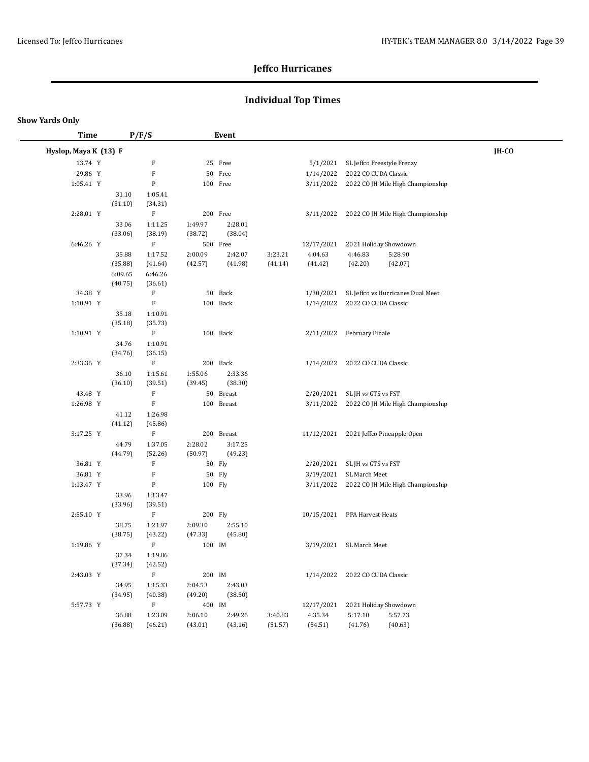## **Individual Top Times**

| Time                  |                    | P/F/S                     |                    | Event              |         |            |                                |                                             |       |  |
|-----------------------|--------------------|---------------------------|--------------------|--------------------|---------|------------|--------------------------------|---------------------------------------------|-------|--|
| Hyslop, Maya K (13) F |                    |                           |                    |                    |         |            |                                |                                             | IH-CO |  |
| 13.74 Y               |                    | $\mathbf F$               |                    | 25 Free            |         | 5/1/2021   | SL Jeffco Freestyle Frenzy     |                                             |       |  |
| 29.86 Y               |                    | $\mathbf F$               |                    | 50 Free            |         | 1/14/2022  | 2022 CO CUDA Classic           |                                             |       |  |
| 1:05.41 Y             |                    | ${\bf P}$                 |                    | 100 Free           |         |            |                                | 3/11/2022 2022 CO JH Mile High Championship |       |  |
|                       | 31.10              | 1:05.41                   |                    |                    |         |            |                                |                                             |       |  |
|                       | (31.10)            | (34.31)                   |                    |                    |         |            |                                |                                             |       |  |
| 2:28.01 Y             |                    | $\mathbf F$               |                    | 200 Free           |         | 3/11/2022  |                                | 2022 CO JH Mile High Championship           |       |  |
|                       | 33.06              | 1:11.25                   | 1:49.97            | 2:28.01            |         |            |                                |                                             |       |  |
|                       | (33.06)            | (38.19)                   | (38.72)            | (38.04)            |         |            |                                |                                             |       |  |
| 6:46.26 Y             |                    | $\rm F$                   |                    | 500 Free           |         | 12/17/2021 | 2021 Holiday Showdown          |                                             |       |  |
|                       | 35.88              | 1:17.52                   | 2:00.09            | 2:42.07            | 3:23.21 | 4:04.63    | 4:46.83                        | 5:28.90                                     |       |  |
|                       | (35.88)            | (41.64)                   | (42.57)            | (41.98)            | (41.14) | (41.42)    | (42.20)                        | (42.07)                                     |       |  |
|                       | 6:09.65<br>(40.75) | 6:46.26<br>(36.61)        |                    |                    |         |            |                                |                                             |       |  |
| 34.38 Y               |                    | $\boldsymbol{\mathrm{F}}$ |                    | 50 Back            |         | 1/30/2021  |                                | SL Jeffco vs Hurricanes Dual Meet           |       |  |
| 1:10.91 Y             |                    | $\rm F$                   |                    | 100 Back           |         | 1/14/2022  | 2022 CO CUDA Classic           |                                             |       |  |
|                       | 35.18              | 1:10.91                   |                    |                    |         |            |                                |                                             |       |  |
|                       | (35.18)            | (35.73)                   |                    |                    |         |            |                                |                                             |       |  |
| 1:10.91 Y             |                    | F                         |                    | 100 Back           |         | 2/11/2022  | February Finale                |                                             |       |  |
|                       | 34.76              | 1:10.91                   |                    |                    |         |            |                                |                                             |       |  |
|                       | (34.76)            | (36.15)                   |                    |                    |         |            |                                |                                             |       |  |
| 2:33.36 Y             |                    | $\rm F$                   |                    | 200 Back           |         |            | 1/14/2022 2022 CO CUDA Classic |                                             |       |  |
|                       | 36.10              | 1:15.61                   | 1:55.06            | 2:33.36            |         |            |                                |                                             |       |  |
|                       | (36.10)            | (39.51)                   | (39.45)            | (38.30)            |         |            |                                |                                             |       |  |
| 43.48 Y               |                    | ${\bf F}$                 |                    | 50 Breast          |         |            | 2/20/2021 SL JH vs GTS vs FST  |                                             |       |  |
| 1:26.98 Y             |                    | $\rm F$                   |                    | 100 Breast         |         | 3/11/2022  |                                | 2022 CO JH Mile High Championship           |       |  |
|                       | 41.12              | 1:26.98                   |                    |                    |         |            |                                |                                             |       |  |
|                       | (41.12)            | (45.86)                   |                    |                    |         |            |                                |                                             |       |  |
| 3:17.25 Y             |                    | $\mathbf F$               |                    | 200 Breast         |         |            |                                | 11/12/2021 2021 Jeffco Pineapple Open       |       |  |
|                       | 44.79<br>(44.79)   | 1:37.05<br>(52.26)        | 2:28.02<br>(50.97) | 3:17.25<br>(49.23) |         |            |                                |                                             |       |  |
| 36.81 Y               |                    | ${\bf F}$                 |                    | 50 Fly             |         | 2/20/2021  | SL JH vs GTS vs FST            |                                             |       |  |
| 36.81 Y               |                    | $\mathbf F$               |                    | 50 Fly             |         | 3/19/2021  | SL March Meet                  |                                             |       |  |
| 1:13.47 Y             |                    | ${\bf P}$                 | 100 Fly            |                    |         | 3/11/2022  |                                | 2022 CO JH Mile High Championship           |       |  |
|                       | 33.96              | 1:13.47                   |                    |                    |         |            |                                |                                             |       |  |
|                       | (33.96)            | (39.51)                   |                    |                    |         |            |                                |                                             |       |  |
| 2:55.10 Y             |                    | $\rm F$                   | 200 Fly            |                    |         |            | 10/15/2021 PPA Harvest Heats   |                                             |       |  |
|                       | 38.75              | 1:21.97                   | 2:09.30            | 2:55.10            |         |            |                                |                                             |       |  |
|                       | (38.75)            | (43.22)                   | (47.33)            | (45.80)            |         |            |                                |                                             |       |  |
| 1:19.86 Y             |                    | F                         | 100 IM             |                    |         | 3/19/2021  | SL March Meet                  |                                             |       |  |
|                       | 37.34              | 1:19.86                   |                    |                    |         |            |                                |                                             |       |  |
|                       | (37.34)            | (42.52)                   |                    |                    |         |            |                                |                                             |       |  |
| 2:43.03 Y             |                    | $\mathbf F$               | 200 IM             |                    |         | 1/14/2022  | 2022 CO CUDA Classic           |                                             |       |  |
|                       | 34.95              | 1:15.33                   | 2:04.53            | 2:43.03            |         |            |                                |                                             |       |  |
|                       | (34.95)            | (40.38)                   | (49.20)            | (38.50)            |         |            |                                |                                             |       |  |
| 5:57.73 Y             |                    | $\mathbf F$               | 400 IM             |                    |         | 12/17/2021 | 2021 Holiday Showdown          |                                             |       |  |
|                       | 36.88              | 1:23.09                   | 2:06.10            | 2:49.26            | 3:40.83 | 4:35.34    | 5:17.10                        | 5:57.73                                     |       |  |
|                       | (36.88)            | (46.21)                   | (43.01)            | (43.16)            | (51.57) | (54.51)    | (41.76)                        | (40.63)                                     |       |  |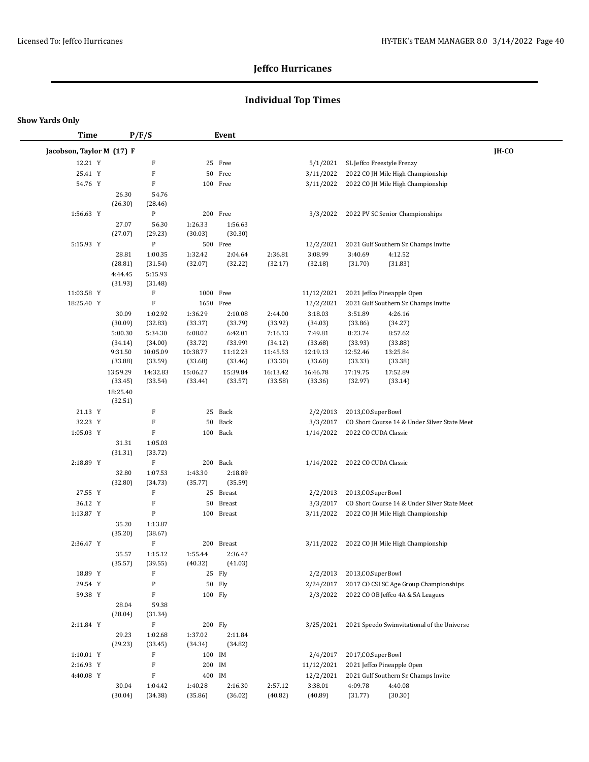## **Individual Top Times**

#### **Show Yards Only**

 $\overline{\phantom{a}}$ 

| <b>Time</b>               |                    | P/F/S               |                     | Event               |                     |                     |                      |                                              |       |
|---------------------------|--------------------|---------------------|---------------------|---------------------|---------------------|---------------------|----------------------|----------------------------------------------|-------|
| Jacobson, Taylor M (17) F |                    |                     |                     |                     |                     |                     |                      |                                              | IH-CO |
| 12.21 Y                   |                    | $\rm F$             |                     | 25 Free             |                     | 5/1/2021            |                      | SL Jeffco Freestyle Frenzy                   |       |
| 25.41 Y                   |                    | $\rm F$             |                     | 50 Free             |                     | 3/11/2022           |                      | 2022 CO JH Mile High Championship            |       |
| 54.76 Y                   |                    | F                   |                     | 100 Free            |                     | 3/11/2022           |                      | 2022 CO JH Mile High Championship            |       |
|                           | 26.30              | 54.76               |                     |                     |                     |                     |                      |                                              |       |
|                           | (26.30)            | (28.46)             |                     |                     |                     |                     |                      |                                              |       |
| 1:56.63 Y                 |                    | ${\bf P}$           |                     | 200 Free            |                     | 3/3/2022            |                      | 2022 PV SC Senior Championships              |       |
|                           | 27.07              | 56.30               | 1:26.33             | 1:56.63             |                     |                     |                      |                                              |       |
|                           | (27.07)            | (29.23)             | (30.03)             | (30.30)             |                     |                     |                      |                                              |       |
| 5:15.93 Y                 |                    | ${\bf P}$           |                     | 500 Free            |                     | 12/2/2021           |                      | 2021 Gulf Southern Sr. Champs Invite         |       |
|                           | 28.81              | 1:00.35             | 1:32.42             | 2:04.64             | 2:36.81             | 3:08.99             | 3:40.69              | 4:12.52                                      |       |
|                           | (28.81)            | (31.54)             | (32.07)             | (32.22)             | (32.17)             | (32.18)             | (31.70)              | (31.83)                                      |       |
|                           | 4:44.45            | 5:15.93             |                     |                     |                     |                     |                      |                                              |       |
|                           | (31.93)            | (31.48)             |                     |                     |                     |                     |                      |                                              |       |
| 11:03.58 Y                |                    | $\rm F$             | 1000 Free           |                     |                     | 11/12/2021          |                      | 2021 Jeffco Pineapple Open                   |       |
| 18:25.40 Y                |                    | $\rm F$             | 1650 Free           |                     |                     | 12/2/2021           |                      | 2021 Gulf Southern Sr. Champs Invite         |       |
|                           | 30.09              | 1:02.92             | 1:36.29             | 2:10.08             | 2:44.00             | 3:18.03             | 3:51.89              | 4:26.16                                      |       |
|                           | (30.09)            | (32.83)             | (33.37)             | (33.79)             | (33.92)             | (34.03)             | (33.86)              | (34.27)                                      |       |
|                           | 5:00.30            | 5:34.30             | 6:08.02             | 6:42.01             | 7:16.13             | 7:49.81             | 8:23.74              | 8:57.62                                      |       |
|                           | (34.14)            | (34.00)             | (33.72)             | (33.99)             | (34.12)             | (33.68)             | (33.93)              | (33.88)                                      |       |
|                           | 9:31.50<br>(33.88) | 10:05.09<br>(33.59) | 10:38.77<br>(33.68) | 11:12.23<br>(33.46) | 11:45.53<br>(33.30) | 12:19.13<br>(33.60) | 12:52.46<br>(33.33)  | 13:25.84<br>(33.38)                          |       |
|                           | 13:59.29           | 14:32.83            | 15:06.27            | 15:39.84            | 16:13.42            | 16:46.78            | 17:19.75             | 17:52.89                                     |       |
|                           | (33.45)            | (33.54)             | (33.44)             | (33.57)             | (33.58)             | (33.36)             | (32.97)              | (33.14)                                      |       |
|                           | 18:25.40           |                     |                     |                     |                     |                     |                      |                                              |       |
|                           | (32.51)            |                     |                     |                     |                     |                     |                      |                                              |       |
| 21.13 Y                   |                    | F                   | 25                  | Back                |                     | 2/2/2013            | 2013, CO. SuperBowl  |                                              |       |
| 32.23 Y                   |                    | F                   | 50                  | Back                |                     | 3/3/2017            |                      | CO Short Course 14 & Under Silver State Meet |       |
| 1:05.03 Y                 |                    | $\mathbf F$         |                     | 100 Back            |                     | 1/14/2022           | 2022 CO CUDA Classic |                                              |       |
|                           | 31.31              | 1:05.03             |                     |                     |                     |                     |                      |                                              |       |
|                           | (31.31)            | (33.72)             |                     |                     |                     |                     |                      |                                              |       |
| 2:18.89 Y                 |                    | $\rm F$             |                     | 200 Back            |                     | 1/14/2022           | 2022 CO CUDA Classic |                                              |       |
|                           | 32.80              | 1:07.53             | 1:43.30             | 2:18.89             |                     |                     |                      |                                              |       |
|                           | (32.80)            | (34.73)             | (35.77)             | (35.59)             |                     |                     |                      |                                              |       |
| 27.55 Y                   |                    | F                   | 25                  | Breast              |                     | 2/2/2013            | 2013, CO. SuperBowl  |                                              |       |
| 36.12 Y                   |                    | F                   | 50                  | <b>Breast</b>       |                     | 3/3/2017            |                      | CO Short Course 14 & Under Silver State Meet |       |
| 1:13.87 Y                 |                    | P                   |                     | 100 Breast          |                     | 3/11/2022           |                      | 2022 CO JH Mile High Championship            |       |
|                           | 35.20              | 1:13.87             |                     |                     |                     |                     |                      |                                              |       |
| 2:36.47 Y                 | (35.20)            | (38.67)<br>$\rm F$  |                     | 200 Breast          |                     | 3/11/2022           |                      | 2022 CO JH Mile High Championship            |       |
|                           | 35.57              | 1:15.12             | 1:55.44             | 2:36.47             |                     |                     |                      |                                              |       |
|                           | (35.57)            | (39.55)             | (40.32)             | (41.03)             |                     |                     |                      |                                              |       |
| 18.89 Y                   |                    | F                   |                     | 25 Fly              |                     | 2/2/2013            | 2013, CO. SuperBowl  |                                              |       |
| 29.54 Y                   |                    | ${\bf P}$           |                     | 50 Fly              |                     | 2/24/2017           |                      | 2017 CO CSI SC Age Group Championships       |       |
| 59.38 Y                   |                    | $\mathbf F$         | 100 Fly             |                     |                     | 2/3/2022            |                      | 2022 CO OB Jeffco 4A & 5A Leagues            |       |
|                           | 28.04              | 59.38               |                     |                     |                     |                     |                      |                                              |       |
|                           | (28.04)            | (31.34)             |                     |                     |                     |                     |                      |                                              |       |
| 2:11.84 Y                 |                    | $\rm F$             | 200 Fly             |                     |                     | 3/25/2021           |                      | 2021 Speedo Swimvitational of the Universe   |       |
|                           | 29.23              | 1:02.68             | 1:37.02             | 2:11.84             |                     |                     |                      |                                              |       |
|                           | (29.23)            | (33.45)             | (34.34)             | (34.82)             |                     |                     |                      |                                              |       |
| $1:10.01$ Y               |                    | F                   | 100 IM              |                     |                     | 2/4/2017            | 2017, CO. SuperBowl  |                                              |       |
| 2:16.93 Y                 |                    | $\mathbf F$         | 200                 | IM                  |                     | 11/12/2021          |                      | 2021 Jeffco Pineapple Open                   |       |
| 4:40.08 Y                 |                    | $\mathbf F$         | 400 IM              |                     |                     | 12/2/2021           |                      | 2021 Gulf Southern Sr. Champs Invite         |       |
|                           | 30.04              | 1:04.42             | 1:40.28             | 2:16.30             | 2:57.12             | 3:38.01             | 4:09.78              | 4:40.08                                      |       |
|                           | (30.04)            | (34.38)             | (35.86)             | (36.02)             | (40.82)             | (40.89)             | (31.77)              | (30.30)                                      |       |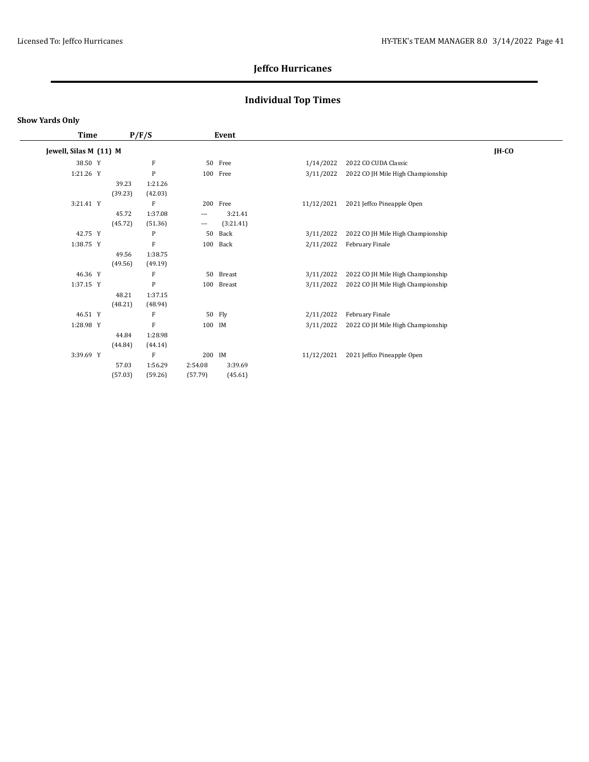## **Individual Top Times**

| Time                   |         | P/F/S   |          | Event         |            |                                   |         |
|------------------------|---------|---------|----------|---------------|------------|-----------------------------------|---------|
| Jewell, Silas M (11) M |         |         |          |               |            |                                   | $IH-CO$ |
| 38.50 Y                |         | F       |          | 50 Free       | 1/14/2022  | 2022 CO CUDA Classic              |         |
| 1:21.26 Y              |         | P       |          | 100 Free      | 3/11/2022  | 2022 CO JH Mile High Championship |         |
|                        | 39.23   | 1:21.26 |          |               |            |                                   |         |
|                        | (39.23) | (42.03) |          |               |            |                                   |         |
| 3:21.41 Y              |         | F       |          | 200 Free      | 11/12/2021 | 2021 Jeffco Pineapple Open        |         |
|                        | 45.72   | 1:37.08 | $\cdots$ | 3:21.41       |            |                                   |         |
|                        | (45.72) | (51.36) | $\cdots$ | (3:21.41)     |            |                                   |         |
| 42.75 Y                |         | P       | 50       | Back          | 3/11/2022  | 2022 CO JH Mile High Championship |         |
| 1:38.75 Y              |         | F       | 100      | Back          | 2/11/2022  | February Finale                   |         |
|                        | 49.56   | 1:38.75 |          |               |            |                                   |         |
|                        | (49.56) | (49.19) |          |               |            |                                   |         |
| 46.36 Y                |         | F       | 50       | <b>Breast</b> | 3/11/2022  | 2022 CO JH Mile High Championship |         |
| 1:37.15 Y              |         | P       | 100      | Breast        | 3/11/2022  | 2022 CO JH Mile High Championship |         |
|                        | 48.21   | 1:37.15 |          |               |            |                                   |         |
|                        | (48.21) | (48.94) |          |               |            |                                   |         |
| 46.51 Y                |         | F       |          | 50 Fly        | 2/11/2022  | February Finale                   |         |
| 1:28.98 Y              |         | F       | 100 IM   |               | 3/11/2022  | 2022 CO JH Mile High Championship |         |
|                        | 44.84   | 1:28.98 |          |               |            |                                   |         |
|                        | (44.84) | (44.14) |          |               |            |                                   |         |
| 3:39.69 Y              |         | F       | 200 IM   |               | 11/12/2021 | 2021 Jeffco Pineapple Open        |         |
|                        | 57.03   | 1:56.29 | 2:54.08  | 3:39.69       |            |                                   |         |
|                        | (57.03) | (59.26) | (57.79)  | (45.61)       |            |                                   |         |
|                        |         |         |          |               |            |                                   |         |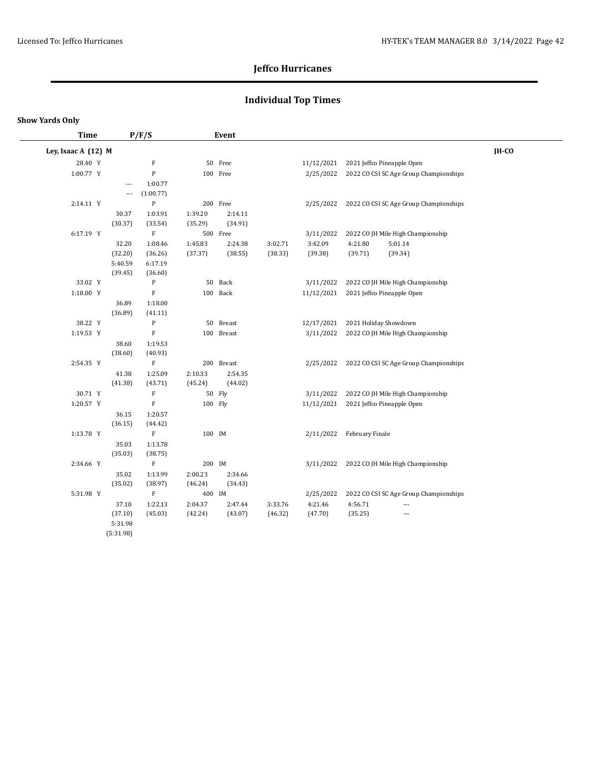## **Individual Top Times**

| <b>Time</b>         |                          | P/F/S                     |                    | Event              |         |            |                       |                                        |       |  |
|---------------------|--------------------------|---------------------------|--------------------|--------------------|---------|------------|-----------------------|----------------------------------------|-------|--|
| Ley, Isaac A (12) M |                          |                           |                    |                    |         |            |                       |                                        | IH-CO |  |
| 28.40 Y             |                          | $\boldsymbol{\mathrm{F}}$ |                    | 50 Free            |         | 11/12/2021 |                       | 2021 Jeffco Pineapple Open             |       |  |
| 1:00.77 Y           |                          | ${\bf P}$                 |                    | 100 Free           |         | 2/25/2022  |                       | 2022 CO CSI SC Age Group Championships |       |  |
|                     | $\overline{\phantom{a}}$ | 1:00.77                   |                    |                    |         |            |                       |                                        |       |  |
|                     | $\overline{\phantom{a}}$ | (1:00.77)                 |                    |                    |         |            |                       |                                        |       |  |
| 2:14.11 Y           |                          | ${\bf P}$                 |                    | 200 Free           |         | 2/25/2022  |                       | 2022 CO CSI SC Age Group Championships |       |  |
|                     | 30.37                    | 1:03.91                   | 1:39.20            | 2:14.11            |         |            |                       |                                        |       |  |
|                     | (30.37)                  | (33.54)                   | (35.29)            | (34.91)            |         |            |                       |                                        |       |  |
| 6:17.19 Y           |                          | $\mathbf F$               |                    | 500 Free           |         | 3/11/2022  |                       | 2022 CO JH Mile High Championship      |       |  |
|                     | 32.20                    | 1:08.46                   | 1:45.83            | 2:24.38            | 3:02.71 | 3:42.09    | 4:21.80               | 5:01.14                                |       |  |
|                     | (32.20)                  | (36.26)                   | (37.37)            | (38.55)            | (38.33) | (39.38)    | (39.71)               | (39.34)                                |       |  |
|                     | 5:40.59                  | 6:17.19                   |                    |                    |         |            |                       |                                        |       |  |
|                     | (39.45)                  | (36.60)                   |                    |                    |         |            |                       |                                        |       |  |
| 33.02 Y             |                          | $\mathbf{P}$              |                    | 50 Back            |         | 3/11/2022  |                       | 2022 CO JH Mile High Championship      |       |  |
| 1:18.00 Y           |                          | $\mathbf F$               |                    | 100 Back           |         | 11/12/2021 |                       | 2021 Jeffco Pineapple Open             |       |  |
|                     | 36.89                    | 1:18.00                   |                    |                    |         |            |                       |                                        |       |  |
|                     | (36.89)                  | (41.11)                   |                    |                    |         |            |                       |                                        |       |  |
| 38.22 Y             |                          | $\, {\bf P}$              |                    | 50 Breast          |         | 12/17/2021 | 2021 Holiday Showdown |                                        |       |  |
| 1:19.53 Y           |                          | $\boldsymbol{\mathrm{F}}$ |                    | 100 Breast         |         | 3/11/2022  |                       | 2022 CO JH Mile High Championship      |       |  |
|                     | 38.60                    | 1:19.53                   |                    |                    |         |            |                       |                                        |       |  |
|                     | (38.60)                  | (40.93)<br>$\mathbf F$    |                    | 200 Breast         |         |            |                       |                                        |       |  |
| 2:54.35 Y           |                          |                           |                    |                    |         | 2/25/2022  |                       | 2022 CO CSI SC Age Group Championships |       |  |
|                     | 41.38<br>(41.38)         | 1:25.09<br>(43.71)        | 2:10.33<br>(45.24) | 2:54.35<br>(44.02) |         |            |                       |                                        |       |  |
| 30.71 Y             |                          | $\boldsymbol{\mathrm{F}}$ |                    | 50 Fly             |         | 3/11/2022  |                       | 2022 CO JH Mile High Championship      |       |  |
| 1:20.57 Y           |                          | $\mathbf F$               | 100 Fly            |                    |         | 11/12/2021 |                       | 2021 Jeffco Pineapple Open             |       |  |
|                     | 36.15                    | 1:20.57                   |                    |                    |         |            |                       |                                        |       |  |
|                     | (36.15)                  | (44.42)                   |                    |                    |         |            |                       |                                        |       |  |
| 1:13.78 Y           |                          | $\mathbf F$               | 100 IM             |                    |         | 2/11/2022  | February Finale       |                                        |       |  |
|                     | 35.03                    | 1:13.78                   |                    |                    |         |            |                       |                                        |       |  |
|                     | (35.03)                  | (38.75)                   |                    |                    |         |            |                       |                                        |       |  |
| 2:34.66 Y           |                          | $\mathbf F$               | 200 IM             |                    |         | 3/11/2022  |                       | 2022 CO JH Mile High Championship      |       |  |
|                     | 35.02                    | 1:13.99                   | 2:00.23            | 2:34.66            |         |            |                       |                                        |       |  |
|                     | (35.02)                  | (38.97)                   | (46.24)            | (34.43)            |         |            |                       |                                        |       |  |
| 5:31.98 Y           |                          | $\mathbf F$               | 400 IM             |                    |         | 2/25/2022  |                       | 2022 CO CSI SC Age Group Championships |       |  |
|                     | 37.10                    | 1:22.13                   | 2:04.37            | 2:47.44            | 3:33.76 | 4:21.46    | 4:56.71               | ---                                    |       |  |
|                     | (37.10)                  | (45.03)                   | (42.24)            | (43.07)            | (46.32) | (47.70)    | (35.25)               | ---                                    |       |  |
|                     | 5:31.98                  |                           |                    |                    |         |            |                       |                                        |       |  |
|                     | (5:31.98)                |                           |                    |                    |         |            |                       |                                        |       |  |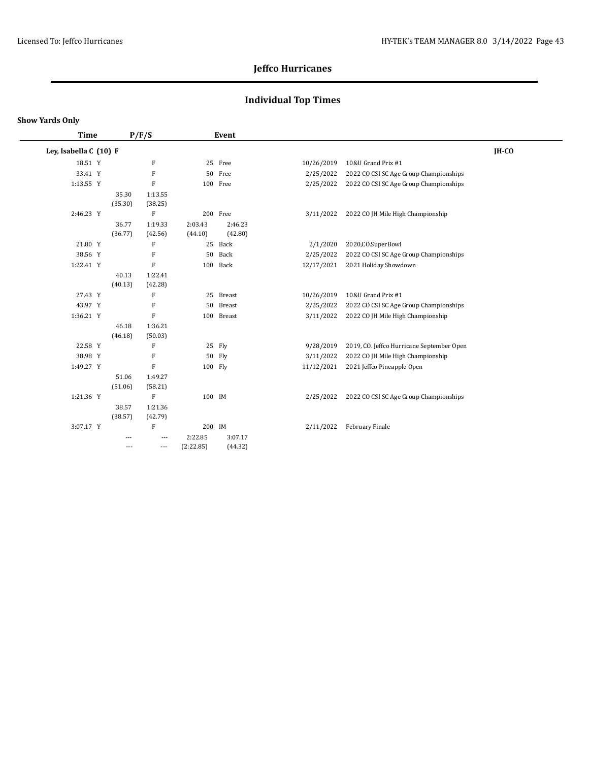## **Individual Top Times**

#### **Show Yards Only**

 $\overline{\phantom{0}}$ 

| <b>Time</b>            |         | P/F/S                     |           | Event      |            |                                           |              |
|------------------------|---------|---------------------------|-----------|------------|------------|-------------------------------------------|--------------|
| Ley, Isabella C (10) F |         |                           |           |            |            |                                           | <b>IH-CO</b> |
| 18.51 Y                |         | $\boldsymbol{\mathrm{F}}$ |           | 25 Free    | 10/26/2019 | 10&U Grand Prix #1                        |              |
| 33.41 Y                |         | ${\bf F}$                 |           | 50 Free    | 2/25/2022  | 2022 CO CSI SC Age Group Championships    |              |
| 1:13.55 Y              |         | $\mathbf F$               |           | 100 Free   | 2/25/2022  | 2022 CO CSI SC Age Group Championships    |              |
|                        | 35.30   | 1:13.55                   |           |            |            |                                           |              |
|                        | (35.30) | (38.25)                   |           |            |            |                                           |              |
| 2:46.23 Y              |         | $\boldsymbol{\mathrm{F}}$ |           | 200 Free   | 3/11/2022  | 2022 CO JH Mile High Championship         |              |
|                        | 36.77   | 1:19.33                   | 2:03.43   | 2:46.23    |            |                                           |              |
|                        | (36.77) | (42.56)                   | (44.10)   | (42.80)    |            |                                           |              |
| 21.80 Y                |         | F                         |           | 25 Back    | 2/1/2020   | 2020, CO. SuperBowl                       |              |
| 38.56 Y                |         | $\mathbf F$               |           | 50 Back    | 2/25/2022  | 2022 CO CSI SC Age Group Championships    |              |
| 1:22.41 Y              |         | $\rm F$                   |           | 100 Back   | 12/17/2021 | 2021 Holiday Showdown                     |              |
|                        | 40.13   | 1:22.41                   |           |            |            |                                           |              |
|                        | (40.13) | (42.28)                   |           |            |            |                                           |              |
| 27.43 Y                |         | F                         |           | 25 Breast  | 10/26/2019 | 10&U Grand Prix #1                        |              |
| 43.97 Y                |         | $\mathbf F$               |           | 50 Breast  | 2/25/2022  | 2022 CO CSI SC Age Group Championships    |              |
| 1:36.21 Y              |         | $\rm F$                   |           | 100 Breast | 3/11/2022  | 2022 CO JH Mile High Championship         |              |
|                        | 46.18   | 1:36.21                   |           |            |            |                                           |              |
|                        | (46.18) | (50.03)                   |           |            |            |                                           |              |
| 22.58 Y                |         | $\boldsymbol{\mathrm{F}}$ |           | 25 Fly     | 9/28/2019  | 2019, CO. Jeffco Hurricane September Open |              |
| 38.98 Y                |         | $\mathbf F$               |           | 50 Fly     | 3/11/2022  | 2022 CO JH Mile High Championship         |              |
| 1:49.27 Y              |         | $\mathbf F$               |           | 100 Fly    | 11/12/2021 | 2021 Jeffco Pineapple Open                |              |
|                        | 51.06   | 1:49.27                   |           |            |            |                                           |              |
|                        | (51.06) | (58.21)                   |           |            |            |                                           |              |
| 1:21.36 Y              |         | F                         | 100 IM    |            | 2/25/2022  | 2022 CO CSI SC Age Group Championships    |              |
|                        | 38.57   | 1:21.36                   |           |            |            |                                           |              |
|                        | (38.57) | (42.79)                   |           |            |            |                                           |              |
| 3:07.17 Y              |         | $\boldsymbol{\mathrm{F}}$ | 200 IM    |            | 2/11/2022  | February Finale                           |              |
|                        | ---     | $\cdots$                  | 2:22.85   | 3:07.17    |            |                                           |              |
|                        | $---$   | ---                       | (2:22.85) | (44.32)    |            |                                           |              |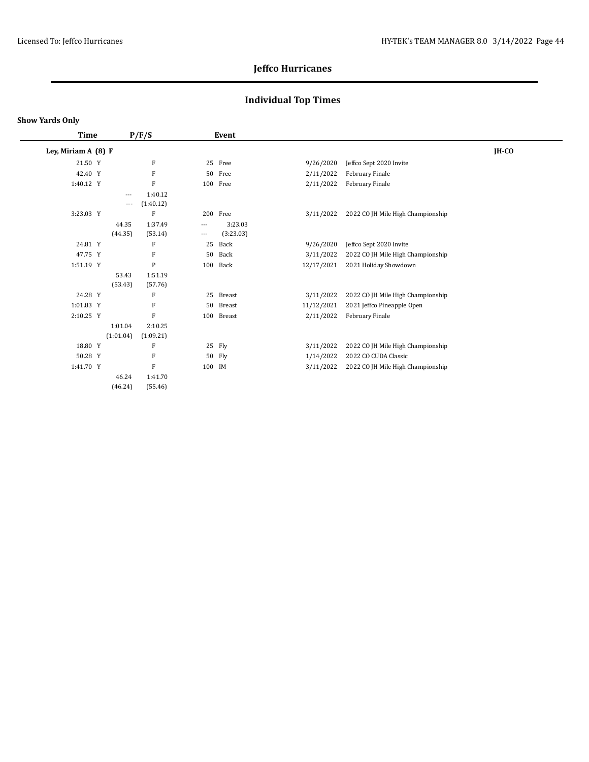## **Individual Top Times**

| Time                |              |       |           |                                                                                                   |                                   |         |
|---------------------|--------------|-------|-----------|---------------------------------------------------------------------------------------------------|-----------------------------------|---------|
| Ley, Miriam A (8) F |              |       |           |                                                                                                   |                                   | $IH-CO$ |
| 21.50 Y             | F            |       | Free      | 9/26/2020                                                                                         | Jeffco Sept 2020 Invite           |         |
| 42.40 Y             | F            | 50    | Free      | 2/11/2022                                                                                         | February Finale                   |         |
| 1:40.12 Y           | F            |       |           | 2/11/2022                                                                                         | February Finale                   |         |
| $\cdots$            | 1:40.12      |       |           |                                                                                                   |                                   |         |
| $---$               | (1:40.12)    |       |           |                                                                                                   |                                   |         |
| 3:23.03 Y           | F            |       |           | 3/11/2022                                                                                         | 2022 CO JH Mile High Championship |         |
| 44.35               | 1:37.49      | $---$ | 3:23.03   |                                                                                                   |                                   |         |
| (44.35)             | (53.14)      | ---   | (3:23.03) |                                                                                                   |                                   |         |
| 24.81 Y             | F            | 25    | Back      | 9/26/2020                                                                                         | Jeffco Sept 2020 Invite           |         |
| 47.75 Y             | F            |       | Back      | 3/11/2022                                                                                         | 2022 CO JH Mile High Championship |         |
| 1:51.19 Y           | $\mathbf{P}$ |       |           | 12/17/2021                                                                                        | 2021 Holiday Showdown             |         |
| 53.43               | 1:51.19      |       |           |                                                                                                   |                                   |         |
| (53.43)             | (57.76)      |       |           |                                                                                                   |                                   |         |
| 24.28 Y             | F            | 25    | Breast    | 3/11/2022                                                                                         | 2022 CO JH Mile High Championship |         |
| 1:01.83 Y           | F            | 50    | Breast    | 11/12/2021                                                                                        | 2021 Jeffco Pineapple Open        |         |
| 2:10.25 Y           | F            |       |           | 2/11/2022                                                                                         | February Finale                   |         |
| 1:01.04             | 2:10.25      |       |           |                                                                                                   |                                   |         |
| (1:01.04)           | (1:09.21)    |       |           |                                                                                                   |                                   |         |
| 18.80 Y             | F            |       |           | 3/11/2022                                                                                         | 2022 CO JH Mile High Championship |         |
| 50.28 Y             | F            |       |           | 1/14/2022                                                                                         | 2022 CO CUDA Classic              |         |
| 1:41.70 Y           | F            |       |           | 3/11/2022                                                                                         | 2022 CO JH Mile High Championship |         |
| 46.24               | 1:41.70      |       |           |                                                                                                   |                                   |         |
| (46.24)             | (55.46)      |       |           |                                                                                                   |                                   |         |
|                     |              |       | P/F/S     | Event<br>25<br>100 Free<br>200 Free<br>50<br>100 Back<br>100 Breast<br>25 Fly<br>50 Fly<br>100 IM |                                   |         |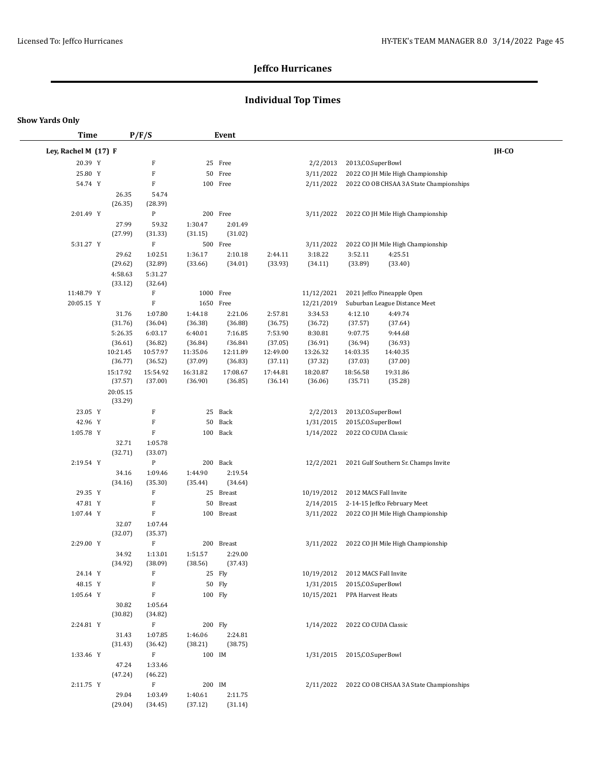## **Individual Top Times**

#### **Show Yards Only**

 $\overline{\phantom{0}}$ 

| <b>Time</b>          |                     | P/F/S                     |                     | Event               |                     |                     |                       |                                                   |              |
|----------------------|---------------------|---------------------------|---------------------|---------------------|---------------------|---------------------|-----------------------|---------------------------------------------------|--------------|
| Ley, Rachel M (17) F |                     |                           |                     |                     |                     |                     |                       |                                                   | <b>IH-CO</b> |
| 20.39 Y              |                     | F                         |                     | 25 Free             |                     | 2/2/2013            | 2013, CO. SuperBowl   |                                                   |              |
| 25.80 Y              |                     | $\mathbf F$               | 50                  | Free                |                     | 3/11/2022           |                       | 2022 CO JH Mile High Championship                 |              |
| 54.74 Y              |                     | $\boldsymbol{\mathrm{F}}$ |                     | 100 Free            |                     | 2/11/2022           |                       | 2022 CO OB CHSAA 3A State Championships           |              |
|                      | 26.35               | 54.74                     |                     |                     |                     |                     |                       |                                                   |              |
|                      | (26.35)             | (28.39)                   |                     |                     |                     |                     |                       |                                                   |              |
| 2:01.49 Y            |                     | ${\bf P}$                 |                     | 200 Free            |                     | 3/11/2022           |                       | 2022 CO JH Mile High Championship                 |              |
|                      | 27.99               | 59.32                     | 1:30.47             | 2:01.49             |                     |                     |                       |                                                   |              |
|                      | (27.99)             | (31.33)                   | (31.15)             | (31.02)             |                     |                     |                       |                                                   |              |
| 5:31.27 Y            |                     | $\mathbf F$               |                     | 500 Free            |                     | 3/11/2022           |                       | 2022 CO JH Mile High Championship                 |              |
|                      | 29.62               | 1:02.51                   | 1:36.17             | 2:10.18             | 2:44.11             | 3:18.22             | 3:52.11               | 4:25.51                                           |              |
|                      | (29.62)             | (32.89)                   | (33.66)             | (34.01)             | (33.93)             | (34.11)             | (33.89)               | (33.40)                                           |              |
|                      | 4:58.63             | 5:31.27                   |                     |                     |                     |                     |                       |                                                   |              |
|                      | (33.12)             | (32.64)                   |                     |                     |                     |                     |                       |                                                   |              |
| 11:48.79 Y           |                     | F                         | 1000 Free           |                     |                     | 11/12/2021          |                       | 2021 Jeffco Pineapple Open                        |              |
| 20:05.15 Y           |                     | $\mathbf F$               | 1650 Free           |                     |                     | 12/21/2019          |                       | Suburban League Distance Meet                     |              |
|                      | 31.76               | 1:07.80                   | 1:44.18             | 2:21.06             | 2:57.81             | 3:34.53             | 4:12.10               | 4:49.74                                           |              |
|                      | (31.76)             | (36.04)                   | (36.38)             | (36.88)             | (36.75)             | (36.72)             | (37.57)               | (37.64)                                           |              |
|                      | 5:26.35             | 6:03.17                   | 6:40.01             | 7:16.85             | 7:53.90             | 8:30.81             | 9:07.75               | 9:44.68                                           |              |
|                      | (36.61)<br>10:21.45 | (36.82)                   | (36.84)             | (36.84)             | (37.05)             | (36.91)             | (36.94)               | (36.93)                                           |              |
|                      | (36.77)             | 10:57.97<br>(36.52)       | 11:35.06<br>(37.09) | 12:11.89<br>(36.83) | 12:49.00<br>(37.11) | 13:26.32<br>(37.32) | 14:03.35<br>(37.03)   | 14:40.35<br>(37.00)                               |              |
|                      | 15:17.92            | 15:54.92                  | 16:31.82            | 17:08.67            | 17:44.81            | 18:20.87            | 18:56.58              | 19:31.86                                          |              |
|                      | (37.57)             | (37.00)                   | (36.90)             | (36.85)             | (36.14)             | (36.06)             | (35.71)               | (35.28)                                           |              |
|                      | 20:05.15<br>(33.29) |                           |                     |                     |                     |                     |                       |                                                   |              |
| 23.05 Y              |                     | $\mathbf F$               | 25                  | Back                |                     | 2/2/2013            | 2013, CO. SuperBowl   |                                                   |              |
| 42.96 Y              |                     | $\mathbf F$               | 50                  | Back                |                     | 1/31/2015           | 2015, CO. SuperBowl   |                                                   |              |
| 1:05.78 Y            |                     | $\mathbf F$               |                     | 100 Back            |                     | 1/14/2022           | 2022 CO CUDA Classic  |                                                   |              |
|                      | 32.71               | 1:05.78                   |                     |                     |                     |                     |                       |                                                   |              |
|                      | (32.71)             | (33.07)                   |                     |                     |                     |                     |                       |                                                   |              |
| 2:19.54 Y            |                     | ${\bf P}$                 |                     | 200 Back            |                     | 12/2/2021           |                       | 2021 Gulf Southern Sr. Champs Invite              |              |
|                      | 34.16               | 1:09.46                   | 1:44.90             | 2:19.54             |                     |                     |                       |                                                   |              |
|                      | (34.16)             | (35.30)                   | (35.44)             | (34.64)             |                     |                     |                       |                                                   |              |
| 29.35 Y              |                     | $\boldsymbol{\mathrm{F}}$ | 25                  | <b>Breast</b>       |                     | 10/19/2012          | 2012 MACS Fall Invite |                                                   |              |
| 47.81 Y              |                     | $\mathbf F$               | 50                  | Breast              |                     | 2/14/2015           |                       | 2-14-15 Jeffco February Meet                      |              |
| 1:07.44 Y            |                     | F                         |                     | 100 Breast          |                     | 3/11/2022           |                       | 2022 CO JH Mile High Championship                 |              |
|                      | 32.07<br>(32.07)    | 1:07.44<br>(35.37)        |                     |                     |                     |                     |                       |                                                   |              |
| 2:29.00 Y            |                     | $\boldsymbol{\mathrm{F}}$ |                     | 200 Breast          |                     | 3/11/2022           |                       | 2022 CO JH Mile High Championship                 |              |
|                      | 34.92               | 1:13.01                   | 1:51.57             | 2:29.00             |                     |                     |                       |                                                   |              |
|                      | (34.92)             | (38.09)                   | (38.56)             | (37.43)             |                     |                     |                       |                                                   |              |
| 24.14 Y              |                     | $\boldsymbol{\mathrm{F}}$ |                     | 25 Fly              |                     | 10/19/2012          | 2012 MACS Fall Invite |                                                   |              |
| 48.15 Y              |                     | $\boldsymbol{\mathrm{F}}$ |                     | 50 Fly              |                     | 1/31/2015           | 2015, CO. SuperBowl   |                                                   |              |
| 1:05.64 Y            |                     | $\boldsymbol{\mathrm{F}}$ | 100 Fly             |                     |                     | 10/15/2021          | PPA Harvest Heats     |                                                   |              |
|                      | 30.82               | 1:05.64                   |                     |                     |                     |                     |                       |                                                   |              |
|                      | (30.82)             | (34.82)                   |                     |                     |                     |                     |                       |                                                   |              |
| 2:24.81 Y            |                     | $\mathbf F$               | 200 Fly             |                     |                     | 1/14/2022           | 2022 CO CUDA Classic  |                                                   |              |
|                      | 31.43               | 1:07.85                   | 1:46.06             | 2:24.81             |                     |                     |                       |                                                   |              |
|                      | (31.43)             | (36.42)                   | (38.21)             | (38.75)             |                     |                     |                       |                                                   |              |
| 1:33.46 Y            |                     | $\mathbf F$               | 100 IM              |                     |                     | 1/31/2015           | 2015, CO. SuperBowl   |                                                   |              |
|                      | 47.24               | 1:33.46                   |                     |                     |                     |                     |                       |                                                   |              |
|                      | (47.24)             | (46.22)                   |                     |                     |                     |                     |                       |                                                   |              |
| 2:11.75 Y            |                     | $\mathbf F$               | 200 IM              |                     |                     |                     |                       | 2/11/2022 2022 CO OB CHSAA 3A State Championships |              |
|                      | 29.04               | 1:03.49                   | 1:40.61             | 2:11.75             |                     |                     |                       |                                                   |              |
|                      | (29.04)             | (34.45)                   | (37.12)             | (31.14)             |                     |                     |                       |                                                   |              |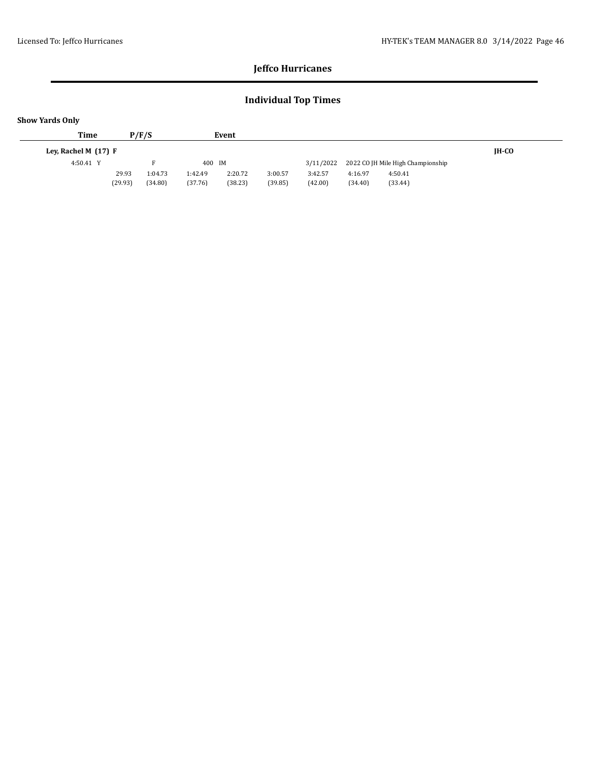## **Individual Top Times**

| <b>Show Yards Only</b> |                        |         |         |         |         |         |           |         |                                   |       |
|------------------------|------------------------|---------|---------|---------|---------|---------|-----------|---------|-----------------------------------|-------|
|                        | <b>Time</b>            |         | P/F/S   |         | Event   |         |           |         |                                   |       |
|                        | Ley, Rachel M $(17)$ F |         |         |         |         |         |           |         |                                   | IH-CO |
|                        | 4:50.41 Y              |         |         | 400 IM  |         |         | 3/11/2022 |         | 2022 CO JH Mile High Championship |       |
|                        |                        | 29.93   | 1:04.73 | 1:42.49 | 2:20.72 | 3:00.57 | 3:42.57   | 4:16.97 | 4:50.41                           |       |
|                        |                        | (29.93) | (34.80) | (37.76) | (38.23) | (39.85) | (42.00)   | (34.40) | (33.44)                           |       |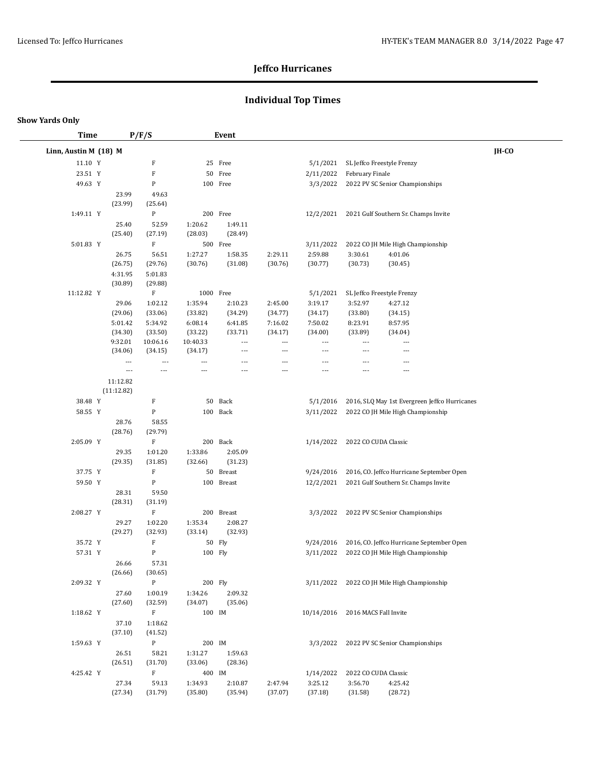## **Individual Top Times**

| <b>Time</b>           |                  | P/F/S              |                    | Event                    |                          |                                  |                      |                                               |       |
|-----------------------|------------------|--------------------|--------------------|--------------------------|--------------------------|----------------------------------|----------------------|-----------------------------------------------|-------|
| Linn, Austin M (18) M |                  |                    |                    |                          |                          |                                  |                      |                                               | IH-CO |
| 11.10 Y               |                  | F                  |                    | 25 Free                  |                          | 5/1/2021                         |                      | SL Jeffco Freestyle Frenzy                    |       |
| 23.51 Y               |                  | $\rm F$            |                    | 50 Free                  |                          | 2/11/2022                        | February Finale      |                                               |       |
| 49.63 Y               |                  | P                  |                    | 100 Free                 |                          | 3/3/2022                         |                      | 2022 PV SC Senior Championships               |       |
|                       | 23.99            | 49.63              |                    |                          |                          |                                  |                      |                                               |       |
|                       | (23.99)          | (25.64)            |                    |                          |                          |                                  |                      |                                               |       |
| 1:49.11 Y             |                  | $\mathbf{P}$       |                    | 200 Free                 |                          | 12/2/2021                        |                      | 2021 Gulf Southern Sr. Champs Invite          |       |
|                       | 25.40            | 52.59              | 1:20.62            | 1:49.11                  |                          |                                  |                      |                                               |       |
|                       | (25.40)          | (27.19)            | (28.03)            | (28.49)                  |                          |                                  |                      |                                               |       |
| 5:01.83 Y             |                  | F                  |                    | 500 Free                 |                          | 3/11/2022                        |                      | 2022 CO JH Mile High Championship             |       |
|                       | 26.75            | 56.51              | 1:27.27            | 1:58.35                  | 2:29.11                  | 2:59.88                          | 3:30.61              | 4:01.06                                       |       |
|                       | (26.75)          | (29.76)            | (30.76)            | (31.08)                  | (30.76)                  | (30.77)                          | (30.73)              | (30.45)                                       |       |
|                       | 4:31.95          | 5:01.83            |                    |                          |                          |                                  |                      |                                               |       |
|                       | (30.89)          | (29.88)            |                    |                          |                          |                                  |                      |                                               |       |
| 11:12.82 Y            |                  | $\mathbf{F}$       | 1000 Free          |                          |                          | 5/1/2021                         |                      | SL Jeffco Freestyle Frenzy                    |       |
|                       | 29.06<br>(29.06) | 1:02.12<br>(33.06) | 1:35.94<br>(33.82) | 2:10.23<br>(34.29)       | 2:45.00<br>(34.77)       | 3:19.17<br>(34.17)               | 3:52.97<br>(33.80)   | 4:27.12<br>(34.15)                            |       |
|                       | 5:01.42          | 5:34.92            | 6:08.14            | 6:41.85                  | 7:16.02                  | 7:50.02                          | 8:23.91              | 8:57.95                                       |       |
|                       | (34.30)          | (33.50)            | (33.22)            | (33.71)                  | (34.17)                  | (34.00)                          | (33.89)              | (34.04)                                       |       |
|                       | 9:32.01          | 10:06.16           | 10:40.33           | $\overline{\phantom{a}}$ | ---                      | $\overline{\phantom{a}}$         | ---                  | ---                                           |       |
|                       | (34.06)          | (34.15)            | (34.17)            | $\overline{\phantom{a}}$ | $\overline{\phantom{a}}$ | $---$                            | ---                  | ---                                           |       |
|                       | $---$            | ---                | ---                | $---$                    | ---                      | $\overline{a}$                   | $---$                | ---                                           |       |
|                       | $---$            | $\overline{a}$     | ---                | ---                      | ---                      | ---                              | $---$                | ---                                           |       |
|                       | 11:12.82         |                    |                    |                          |                          |                                  |                      |                                               |       |
|                       | (11:12.82)       |                    |                    |                          |                          |                                  |                      |                                               |       |
| 38.48 Y               |                  | F                  | 50                 | Back                     |                          | 5/1/2016                         |                      | 2016, SLQ May 1st Evergreen Jeffco Hurricanes |       |
| 58.55 Y               |                  | ${\bf P}$          |                    | 100 Back                 |                          | 3/11/2022                        |                      | 2022 CO JH Mile High Championship             |       |
|                       | 28.76            | 58.55              |                    |                          |                          |                                  |                      |                                               |       |
|                       | (28.76)          | (29.79)            |                    |                          |                          |                                  |                      |                                               |       |
| 2:05.09 Y             |                  | F                  |                    | 200 Back                 |                          | 1/14/2022                        | 2022 CO CUDA Classic |                                               |       |
|                       | 29.35<br>(29.35) | 1:01.20<br>(31.85) | 1:33.86<br>(32.66) | 2:05.09<br>(31.23)       |                          |                                  |                      |                                               |       |
| 37.75 Y               |                  | F                  |                    | 50 Breast                |                          | 9/24/2016                        |                      | 2016, CO. Jeffco Hurricane September Open     |       |
| 59.50 Y               |                  | ${\bf P}$          |                    | 100 Breast               |                          | 12/2/2021                        |                      | 2021 Gulf Southern Sr. Champs Invite          |       |
|                       | 28.31            | 59.50              |                    |                          |                          |                                  |                      |                                               |       |
|                       | (28.31)          | (31.19)            |                    |                          |                          |                                  |                      |                                               |       |
| 2:08.27 Y             |                  | $\mathbf F$        |                    | 200 Breast               |                          | 3/3/2022                         |                      | 2022 PV SC Senior Championships               |       |
|                       | 29.27            | 1:02.20            | 1:35.34            | 2:08.27                  |                          |                                  |                      |                                               |       |
|                       | (29.27)          | (32.93)            | (33.14)            | (32.93)                  |                          |                                  |                      |                                               |       |
| 35.72 Y               |                  | $\mathbf F$        |                    | 50 Fly                   |                          | 9/24/2016                        |                      | 2016, CO. Jeffco Hurricane September Open     |       |
| 57.31 Y               |                  | P                  | 100 Fly            |                          |                          | 3/11/2022                        |                      | 2022 CO JH Mile High Championship             |       |
|                       | 26.66            | 57.31              |                    |                          |                          |                                  |                      |                                               |       |
|                       | (26.66)          | (30.65)            |                    |                          |                          |                                  |                      |                                               |       |
| 2:09.32 Y             |                  | ${\bf P}$          | 200 Fly            |                          |                          |                                  |                      | 3/11/2022 2022 CO JH Mile High Championship   |       |
|                       | 27.60            | 1:00.19            | 1:34.26            | 2:09.32                  |                          |                                  |                      |                                               |       |
|                       | (27.60)          | (32.59)            | (34.07)            | (35.06)                  |                          |                                  |                      |                                               |       |
| 1:18.62 Y             |                  | $\mathbf F$        | 100 IM             |                          |                          | 10/14/2016 2016 MACS Fall Invite |                      |                                               |       |
|                       | 37.10            | 1:18.62            |                    |                          |                          |                                  |                      |                                               |       |
|                       | (37.10)          | (41.52)            |                    |                          |                          |                                  |                      |                                               |       |
| 1:59.63 Y             |                  | $\mathbf{P}$       | 200 IM             |                          |                          |                                  |                      | 3/3/2022 2022 PV SC Senior Championships      |       |
|                       | 26.51<br>(26.51) | 58.21<br>(31.70)   | 1:31.27<br>(33.06) | 1:59.63<br>(28.36)       |                          |                                  |                      |                                               |       |
| 4:25.42 Y             |                  | $\mathbf F$        | 400 IM             |                          |                          | 1/14/2022                        | 2022 CO CUDA Classic |                                               |       |
|                       | 27.34            | 59.13              | 1:34.93            | 2:10.87                  | 2:47.94                  | 3:25.12                          | 3:56.70              | 4:25.42                                       |       |
|                       | (27.34)          | (31.79)            | (35.80)            | (35.94)                  | (37.07)                  | (37.18)                          | (31.58)              | (28.72)                                       |       |
|                       |                  |                    |                    |                          |                          |                                  |                      |                                               |       |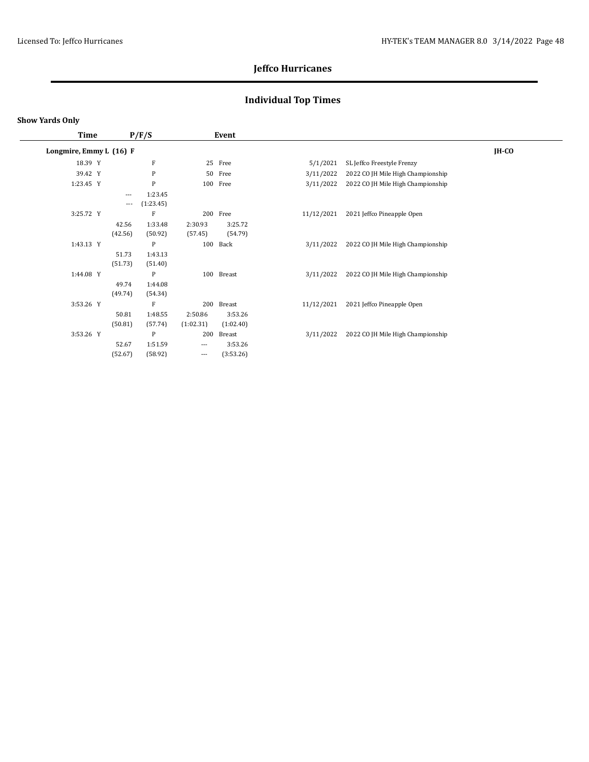## **Individual Top Times**

| <b>Time</b>             |          | P/F/S        |                   | Event      |            |                                   |              |
|-------------------------|----------|--------------|-------------------|------------|------------|-----------------------------------|--------------|
| Longmire, Emmy L (16) F |          |              |                   |            |            |                                   | <b>IH-CO</b> |
| 18.39 Y                 |          | F            |                   | 25 Free    | 5/1/2021   | SL Jeffco Freestyle Frenzy        |              |
| 39.42 Y                 |          | $\mathbf{P}$ | 50                | Free       | 3/11/2022  | 2022 CO JH Mile High Championship |              |
| 1:23.45 Y               |          | $\mathbf{P}$ |                   | 100 Free   | 3/11/2022  | 2022 CO JH Mile High Championship |              |
|                         | $\cdots$ | 1:23.45      |                   |            |            |                                   |              |
|                         | $\cdots$ | (1:23.45)    |                   |            |            |                                   |              |
| 3:25.72 Y               |          | F            | 200               | Free       | 11/12/2021 | 2021 Jeffco Pineapple Open        |              |
|                         | 42.56    | 1:33.48      | 2:30.93           | 3:25.72    |            |                                   |              |
|                         | (42.56)  | (50.92)      | (57.45)           | (54.79)    |            |                                   |              |
| 1:43.13 Y               |          | P            | 100               | Back       | 3/11/2022  | 2022 CO JH Mile High Championship |              |
|                         | 51.73    | 1:43.13      |                   |            |            |                                   |              |
|                         | (51.73)  | (51.40)      |                   |            |            |                                   |              |
| 1:44.08 Y               |          | $\mathbf{P}$ |                   | 100 Breast | 3/11/2022  | 2022 CO JH Mile High Championship |              |
|                         | 49.74    | 1:44.08      |                   |            |            |                                   |              |
|                         | (49.74)  | (54.34)      |                   |            |            |                                   |              |
| 3:53.26 Y               |          | F            | 200               | Breast     | 11/12/2021 | 2021 Jeffco Pineapple Open        |              |
|                         | 50.81    | 1:48.55      | 2:50.86           | 3:53.26    |            |                                   |              |
|                         | (50.81)  | (57.74)      | (1:02.31)         | (1:02.40)  |            |                                   |              |
| 3:53.26 Y               |          | $\mathbf{P}$ | 200               | Breast     | 3/11/2022  | 2022 CO JH Mile High Championship |              |
|                         | 52.67    | 1:51.59      | $\cdots$          | 3:53.26    |            |                                   |              |
|                         | (52.67)  | (58.92)      | $\qquad \qquad -$ | (3:53.26)  |            |                                   |              |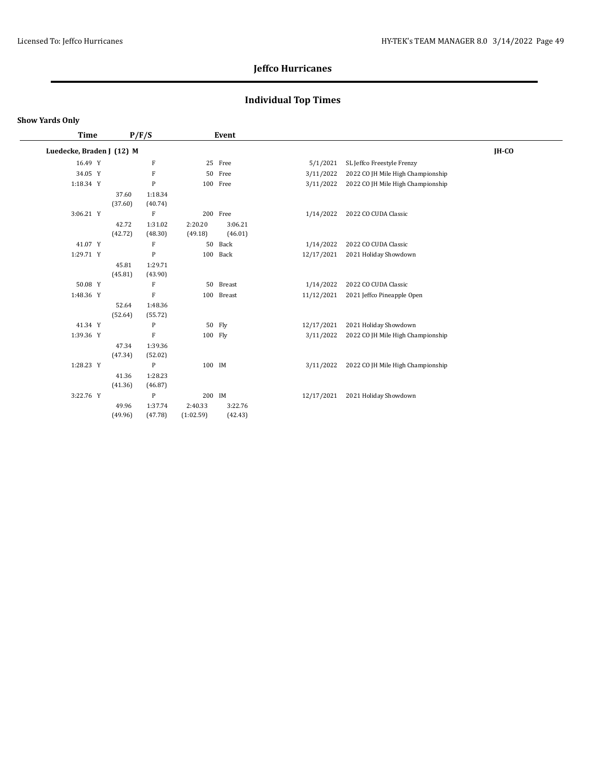## **Individual Top Times**

#### **Show Yards Only**

 $\overline{\phantom{a}}$ 

| <b>Time</b>               |         | P/F/S                     |           | Event      |            |                                   |         |
|---------------------------|---------|---------------------------|-----------|------------|------------|-----------------------------------|---------|
| Luedecke, Braden J (12) M |         |                           |           |            |            |                                   | $IH-CO$ |
| 16.49 Y                   |         | F                         |           | 25 Free    | 5/1/2021   | SL Jeffco Freestyle Frenzy        |         |
| 34.05 Y                   |         | $\rm F$                   |           | 50 Free    | 3/11/2022  | 2022 CO JH Mile High Championship |         |
| 1:18.34 Y                 |         | $\mathbf P$               |           | 100 Free   | 3/11/2022  | 2022 CO JH Mile High Championship |         |
|                           | 37.60   | 1:18.34                   |           |            |            |                                   |         |
|                           | (37.60) | (40.74)                   |           |            |            |                                   |         |
| 3:06.21 Y                 |         | F                         |           | 200 Free   | 1/14/2022  | 2022 CO CUDA Classic              |         |
|                           | 42.72   | 1:31.02                   | 2:20.20   | 3:06.21    |            |                                   |         |
|                           | (42.72) | (48.30)                   | (49.18)   | (46.01)    |            |                                   |         |
| 41.07 Y                   |         | F                         | 50        | Back       | 1/14/2022  | 2022 CO CUDA Classic              |         |
| 1:29.71 Y                 |         | $\mathbf{P}$              | 100       | Back       | 12/17/2021 | 2021 Holiday Showdown             |         |
|                           | 45.81   | 1:29.71                   |           |            |            |                                   |         |
|                           | (45.81) | (43.90)                   |           |            |            |                                   |         |
| 50.08 Y                   |         | $\boldsymbol{\mathrm{F}}$ |           | 50 Breast  | 1/14/2022  | 2022 CO CUDA Classic              |         |
| 1:48.36 Y                 |         | $\rm F$                   |           | 100 Breast | 11/12/2021 | 2021 Jeffco Pineapple Open        |         |
|                           | 52.64   | 1:48.36                   |           |            |            |                                   |         |
|                           | (52.64) | (55.72)                   |           |            |            |                                   |         |
| 41.34 Y                   |         | P                         |           | 50 Fly     | 12/17/2021 | 2021 Holiday Showdown             |         |
| 1:39.36 Y                 |         | $\mathbf{F}$              | 100 Fly   |            | 3/11/2022  | 2022 CO JH Mile High Championship |         |
|                           | 47.34   | 1:39.36                   |           |            |            |                                   |         |
|                           | (47.34) | (52.02)                   |           |            |            |                                   |         |
| 1:28.23 Y                 |         | $\mathbf{P}$              | 100 IM    |            | 3/11/2022  | 2022 CO JH Mile High Championship |         |
|                           | 41.36   | 1:28.23                   |           |            |            |                                   |         |
|                           | (41.36) | (46.87)                   |           |            |            |                                   |         |
| 3:22.76 Y                 |         | $\mathbf{P}$              | 200 IM    |            | 12/17/2021 | 2021 Holiday Showdown             |         |
|                           | 49.96   | 1:37.74                   | 2:40.33   | 3:22.76    |            |                                   |         |
|                           | (49.96) | (47.78)                   | (1:02.59) | (42.43)    |            |                                   |         |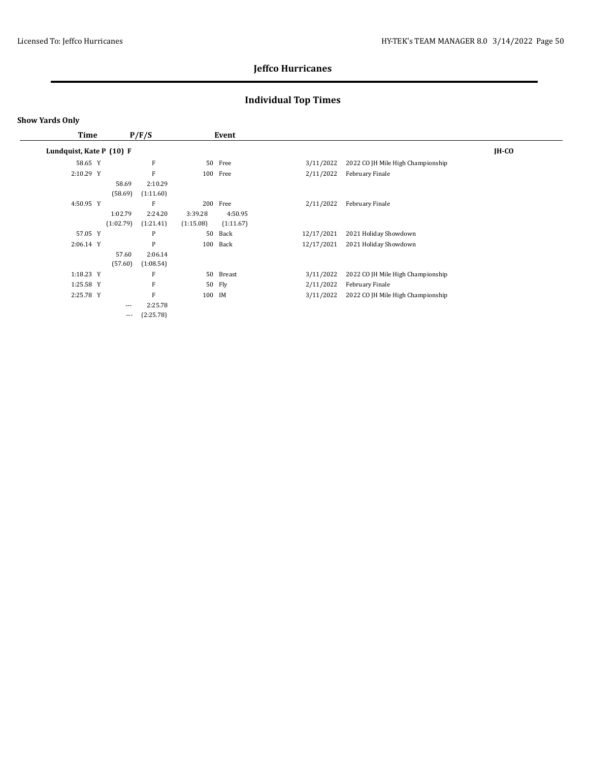## **Individual Top Times**

#### **Show Yards Only**

| <b>Time</b>              |           | P/F/S     |           | Event     |            |                                   |         |
|--------------------------|-----------|-----------|-----------|-----------|------------|-----------------------------------|---------|
| Lundquist, Kate P (10) F |           |           |           |           |            |                                   | $IH-CO$ |
| 58.65 Y                  |           | F         |           | 50 Free   | 3/11/2022  | 2022 CO JH Mile High Championship |         |
| 2:10.29 Y                |           | F         |           | 100 Free  | 2/11/2022  | February Finale                   |         |
|                          | 58.69     | 2:10.29   |           |           |            |                                   |         |
|                          | (58.69)   | (1:11.60) |           |           |            |                                   |         |
| 4:50.95 Y                |           | F         | 200       | Free      | 2/11/2022  | February Finale                   |         |
|                          | 1:02.79   | 2:24.20   | 3:39.28   | 4:50.95   |            |                                   |         |
|                          | (1:02.79) | (1:21.41) | (1:15.08) | (1:11.67) |            |                                   |         |
| 57.05 Y                  |           | P         | 50        | Back      | 12/17/2021 | 2021 Holiday Showdown             |         |
| 2:06.14 Y                |           | P         | 100       | Back      | 12/17/2021 | 2021 Holiday Showdown             |         |
|                          | 57.60     | 2:06.14   |           |           |            |                                   |         |
|                          | (57.60)   | (1:08.54) |           |           |            |                                   |         |
| 1:18.23 Y                |           | F         |           | 50 Breast | 3/11/2022  | 2022 CO JH Mile High Championship |         |
| 1:25.58 Y                |           | F         |           | 50 Fly    | 2/11/2022  | February Finale                   |         |
| 2:25.78 Y                |           | F         | 100 IM    |           | 3/11/2022  | 2022 CO JH Mile High Championship |         |
|                          | $\cdots$  | 2:25.78   |           |           |            |                                   |         |
|                          | $\cdots$  | (2:25.78) |           |           |            |                                   |         |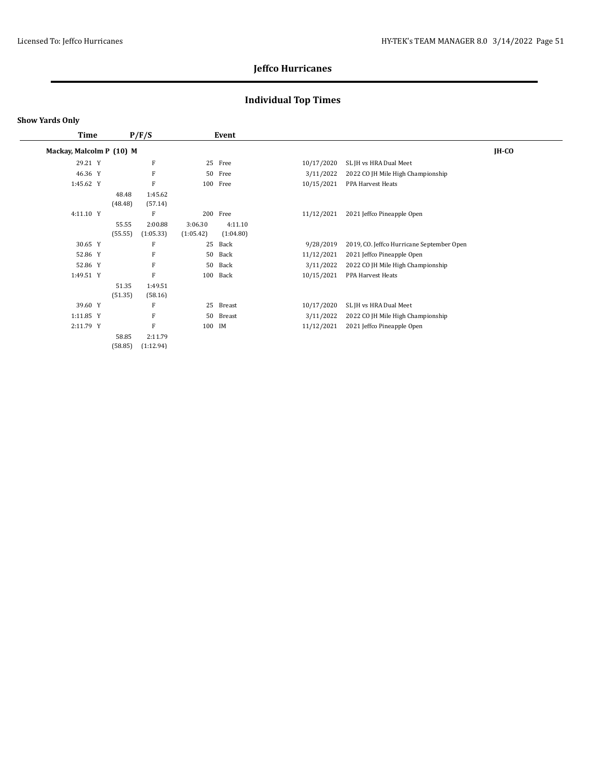## **Individual Top Times**

| Time                     |                  | P/F/S                |                      | Event                |            |                                           |         |
|--------------------------|------------------|----------------------|----------------------|----------------------|------------|-------------------------------------------|---------|
| Mackay, Malcolm P (10) M |                  |                      |                      |                      |            |                                           | $IH-CO$ |
| 29.21 Y                  |                  | F                    | 25                   | Free                 | 10/17/2020 | SL JH vs HRA Dual Meet                    |         |
| 46.36 Y                  |                  | F                    | 50                   | Free                 | 3/11/2022  | 2022 CO JH Mile High Championship         |         |
| 1:45.62 Y                |                  | $\mathbf{F}$         | 100                  | Free                 | 10/15/2021 | PPA Harvest Heats                         |         |
|                          | 48.48<br>(48.48) | 1:45.62<br>(57.14)   |                      |                      |            |                                           |         |
| 4:11.10 Y                |                  | F                    |                      | 200 Free             | 11/12/2021 | 2021 Jeffco Pineapple Open                |         |
|                          | 55.55<br>(55.55) | 2:00.88<br>(1:05.33) | 3:06.30<br>(1:05.42) | 4:11.10<br>(1:04.80) |            |                                           |         |
| 30.65 Y                  |                  | F                    | 25                   | Back                 | 9/28/2019  | 2019, CO. Jeffco Hurricane September Open |         |
| 52.86 Y                  |                  | F                    | 50                   | Back                 | 11/12/2021 | 2021 Jeffco Pineapple Open                |         |
| 52.86 Y                  |                  | F                    | 50                   | Back                 | 3/11/2022  | 2022 CO JH Mile High Championship         |         |
| 1:49.51 Y                |                  | F                    | 100                  | Back                 | 10/15/2021 | PPA Harvest Heats                         |         |
|                          | 51.35<br>(51.35) | 1:49.51<br>(58.16)   |                      |                      |            |                                           |         |
| 39.60 Y                  |                  | F                    | 25                   | Breast               | 10/17/2020 | SL JH vs HRA Dual Meet                    |         |
| 1:11.85 Y                |                  | F                    | 50                   | Breast               | 3/11/2022  | 2022 CO JH Mile High Championship         |         |
| 2:11.79 Y                |                  | $\mathbf{F}$         | 100                  | IM                   | 11/12/2021 | 2021 Jeffco Pineapple Open                |         |
|                          | 58.85<br>(58.85) | 2:11.79<br>(1:12.94) |                      |                      |            |                                           |         |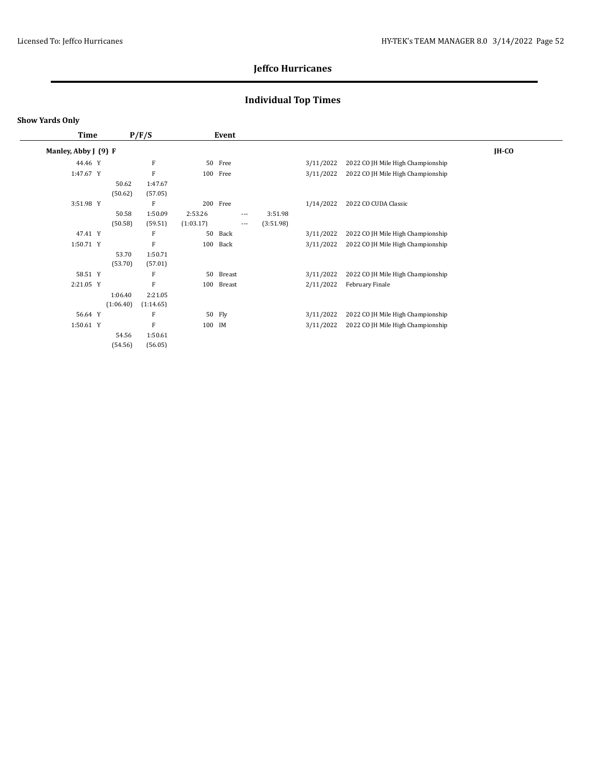## **Individual Top Times**

#### **Show Yards Only**

| Time                 |           | P/F/S     |           | Event         |          |           |           |                                   |              |
|----------------------|-----------|-----------|-----------|---------------|----------|-----------|-----------|-----------------------------------|--------------|
| Manley, Abby J (9) F |           |           |           |               |          |           |           |                                   | <b>IH-CO</b> |
| 44.46 Y              |           | F         | 50        | Free          |          |           | 3/11/2022 | 2022 CO JH Mile High Championship |              |
| 1:47.67 Y            |           | F         | 100       | Free          |          |           | 3/11/2022 | 2022 CO JH Mile High Championship |              |
|                      | 50.62     | 1:47.67   |           |               |          |           |           |                                   |              |
|                      | (50.62)   | (57.05)   |           |               |          |           |           |                                   |              |
| 3:51.98 Y            |           | F         | 200       | Free          |          |           | 1/14/2022 | 2022 CO CUDA Classic              |              |
|                      | 50.58     | 1:50.09   | 2:53.26   |               | $---$    | 3:51.98   |           |                                   |              |
|                      | (50.58)   | (59.51)   | (1:03.17) |               | $\cdots$ | (3:51.98) |           |                                   |              |
| 47.41 Y              |           | F         | 50        | Back          |          |           | 3/11/2022 | 2022 CO JH Mile High Championship |              |
| 1:50.71 Y            |           | F         | 100       | Back          |          |           | 3/11/2022 | 2022 CO JH Mile High Championship |              |
|                      | 53.70     | 1:50.71   |           |               |          |           |           |                                   |              |
|                      | (53.70)   | (57.01)   |           |               |          |           |           |                                   |              |
| 58.51 Y              |           | F         | 50        | Breast        |          |           | 3/11/2022 | 2022 CO JH Mile High Championship |              |
| 2:21.05 Y            |           | F         | 100       | <b>Breast</b> |          |           | 2/11/2022 | February Finale                   |              |
|                      | 1:06.40   | 2:21.05   |           |               |          |           |           |                                   |              |
|                      | (1:06.40) | (1:14.65) |           |               |          |           |           |                                   |              |
| 56.64 Y              |           | F         | 50        | Fly           |          |           | 3/11/2022 | 2022 CO JH Mile High Championship |              |
| 1:50.61 Y            |           | F         | 100       | IM            |          |           | 3/11/2022 | 2022 CO JH Mile High Championship |              |
|                      | 54.56     | 1:50.61   |           |               |          |           |           |                                   |              |
|                      | (54.56)   | (56.05)   |           |               |          |           |           |                                   |              |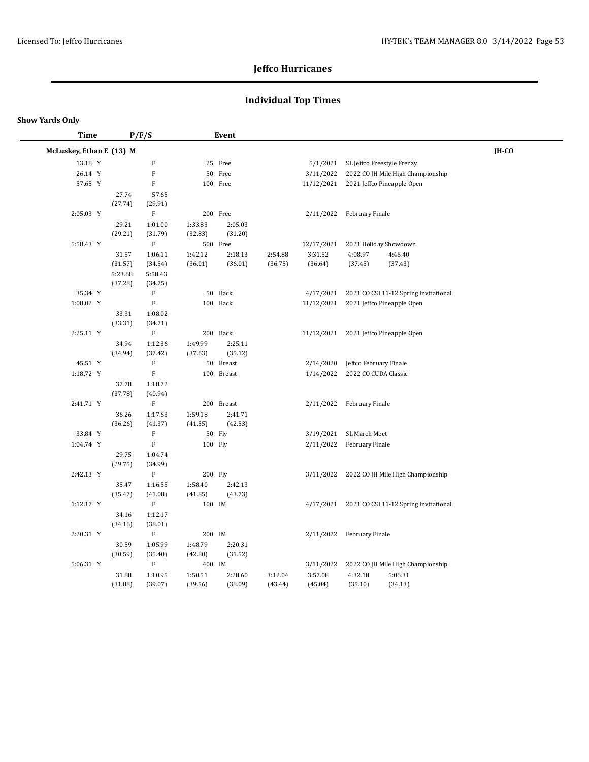## **Individual Top Times**

| Time                     |         | P/F/S                     | Event   |            |         |            |                            |                                                 |       |  |  |
|--------------------------|---------|---------------------------|---------|------------|---------|------------|----------------------------|-------------------------------------------------|-------|--|--|
| McLuskey, Ethan E (13) M |         |                           |         |            |         |            |                            |                                                 | IH-CO |  |  |
| 13.18 Y                  |         | $\boldsymbol{\mathrm{F}}$ |         | 25 Free    |         | 5/1/2021   | SL Jeffco Freestyle Frenzy |                                                 |       |  |  |
| 26.14 Y                  |         | $\mathbf F$               |         | 50 Free    |         | 3/11/2022  |                            | 2022 CO JH Mile High Championship               |       |  |  |
| 57.65 Y                  |         | $\boldsymbol{\mathrm{F}}$ |         | 100 Free   |         | 11/12/2021 |                            | 2021 Jeffco Pineapple Open                      |       |  |  |
|                          | 27.74   | 57.65                     |         |            |         |            |                            |                                                 |       |  |  |
|                          | (27.74) | (29.91)                   |         |            |         |            |                            |                                                 |       |  |  |
| 2:05.03 Y                |         | $\boldsymbol{\mathrm{F}}$ |         | 200 Free   |         | 2/11/2022  | February Finale            |                                                 |       |  |  |
|                          | 29.21   | 1:01.00                   | 1:33.83 | 2:05.03    |         |            |                            |                                                 |       |  |  |
|                          | (29.21) | (31.79)                   | (32.83) | (31.20)    |         |            |                            |                                                 |       |  |  |
| 5:58.43 Y                |         | ${\bf F}$                 |         | 500 Free   |         | 12/17/2021 | 2021 Holiday Showdown      |                                                 |       |  |  |
|                          | 31.57   | 1:06.11                   | 1:42.12 | 2:18.13    | 2:54.88 | 3:31.52    | 4:08.97                    | 4:46.40                                         |       |  |  |
|                          | (31.57) | (34.54)                   | (36.01) | (36.01)    | (36.75) | (36.64)    | (37.45)                    | (37.43)                                         |       |  |  |
|                          | 5:23.68 | 5:58.43                   |         |            |         |            |                            |                                                 |       |  |  |
|                          | (37.28) | (34.75)                   |         |            |         |            |                            |                                                 |       |  |  |
| 35.34 Y                  |         | $\boldsymbol{\mathrm{F}}$ |         | 50 Back    |         | 4/17/2021  |                            | 2021 CO CSI 11-12 Spring Invitational           |       |  |  |
| 1:08.02 Y                |         | $\mathbf F$               |         | 100 Back   |         | 11/12/2021 |                            | 2021 Jeffco Pineapple Open                      |       |  |  |
|                          | 33.31   | 1:08.02                   |         |            |         |            |                            |                                                 |       |  |  |
|                          | (33.31) | (34.71)                   |         |            |         |            |                            |                                                 |       |  |  |
| 2:25.11 Y                |         | $\mathbf F$               |         | 200 Back   |         | 11/12/2021 |                            | 2021 Jeffco Pineapple Open                      |       |  |  |
|                          | 34.94   | 1:12.36                   | 1:49.99 | 2:25.11    |         |            |                            |                                                 |       |  |  |
|                          | (34.94) | (37.42)                   | (37.63) | (35.12)    |         |            |                            |                                                 |       |  |  |
| 45.51 Y                  |         | $\mathbf F$               |         | 50 Breast  |         | 2/14/2020  | Jeffco February Finale     |                                                 |       |  |  |
| 1:18.72 Y                |         | $\mathbf F$               |         | 100 Breast |         | 1/14/2022  | 2022 CO CUDA Classic       |                                                 |       |  |  |
|                          | 37.78   | 1:18.72                   |         |            |         |            |                            |                                                 |       |  |  |
| 2:41.71 Y                | (37.78) | (40.94)<br>$\mathbf F$    |         | 200 Breast |         | 2/11/2022  | February Finale            |                                                 |       |  |  |
|                          | 36.26   | 1:17.63                   | 1:59.18 | 2:41.71    |         |            |                            |                                                 |       |  |  |
|                          | (36.26) | (41.37)                   | (41.55) | (42.53)    |         |            |                            |                                                 |       |  |  |
| 33.84 Y                  |         | $\mathbf F$               |         | 50 Fly     |         | 3/19/2021  | SL March Meet              |                                                 |       |  |  |
| 1:04.74 Y                |         | $\mathbf F$               | 100 Fly |            |         | 2/11/2022  | February Finale            |                                                 |       |  |  |
|                          | 29.75   | 1:04.74                   |         |            |         |            |                            |                                                 |       |  |  |
|                          | (29.75) | (34.99)                   |         |            |         |            |                            |                                                 |       |  |  |
| 2:42.13 Y                |         | $\mathbf F$               | 200 Fly |            |         | 3/11/2022  |                            | 2022 CO JH Mile High Championship               |       |  |  |
|                          | 35.47   | 1:16.55                   | 1:58.40 | 2:42.13    |         |            |                            |                                                 |       |  |  |
|                          | (35.47) | (41.08)                   | (41.85) | (43.73)    |         |            |                            |                                                 |       |  |  |
| 1:12.17 Y                |         | $\rm F$                   | 100 IM  |            |         |            |                            | 4/17/2021 2021 CO CSI 11-12 Spring Invitational |       |  |  |
|                          | 34.16   | 1:12.17                   |         |            |         |            |                            |                                                 |       |  |  |
|                          | (34.16) | (38.01)                   |         |            |         |            |                            |                                                 |       |  |  |
| 2:20.31 Y                |         | $\rm F$                   | 200 IM  |            |         | 2/11/2022  | February Finale            |                                                 |       |  |  |
|                          | 30.59   | 1:05.99                   | 1:48.79 | 2:20.31    |         |            |                            |                                                 |       |  |  |
|                          | (30.59) | (35.40)                   | (42.80) | (31.52)    |         |            |                            |                                                 |       |  |  |
| 5:06.31 Y                |         | $\rm F$                   | 400 IM  |            |         | 3/11/2022  |                            | 2022 CO JH Mile High Championship               |       |  |  |
|                          | 31.88   | 1:10.95                   | 1:50.51 | 2:28.60    | 3:12.04 | 3:57.08    | 4:32.18                    | 5:06.31                                         |       |  |  |
|                          | (31.88) | (39.07)                   | (39.56) | (38.09)    | (43.44) | (45.04)    | (35.10)                    | (34.13)                                         |       |  |  |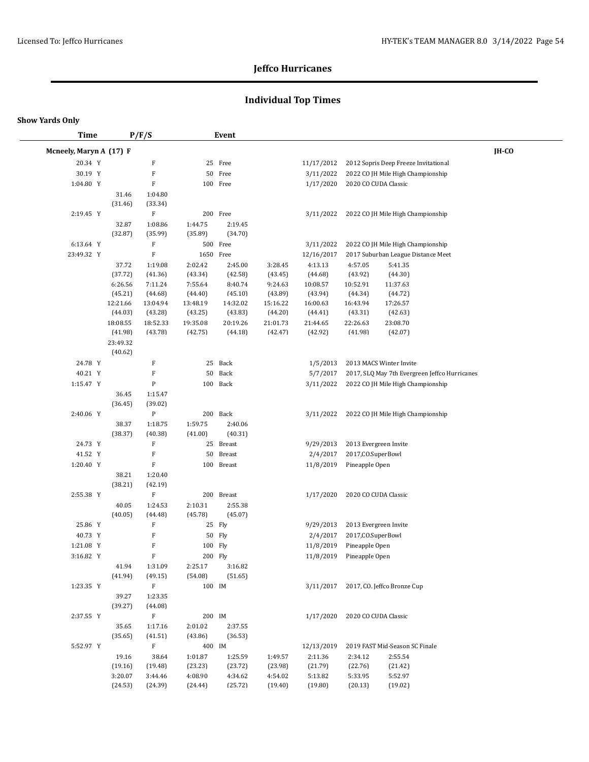## **Individual Top Times**

| <b>Time</b>             |                  | P/F/S                     |           | Event      |          |            |                       |                                               |       |
|-------------------------|------------------|---------------------------|-----------|------------|----------|------------|-----------------------|-----------------------------------------------|-------|
| Mcneely, Maryn A (17) F |                  |                           |           |            |          |            |                       |                                               | IH-CO |
| 20.34 Y                 |                  | F                         |           | 25 Free    |          | 11/17/2012 |                       | 2012 Sopris Deep Freeze Invitational          |       |
| 30.19 Y                 |                  | $\mathbf F$               |           | 50 Free    |          | 3/11/2022  |                       | 2022 CO JH Mile High Championship             |       |
| 1:04.80 Y               |                  | $\mathbf F$               |           | 100 Free   |          | 1/17/2020  | 2020 CO CUDA Classic  |                                               |       |
|                         | 31.46            | 1:04.80                   |           |            |          |            |                       |                                               |       |
|                         | (31.46)          | (33.34)                   |           |            |          |            |                       |                                               |       |
| 2:19.45 Y               |                  | $\mathbf F$               |           | 200 Free   |          | 3/11/2022  |                       | 2022 CO JH Mile High Championship             |       |
|                         | 32.87            | 1:08.86                   | 1:44.75   | 2:19.45    |          |            |                       |                                               |       |
|                         | (32.87)          | (35.99)                   | (35.89)   | (34.70)    |          |            |                       |                                               |       |
| 6:13.64 Y               |                  | $\mathbf F$               |           | 500 Free   |          | 3/11/2022  |                       | 2022 CO JH Mile High Championship             |       |
| 23:49.32 Y              |                  | $\mathbf F$               | 1650 Free |            |          | 12/16/2017 |                       | 2017 Suburban League Distance Meet            |       |
|                         | 37.72            | 1:19.08                   | 2:02.42   | 2:45.00    | 3:28.45  | 4:13.13    | 4:57.05               | 5:41.35                                       |       |
|                         | (37.72)          | (41.36)                   | (43.34)   | (42.58)    | (43.45)  | (44.68)    | (43.92)               | (44.30)                                       |       |
|                         | 6:26.56          | 7:11.24                   | 7:55.64   | 8:40.74    | 9:24.63  | 10:08.57   | 10:52.91              | 11:37.63                                      |       |
|                         | (45.21)          | (44.68)                   | (44.40)   | (45.10)    | (43.89)  | (43.94)    | (44.34)               | (44.72)                                       |       |
|                         | 12:21.66         | 13:04.94                  | 13:48.19  | 14:32.02   | 15:16.22 | 16:00.63   | 16:43.94              | 17:26.57                                      |       |
|                         | (44.03)          | (43.28)                   | (43.25)   | (43.83)    | (44.20)  | (44.41)    | (43.31)               | (42.63)                                       |       |
|                         | 18:08.55         | 18:52.33                  | 19:35.08  | 20:19.26   | 21:01.73 | 21:44.65   | 22:26.63              | 23:08.70                                      |       |
|                         | (41.98)          | (43.78)                   | (42.75)   | (44.18)    | (42.47)  | (42.92)    | (41.98)               | (42.07)                                       |       |
|                         | 23:49.32         |                           |           |            |          |            |                       |                                               |       |
|                         | (40.62)          |                           |           |            |          |            |                       |                                               |       |
| 24.78 Y                 |                  | $\mathbf F$               |           | 25 Back    |          | 1/5/2013   |                       | 2013 MACS Winter Invite                       |       |
| 40.21 Y                 |                  | $\mathbf F$               | 50        | Back       |          | 5/7/2017   |                       | 2017, SLQ May 7th Evergreen Jeffco Hurricanes |       |
| 1:15.47 Y               |                  | $\, {\bf p}$              |           | 100 Back   |          | 3/11/2022  |                       | 2022 CO JH Mile High Championship             |       |
|                         | 36.45            | 1:15.47                   |           |            |          |            |                       |                                               |       |
| 2:40.06 Y               | (36.45)          | (39.02)<br>$\, {\bf p}$   |           | 200 Back   |          | 3/11/2022  |                       |                                               |       |
|                         | 38.37            | 1:18.75                   | 1:59.75   | 2:40.06    |          |            |                       | 2022 CO JH Mile High Championship             |       |
|                         | (38.37)          | (40.38)                   | (41.00)   | (40.31)    |          |            |                       |                                               |       |
| 24.73 Y                 |                  | $\mathbf F$               |           | 25 Breast  |          | 9/29/2013  | 2013 Evergreen Invite |                                               |       |
| 41.52 Y                 |                  | $\mathbf F$               | 50        | Breast     |          | 2/4/2017   | 2017, CO. SuperBowl   |                                               |       |
| 1:20.40 Y               |                  | $\mathbf F$               |           | 100 Breast |          | 11/8/2019  | Pineapple Open        |                                               |       |
|                         | 38.21            | 1:20.40                   |           |            |          |            |                       |                                               |       |
|                         | (38.21)          | (42.19)                   |           |            |          |            |                       |                                               |       |
| 2:55.38 Y               |                  | $\mathbf F$               |           | 200 Breast |          | 1/17/2020  | 2020 CO CUDA Classic  |                                               |       |
|                         | 40.05            | 1:24.53                   | 2:10.31   | 2:55.38    |          |            |                       |                                               |       |
|                         | (40.05)          | (44.48)                   | (45.78)   | (45.07)    |          |            |                       |                                               |       |
| 25.86 Y                 |                  | $\mathbf F$               |           | 25 Fly     |          | 9/29/2013  | 2013 Evergreen Invite |                                               |       |
| 40.73 Y                 |                  | $\rm F$                   |           | 50 Fly     |          | 2/4/2017   | 2017, CO. SuperBowl   |                                               |       |
| 1:21.08 Y               |                  | $\boldsymbol{\mathrm{F}}$ | 100 Fly   |            |          | 11/8/2019  | Pineapple Open        |                                               |       |
| 3:16.82 Y               |                  | ${\bf F}$                 | 200 Fly   |            |          | 11/8/2019  | Pineapple Open        |                                               |       |
|                         | 41.94            | 1:31.09                   | 2:25.17   | 3:16.82    |          |            |                       |                                               |       |
|                         | (41.94)          | (49.15)                   | (54.08)   | (51.65)    |          |            |                       |                                               |       |
| 1:23.35 Y               |                  | $\mathbf F$               | 100 IM    |            |          |            |                       | 3/11/2017 2017, CO. Jeffco Bronze Cup         |       |
|                         | 39.27<br>(39.27) | 1:23.35<br>(44.08)        |           |            |          |            |                       |                                               |       |
| 2:37.55 Y               |                  | $\mathbf F$               | 200 IM    |            |          | 1/17/2020  | 2020 CO CUDA Classic  |                                               |       |
|                         | 35.65            | 1:17.16                   | 2:01.02   | 2:37.55    |          |            |                       |                                               |       |
|                         | (35.65)          | (41.51)                   | (43.86)   | (36.53)    |          |            |                       |                                               |       |
| 5:52.97 Y               |                  | F                         | 400 IM    |            |          | 12/13/2019 |                       | 2019 FAST Mid-Season SC Finale                |       |
|                         | 19.16            | 38.64                     | 1:01.87   | 1:25.59    | 1:49.57  | 2:11.36    | 2:34.12               | 2:55.54                                       |       |
|                         | (19.16)          | (19.48)                   | (23.23)   | (23.72)    | (23.98)  | (21.79)    | (22.76)               | (21.42)                                       |       |
|                         | 3:20.07          | 3:44.46                   | 4:08.90   | 4:34.62    | 4:54.02  | 5:13.82    | 5:33.95               | 5:52.97                                       |       |
|                         | (24.53)          | (24.39)                   | (24.44)   | (25.72)    | (19.40)  | (19.80)    | (20.13)               | (19.02)                                       |       |
|                         |                  |                           |           |            |          |            |                       |                                               |       |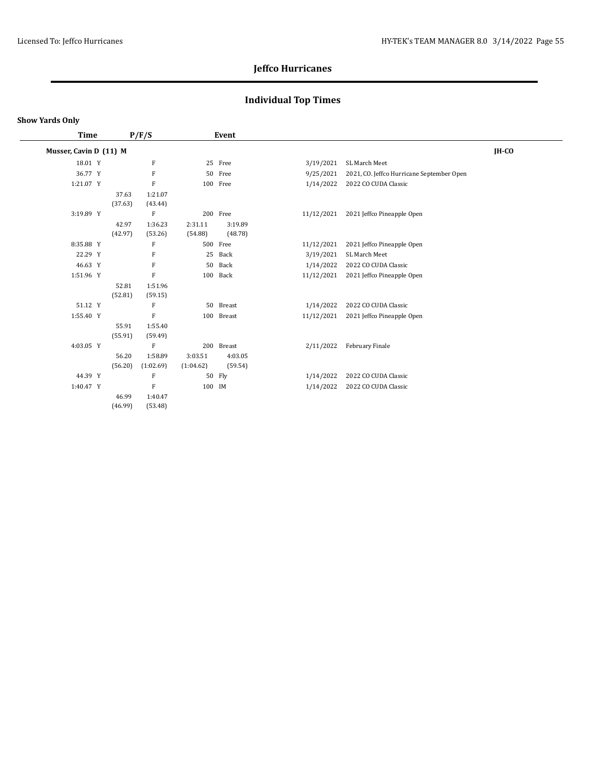## **Individual Top Times**

#### **Show Yards Only**

 $\overline{\phantom{0}}$ 

| Time                   |         | P/F/S        |           | Event      |            |                                           |       |
|------------------------|---------|--------------|-----------|------------|------------|-------------------------------------------|-------|
| Musser, Cavin D (11) M |         |              |           |            |            |                                           | IH-CO |
| 18.01 Y                |         | F            |           | 25 Free    | 3/19/2021  | SL March Meet                             |       |
| 36.77 Y                |         | F            |           | 50 Free    | 9/25/2021  | 2021, CO. Jeffco Hurricane September Open |       |
| 1:21.07 Y              |         | $\mathbf F$  |           | 100 Free   | 1/14/2022  | 2022 CO CUDA Classic                      |       |
|                        | 37.63   | 1:21.07      |           |            |            |                                           |       |
|                        | (37.63) | (43.44)      |           |            |            |                                           |       |
| 3:19.89 Y              |         | $\mathbf F$  |           | 200 Free   | 11/12/2021 | 2021 Jeffco Pineapple Open                |       |
|                        | 42.97   | 1:36.23      | 2:31.11   | 3:19.89    |            |                                           |       |
|                        | (42.97) | (53.26)      | (54.88)   | (48.78)    |            |                                           |       |
| 8:35.88 Y              |         | F            |           | 500 Free   | 11/12/2021 | 2021 Jeffco Pineapple Open                |       |
| 22.29 Y                |         | F            |           | 25 Back    | 3/19/2021  | SL March Meet                             |       |
| 46.63 Y                |         | F            |           | 50 Back    | 1/14/2022  | 2022 CO CUDA Classic                      |       |
| 1:51.96 Y              |         | $\mathbf F$  |           | 100 Back   | 11/12/2021 | 2021 Jeffco Pineapple Open                |       |
|                        | 52.81   | 1:51.96      |           |            |            |                                           |       |
|                        | (52.81) | (59.15)      |           |            |            |                                           |       |
| 51.12 Y                |         | F            |           | 50 Breast  | 1/14/2022  | 2022 CO CUDA Classic                      |       |
| 1:55.40 Y              |         | F            |           | 100 Breast | 11/12/2021 | 2021 Jeffco Pineapple Open                |       |
|                        | 55.91   | 1:55.40      |           |            |            |                                           |       |
|                        | (55.91) | (59.49)      |           |            |            |                                           |       |
| 4:03.05 Y              |         | $\mathbf{F}$ |           | 200 Breast | 2/11/2022  | February Finale                           |       |
|                        | 56.20   | 1:58.89      | 3:03.51   | 4:03.05    |            |                                           |       |
|                        | (56.20) | (1:02.69)    | (1:04.62) | (59.54)    |            |                                           |       |
| 44.39 Y                |         | F            |           | 50 Fly     | 1/14/2022  | 2022 CO CUDA Classic                      |       |
| 1:40.47 Y              |         | $\mathbf F$  | 100 IM    |            | 1/14/2022  | 2022 CO CUDA Classic                      |       |
|                        | 46.99   | 1:40.47      |           |            |            |                                           |       |
|                        | (46.99) | (53.48)      |           |            |            |                                           |       |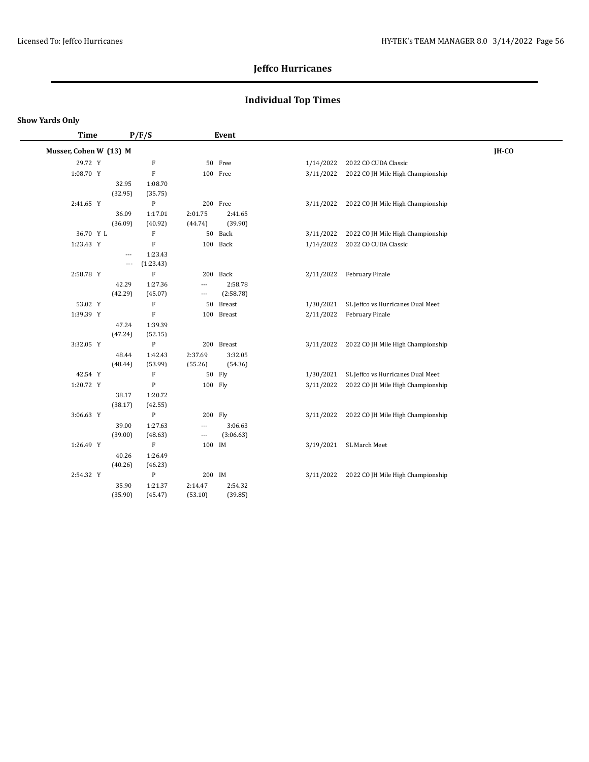## **Individual Top Times**

| Time                   |         | P/F/S        |                          | Event      |           |                           |                                   |       |
|------------------------|---------|--------------|--------------------------|------------|-----------|---------------------------|-----------------------------------|-------|
| Musser, Cohen W (13) M |         |              |                          |            |           |                           |                                   | IH-CO |
| 29.72 Y                |         | $\rm F$      |                          | 50 Free    | 1/14/2022 | 2022 CO CUDA Classic      |                                   |       |
| 1:08.70 Y              |         | F            |                          | 100 Free   | 3/11/2022 |                           | 2022 CO JH Mile High Championship |       |
|                        | 32.95   | 1:08.70      |                          |            |           |                           |                                   |       |
|                        | (32.95) | (35.75)      |                          |            |           |                           |                                   |       |
| 2:41.65 Y              |         | $\mathbf{P}$ |                          | 200 Free   | 3/11/2022 |                           | 2022 CO JH Mile High Championship |       |
|                        | 36.09   | 1:17.01      | 2:01.75                  | 2:41.65    |           |                           |                                   |       |
|                        | (36.09) | (40.92)      | (44.74)                  | (39.90)    |           |                           |                                   |       |
| 36.70 Y L              |         | ${\bf F}$    |                          | 50 Back    | 3/11/2022 |                           | 2022 CO JH Mile High Championship |       |
| 1:23.43 Y              |         | $\mathbf{F}$ |                          | 100 Back   | 1/14/2022 | 2022 CO CUDA Classic      |                                   |       |
|                        | $---$   | 1:23.43      |                          |            |           |                           |                                   |       |
|                        | $---$   | (1:23.43)    |                          |            |           |                           |                                   |       |
| 2:58.78 Y              |         | $\mathbf{F}$ |                          | 200 Back   |           | 2/11/2022 February Finale |                                   |       |
|                        | 42.29   | 1:27.36      | $\overline{\phantom{a}}$ | 2:58.78    |           |                           |                                   |       |
|                        | (42.29) | (45.07)      | $\hspace{0.05cm} \ldots$ | (2:58.78)  |           |                           |                                   |       |
| 53.02 Y                |         | ${\bf F}$    | 50                       | Breast     | 1/30/2021 |                           | SL Jeffco vs Hurricanes Dual Meet |       |
| 1:39.39 Y              |         | $\mathbf{F}$ |                          | 100 Breast | 2/11/2022 | February Finale           |                                   |       |
|                        | 47.24   | 1:39.39      |                          |            |           |                           |                                   |       |
|                        | (47.24) | (52.15)      |                          |            |           |                           |                                   |       |
| 3:32.05 Y              |         | $\mathbf{P}$ |                          | 200 Breast | 3/11/2022 |                           | 2022 CO JH Mile High Championship |       |
|                        | 48.44   | 1:42.43      | 2:37.69                  | 3:32.05    |           |                           |                                   |       |
|                        | (48.44) | (53.99)      | (55.26)                  | (54.36)    |           |                           |                                   |       |
| 42.54 Y                |         | ${\bf F}$    |                          | 50 Fly     | 1/30/2021 |                           | SL Jeffco vs Hurricanes Dual Meet |       |
| 1:20.72 Y              |         | $\mathbf{P}$ | 100 Fly                  |            | 3/11/2022 |                           | 2022 CO JH Mile High Championship |       |
|                        | 38.17   | 1:20.72      |                          |            |           |                           |                                   |       |
|                        | (38.17) | (42.55)      |                          |            |           |                           |                                   |       |
| 3:06.63 Y              |         | $\mathbf{P}$ | 200 Fly                  |            | 3/11/2022 |                           | 2022 CO JH Mile High Championship |       |
|                        | 39.00   | 1:27.63      | ---                      | 3:06.63    |           |                           |                                   |       |
|                        | (39.00) | (48.63)      | $\qquad \qquad -$        | (3:06.63)  |           |                           |                                   |       |
| 1:26.49 Y              |         | ${\bf F}$    | 100 IM                   |            | 3/19/2021 | SL March Meet             |                                   |       |
|                        | 40.26   | 1:26.49      |                          |            |           |                           |                                   |       |
|                        | (40.26) | (46.23)      |                          |            |           |                           |                                   |       |
| 2:54.32 Y              |         | $\, {\bf p}$ | 200 IM                   |            | 3/11/2022 |                           | 2022 CO JH Mile High Championship |       |
|                        | 35.90   | 1:21.37      | 2:14.47                  | 2:54.32    |           |                           |                                   |       |
|                        | (35.90) | (45.47)      | (53.10)                  | (39.85)    |           |                           |                                   |       |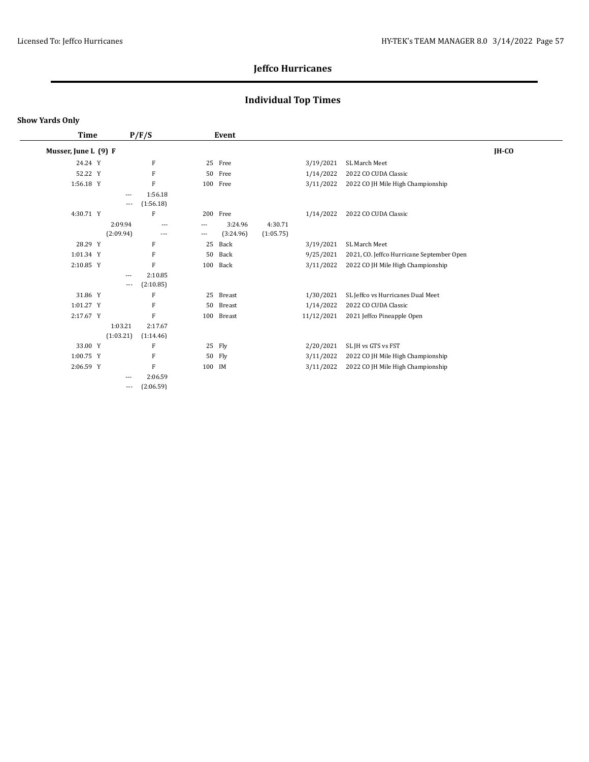## **Individual Top Times**

| Time                 |           | P/F/S     |        | Event      |           |            |                                           |       |
|----------------------|-----------|-----------|--------|------------|-----------|------------|-------------------------------------------|-------|
| Musser, June L (9) F |           |           |        |            |           |            |                                           | IH-CO |
| 24.24 Y              |           | F         |        | 25 Free    |           | 3/19/2021  | SL March Meet                             |       |
| 52.22 Y              |           | F         |        | 50 Free    |           | 1/14/2022  | 2022 CO CUDA Classic                      |       |
| 1:56.18 Y            |           | F         |        | 100 Free   |           | 3/11/2022  | 2022 CO JH Mile High Championship         |       |
|                      | $---$     | 1:56.18   |        |            |           |            |                                           |       |
|                      | ---       | (1:56.18) |        |            |           |            |                                           |       |
| 4:30.71 Y            |           | F         |        | 200 Free   |           | 1/14/2022  | 2022 CO CUDA Classic                      |       |
|                      | 2:09.94   | $\cdots$  | ---    | 3:24.96    | 4:30.71   |            |                                           |       |
|                      | (2:09.94) | $\cdots$  | ---    | (3:24.96)  | (1:05.75) |            |                                           |       |
| 28.29 Y              |           | F         | 25     | Back       |           | 3/19/2021  | SL March Meet                             |       |
| 1:01.34 Y            |           | F         | 50     | Back       |           | 9/25/2021  | 2021, CO. Jeffco Hurricane September Open |       |
| 2:10.85 Y            |           | F         | 100    | Back       |           | 3/11/2022  | 2022 CO JH Mile High Championship         |       |
|                      | $---$     | 2:10.85   |        |            |           |            |                                           |       |
|                      | ---       | (2:10.85) |        |            |           |            |                                           |       |
| 31.86 Y              |           | F         |        | 25 Breast  |           | 1/30/2021  | SL Jeffco vs Hurricanes Dual Meet         |       |
| 1:01.27 Y            |           | F         |        | 50 Breast  |           | 1/14/2022  | 2022 CO CUDA Classic                      |       |
| 2:17.67 Y            |           | F         |        | 100 Breast |           | 11/12/2021 | 2021 Jeffco Pineapple Open                |       |
|                      | 1:03.21   | 2:17.67   |        |            |           |            |                                           |       |
|                      | (1:03.21) | (1:14.46) |        |            |           |            |                                           |       |
| 33.00 Y              |           | F         |        | 25 Fly     |           | 2/20/2021  | SL JH vs GTS vs FST                       |       |
| $1:00.75$ Y          |           | F         |        | 50 Fly     |           | 3/11/2022  | 2022 CO JH Mile High Championship         |       |
| 2:06.59 Y            |           | F         | 100 IM |            |           | 3/11/2022  | 2022 CO JH Mile High Championship         |       |
|                      | $---$     | 2:06.59   |        |            |           |            |                                           |       |
|                      | $---$     | (2:06.59) |        |            |           |            |                                           |       |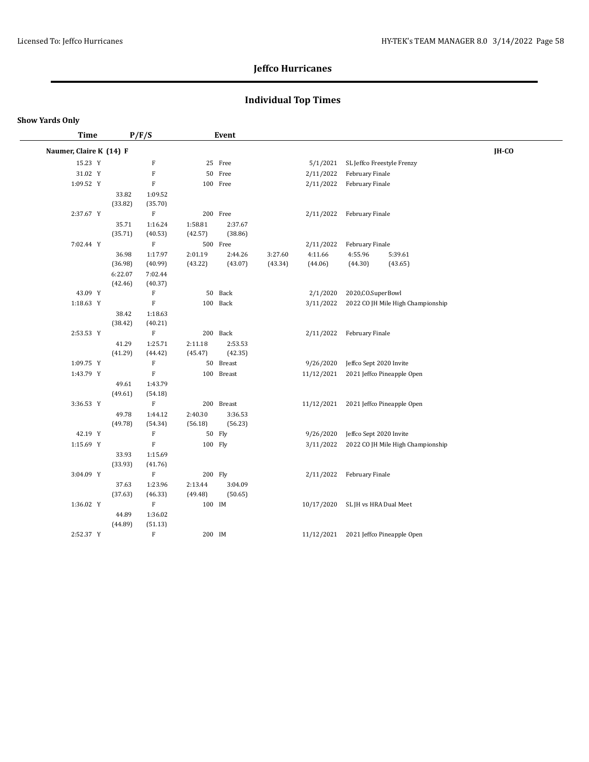## **Individual Top Times**

| Time                    |         | P/F/S                     |         | Event      |         |                                   |                         |                                       |       |
|-------------------------|---------|---------------------------|---------|------------|---------|-----------------------------------|-------------------------|---------------------------------------|-------|
| Naumer, Claire K (14) F |         |                           |         |            |         |                                   |                         |                                       | IH-CO |
| 15.23 Y                 |         | F                         |         | 25 Free    |         | 5/1/2021                          |                         | SL Jeffco Freestyle Frenzy            |       |
| 31.02 Y                 |         | $\boldsymbol{\mathrm{F}}$ |         | 50 Free    |         | 2/11/2022                         | February Finale         |                                       |       |
| 1:09.52 Y               |         | ${\bf F}$                 |         | 100 Free   |         | 2/11/2022                         | February Finale         |                                       |       |
|                         | 33.82   | 1:09.52                   |         |            |         |                                   |                         |                                       |       |
|                         | (33.82) | (35.70)                   |         |            |         |                                   |                         |                                       |       |
| 2:37.67 Y               |         | $\rm F$                   |         | 200 Free   |         | 2/11/2022                         | February Finale         |                                       |       |
|                         | 35.71   | 1:16.24                   | 1:58.81 | 2:37.67    |         |                                   |                         |                                       |       |
|                         | (35.71) | (40.53)                   | (42.57) | (38.86)    |         |                                   |                         |                                       |       |
| 7:02.44 Y               |         | $\mathbf F$               |         | 500 Free   |         | 2/11/2022                         | February Finale         |                                       |       |
|                         | 36.98   | 1:17.97                   | 2:01.19 | 2:44.26    | 3:27.60 | 4:11.66                           | 4:55.96                 | 5:39.61                               |       |
|                         | (36.98) | (40.99)                   | (43.22) | (43.07)    | (43.34) | (44.06)                           | (44.30)                 | (43.65)                               |       |
|                         | 6:22.07 | 7:02.44                   |         |            |         |                                   |                         |                                       |       |
|                         | (42.46) | (40.37)                   |         |            |         |                                   |                         |                                       |       |
| 43.09 Y                 |         | F                         |         | 50 Back    |         | 2/1/2020                          | 2020, CO. SuperBowl     |                                       |       |
| 1:18.63 Y               |         | ${\bf F}$                 |         | 100 Back   |         | 3/11/2022                         |                         | 2022 CO JH Mile High Championship     |       |
|                         | 38.42   | 1:18.63                   |         |            |         |                                   |                         |                                       |       |
|                         | (38.42) | (40.21)                   |         |            |         |                                   |                         |                                       |       |
| 2:53.53 Y               |         | $\rm F$                   |         | 200 Back   |         | 2/11/2022                         | February Finale         |                                       |       |
|                         | 41.29   | 1:25.71                   | 2:11.18 | 2:53.53    |         |                                   |                         |                                       |       |
|                         | (41.29) | (44.42)                   | (45.47) | (42.35)    |         |                                   |                         |                                       |       |
| 1:09.75 Y               |         | $\boldsymbol{\mathrm{F}}$ |         | 50 Breast  |         | 9/26/2020                         | Jeffco Sept 2020 Invite |                                       |       |
| 1:43.79 Y               |         | ${\bf F}$                 |         | 100 Breast |         | 11/12/2021                        |                         | 2021 Jeffco Pineapple Open            |       |
|                         | 49.61   | 1:43.79                   |         |            |         |                                   |                         |                                       |       |
|                         | (49.61) | (54.18)                   |         |            |         |                                   |                         |                                       |       |
| 3:36.53 Y               |         | $\mathbf F$               |         | 200 Breast |         |                                   |                         | 11/12/2021 2021 Jeffco Pineapple Open |       |
|                         | 49.78   | 1:44.12                   | 2:40.30 | 3:36.53    |         |                                   |                         |                                       |       |
|                         | (49.78) | (54.34)                   | (56.18) | (56.23)    |         |                                   |                         |                                       |       |
| 42.19 Y                 |         | F                         |         | 50 Fly     |         | 9/26/2020                         | Jeffco Sept 2020 Invite |                                       |       |
| 1:15.69 Y               |         | ${\bf F}$                 | 100 Fly |            |         | 3/11/2022                         |                         | 2022 CO JH Mile High Championship     |       |
|                         | 33.93   | 1:15.69                   |         |            |         |                                   |                         |                                       |       |
|                         | (33.93) | (41.76)                   |         |            |         |                                   |                         |                                       |       |
| 3:04.09 Y               |         | $\rm F$                   | 200 Fly |            |         | 2/11/2022                         | February Finale         |                                       |       |
|                         | 37.63   | 1:23.96                   | 2:13.44 | 3:04.09    |         |                                   |                         |                                       |       |
|                         | (37.63) | (46.33)                   | (49.48) | (50.65)    |         |                                   |                         |                                       |       |
| 1:36.02 Y               |         | $\mathbf F$               | 100 IM  |            |         | 10/17/2020 SL JH vs HRA Dual Meet |                         |                                       |       |
|                         | 44.89   | 1:36.02                   |         |            |         |                                   |                         |                                       |       |
|                         | (44.89) | (51.13)                   |         |            |         |                                   |                         |                                       |       |
| 2:52.37 Y               |         | ${\bf F}$                 | 200 IM  |            |         | 11/12/2021                        |                         | 2021 Jeffco Pineapple Open            |       |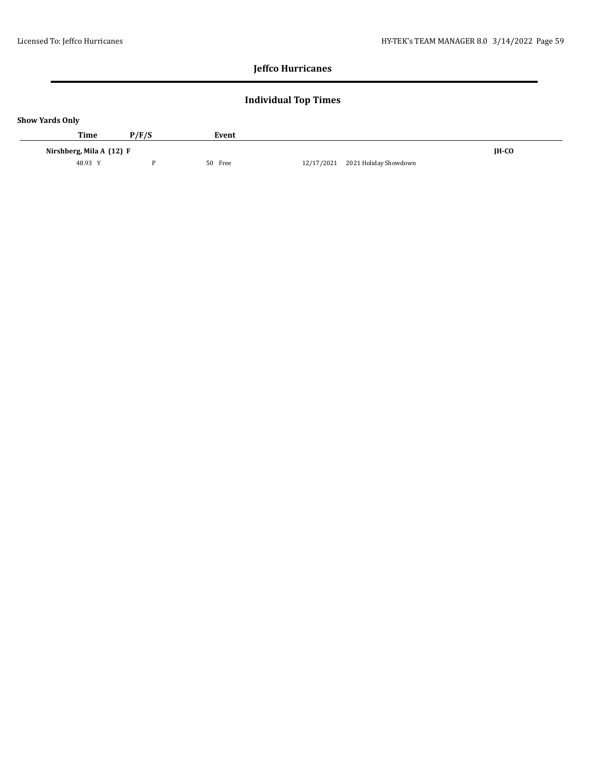## **Individual Top Times**

| <b>Show Yards Only</b> |                          |       |         |                                     |              |  |  |  |  |  |  |  |
|------------------------|--------------------------|-------|---------|-------------------------------------|--------------|--|--|--|--|--|--|--|
|                        | Time                     | P/F/S | Event   |                                     |              |  |  |  |  |  |  |  |
|                        | Nirshberg, Mila A (12) F |       |         |                                     | <b>IH-CO</b> |  |  |  |  |  |  |  |
|                        | 48.93 Y                  |       | 50 Free | 2021 Holiday Showdown<br>12/17/2021 |              |  |  |  |  |  |  |  |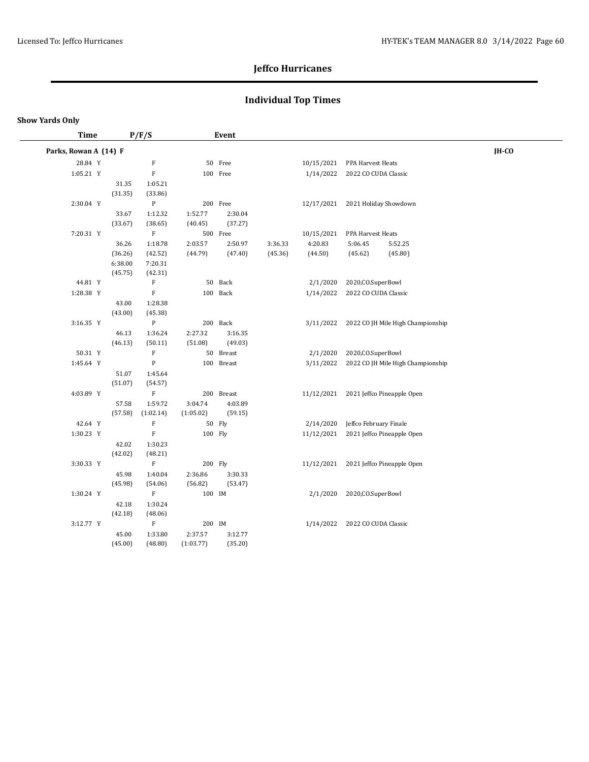# **Individual Top Times**

| <b>Time</b>           |                  | P/F/S                      |           | Event      |         |            |                        |                                   |       |  |
|-----------------------|------------------|----------------------------|-----------|------------|---------|------------|------------------------|-----------------------------------|-------|--|
| Parks, Rowan A (14) F |                  |                            |           |            |         |            |                        |                                   | IH-CO |  |
| 28.84 Y               |                  | $\mathbf F$                |           | 50 Free    |         | 10/15/2021 | PPA Harvest Heats      |                                   |       |  |
| 1:05.21 Y             |                  | $\mathbf F$                |           | 100 Free   |         | 1/14/2022  | 2022 CO CUDA Classic   |                                   |       |  |
|                       | 31.35            | 1:05.21                    |           |            |         |            |                        |                                   |       |  |
|                       | (31.35)          | (33.86)                    |           |            |         |            |                        |                                   |       |  |
| 2:30.04 Y             |                  | $\, {\bf p}$               |           | 200 Free   |         | 12/17/2021 | 2021 Holiday Showdown  |                                   |       |  |
|                       | 33.67            | 1:12.32                    | 1:52.77   | 2:30.04    |         |            |                        |                                   |       |  |
|                       | (33.67)          | (38.65)                    | (40.45)   | (37.27)    |         |            |                        |                                   |       |  |
| 7:20.31 Y             |                  | $\mathbf F$                |           | 500 Free   |         | 10/15/2021 | PPA Harvest Heats      |                                   |       |  |
|                       | 36.26            | 1:18.78                    | 2:03.57   | 2:50.97    | 3:36.33 | 4:20.83    | 5:06.45                | 5:52.25                           |       |  |
|                       | (36.26)          | (42.52)                    | (44.79)   | (47.40)    | (45.36) | (44.50)    | (45.62)                | (45.80)                           |       |  |
|                       | 6:38.00          | 7:20.31                    |           |            |         |            |                        |                                   |       |  |
| 44.81 Y               | (45.75)          | (42.31)                    |           | 50 Back    |         |            | 2020, CO. SuperBowl    |                                   |       |  |
| 1:28.38 Y             |                  | $\mathbf F$<br>$\mathbf F$ |           | 100 Back   |         | 2/1/2020   |                        |                                   |       |  |
|                       |                  |                            |           |            |         | 1/14/2022  | 2022 CO CUDA Classic   |                                   |       |  |
|                       | 43.00<br>(43.00) | 1:28.38<br>(45.38)         |           |            |         |            |                        |                                   |       |  |
| 3:16.35 Y             |                  | $\, {\bf P}$               |           | 200 Back   |         | 3/11/2022  |                        | 2022 CO JH Mile High Championship |       |  |
|                       | 46.13            | 1:36.24                    | 2:27.32   | 3:16.35    |         |            |                        |                                   |       |  |
|                       | (46.13)          | (50.11)                    | (51.08)   | (49.03)    |         |            |                        |                                   |       |  |
| 50.31 Y               |                  | $\mathbf F$                |           | 50 Breast  |         | 2/1/2020   | 2020, CO. SuperBowl    |                                   |       |  |
| 1:45.64 Y             |                  | $\mathbf{P}$               |           | 100 Breast |         | 3/11/2022  |                        | 2022 CO JH Mile High Championship |       |  |
|                       | 51.07            | 1:45.64                    |           |            |         |            |                        |                                   |       |  |
|                       | (51.07)          | (54.57)                    |           |            |         |            |                        |                                   |       |  |
| 4:03.89 Y             |                  | $\mathbf F$                |           | 200 Breast |         | 11/12/2021 |                        | 2021 Jeffco Pineapple Open        |       |  |
|                       | 57.58            | 1:59.72                    | 3:04.74   | 4:03.89    |         |            |                        |                                   |       |  |
|                       | (57.58)          | (1:02.14)                  | (1:05.02) | (59.15)    |         |            |                        |                                   |       |  |
| 42.64 Y               |                  | $\rm F$                    |           | 50 Fly     |         | 2/14/2020  | Jeffco February Finale |                                   |       |  |
| 1:30.23 Y             |                  | $\mathbf F$                | 100 Fly   |            |         | 11/12/2021 |                        | 2021 Jeffco Pineapple Open        |       |  |
|                       | 42.02            | 1:30.23                    |           |            |         |            |                        |                                   |       |  |
|                       | (42.02)          | (48.21)                    |           |            |         |            |                        |                                   |       |  |
| 3:30.33 Y             |                  | $\mathbf F$                |           | 200 Fly    |         | 11/12/2021 |                        | 2021 Jeffco Pineapple Open        |       |  |
|                       | 45.98            | 1:40.04                    | 2:36.86   | 3:30.33    |         |            |                        |                                   |       |  |
|                       | (45.98)          | (54.06)                    | (56.82)   | (53.47)    |         |            |                        |                                   |       |  |
| 1:30.24 Y             |                  | $\mathbf F$                | 100 IM    |            |         | 2/1/2020   | 2020, CO. SuperBowl    |                                   |       |  |
|                       | 42.18            | 1:30.24                    |           |            |         |            |                        |                                   |       |  |
|                       | (42.18)          | (48.06)                    |           |            |         |            |                        |                                   |       |  |
| 3:12.77 Y             |                  | $\mathbf F$                | 200 IM    |            |         | 1/14/2022  | 2022 CO CUDA Classic   |                                   |       |  |
|                       | 45.00            | 1:33.80                    | 2:37.57   | 3:12.77    |         |            |                        |                                   |       |  |
|                       | (45.00)          | (48.80)                    | (1:03.77) | (35.20)    |         |            |                        |                                   |       |  |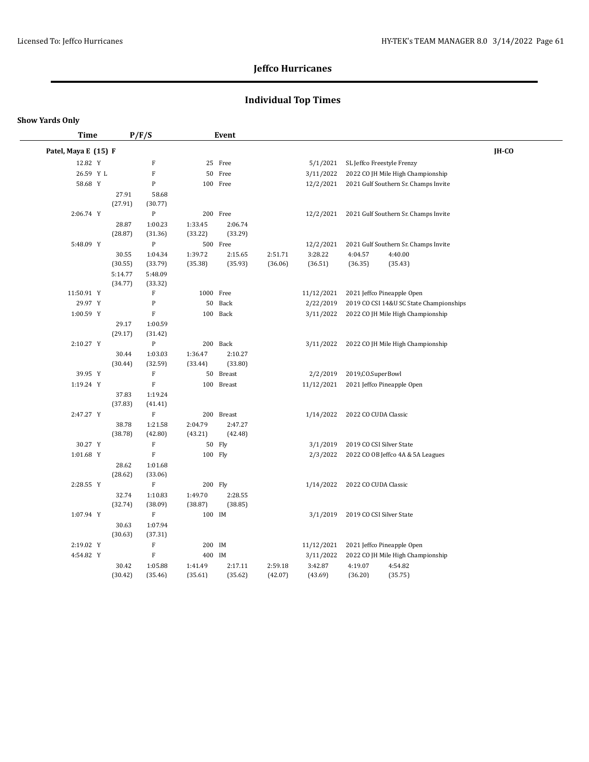## **Individual Top Times**

#### **Show Yards Only**

| <b>Time</b>          |                  | P/F/S                     |                    | Event              |         |            |                            |                                         |              |
|----------------------|------------------|---------------------------|--------------------|--------------------|---------|------------|----------------------------|-----------------------------------------|--------------|
| Patel, Maya E (15) F |                  |                           |                    |                    |         |            |                            |                                         | <b>IH-CO</b> |
| 12.82 Y              |                  | $\mathbf F$               |                    | 25 Free            |         | 5/1/2021   | SL Jeffco Freestyle Frenzy |                                         |              |
| 26.59 Y L            |                  | $\mathbf F$               |                    | 50 Free            |         | 3/11/2022  |                            | 2022 CO JH Mile High Championship       |              |
| 58.68 Y              |                  | ${\bf P}$                 |                    | 100 Free           |         | 12/2/2021  |                            | 2021 Gulf Southern Sr. Champs Invite    |              |
|                      | 27.91            | 58.68                     |                    |                    |         |            |                            |                                         |              |
|                      | (27.91)          | (30.77)                   |                    |                    |         |            |                            |                                         |              |
| 2:06.74 Y            |                  | ${\bf P}$                 |                    | 200 Free           |         | 12/2/2021  |                            | 2021 Gulf Southern Sr. Champs Invite    |              |
|                      | 28.87            | 1:00.23                   | 1:33.45            | 2:06.74            |         |            |                            |                                         |              |
|                      | (28.87)          | (31.36)                   | (33.22)            | (33.29)            |         |            |                            |                                         |              |
| 5:48.09 Y            |                  | ${\bf P}$                 |                    | 500 Free           |         | 12/2/2021  |                            | 2021 Gulf Southern Sr. Champs Invite    |              |
|                      | 30.55            | 1:04.34                   | 1:39.72            | 2:15.65            | 2:51.71 | 3:28.22    | 4:04.57                    | 4:40.00                                 |              |
|                      | (30.55)          | (33.79)                   | (35.38)            | (35.93)            | (36.06) | (36.51)    | (36.35)                    | (35.43)                                 |              |
|                      | 5:14.77          | 5:48.09                   |                    |                    |         |            |                            |                                         |              |
|                      | (34.77)          | (33.32)                   |                    |                    |         |            |                            |                                         |              |
| 11:50.91 Y           |                  | F                         | 1000 Free          |                    |         | 11/12/2021 |                            | 2021 Jeffco Pineapple Open              |              |
| 29.97 Y              |                  | ${\bf P}$                 | 50                 | Back               |         | 2/22/2019  |                            | 2019 CO CSI 14&U SC State Championships |              |
| 1:00.59 Y            |                  | ${\bf F}$                 |                    | 100 Back           |         | 3/11/2022  |                            | 2022 CO JH Mile High Championship       |              |
|                      | 29.17            | 1:00.59                   |                    |                    |         |            |                            |                                         |              |
|                      | (29.17)          | (31.42)                   |                    |                    |         |            |                            |                                         |              |
| 2:10.27 Y            |                  | ${\bf P}$                 |                    | 200 Back           |         | 3/11/2022  |                            | 2022 CO JH Mile High Championship       |              |
|                      | 30.44            | 1:03.03                   | 1:36.47            | 2:10.27            |         |            |                            |                                         |              |
|                      | (30.44)          | (32.59)                   | (33.44)            | (33.80)            |         |            |                            |                                         |              |
| 39.95 Y              |                  | $\mathbf F$               |                    | 50 Breast          |         | 2/2/2019   | 2019, CO. SuperBowl        |                                         |              |
| 1:19.24 Y            |                  | $\mathbf F$               |                    | 100 Breast         |         | 11/12/2021 |                            | 2021 Jeffco Pineapple Open              |              |
|                      | 37.83            | 1:19.24                   |                    |                    |         |            |                            |                                         |              |
|                      | (37.83)          | (41.41)                   |                    |                    |         |            |                            |                                         |              |
| 2:47.27 Y            |                  | $\mathbf F$               |                    | 200 Breast         |         | 1/14/2022  | 2022 CO CUDA Classic       |                                         |              |
|                      | 38.78            | 1:21.58                   | 2:04.79            | 2:47.27            |         |            |                            |                                         |              |
|                      | (38.78)          | (42.80)                   | (43.21)            | (42.48)            |         |            |                            |                                         |              |
| 30.27 Y              |                  | $\mathbf F$               |                    | 50 Fly             |         | 3/1/2019   | 2019 CO CSI Silver State   |                                         |              |
| 1:01.68 Y            |                  | ${\bf F}$                 | 100 Fly            |                    |         | 2/3/2022   |                            | 2022 CO OB Jeffco 4A & 5A Leagues       |              |
|                      | 28.62            | 1:01.68                   |                    |                    |         |            |                            |                                         |              |
|                      | (28.62)          | (33.06)                   |                    |                    |         |            |                            |                                         |              |
| 2:28.55 Y            |                  | $\mathbf F$               | 200 Fly            |                    |         | 1/14/2022  | 2022 CO CUDA Classic       |                                         |              |
|                      | 32.74<br>(32.74) | 1:10.83<br>(38.09)        | 1:49.70<br>(38.87) | 2:28.55<br>(38.85) |         |            |                            |                                         |              |
| 1:07.94 Y            |                  | $\mathbf F$               | 100 IM             |                    |         | 3/1/2019   | 2019 CO CSI Silver State   |                                         |              |
|                      | 30.63            | 1:07.94                   |                    |                    |         |            |                            |                                         |              |
|                      | (30.63)          | (37.31)                   |                    |                    |         |            |                            |                                         |              |
| 2:19.02 Y            |                  | $\boldsymbol{\mathrm{F}}$ | 200 IM             |                    |         | 11/12/2021 |                            | 2021 Jeffco Pineapple Open              |              |
| 4:54.82 Y            |                  | $\mathbf F$               | 400 IM             |                    |         | 3/11/2022  |                            | 2022 CO JH Mile High Championship       |              |
|                      | 30.42            | 1:05.88                   | 1:41.49            | 2:17.11            | 2:59.18 | 3:42.87    | 4:19.07                    | 4:54.82                                 |              |
|                      | (30.42)          | (35.46)                   | (35.61)            | (35.62)            | (42.07) | (43.69)    | (36.20)                    | (35.75)                                 |              |
|                      |                  |                           |                    |                    |         |            |                            |                                         |              |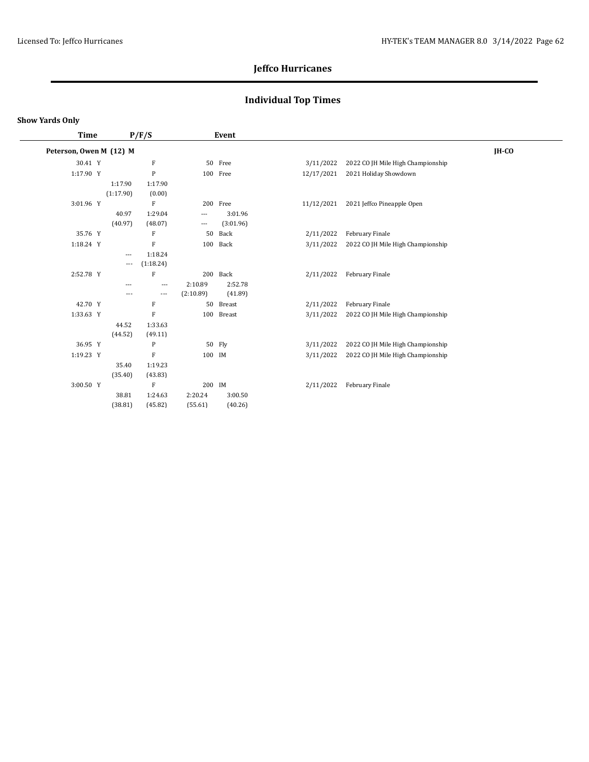## **Individual Top Times**

| Time                    |                          | P/F/S                     |                          | Event     |            |                                   |         |
|-------------------------|--------------------------|---------------------------|--------------------------|-----------|------------|-----------------------------------|---------|
| Peterson, Owen M (12) M |                          |                           |                          |           |            |                                   | $IH-CO$ |
| 30.41 Y                 |                          | F                         |                          | 50 Free   | 3/11/2022  | 2022 CO JH Mile High Championship |         |
| 1:17.90 Y               |                          | P                         |                          | 100 Free  | 12/17/2021 | 2021 Holiday Showdown             |         |
|                         | 1:17.90                  | 1:17.90                   |                          |           |            |                                   |         |
|                         | (1:17.90)                | (0.00)                    |                          |           |            |                                   |         |
| 3:01.96 Y               |                          | F                         |                          | 200 Free  | 11/12/2021 | 2021 Jeffco Pineapple Open        |         |
|                         | 40.97                    | 1:29.04                   | $\cdots$                 | 3:01.96   |            |                                   |         |
|                         | (40.97)                  | (48.07)                   | $\hspace{0.05cm} \ldots$ | (3:01.96) |            |                                   |         |
| 35.76 Y                 |                          | $\boldsymbol{\mathrm{F}}$ | 50                       | Back      | 2/11/2022  | February Finale                   |         |
| 1:18.24 Y               |                          | $\rm F$                   |                          | 100 Back  | 3/11/2022  | 2022 CO JH Mile High Championship |         |
|                         | $\cdots$                 | 1:18.24                   |                          |           |            |                                   |         |
|                         | $\overline{\phantom{a}}$ | (1:18.24)                 |                          |           |            |                                   |         |
| 2:52.78 Y               |                          | $\rm F$                   |                          | 200 Back  | 2/11/2022  | February Finale                   |         |
|                         | $---$                    | $\overline{\phantom{a}}$  | 2:10.89                  | 2:52.78   |            |                                   |         |
|                         | $---$                    | $\overline{\phantom{a}}$  | (2:10.89)                | (41.89)   |            |                                   |         |
| 42.70 Y                 |                          | $\boldsymbol{\mathrm{F}}$ | 50                       | Breast    | 2/11/2022  | February Finale                   |         |
| 1:33.63 Y               |                          | $\boldsymbol{\mathrm{F}}$ | 100                      | Breast    | 3/11/2022  | 2022 CO JH Mile High Championship |         |
|                         | 44.52                    | 1:33.63                   |                          |           |            |                                   |         |
|                         | (44.52)                  | (49.11)                   |                          |           |            |                                   |         |
| 36.95 Y                 |                          | P                         |                          | 50 Fly    | 3/11/2022  | 2022 CO JH Mile High Championship |         |
| 1:19.23 Y               |                          | $\rm F$                   | 100 IM                   |           | 3/11/2022  | 2022 CO JH Mile High Championship |         |
|                         | 35.40                    | 1:19.23                   |                          |           |            |                                   |         |
|                         | (35.40)                  | (43.83)                   |                          |           |            |                                   |         |
| 3:00.50 Y               |                          | F                         | 200 IM                   |           | 2/11/2022  | February Finale                   |         |
|                         | 38.81                    | 1:24.63                   | 2:20.24                  | 3:00.50   |            |                                   |         |
|                         | (38.81)                  | (45.82)                   | (55.61)                  | (40.26)   |            |                                   |         |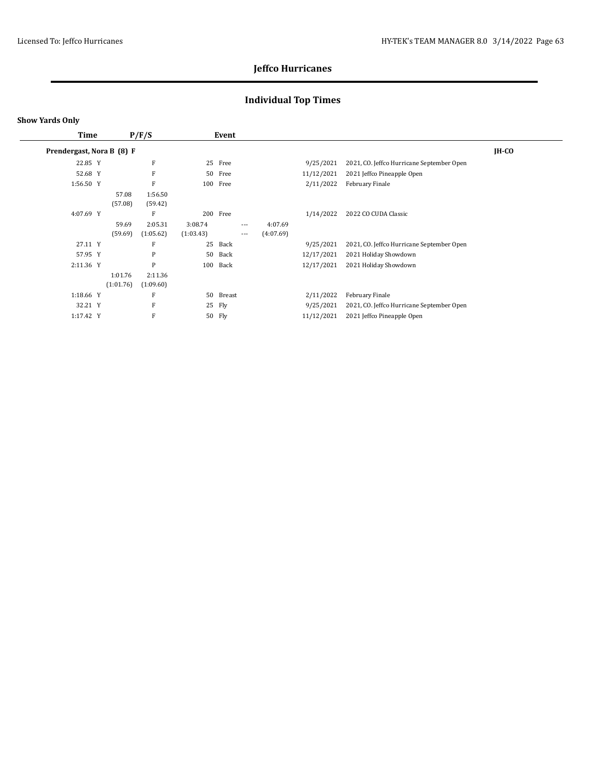## **Individual Top Times**

| <b>Time</b>               |                      | P/F/S                |                      | Event    |                   |                      |            |                                           |         |
|---------------------------|----------------------|----------------------|----------------------|----------|-------------------|----------------------|------------|-------------------------------------------|---------|
| Prendergast, Nora B (8) F |                      |                      |                      |          |                   |                      |            |                                           | $IH-CO$ |
| 22.85 Y                   |                      | F                    |                      | 25 Free  |                   |                      | 9/25/2021  | 2021, CO. Jeffco Hurricane September Open |         |
| 52.68 Y                   |                      | F                    |                      | 50 Free  |                   |                      | 11/12/2021 | 2021 Jeffco Pineapple Open                |         |
| 1:56.50 Y                 |                      | F                    |                      | 100 Free |                   |                      | 2/11/2022  | February Finale                           |         |
|                           | 57.08<br>(57.08)     | 1:56.50<br>(59.42)   |                      |          |                   |                      |            |                                           |         |
| 4:07.69 Y                 |                      | F                    |                      | 200 Free |                   |                      | 1/14/2022  | 2022 CO CUDA Classic                      |         |
|                           | 59.69<br>(59.69)     | 2:05.31<br>(1:05.62) | 3:08.74<br>(1:03.43) |          | $---$<br>$\cdots$ | 4:07.69<br>(4:07.69) |            |                                           |         |
| 27.11 Y                   |                      | F                    | 25                   | Back     |                   |                      | 9/25/2021  | 2021, CO. Jeffco Hurricane September Open |         |
| 57.95 Y                   |                      | P                    | 50                   | Back     |                   |                      | 12/17/2021 | 2021 Holiday Showdown                     |         |
| 2:11.36 Y                 |                      | P                    | 100                  | Back     |                   |                      | 12/17/2021 | 2021 Holiday Showdown                     |         |
|                           | 1:01.76<br>(1:01.76) | 2:11.36<br>(1:09.60) |                      |          |                   |                      |            |                                           |         |
| 1:18.66 Y                 |                      | F                    | 50                   | Breast   |                   |                      | 2/11/2022  | February Finale                           |         |
| 32.21 Y                   |                      | F                    |                      | 25 Fly   |                   |                      | 9/25/2021  | 2021, CO. Jeffco Hurricane September Open |         |
| 1:17.42 Y                 |                      | F                    |                      | 50 Fly   |                   |                      | 11/12/2021 | 2021 Jeffco Pineapple Open                |         |
|                           |                      |                      |                      |          |                   |                      |            |                                           |         |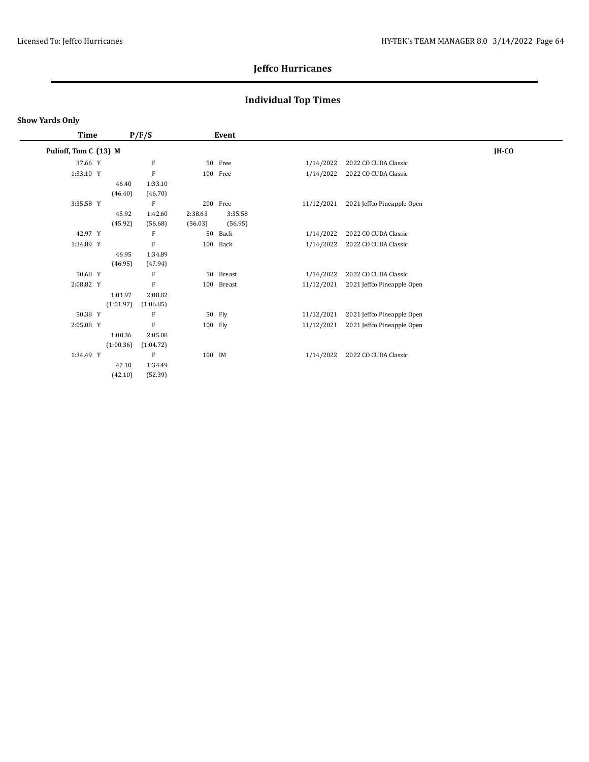## **Individual Top Times**

#### **Show Yards Only**

 $\overline{\phantom{a}}$ 

| Time                  |           | P/F/S     |         | Event      |            |                            |         |
|-----------------------|-----------|-----------|---------|------------|------------|----------------------------|---------|
| Pulioff, Tom C (13) M |           |           |         |            |            |                            | $IH-CO$ |
| 37.66 Y               |           | F         |         | 50 Free    | 1/14/2022  | 2022 CO CUDA Classic       |         |
| 1:33.10 Y             |           | F         |         | 100 Free   | 1/14/2022  | 2022 CO CUDA Classic       |         |
|                       | 46.40     | 1:33.10   |         |            |            |                            |         |
|                       | (46.40)   | (46.70)   |         |            |            |                            |         |
| 3:35.58 Y             |           | F         |         | 200 Free   | 11/12/2021 | 2021 Jeffco Pineapple Open |         |
|                       | 45.92     | 1:42.60   | 2:38.63 | 3:35.58    |            |                            |         |
|                       | (45.92)   | (56.68)   | (56.03) | (56.95)    |            |                            |         |
| 42.97 Y               |           | F         | 50      | Back       | 1/14/2022  | 2022 CO CUDA Classic       |         |
| 1:34.89 Y             |           | F         | 100     | Back       | 1/14/2022  | 2022 CO CUDA Classic       |         |
|                       | 46.95     | 1:34.89   |         |            |            |                            |         |
|                       | (46.95)   | (47.94)   |         |            |            |                            |         |
| 50.68 Y               |           | F         |         | 50 Breast  | 1/14/2022  | 2022 CO CUDA Classic       |         |
| 2:08.82 Y             |           | F         |         | 100 Breast | 11/12/2021 | 2021 Jeffco Pineapple Open |         |
|                       | 1:01.97   | 2:08.82   |         |            |            |                            |         |
|                       | (1:01.97) | (1:06.85) |         |            |            |                            |         |
| 50.38 Y               |           | F         |         | 50 Fly     | 11/12/2021 | 2021 Jeffco Pineapple Open |         |
| 2:05.08 Y             |           | F         | 100 Fly |            | 11/12/2021 | 2021 Jeffco Pineapple Open |         |
|                       | 1:00.36   | 2:05.08   |         |            |            |                            |         |
|                       | (1:00.36) | (1:04.72) |         |            |            |                            |         |
| 1:34.49 Y             |           | F         | 100 IM  |            | 1/14/2022  | 2022 CO CUDA Classic       |         |
|                       | 42.10     | 1:34.49   |         |            |            |                            |         |
|                       | (42.10)   | (52.39)   |         |            |            |                            |         |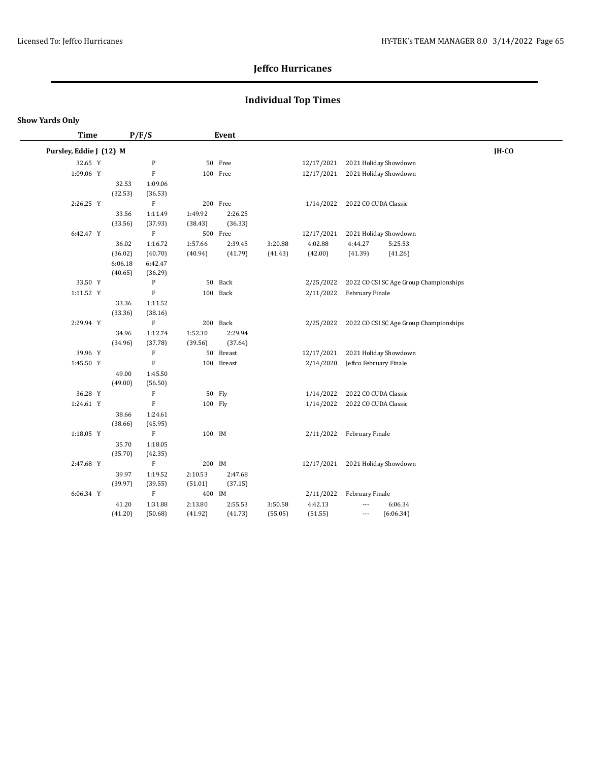# **Individual Top Times**

| <b>Time</b>             |         | P/F/S                     |         | Event      |         |                      |                                        |       |
|-------------------------|---------|---------------------------|---------|------------|---------|----------------------|----------------------------------------|-------|
| Pursley, Eddie J (12) M |         |                           |         |            |         |                      |                                        | IH-CO |
| 32.65 Y                 |         | ${\bf P}$                 |         | 50 Free    |         | 12/17/2021           | 2021 Holiday Showdown                  |       |
| 1:09.06 Y               |         | $\rm F$                   |         | 100 Free   |         | 12/17/2021           | 2021 Holiday Showdown                  |       |
|                         | 32.53   | 1:09.06                   |         |            |         |                      |                                        |       |
|                         | (32.53) | (36.53)                   |         |            |         |                      |                                        |       |
| 2:26.25 Y               |         | $\rm F$                   |         | 200 Free   |         | 1/14/2022            | 2022 CO CUDA Classic                   |       |
|                         | 33.56   | 1:11.49                   | 1:49.92 | 2:26.25    |         |                      |                                        |       |
|                         | (33.56) | (37.93)                   | (38.43) | (36.33)    |         |                      |                                        |       |
| 6:42.47 Y               |         | $\mathbf F$               |         | 500 Free   |         | 12/17/2021           | 2021 Holiday Showdown                  |       |
|                         | 36.02   | 1:16.72                   | 1:57.66 | 2:39.45    | 3:20.88 | 4:02.88              | 5:25.53<br>4:44.27                     |       |
|                         | (36.02) | (40.70)                   | (40.94) | (41.79)    | (41.43) | (42.00)              | (41.39)<br>(41.26)                     |       |
|                         | 6:06.18 | 6:42.47                   |         |            |         |                      |                                        |       |
|                         | (40.65) | (36.29)                   |         |            |         |                      |                                        |       |
| 33.50 Y                 |         | P                         |         | 50 Back    |         | 2/25/2022            | 2022 CO CSI SC Age Group Championships |       |
| 1:11.52 Y               |         | $\rm F$                   |         | 100 Back   |         | 2/11/2022            | February Finale                        |       |
|                         | 33.36   | 1:11.52                   |         |            |         |                      |                                        |       |
|                         | (33.36) | (38.16)                   |         |            |         |                      |                                        |       |
| 2:29.94 Y               |         | $\rm F$                   |         | 200 Back   |         | 2/25/2022            | 2022 CO CSI SC Age Group Championships |       |
|                         | 34.96   | 1:12.74                   | 1:52.30 | 2:29.94    |         |                      |                                        |       |
|                         | (34.96) | (37.78)                   | (39.56) | (37.64)    |         |                      |                                        |       |
| 39.96 Y                 |         | $\mathbf F$               |         | 50 Breast  |         | 12/17/2021           | 2021 Holiday Showdown                  |       |
| 1:45.50 Y               |         | $\overline{F}$            |         | 100 Breast |         | 2/14/2020            | Jeffco February Finale                 |       |
|                         | 49.00   | 1:45.50                   |         |            |         |                      |                                        |       |
|                         | (49.00) | (56.50)                   |         |            |         |                      |                                        |       |
| 36.28 Y                 |         | $\mathbf F$               |         | 50 Fly     |         | 1/14/2022            | 2022 CO CUDA Classic                   |       |
| 1:24.61 Y               |         | $\mathbf F$               | 100 Fly |            |         | 1/14/2022            | 2022 CO CUDA Classic                   |       |
|                         | 38.66   | 1:24.61                   |         |            |         |                      |                                        |       |
|                         | (38.66) | (45.95)                   |         |            |         |                      |                                        |       |
| 1:18.05 Y               |         | $\mathbf F$               | 100 IM  |            |         |                      | 2/11/2022 February Finale              |       |
|                         | 35.70   | 1:18.05                   |         |            |         |                      |                                        |       |
|                         | (35.70) | (42.35)                   |         |            |         |                      |                                        |       |
| 2:47.68 Y               |         | $\boldsymbol{\mathrm{F}}$ | 200 IM  |            |         | 12/17/2021           | 2021 Holiday Showdown                  |       |
|                         | 39.97   | 1:19.52                   | 2:10.53 | 2:47.68    |         |                      |                                        |       |
| 6:06.34 Y               | (39.97) | (39.55)<br>$\mathbf F$    | (51.01) | (37.15)    |         |                      |                                        |       |
|                         |         |                           | 400 IM  |            |         | 2/11/2022<br>4:42.13 | February Finale                        |       |
|                         | 41.20   | 1:31.88                   | 2:13.80 | 2:55.53    | 3:50.58 |                      | 6:06.34<br>$\overline{\phantom{a}}$    |       |
|                         | (41.20) | (50.68)                   | (41.92) | (41.73)    | (55.05) | (51.55)              | (6:06.34)<br>$\overline{\phantom{a}}$  |       |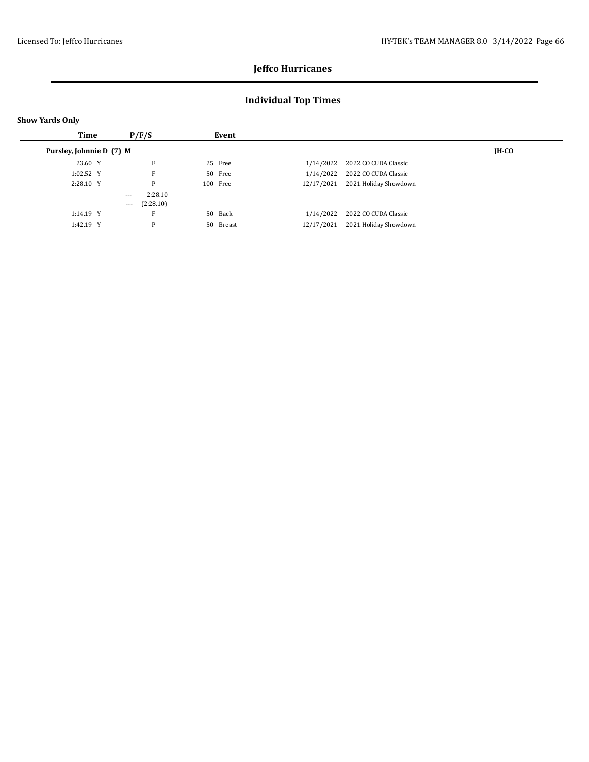## **Individual Top Times**

| <b>Show Yards Only</b>   |          |           |  |           |            |                       |       |  |  |  |  |  |
|--------------------------|----------|-----------|--|-----------|------------|-----------------------|-------|--|--|--|--|--|
| Time                     |          | P/F/S     |  | Event     |            |                       |       |  |  |  |  |  |
| Pursley, Johnnie D (7) M |          |           |  |           |            |                       | IH-CO |  |  |  |  |  |
| 23.60 Y                  |          | F         |  | 25 Free   | 1/14/2022  | 2022 CO CUDA Classic  |       |  |  |  |  |  |
| 1:02.52 Y                |          | F         |  | 50 Free   | 1/14/2022  | 2022 CO CUDA Classic  |       |  |  |  |  |  |
| 2:28.10 Y                |          | P         |  | 100 Free  | 12/17/2021 | 2021 Holiday Showdown |       |  |  |  |  |  |
|                          | $\cdots$ | 2:28.10   |  |           |            |                       |       |  |  |  |  |  |
|                          | $\cdots$ | (2:28.10) |  |           |            |                       |       |  |  |  |  |  |
| 1:14.19 Y                |          | Е         |  | 50 Back   | 1/14/2022  | 2022 CO CUDA Classic  |       |  |  |  |  |  |
| 1:42.19 Y                |          | P         |  | 50 Breast | 12/17/2021 | 2021 Holiday Showdown |       |  |  |  |  |  |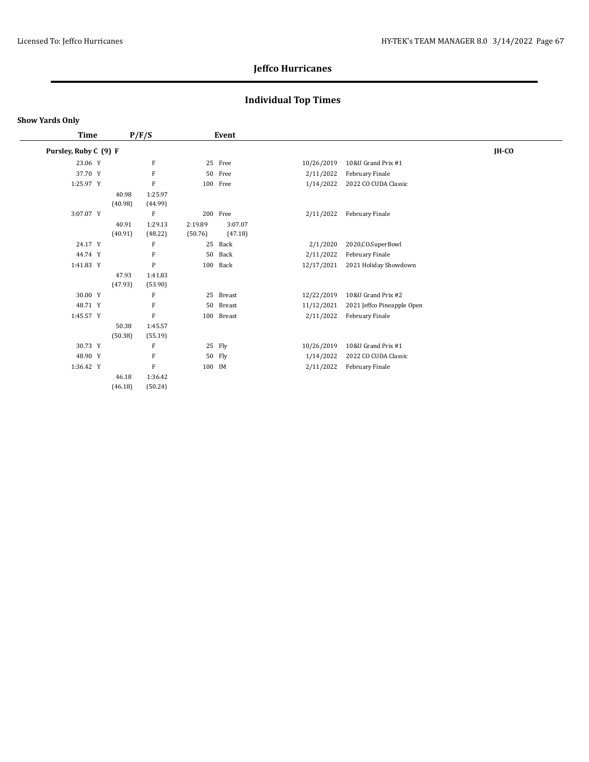## **Individual Top Times**

#### **Show Yards Only**

 $\overline{\phantom{0}}$ 

| Time                  |  | P/F/S   |           | Event   |            |            |                            |         |
|-----------------------|--|---------|-----------|---------|------------|------------|----------------------------|---------|
| Pursley, Ruby C (9) F |  |         |           |         |            |            |                            | $IH-CO$ |
| 23.06 Y               |  |         | F         |         | 25 Free    | 10/26/2019 | 10&U Grand Prix #1         |         |
| 37.70 Y               |  |         | F         |         | 50 Free    | 2/11/2022  | February Finale            |         |
| 1:25.97 Y             |  |         | F         |         | 100 Free   | 1/14/2022  | 2022 CO CUDA Classic       |         |
|                       |  | 40.98   | 1:25.97   |         |            |            |                            |         |
|                       |  | (40.98) | (44.99)   |         |            |            |                            |         |
| 3:07.07 Y             |  |         | F         |         | 200 Free   | 2/11/2022  | February Finale            |         |
|                       |  | 40.91   | 1:29.13   | 2:19.89 | 3:07.07    |            |                            |         |
|                       |  | (40.91) | (48.22)   | (50.76) | (47.18)    |            |                            |         |
| 24.17 Y               |  |         | F         | 25      | Back       | 2/1/2020   | 2020, CO. SuperBowl        |         |
| 44.74 Y               |  |         | F         | 50      | Back       | 2/11/2022  | February Finale            |         |
| 1:41.83 Y             |  |         | ${\bf P}$ | 100     | Back       | 12/17/2021 | 2021 Holiday Showdown      |         |
|                       |  | 47.93   | 1:41.83   |         |            |            |                            |         |
|                       |  | (47.93) | (53.90)   |         |            |            |                            |         |
| 30.00 Y               |  |         | F         |         | 25 Breast  | 12/22/2019 | 10&U Grand Prix #2         |         |
| 48.71 Y               |  |         | F         | 50      | Breast     | 11/12/2021 | 2021 Jeffco Pineapple Open |         |
| 1:45.57 Y             |  |         | F         |         | 100 Breast | 2/11/2022  | February Finale            |         |
|                       |  | 50.38   | 1:45.57   |         |            |            |                            |         |
|                       |  | (50.38) | (55.19)   |         |            |            |                            |         |
| 30.73 Y               |  |         | F         |         | 25 Fly     | 10/26/2019 | 10&U Grand Prix #1         |         |
| 48.90 Y               |  |         | F         |         | 50 Fly     | 1/14/2022  | 2022 CO CUDA Classic       |         |
| 1:36.42 Y             |  |         | ${\bf F}$ | 100 IM  |            | 2/11/2022  | February Finale            |         |
|                       |  | 46.18   | 1:36.42   |         |            |            |                            |         |
|                       |  | (46.18) | (50.24)   |         |            |            |                            |         |
|                       |  |         |           |         |            |            |                            |         |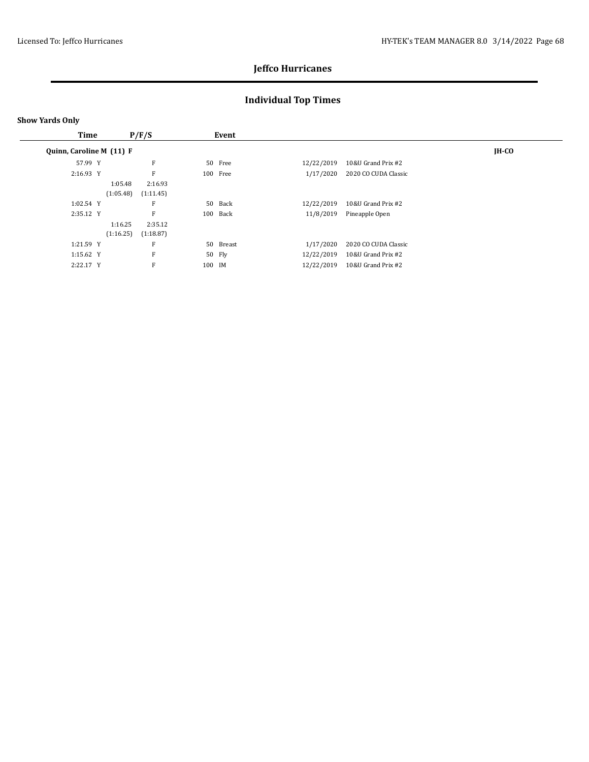## **Individual Top Times**

| Time                     |           | P/F/S     |        | Event     |            |                      |              |
|--------------------------|-----------|-----------|--------|-----------|------------|----------------------|--------------|
| Quinn, Caroline M (11) F |           |           |        |           |            |                      | <b>IH-CO</b> |
| 57.99 Y                  |           | F         |        | 50 Free   | 12/22/2019 | 10&U Grand Prix #2   |              |
| 2:16.93 Y                |           | F         |        | 100 Free  | 1/17/2020  | 2020 CO CUDA Classic |              |
|                          | 1:05.48   | 2:16.93   |        |           |            |                      |              |
|                          | (1:05.48) | (1:11.45) |        |           |            |                      |              |
| 1:02.54 Y                |           | F         |        | 50 Back   | 12/22/2019 | 10&U Grand Prix #2   |              |
| 2:35.12 Y                |           | F         |        | 100 Back  | 11/8/2019  | Pineapple Open       |              |
|                          | 1:16.25   | 2:35.12   |        |           |            |                      |              |
|                          | (1:16.25) | (1:18.87) |        |           |            |                      |              |
| 1:21.59 Y                |           | F         |        | 50 Breast | 1/17/2020  | 2020 CO CUDA Classic |              |
| 1:15.62 Y                |           | F         |        | 50 Fly    | 12/22/2019 | 10&U Grand Prix #2   |              |
| 2:22.17 Y                |           | F         | 100 IM |           | 12/22/2019 | 10&U Grand Prix #2   |              |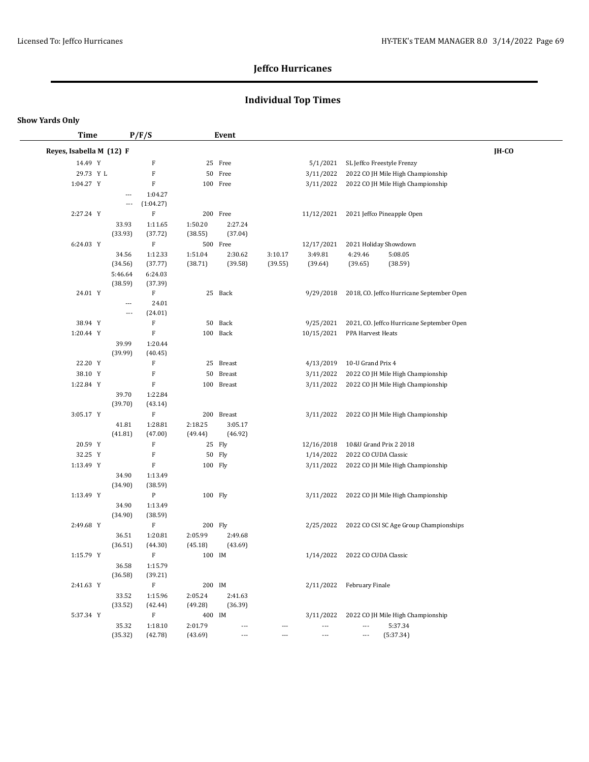## **Individual Top Times**

| <b>Time</b>              |                                 | P/F/S                     |                    | <b>Event</b>             |                          |                          |                           |                                           |       |
|--------------------------|---------------------------------|---------------------------|--------------------|--------------------------|--------------------------|--------------------------|---------------------------|-------------------------------------------|-------|
| Reyes, Isabella M (12) F |                                 |                           |                    |                          |                          |                          |                           |                                           | IH-CO |
| 14.49 Y                  |                                 | F                         |                    | 25 Free                  |                          | 5/1/2021                 |                           | SL Jeffco Freestyle Frenzy                |       |
| 29.73 Y L                |                                 | F                         |                    | 50 Free                  |                          | 3/11/2022                |                           | 2022 CO JH Mile High Championship         |       |
| 1:04.27 Y                |                                 | F                         |                    | 100 Free                 |                          | 3/11/2022                |                           | 2022 CO JH Mile High Championship         |       |
|                          | $\overline{a}$                  | 1:04.27                   |                    |                          |                          |                          |                           |                                           |       |
|                          | ---                             | (1:04.27)                 |                    |                          |                          |                          |                           |                                           |       |
| 2:27.24 Y                |                                 | $\mathbf F$               |                    | 200 Free                 |                          | 11/12/2021               |                           | 2021 Jeffco Pineapple Open                |       |
|                          | 33.93                           | 1:11.65                   | 1:50.20            | 2:27.24                  |                          |                          |                           |                                           |       |
|                          | (33.93)                         | (37.72)                   | (38.55)            | (37.04)                  |                          |                          |                           |                                           |       |
| 6:24.03 Y                |                                 | F                         |                    | 500 Free                 |                          | 12/17/2021               |                           | 2021 Holiday Showdown                     |       |
|                          | 34.56                           | 1:12.33                   | 1:51.04            | 2:30.62                  | 3:10.17                  | 3:49.81                  | 4:29.46                   | 5:08.05                                   |       |
|                          | (34.56)                         | (37.77)                   | (38.71)            | (39.58)                  | (39.55)                  | (39.64)                  | (39.65)                   | (38.59)                                   |       |
|                          | 5:46.64                         | 6:24.03                   |                    |                          |                          |                          |                           |                                           |       |
|                          | (38.59)                         | (37.39)                   |                    |                          |                          |                          |                           |                                           |       |
| 24.01 Y                  |                                 | F                         |                    | 25 Back                  |                          | 9/29/2018                |                           | 2018, CO. Jeffco Hurricane September Open |       |
|                          | $\overline{\phantom{a}}$<br>--- | 24.01<br>(24.01)          |                    |                          |                          |                          |                           |                                           |       |
| 38.94 Y                  |                                 | $\mathbf F$               |                    | 50 Back                  |                          | 9/25/2021                |                           | 2021, CO. Jeffco Hurricane September Open |       |
| 1:20.44 Y                |                                 | F                         |                    | 100 Back                 |                          | 10/15/2021               | PPA Harvest Heats         |                                           |       |
|                          | 39.99                           | 1:20.44                   |                    |                          |                          |                          |                           |                                           |       |
|                          | (39.99)                         | (40.45)                   |                    |                          |                          |                          |                           |                                           |       |
| 22.20 Y                  |                                 | F                         |                    | 25 Breast                |                          | 4/13/2019                | 10-U Grand Prix 4         |                                           |       |
| 38.10 Y                  |                                 | F                         |                    | 50 Breast                |                          | 3/11/2022                |                           | 2022 CO JH Mile High Championship         |       |
| 1:22.84 Y                |                                 | $\mathbf F$               |                    | 100 Breast               |                          | 3/11/2022                |                           | 2022 CO JH Mile High Championship         |       |
|                          | 39.70                           | 1:22.84                   |                    |                          |                          |                          |                           |                                           |       |
|                          | (39.70)                         | (43.14)                   |                    |                          |                          |                          |                           |                                           |       |
| 3:05.17 Y                |                                 | $\mathbf F$               |                    | 200 Breast               |                          | 3/11/2022                |                           | 2022 CO JH Mile High Championship         |       |
|                          | 41.81                           | 1:28.81                   | 2:18.25            | 3:05.17                  |                          |                          |                           |                                           |       |
|                          | (41.81)                         | (47.00)                   | (49.44)            | (46.92)                  |                          |                          |                           |                                           |       |
| 20.59 Y                  |                                 | F                         |                    | 25 Fly                   |                          | 12/16/2018               |                           | 10&U Grand Prix 2 2018                    |       |
| 32.25 Y                  |                                 | F                         |                    | 50 Fly                   |                          | 1/14/2022                | 2022 CO CUDA Classic      |                                           |       |
| 1:13.49 Y                |                                 | $\mathbf F$               | 100 Fly            |                          |                          | 3/11/2022                |                           | 2022 CO JH Mile High Championship         |       |
|                          | 34.90                           | 1:13.49                   |                    |                          |                          |                          |                           |                                           |       |
|                          | (34.90)                         | (38.59)                   |                    |                          |                          |                          |                           |                                           |       |
| 1:13.49 Y                |                                 | $\mathbf{P}$              | 100 Fly            |                          |                          | 3/11/2022                |                           | 2022 CO JH Mile High Championship         |       |
|                          | 34.90                           | 1:13.49                   |                    |                          |                          |                          |                           |                                           |       |
|                          | (34.90)                         | (38.59)                   |                    |                          |                          |                          |                           |                                           |       |
| 2:49.68 Y                |                                 | F                         | 200 Fly            |                          |                          | 2/25/2022                |                           | 2022 CO CSI SC Age Group Championships    |       |
|                          | 36.51                           | 1:20.81                   | 2:05.99            | 2:49.68                  |                          |                          |                           |                                           |       |
|                          | (36.51)                         | (44.30)                   | (45.18)            | (43.69)                  |                          |                          |                           |                                           |       |
| 1:15.79 Y                |                                 | $\boldsymbol{\mathrm{F}}$ | 100 IM             |                          |                          | 1/14/2022                | 2022 CO CUDA Classic      |                                           |       |
|                          | 36.58                           | 1:15.79                   |                    |                          |                          |                          |                           |                                           |       |
| 2:41.63 Y                | (36.58)                         | (39.21)<br>$\mathbf F$    |                    |                          |                          |                          | 2/11/2022 February Finale |                                           |       |
|                          | 33.52                           | 1:15.96                   | 200 IM             | 2:41.63                  |                          |                          |                           |                                           |       |
|                          | (33.52)                         | (42.44)                   | 2:05.24<br>(49.28) | (36.39)                  |                          |                          |                           |                                           |       |
| 5:37.34 Y                |                                 | $\mathbf F$               | 400 IM             |                          |                          | 3/11/2022                |                           | 2022 CO JH Mile High Championship         |       |
|                          | 35.32                           | 1:18.10                   | 2:01.79            | $\overline{\phantom{a}}$ | $---$                    | $\overline{\phantom{a}}$ | $\overline{\phantom{a}}$  | 5:37.34                                   |       |
|                          | (35.32)                         | (42.78)                   | (43.69)            | ---                      | $\overline{\phantom{a}}$ | $\scriptstyle\cdots$     | ---                       | (5:37.34)                                 |       |
|                          |                                 |                           |                    |                          |                          |                          |                           |                                           |       |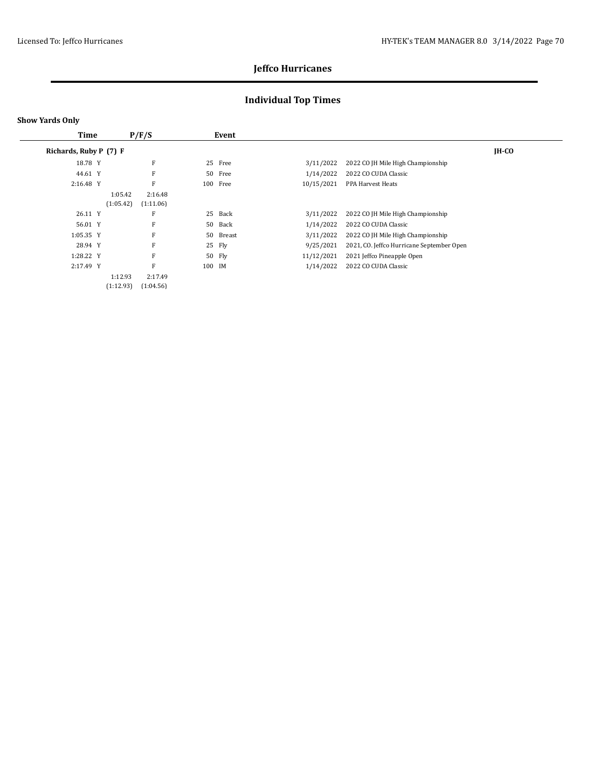## **Individual Top Times**

| <b>Time</b>            |           | P/F/S     |        | Event  |            |                                           |         |  |
|------------------------|-----------|-----------|--------|--------|------------|-------------------------------------------|---------|--|
| Richards, Ruby P (7) F |           |           |        |        |            |                                           | $IH-CO$ |  |
| 18.78 Y                |           | F         | 25     | Free   | 3/11/2022  | 2022 CO JH Mile High Championship         |         |  |
| 44.61 Y                |           | F         | 50     | Free   | 1/14/2022  | 2022 CO CUDA Classic                      |         |  |
| 2:16.48 Y              |           | F         | 100    | Free   | 10/15/2021 | PPA Harvest Heats                         |         |  |
|                        | 1:05.42   | 2:16.48   |        |        |            |                                           |         |  |
|                        | (1:05.42) | (1:11.06) |        |        |            |                                           |         |  |
| 26.11 Y                |           | F         | 25     | Back   | 3/11/2022  | 2022 CO JH Mile High Championship         |         |  |
| 56.01 Y                |           | F         | 50     | Back   | 1/14/2022  | 2022 CO CUDA Classic                      |         |  |
| 1:05.35 Y              |           | F         | 50     | Breast | 3/11/2022  | 2022 CO JH Mile High Championship         |         |  |
| 28.94 Y                |           | F         |        | 25 Fly | 9/25/2021  | 2021, CO. Jeffco Hurricane September Open |         |  |
| 1:28.22 Y              |           | F         |        | 50 Fly | 11/12/2021 | 2021 Jeffco Pineapple Open                |         |  |
| 2:17.49 Y              |           | F         | 100 IM |        | 1/14/2022  | 2022 CO CUDA Classic                      |         |  |
|                        | 1:12.93   | 2:17.49   |        |        |            |                                           |         |  |
|                        | (1:12.93) | (1:04.56) |        |        |            |                                           |         |  |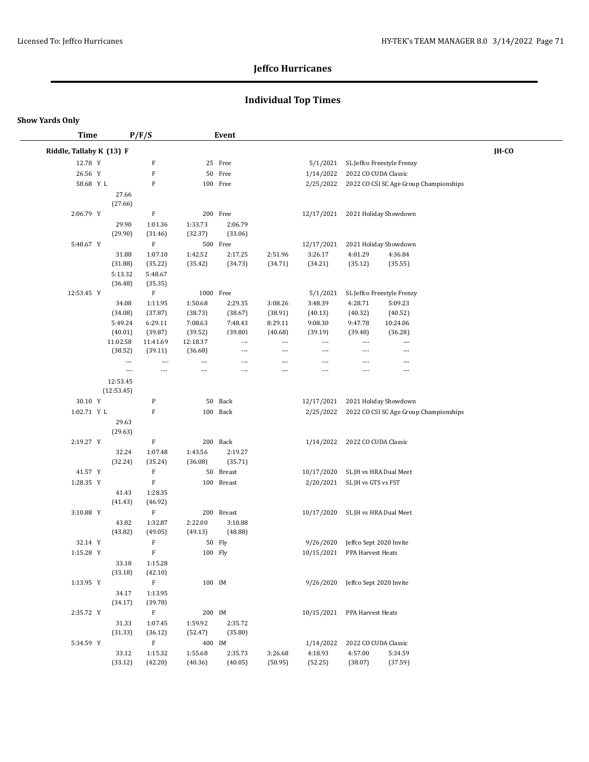## **Individual Top Times**

| <b>Time</b>              |                      | P/F/S                    |                    | Event                |                          |                              |                                   |                                        |              |
|--------------------------|----------------------|--------------------------|--------------------|----------------------|--------------------------|------------------------------|-----------------------------------|----------------------------------------|--------------|
| Riddle, Tallaby K (13) F |                      |                          |                    |                      |                          |                              |                                   |                                        | <b>IH-CO</b> |
| 12.78 Y                  |                      | F                        |                    | 25 Free              |                          | 5/1/2021                     |                                   | SL Jeffco Freestyle Frenzy             |              |
| 26.56 Y                  |                      | $\rm F$                  |                    | 50 Free              |                          | 1/14/2022                    | 2022 CO CUDA Classic              |                                        |              |
| 58.68 Y L                |                      | F                        |                    | 100 Free             |                          | 2/25/2022                    |                                   | 2022 CO CSI SC Age Group Championships |              |
|                          | 27.66                |                          |                    |                      |                          |                              |                                   |                                        |              |
|                          | (27.66)              |                          |                    |                      |                          |                              |                                   |                                        |              |
| 2:06.79 Y                |                      | F                        |                    | 200 Free             |                          | 12/17/2021                   |                                   | 2021 Holiday Showdown                  |              |
|                          | 29.90                | 1:01.36                  | 1:33.73            | 2:06.79              |                          |                              |                                   |                                        |              |
|                          | (29.90)              | (31.46)                  | (32.37)            | (33.06)              |                          |                              |                                   |                                        |              |
| 5:48.67 Y                |                      | $\mathbf F$              |                    | 500 Free             |                          | 12/17/2021                   |                                   | 2021 Holiday Showdown                  |              |
|                          | 31.88                | 1:07.10                  | 1:42.52            | 2:17.25              | 2:51.96                  | 3:26.17                      | 4:01.29                           | 4:36.84                                |              |
|                          | (31.88)              | (35.22)                  | (35.42)            | (34.73)              | (34.71)                  | (34.21)                      | (35.12)                           | (35.55)                                |              |
|                          | 5:13.32              | 5:48.67                  |                    |                      |                          |                              |                                   |                                        |              |
|                          | (36.48)              | (35.35)                  |                    |                      |                          |                              |                                   |                                        |              |
| 12:53.45 Y               |                      | $\, {\rm F}$             | 1000 Free          |                      |                          | 5/1/2021                     |                                   | SL Jeffco Freestyle Frenzy             |              |
|                          | 34.08                | 1:11.95                  | 1:50.68            | 2:29.35              | 3:08.26                  | 3:48.39                      | 4:28.71                           | 5:09.23                                |              |
|                          | (34.08)              | (37.87)                  | (38.73)            | (38.67)              | (38.91)                  | (40.13)                      | (40.32)                           | (40.52)                                |              |
|                          | 5:49.24              | 6:29.11                  | 7:08.63            | 7:48.43              | 8:29.11                  | 9:08.30                      | 9:47.78                           | 10:24.06                               |              |
|                          | (40.01)              | (39.87)                  | (39.52)            | (39.80)              | (40.68)                  | (39.19)                      | (39.48)                           | (36.28)                                |              |
|                          | 11:02.58             | 11:41.69                 | 12:18.37           | $\scriptstyle\cdots$ | $\hspace{0.05cm} \ldots$ | ---                          | ---                               | $\overline{\phantom{a}}$               |              |
|                          | (38.52)              | (39.11)                  | (36.68)            | ---                  | $\overline{\phantom{a}}$ | ---                          | $\overline{a}$                    | $---$                                  |              |
|                          | $\overline{a}$       | ---                      | $\overline{a}$     | ---                  | $\hspace{0.05cm} \ldots$ | ---                          | $---$                             | $\overline{\phantom{a}}$               |              |
|                          | $\scriptstyle\cdots$ | $\overline{\phantom{a}}$ | ---                | $\overline{a}$       | $\overline{\phantom{a}}$ | $\overline{a}$               | ---                               | $\overline{\phantom{a}}$               |              |
|                          | 12:53.45             |                          |                    |                      |                          |                              |                                   |                                        |              |
|                          | (12:53.45)           |                          |                    |                      |                          |                              |                                   |                                        |              |
| 30.10 Y                  |                      | $\, {\bf p}$             |                    | 50 Back              |                          | 12/17/2021                   |                                   | 2021 Holiday Showdown                  |              |
| 1:02.71 Y L              |                      | F                        |                    | 100 Back             |                          | 2/25/2022                    |                                   | 2022 CO CSI SC Age Group Championships |              |
|                          | 29.63                |                          |                    |                      |                          |                              |                                   |                                        |              |
|                          | (29.63)              |                          |                    |                      |                          |                              |                                   |                                        |              |
| 2:19.27 Y                |                      | $\mathbf F$              |                    | 200 Back             |                          | 1/14/2022                    | 2022 CO CUDA Classic              |                                        |              |
|                          | 32.24<br>(32.24)     | 1:07.48<br>(35.24)       | 1:43.56<br>(36.08) | 2:19.27<br>(35.71)   |                          |                              |                                   |                                        |              |
| 41.57 Y                  |                      | $\mathbf F$              |                    | 50 Breast            |                          | 10/17/2020                   | SL JH vs HRA Dual Meet            |                                        |              |
| 1:28.35 Y                |                      | $\mathbf F$              |                    | 100 Breast           |                          |                              | 2/20/2021 SL JH vs GTS vs FST     |                                        |              |
|                          |                      | 1:28.35                  |                    |                      |                          |                              |                                   |                                        |              |
|                          | 41.43<br>(41.43)     | (46.92)                  |                    |                      |                          |                              |                                   |                                        |              |
| 3:10.88 Y                |                      | $\mathbf F$              |                    | 200 Breast           |                          | 10/17/2020                   | SL JH vs HRA Dual Meet            |                                        |              |
|                          | 43.82                | 1:32.87                  | 2:22.00            | 3:10.88              |                          |                              |                                   |                                        |              |
|                          | (43.82)              | (49.05)                  | (49.13)            | (48.88)              |                          |                              |                                   |                                        |              |
| 32.14 Y                  |                      | F                        |                    | 50 Fly               |                          | 9/26/2020                    | Jeffco Sept 2020 Invite           |                                        |              |
| 1:15.28 Y                |                      | $\rm F$                  | 100 Fly            |                      |                          | 10/15/2021                   | PPA Harvest Heats                 |                                        |              |
|                          | 33.18                | 1:15.28                  |                    |                      |                          |                              |                                   |                                        |              |
|                          | (33.18)              | (42.10)                  |                    |                      |                          |                              |                                   |                                        |              |
| 1:13.95 Y                |                      | $\mathbf F$              | 100 IM             |                      |                          |                              | 9/26/2020 Jeffco Sept 2020 Invite |                                        |              |
|                          | 34.17                | 1:13.95                  |                    |                      |                          |                              |                                   |                                        |              |
|                          | (34.17)              | (39.78)                  |                    |                      |                          |                              |                                   |                                        |              |
| 2:35.72 Y                |                      | F                        | 200 IM             |                      |                          | 10/15/2021 PPA Harvest Heats |                                   |                                        |              |
|                          | 31.33                | 1:07.45                  | 1:59.92            | 2:35.72              |                          |                              |                                   |                                        |              |
|                          | (31.33)              | (36.12)                  | (52.47)            | (35.80)              |                          |                              |                                   |                                        |              |
| 5:34.59 Y                |                      | $\rm F$                  | 400 IM             |                      |                          | 1/14/2022                    | 2022 CO CUDA Classic              |                                        |              |
|                          | 33.12                | 1:15.32                  | 1:55.68            | 2:35.73              | 3:26.68                  | 4:18.93                      | 4:57.00                           | 5:34.59                                |              |
|                          | (33.12)              | (42.20)                  | (40.36)            | (40.05)              | (50.95)                  | (52.25)                      | (38.07)                           | (37.59)                                |              |
|                          |                      |                          |                    |                      |                          |                              |                                   |                                        |              |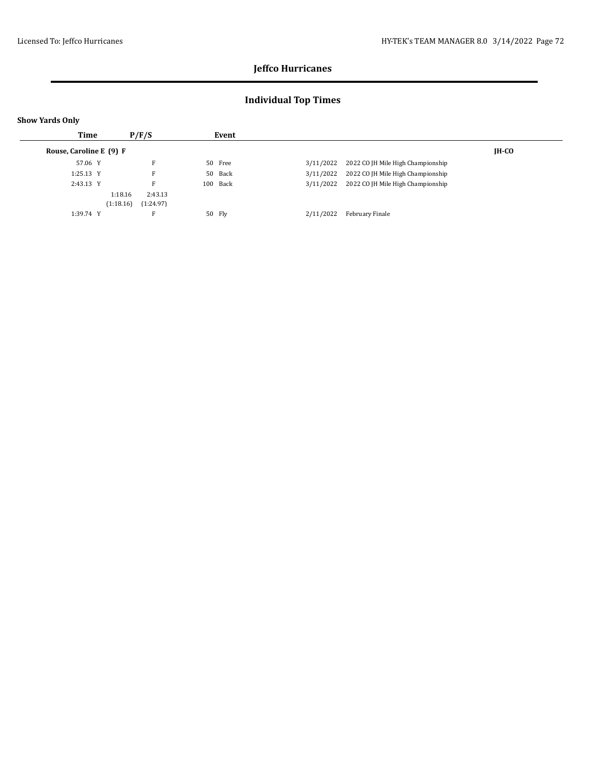## **Individual Top Times**

| Time                    | P/F/S                  |          | Event   |           |                                   |  |
|-------------------------|------------------------|----------|---------|-----------|-----------------------------------|--|
| Rouse, Caroline E (9) F |                        |          |         |           | <b>IH-CO</b>                      |  |
| 57.06 Y                 | F                      | 50 Free  |         | 3/11/2022 | 2022 CO JH Mile High Championship |  |
| $1:25.13$ Y             | F                      |          | 50 Back | 3/11/2022 | 2022 CO JH Mile High Championship |  |
| 2:43.13 Y               | F                      | 100 Back |         | 3/11/2022 | 2022 CO JH Mile High Championship |  |
|                         | 2:43.13<br>1:18.16     |          |         |           |                                   |  |
|                         | (1:18.16)<br>(1:24.97) |          |         |           |                                   |  |
| 1:39.74 Y               | F                      | 50 Fly   |         | 2/11/2022 | February Finale                   |  |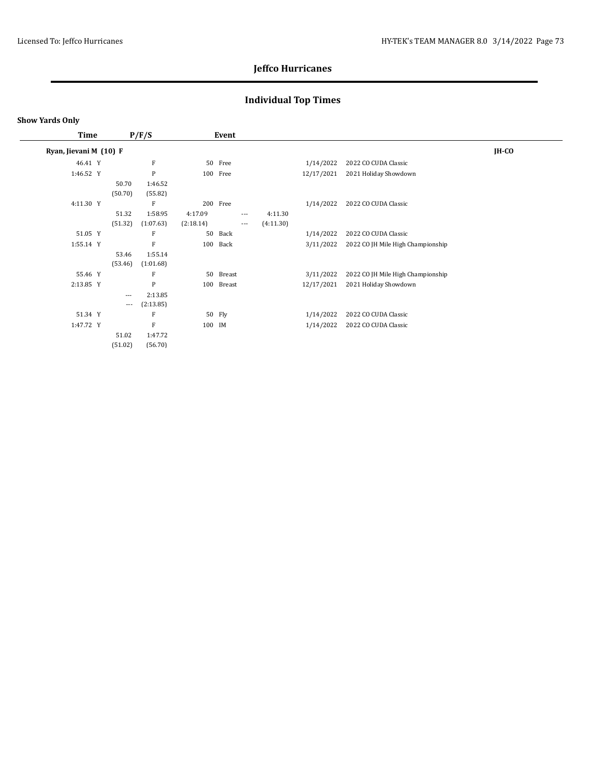# **Individual Top Times**

### **Show Yards Only**

 $\overline{\phantom{0}}$ 

| Time                   |                   | P/F/S     |           | Event     |                     |           |            |                                   |         |
|------------------------|-------------------|-----------|-----------|-----------|---------------------|-----------|------------|-----------------------------------|---------|
| Ryan, Jievani M (10) F |                   |           |           |           |                     |           |            |                                   | $IH-CO$ |
| 46.41 Y                |                   | F         |           | 50 Free   |                     |           | 1/14/2022  | 2022 CO CUDA Classic              |         |
| 1:46.52 Y              |                   | P         |           | 100 Free  |                     |           | 12/17/2021 | 2021 Holiday Showdown             |         |
|                        | 50.70             | 1:46.52   |           |           |                     |           |            |                                   |         |
|                        | (50.70)           | (55.82)   |           |           |                     |           |            |                                   |         |
| 4:11.30 Y              |                   | F         |           | 200 Free  |                     |           | 1/14/2022  | 2022 CO CUDA Classic              |         |
|                        | 51.32             | 1:58.95   | 4:17.09   |           | $\cdots$            | 4:11.30   |            |                                   |         |
|                        | (51.32)           | (1:07.63) | (2:18.14) |           | $\qquad \qquad - -$ | (4:11.30) |            |                                   |         |
| 51.05 Y                |                   | F         | 50        | Back      |                     |           | 1/14/2022  | 2022 CO CUDA Classic              |         |
| 1:55.14 Y              |                   | F         | 100       | Back      |                     |           | 3/11/2022  | 2022 CO JH Mile High Championship |         |
|                        | 53.46             | 1:55.14   |           |           |                     |           |            |                                   |         |
|                        | (53.46)           | (1:01.68) |           |           |                     |           |            |                                   |         |
| 55.46 Y                |                   | F         |           | 50 Breast |                     |           | 3/11/2022  | 2022 CO JH Mile High Championship |         |
| 2:13.85 Y              |                   | P         | 100       | Breast    |                     |           | 12/17/2021 | 2021 Holiday Showdown             |         |
|                        | $---$             | 2:13.85   |           |           |                     |           |            |                                   |         |
|                        | $\qquad \qquad -$ | (2:13.85) |           |           |                     |           |            |                                   |         |
| 51.34 Y                |                   | F         |           | 50 Fly    |                     |           | 1/14/2022  | 2022 CO CUDA Classic              |         |
| 1:47.72 Y              |                   | F         | 100 IM    |           |                     |           | 1/14/2022  | 2022 CO CUDA Classic              |         |
|                        | 51.02             | 1:47.72   |           |           |                     |           |            |                                   |         |
|                        | (51.02)           | (56.70)   |           |           |                     |           |            |                                   |         |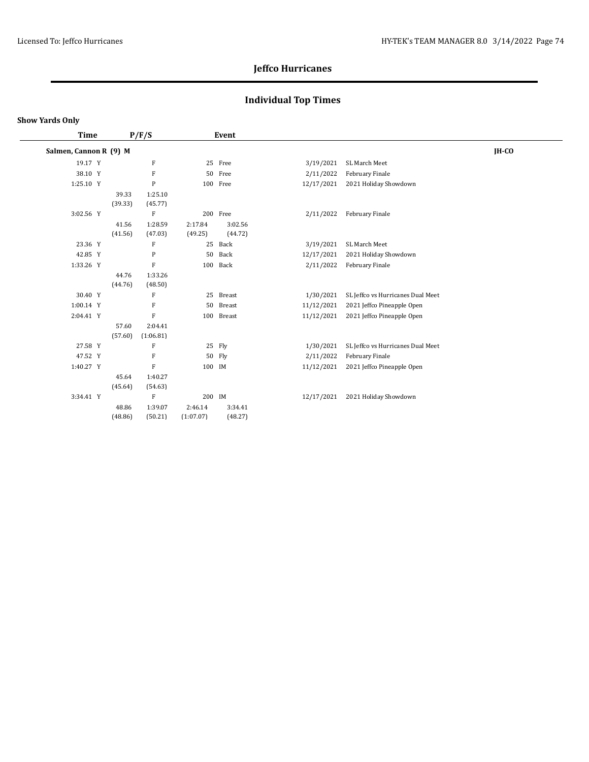# **Individual Top Times**

### **Show Yards Only**

| Time                   |  | P/F/S            |                    | Event              |                    |            |                                   |         |
|------------------------|--|------------------|--------------------|--------------------|--------------------|------------|-----------------------------------|---------|
| Salmen, Cannon R (9) M |  |                  |                    |                    |                    |            |                                   | $IH-CO$ |
| 19.17 Y                |  |                  | F                  |                    | 25 Free            | 3/19/2021  | SL March Meet                     |         |
| 38.10 Y                |  |                  | ${\bf F}$          |                    | 50 Free            | 2/11/2022  | February Finale                   |         |
| 1:25.10 Y              |  |                  | ${\bf P}$          |                    | 100 Free           | 12/17/2021 | 2021 Holiday Showdown             |         |
|                        |  | 39.33<br>(39.33) | 1:25.10<br>(45.77) |                    |                    |            |                                   |         |
| 3:02.56 Y              |  |                  | F                  |                    | 200 Free           | 2/11/2022  | February Finale                   |         |
|                        |  | 41.56<br>(41.56) | 1:28.59<br>(47.03) | 2:17.84<br>(49.25) | 3:02.56<br>(44.72) |            |                                   |         |
| 23.36 Y                |  |                  | F                  |                    | 25 Back            | 3/19/2021  | SL March Meet                     |         |
| 42.85 Y                |  |                  | P                  | 50                 | Back               | 12/17/2021 | 2021 Holiday Showdown             |         |
| 1:33.26 Y              |  |                  | F                  | 100                | Back               | 2/11/2022  | February Finale                   |         |
|                        |  | 44.76<br>(44.76) | 1:33.26<br>(48.50) |                    |                    |            |                                   |         |
| 30.40 Y                |  |                  | F                  | 25                 | Breast             | 1/30/2021  | SL Jeffco vs Hurricanes Dual Meet |         |
| 1:00.14 Y              |  |                  | F                  | 50                 | Breast             | 11/12/2021 | 2021 Jeffco Pineapple Open        |         |
| 2:04.41 Y              |  |                  | F                  | 100                | Breast             | 11/12/2021 | 2021 Jeffco Pineapple Open        |         |
|                        |  | 57.60            | 2:04.41            |                    |                    |            |                                   |         |
|                        |  | (57.60)          | (1:06.81)          |                    |                    |            |                                   |         |
| 27.58 Y                |  |                  | F                  |                    | 25 Fly             | 1/30/2021  | SL Jeffco vs Hurricanes Dual Meet |         |
| 47.52 Y                |  |                  | F                  |                    | 50 Fly             | 2/11/2022  | February Finale                   |         |
| 1:40.27 Y              |  |                  | F                  | 100 IM             |                    | 11/12/2021 | 2021 Jeffco Pineapple Open        |         |
|                        |  | 45.64<br>(45.64) | 1:40.27<br>(54.63) |                    |                    |            |                                   |         |
| 3:34.41 Y              |  |                  | F                  | 200 IM             |                    | 12/17/2021 | 2021 Holiday Showdown             |         |
|                        |  | 48.86            | 1:39.07            | 2:46.14            | 3:34.41            |            |                                   |         |
|                        |  | (48.86)          | (50.21)            | (1:07.07)          | (48.27)            |            |                                   |         |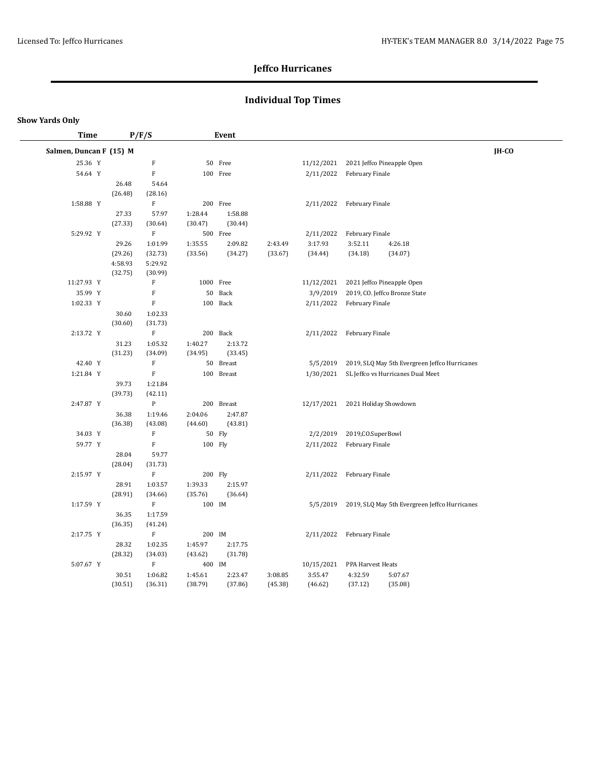# **Individual Top Times**

| <b>Time</b>             |                  | P/F/S                     |           | <b>Event</b> |         |            |                     |                                               |       |
|-------------------------|------------------|---------------------------|-----------|--------------|---------|------------|---------------------|-----------------------------------------------|-------|
| Salmen, Duncan F (15) M |                  |                           |           |              |         |            |                     |                                               | IH-CO |
| 25.36 Y                 |                  | $\mathbf F$               |           | 50 Free      |         | 11/12/2021 |                     | 2021 Jeffco Pineapple Open                    |       |
| 54.64 Y                 |                  | $\mathbf F$               |           | 100 Free     |         | 2/11/2022  | February Finale     |                                               |       |
|                         | 26.48            | 54.64                     |           |              |         |            |                     |                                               |       |
|                         | (26.48)          | (28.16)                   |           |              |         |            |                     |                                               |       |
| 1:58.88 Y               |                  | $\mathbf F$               |           | 200 Free     |         | 2/11/2022  | February Finale     |                                               |       |
|                         | 27.33            | 57.97                     | 1:28.44   | 1:58.88      |         |            |                     |                                               |       |
|                         | (27.33)          | (30.64)                   | (30.47)   | (30.44)      |         |            |                     |                                               |       |
| 5:29.92 Y               |                  | $\mathbf F$               |           | 500 Free     |         | 2/11/2022  | February Finale     |                                               |       |
|                         | 29.26            | 1:01.99                   | 1:35.55   | 2:09.82      | 2:43.49 | 3:17.93    | 3:52.11             | 4:26.18                                       |       |
|                         | (29.26)          | (32.73)                   | (33.56)   | (34.27)      | (33.67) | (34.44)    | (34.18)             | (34.07)                                       |       |
|                         | 4:58.93          | 5:29.92                   |           |              |         |            |                     |                                               |       |
|                         | (32.75)          | (30.99)                   |           |              |         |            |                     |                                               |       |
| 11:27.93 Y              |                  | F                         | 1000 Free |              |         | 11/12/2021 |                     | 2021 Jeffco Pineapple Open                    |       |
| 35.99 Y                 |                  | F                         |           | 50 Back      |         | 3/9/2019   |                     | 2019, CO. Jeffco Bronze State                 |       |
| 1:02.33 Y               |                  | $\mathbf F$               |           | 100 Back     |         | 2/11/2022  | February Finale     |                                               |       |
|                         | 30.60            | 1:02.33                   |           |              |         |            |                     |                                               |       |
|                         | (30.60)          | (31.73)                   |           |              |         |            |                     |                                               |       |
| 2:13.72 Y               |                  | $\mathbf F$               |           | 200 Back     |         | 2/11/2022  | February Finale     |                                               |       |
|                         | 31.23            | 1:05.32                   | 1:40.27   | 2:13.72      |         |            |                     |                                               |       |
|                         | (31.23)          | (34.09)                   | (34.95)   | (33.45)      |         |            |                     |                                               |       |
| 42.40 Y                 |                  | $\mathbf F$               |           | 50 Breast    |         | 5/5/2019   |                     | 2019, SLQ May 5th Evergreen Jeffco Hurricanes |       |
| 1:21.84 Y               |                  | $\mathbf F$               |           | 100 Breast   |         | 1/30/2021  |                     | SL Jeffco vs Hurricanes Dual Meet             |       |
|                         | 39.73<br>(39.73) | 1:21.84<br>(42.11)        |           |              |         |            |                     |                                               |       |
| 2:47.87 Y               |                  | ${\bf P}$                 |           | 200 Breast   |         | 12/17/2021 |                     | 2021 Holiday Showdown                         |       |
|                         | 36.38            | 1:19.46                   | 2:04.06   | 2:47.87      |         |            |                     |                                               |       |
|                         | (36.38)          | (43.08)                   | (44.60)   | (43.81)      |         |            |                     |                                               |       |
| 34.03 Y                 |                  | $\mathbf F$               |           | 50 Fly       |         | 2/2/2019   | 2019, CO. SuperBowl |                                               |       |
| 59.77 Y                 |                  | $\mathbf F$               | 100 Fly   |              |         | 2/11/2022  | February Finale     |                                               |       |
|                         | 28.04            | 59.77                     |           |              |         |            |                     |                                               |       |
|                         | (28.04)          | (31.73)                   |           |              |         |            |                     |                                               |       |
| 2:15.97 Y               |                  | $\boldsymbol{\mathrm{F}}$ | 200 Fly   |              |         | 2/11/2022  | February Finale     |                                               |       |
|                         | 28.91            | 1:03.57                   | 1:39.33   | 2:15.97      |         |            |                     |                                               |       |
|                         | (28.91)          | (34.66)                   | (35.76)   | (36.64)      |         |            |                     |                                               |       |
| 1:17.59 Y               |                  | ${\bf F}$                 | 100 IM    |              |         | 5/5/2019   |                     | 2019, SLQ May 5th Evergreen Jeffco Hurricanes |       |
|                         | 36.35            | 1:17.59                   |           |              |         |            |                     |                                               |       |
|                         | (36.35)          | (41.24)                   |           |              |         |            |                     |                                               |       |
| 2:17.75 Y               |                  | $\mathbf F$               | 200 IM    |              |         | 2/11/2022  | February Finale     |                                               |       |
|                         | 28.32            | 1:02.35                   | 1:45.97   | 2:17.75      |         |            |                     |                                               |       |
|                         | (28.32)          | (34.03)                   | (43.62)   | (31.78)      |         |            |                     |                                               |       |
| 5:07.67 Y               |                  | $\mathbf F$               | 400 IM    |              |         | 10/15/2021 | PPA Harvest Heats   |                                               |       |
|                         | 30.51            | 1:06.82                   | 1:45.61   | 2:23.47      | 3:08.85 | 3:55.47    | 4:32.59             | 5:07.67                                       |       |
|                         | (30.51)          | (36.31)                   | (38.79)   | (37.86)      | (45.38) | (46.62)    | (37.12)             | (35.08)                                       |       |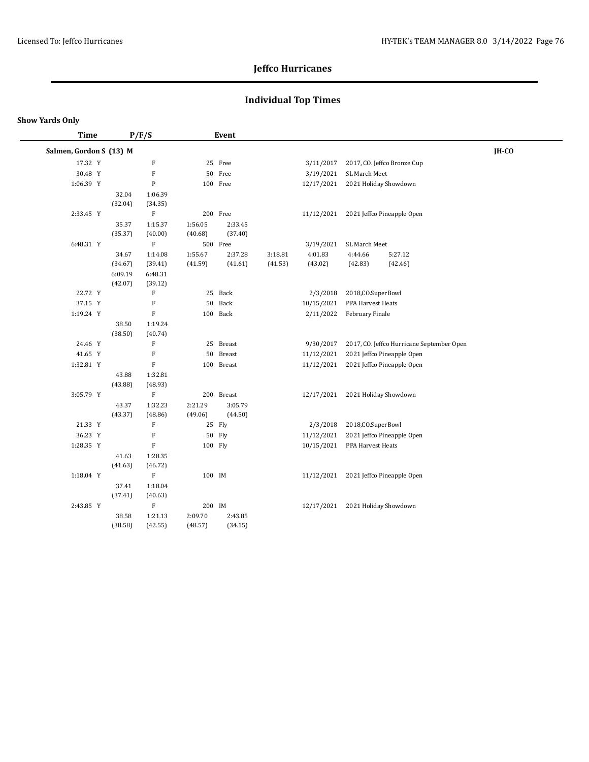# **Individual Top Times**

| <b>Time</b>             |         | P/F/S                     |         | Event      |         |            |                       |                                           |       |
|-------------------------|---------|---------------------------|---------|------------|---------|------------|-----------------------|-------------------------------------------|-------|
| Salmen, Gordon S (13) M |         |                           |         |            |         |            |                       |                                           | IH-CO |
| 17.32 Y                 |         | $\rm F$                   |         | 25 Free    |         | 3/11/2017  |                       | 2017, CO. Jeffco Bronze Cup               |       |
| 30.48 Y                 |         | ${\bf F}$                 |         | 50 Free    |         | 3/19/2021  | SL March Meet         |                                           |       |
| 1:06.39 Y               |         | ${\bf P}$                 |         | 100 Free   |         | 12/17/2021 | 2021 Holiday Showdown |                                           |       |
|                         | 32.04   | 1:06.39                   |         |            |         |            |                       |                                           |       |
|                         | (32.04) | (34.35)                   |         |            |         |            |                       |                                           |       |
| 2:33.45 Y               |         | $\boldsymbol{\mathrm{F}}$ |         | 200 Free   |         | 11/12/2021 |                       | 2021 Jeffco Pineapple Open                |       |
|                         | 35.37   | 1:15.37                   | 1:56.05 | 2:33.45    |         |            |                       |                                           |       |
|                         | (35.37) | (40.00)                   | (40.68) | (37.40)    |         |            |                       |                                           |       |
| 6:48.31 Y               |         | $\mathbf F$               |         | 500 Free   |         | 3/19/2021  | SL March Meet         |                                           |       |
|                         | 34.67   | 1:14.08                   | 1:55.67 | 2:37.28    | 3:18.81 | 4:01.83    | 4:44.66               | 5:27.12                                   |       |
|                         | (34.67) | (39.41)                   | (41.59) | (41.61)    | (41.53) | (43.02)    | (42.83)               | (42.46)                                   |       |
|                         | 6:09.19 | 6:48.31                   |         |            |         |            |                       |                                           |       |
|                         | (42.07) | (39.12)                   |         |            |         |            |                       |                                           |       |
| 22.72 Y                 |         | $\mathbf F$               |         | 25 Back    |         | 2/3/2018   | 2018, CO. SuperBowl   |                                           |       |
| 37.15 Y                 |         | F                         |         | 50 Back    |         | 10/15/2021 | PPA Harvest Heats     |                                           |       |
| 1:19.24 Y               |         | $\boldsymbol{\mathrm{F}}$ |         | 100 Back   |         | 2/11/2022  | February Finale       |                                           |       |
|                         | 38.50   | 1:19.24                   |         |            |         |            |                       |                                           |       |
|                         | (38.50) | (40.74)                   |         |            |         |            |                       |                                           |       |
| 24.46 Y                 |         | ${\bf F}$                 |         | 25 Breast  |         | 9/30/2017  |                       | 2017, CO. Jeffco Hurricane September Open |       |
| 41.65 Y                 |         | $\rm F$                   |         | 50 Breast  |         | 11/12/2021 |                       | 2021 Jeffco Pineapple Open                |       |
| 1:32.81 Y               |         | $\rm F$                   |         | 100 Breast |         | 11/12/2021 |                       | 2021 Jeffco Pineapple Open                |       |
|                         | 43.88   | 1:32.81<br>(48.93)        |         |            |         |            |                       |                                           |       |
| 3:05.79 Y               | (43.88) | $\mathbf F$               |         | 200 Breast |         | 12/17/2021 | 2021 Holiday Showdown |                                           |       |
|                         | 43.37   | 1:32.23                   | 2:21.29 | 3:05.79    |         |            |                       |                                           |       |
|                         | (43.37) | (48.86)                   | (49.06) | (44.50)    |         |            |                       |                                           |       |
| 21.33 Y                 |         | ${\bf F}$                 |         | 25 Fly     |         | 2/3/2018   | 2018, CO. SuperBowl   |                                           |       |
| 36.23 Y                 |         | $\mathbf F$               |         | 50 Fly     |         | 11/12/2021 |                       | 2021 Jeffco Pineapple Open                |       |
| 1:28.35 Y               |         | $\mathbf F$               | 100 Fly |            |         | 10/15/2021 | PPA Harvest Heats     |                                           |       |
|                         | 41.63   | 1:28.35                   |         |            |         |            |                       |                                           |       |
|                         | (41.63) | (46.72)                   |         |            |         |            |                       |                                           |       |
| 1:18.04 Y               |         | $\rm F$                   | 100 IM  |            |         |            |                       | 11/12/2021 2021 Jeffco Pineapple Open     |       |
|                         | 37.41   | 1:18.04                   |         |            |         |            |                       |                                           |       |
|                         | (37.41) | (40.63)                   |         |            |         |            |                       |                                           |       |
| 2:43.85 Y               |         | $\rm F$                   | 200 IM  |            |         | 12/17/2021 | 2021 Holiday Showdown |                                           |       |
|                         | 38.58   | 1:21.13                   | 2:09.70 | 2:43.85    |         |            |                       |                                           |       |
|                         | (38.58) | (42.55)                   | (48.57) | (34.15)    |         |            |                       |                                           |       |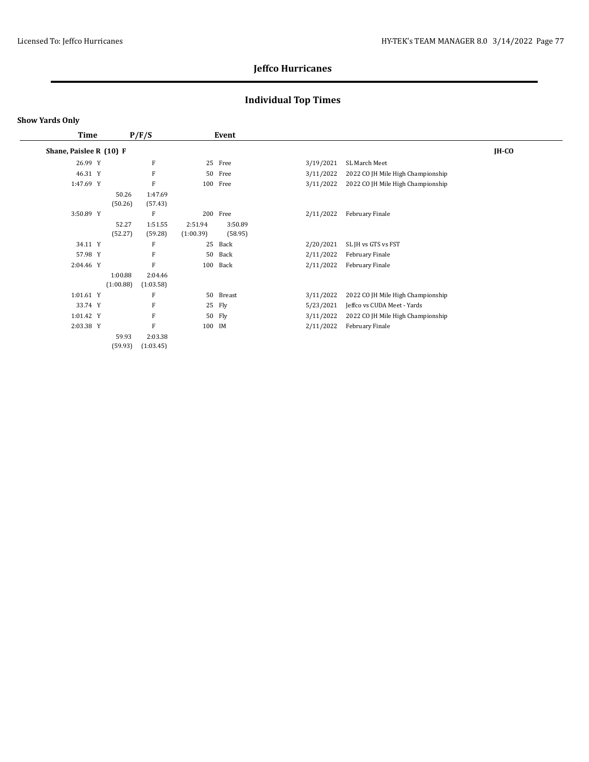# **Individual Top Times**

| Time                    |         |                      | P/F/S                | Event                |                    |           |                                   |         |
|-------------------------|---------|----------------------|----------------------|----------------------|--------------------|-----------|-----------------------------------|---------|
| Shane, Paislee R (10) F |         |                      |                      |                      |                    |           |                                   | $IH-CO$ |
|                         | 26.99 Y |                      | F                    | 25                   | Free               | 3/19/2021 | SL March Meet                     |         |
|                         | 46.31 Y |                      | F                    | 50                   | Free               | 3/11/2022 | 2022 CO JH Mile High Championship |         |
| 1:47.69 Y               |         |                      | F                    |                      | 100 Free           | 3/11/2022 | 2022 CO JH Mile High Championship |         |
|                         |         | 50.26<br>(50.26)     | 1:47.69<br>(57.43)   |                      |                    |           |                                   |         |
| 3:50.89 Y               |         |                      | F                    |                      | 200 Free           | 2/11/2022 | February Finale                   |         |
|                         |         | 52.27<br>(52.27)     | 1:51.55<br>(59.28)   | 2:51.94<br>(1:00.39) | 3:50.89<br>(58.95) |           |                                   |         |
|                         | 34.11 Y |                      | F                    | 25                   | Back               | 2/20/2021 | SL JH vs GTS vs FST               |         |
|                         | 57.98 Y |                      | F                    | 50                   | Back               | 2/11/2022 | February Finale                   |         |
| 2:04.46 Y               |         |                      | F                    | 100                  | Back               | 2/11/2022 | February Finale                   |         |
|                         |         | 1:00.88<br>(1:00.88) | 2:04.46<br>(1:03.58) |                      |                    |           |                                   |         |
| 1:01.61 Y               |         |                      | F                    | 50                   | Breast             | 3/11/2022 | 2022 CO JH Mile High Championship |         |
|                         | 33.74 Y |                      | F                    | 25                   | Fly                | 5/23/2021 | Jeffco vs CUDA Meet - Yards       |         |
| 1:01.42 Y               |         |                      | F                    | 50                   | Fly                | 3/11/2022 | 2022 CO JH Mile High Championship |         |
| 2:03.38 Y               |         |                      | F                    | 100 IM               |                    | 2/11/2022 | February Finale                   |         |
|                         |         | 59.93<br>(59.93)     | 2:03.38<br>(1:03.45) |                      |                    |           |                                   |         |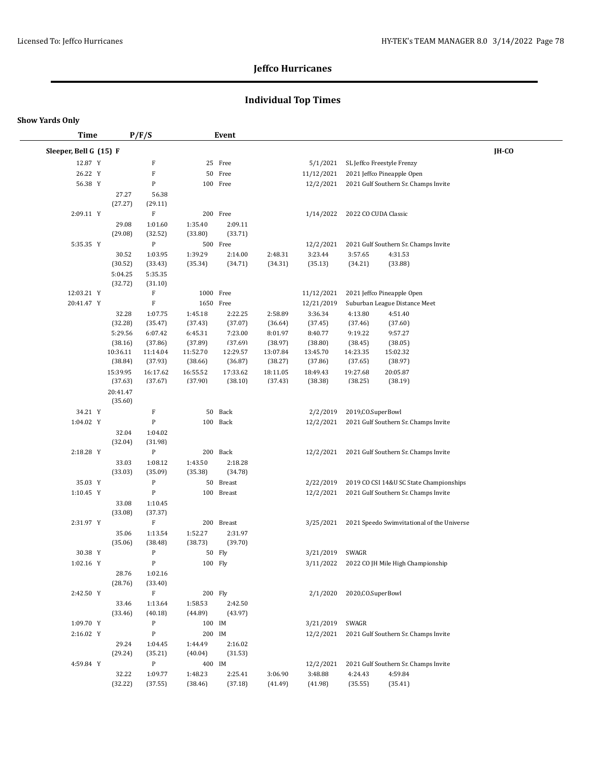# **Individual Top Times**

| <b>Time</b>            |                     | P/F/S                     |                     | Event               |                     |                     |                      |                                                      |       |
|------------------------|---------------------|---------------------------|---------------------|---------------------|---------------------|---------------------|----------------------|------------------------------------------------------|-------|
| Sleeper, Bell G (15) F |                     |                           |                     |                     |                     |                     |                      |                                                      | IH-CO |
| 12.87 Y                |                     | F                         |                     | 25 Free             |                     | 5/1/2021            |                      | SL Jeffco Freestyle Frenzy                           |       |
| 26.22 Y                |                     | $\boldsymbol{\mathrm{F}}$ |                     | 50 Free             |                     | 11/12/2021          |                      | 2021 Jeffco Pineapple Open                           |       |
| 56.38 Y                |                     | P                         |                     | 100 Free            |                     | 12/2/2021           |                      | 2021 Gulf Southern Sr. Champs Invite                 |       |
|                        | 27.27               | 56.38                     |                     |                     |                     |                     |                      |                                                      |       |
|                        | (27.27)             | (29.11)                   |                     |                     |                     |                     |                      |                                                      |       |
| 2:09.11 Y              |                     | $\boldsymbol{\mathrm{F}}$ |                     | 200 Free            |                     | 1/14/2022           | 2022 CO CUDA Classic |                                                      |       |
|                        | 29.08               | 1:01.60                   | 1:35.40             | 2:09.11             |                     |                     |                      |                                                      |       |
|                        | (29.08)             | (32.52)                   | (33.80)             | (33.71)             |                     |                     |                      |                                                      |       |
| 5:35.35 Y              |                     | ${\bf P}$                 |                     | 500 Free            |                     | 12/2/2021           |                      | 2021 Gulf Southern Sr. Champs Invite                 |       |
|                        | 30.52               | 1:03.95                   | 1:39.29<br>(35.34)  | 2:14.00<br>(34.71)  | 2:48.31<br>(34.31)  | 3:23.44<br>(35.13)  | 3:57.65<br>(34.21)   | 4:31.53<br>(33.88)                                   |       |
|                        | (30.52)<br>5:04.25  | (33.43)<br>5:35.35        |                     |                     |                     |                     |                      |                                                      |       |
|                        | (32.72)             | (31.10)                   |                     |                     |                     |                     |                      |                                                      |       |
| 12:03.21 Y             |                     | F                         | 1000 Free           |                     |                     | 11/12/2021          |                      | 2021 Jeffco Pineapple Open                           |       |
| 20:41.47 Y             |                     | $\mathbf F$               | 1650 Free           |                     |                     | 12/21/2019          |                      | Suburban League Distance Meet                        |       |
|                        | 32.28               | 1:07.75                   | 1:45.18             | 2:22.25             | 2:58.89             | 3:36.34             | 4:13.80              | 4:51.40                                              |       |
|                        | (32.28)             | (35.47)                   | (37.43)             | (37.07)             | (36.64)             | (37.45)             | (37.46)              | (37.60)                                              |       |
|                        | 5:29.56             | 6:07.42                   | 6:45.31             | 7:23.00             | 8:01.97             | 8:40.77             | 9:19.22              | 9:57.27                                              |       |
|                        | (38.16)             | (37.86)                   | (37.89)             | (37.69)             | (38.97)             | (38.80)             | (38.45)              | (38.05)                                              |       |
|                        | 10:36.11            | 11:14.04                  | 11:52.70            | 12:29.57            | 13:07.84            | 13:45.70            | 14:23.35             | 15:02.32                                             |       |
|                        | (38.84)             | (37.93)                   | (38.66)             | (36.87)             | (38.27)             | (37.86)             | (37.65)              | (38.97)                                              |       |
|                        | 15:39.95<br>(37.63) | 16:17.62<br>(37.67)       | 16:55.52<br>(37.90) | 17:33.62<br>(38.10) | 18:11.05<br>(37.43) | 18:49.43<br>(38.38) | 19:27.68<br>(38.25)  | 20:05.87<br>(38.19)                                  |       |
|                        | 20:41.47            |                           |                     |                     |                     |                     |                      |                                                      |       |
|                        | (35.60)             |                           |                     |                     |                     |                     |                      |                                                      |       |
| 34.21 Y                |                     | F                         |                     | 50 Back             |                     | 2/2/2019            | 2019, CO. SuperBowl  |                                                      |       |
| 1:04.02 Y              |                     | $\, {\bf P}$              |                     | 100 Back            |                     | 12/2/2021           |                      | 2021 Gulf Southern Sr. Champs Invite                 |       |
|                        | 32.04               | 1:04.02                   |                     |                     |                     |                     |                      |                                                      |       |
|                        | (32.04)             | (31.98)                   |                     |                     |                     |                     |                      |                                                      |       |
| 2:18.28 Y              |                     | ${\bf P}$                 |                     | 200 Back            |                     | 12/2/2021           |                      | 2021 Gulf Southern Sr. Champs Invite                 |       |
|                        | 33.03               | 1:08.12                   | 1:43.50             | 2:18.28             |                     |                     |                      |                                                      |       |
|                        | (33.03)             | (35.09)                   | (35.38)             | (34.78)             |                     |                     |                      |                                                      |       |
| 35.03 Y                |                     | ${\bf P}$                 |                     | 50 Breast           |                     | 2/22/2019           |                      | 2019 CO CSI 14&U SC State Championships              |       |
| 1:10.45 Y              |                     | ${\bf P}$                 |                     | 100 Breast          |                     | 12/2/2021           |                      | 2021 Gulf Southern Sr. Champs Invite                 |       |
|                        | 33.08               | 1:10.45                   |                     |                     |                     |                     |                      |                                                      |       |
|                        | (33.08)             | (37.37)                   |                     |                     |                     |                     |                      |                                                      |       |
| 2:31.97 Y              |                     | $\mathbf F$               |                     | 200 Breast          |                     |                     |                      | 3/25/2021 2021 Speedo Swimvitational of the Universe |       |
|                        | 35.06<br>(35.06)    | 1:13.54<br>(38.48)        | 1:52.27<br>(38.73)  | 2:31.97<br>(39.70)  |                     |                     |                      |                                                      |       |
| 30.38 Y                |                     | ${\bf P}$                 |                     | 50 Fly              |                     | 3/21/2019 SWAGR     |                      |                                                      |       |
| $1:02.16$ Y            |                     | $\, {\bf P}$              | 100 Fly             |                     |                     |                     |                      | 3/11/2022 2022 CO JH Mile High Championship          |       |
|                        | 28.76               | 1:02.16                   |                     |                     |                     |                     |                      |                                                      |       |
|                        | (28.76)             | (33.40)                   |                     |                     |                     |                     |                      |                                                      |       |
| 2:42.50 Y              |                     | $\mathbf F$               | 200 Fly             |                     |                     | 2/1/2020            | 2020, CO. SuperBowl  |                                                      |       |
|                        | 33.46               | 1:13.64                   | 1:58.53             | 2:42.50             |                     |                     |                      |                                                      |       |
|                        | (33.46)             | (40.18)                   | (44.89)             | (43.97)             |                     |                     |                      |                                                      |       |
| 1:09.70 Y              |                     | P                         | 100 IM              |                     |                     | 3/21/2019           | SWAGR                |                                                      |       |
| 2:16.02 Y              |                     | ${\bf P}$                 | 200 IM              |                     |                     |                     |                      | 12/2/2021 2021 Gulf Southern Sr. Champs Invite       |       |
|                        | 29.24               | 1:04.45                   | 1:44.49             | 2:16.02             |                     |                     |                      |                                                      |       |
|                        | (29.24)             | (35.21)                   | (40.04)             | (31.53)             |                     |                     |                      |                                                      |       |
| 4:59.84 Y              |                     | ${\bf P}$                 | 400 IM              |                     |                     | 12/2/2021           |                      | 2021 Gulf Southern Sr. Champs Invite                 |       |
|                        | 32.22               | 1:09.77                   | 1:48.23             | 2:25.41             | 3:06.90             | 3:48.88             | 4:24.43              | 4:59.84                                              |       |
|                        | (32.22)             | (37.55)                   | (38.46)             | (37.18)             | (41.49)             | (41.98)             | (35.55)              | (35.41)                                              |       |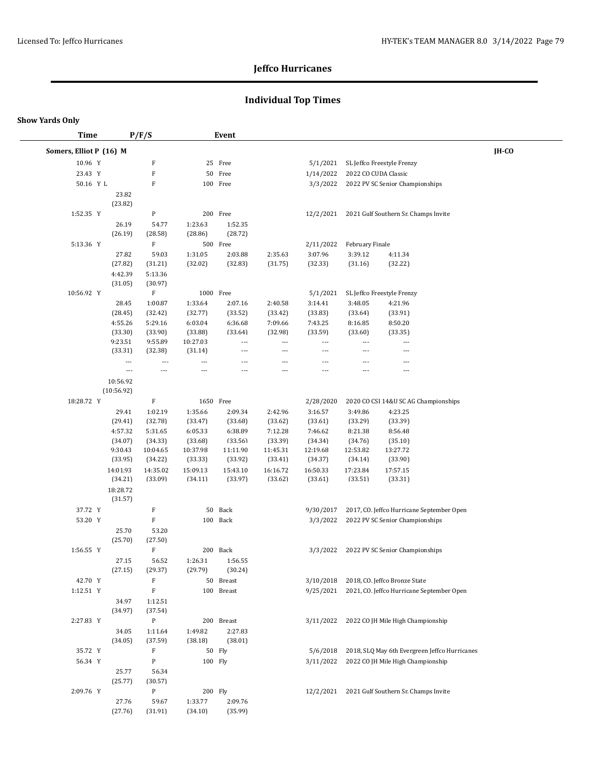# **Individual Top Times**

| <b>Time</b>             |                          | P/F/S               |                          | Event              |                          |                          |                      |                                                |       |
|-------------------------|--------------------------|---------------------|--------------------------|--------------------|--------------------------|--------------------------|----------------------|------------------------------------------------|-------|
| Somers, Elliot P (16) M |                          |                     |                          |                    |                          |                          |                      |                                                | IH-CO |
| 10.96 Y                 |                          | F                   |                          | 25 Free            |                          | 5/1/2021                 |                      | SL Jeffco Freestyle Frenzy                     |       |
| 23.43 Y                 |                          | $\rm F$             |                          | 50 Free            |                          | 1/14/2022                | 2022 CO CUDA Classic |                                                |       |
| 50.16 Y L               |                          | F                   |                          | 100 Free           |                          | 3/3/2022                 |                      | 2022 PV SC Senior Championships                |       |
|                         | 23.82                    |                     |                          |                    |                          |                          |                      |                                                |       |
|                         | (23.82)                  |                     |                          |                    |                          |                          |                      |                                                |       |
| 1:52.35 Y               |                          | ${\bf P}$           |                          | 200 Free           |                          | 12/2/2021                |                      | 2021 Gulf Southern Sr. Champs Invite           |       |
|                         | 26.19                    | 54.77               | 1:23.63                  | 1:52.35            |                          |                          |                      |                                                |       |
|                         | (26.19)                  | (28.58)             | (28.86)                  | (28.72)            |                          |                          |                      |                                                |       |
| 5:13.36 Y               |                          | $\mathbf F$         |                          | 500 Free           |                          | 2/11/2022                | February Finale      |                                                |       |
|                         | 27.82                    | 59.03               | 1:31.05                  | 2:03.88            | 2:35.63                  | 3:07.96                  | 3:39.12              | 4:11.34                                        |       |
|                         | (27.82)                  | (31.21)             | (32.02)                  | (32.83)            | (31.75)                  | (32.33)                  | (31.16)              | (32.22)                                        |       |
|                         | 4:42.39                  | 5:13.36             |                          |                    |                          |                          |                      |                                                |       |
|                         | (31.05)                  | (30.97)             |                          |                    |                          |                          |                      |                                                |       |
| 10:56.92 Y              |                          | $\mathbf F$         | 1000 Free                |                    |                          | 5/1/2021                 |                      | SL Jeffco Freestyle Frenzy                     |       |
|                         | 28.45                    | 1:00.87             | 1:33.64                  | 2:07.16            | 2:40.58                  | 3:14.41                  | 3:48.05              | 4:21.96                                        |       |
|                         | (28.45)<br>4:55.26       | (32.42)<br>5:29.16  | (32.77)<br>6:03.04       | (33.52)<br>6:36.68 | (33.42)<br>7:09.66       | (33.83)<br>7:43.25       | (33.64)<br>8:16.85   | (33.91)<br>8:50.20                             |       |
|                         | (33.30)                  | (33.90)             | (33.88)                  | (33.64)            | (32.98)                  | (33.59)                  | (33.60)              | (33.35)                                        |       |
|                         | 9:23.51                  | 9:55.89             | 10:27.03                 | ---                | $\overline{\phantom{a}}$ | $\overline{\phantom{a}}$ | ---                  | $\overline{\phantom{a}}$                       |       |
|                         | (33.31)                  | (32.38)             | (31.14)                  |                    | $\overline{\phantom{a}}$ | $\overline{\phantom{a}}$ |                      | ---                                            |       |
|                         | $---$                    | $\overline{a}$      | $\overline{\phantom{a}}$ | ---                | $\overline{a}$           | ---                      | $---$                | $\overline{a}$                                 |       |
|                         | $\overline{\phantom{a}}$ | ---                 | $\overline{a}$           | ---                | $\overline{a}$           | $---$                    | $---$                | $\overline{\phantom{a}}$                       |       |
|                         | 10:56.92                 |                     |                          |                    |                          |                          |                      |                                                |       |
|                         | (10:56.92)               |                     |                          |                    |                          |                          |                      |                                                |       |
| 18:28.72 Y              |                          | F                   | 1650 Free                |                    |                          | 2/28/2020                |                      | 2020 CO CSI 14&U SC AG Championships           |       |
|                         | 29.41                    | 1:02.19             | 1:35.66                  | 2:09.34            | 2:42.96                  | 3:16.57                  | 3:49.86              | 4:23.25                                        |       |
|                         | (29.41)                  | (32.78)             | (33.47)                  | (33.68)            | (33.62)                  | (33.61)                  | (33.29)              | (33.39)                                        |       |
|                         | 4:57.32                  | 5:31.65             | 6:05.33                  | 6:38.89            | 7:12.28                  | 7:46.62                  | 8:21.38              | 8:56.48                                        |       |
|                         | (34.07)                  | (34.33)             | (33.68)                  | (33.56)            | (33.39)                  | (34.34)                  | (34.76)              | (35.10)                                        |       |
|                         | 9:30.43                  | 10:04.65            | 10:37.98                 | 11:11.90           | 11:45.31                 | 12:19.68                 | 12:53.82             | 13:27.72                                       |       |
|                         | (33.95)                  | (34.22)             | (33.33)                  | (33.92)            | (33.41)                  | (34.37)                  | (34.14)              | (33.90)                                        |       |
|                         | 14:01.93                 | 14:35.02<br>(33.09) | 15:09.13                 | 15:43.10           | 16:16.72                 | 16:50.33                 | 17:23.84             | 17:57.15                                       |       |
|                         | (34.21)                  |                     | (34.11)                  | (33.97)            | (33.62)                  | (33.61)                  | (33.51)              | (33.31)                                        |       |
|                         | 18:28.72<br>(31.57)      |                     |                          |                    |                          |                          |                      |                                                |       |
| 37.72 Y                 |                          | F                   |                          | 50 Back            |                          | 9/30/2017                |                      | 2017, CO. Jeffco Hurricane September Open      |       |
| 53.20 Y                 |                          | $\mathbf F$         |                          | 100 Back           |                          | 3/3/2022                 |                      | 2022 PV SC Senior Championships                |       |
|                         | 25.70                    | 53.20               |                          |                    |                          |                          |                      |                                                |       |
|                         | (25.70)                  | (27.50)             |                          |                    |                          |                          |                      |                                                |       |
| 1:56.55 Y               |                          | $\mathbf F$         |                          | 200 Back           |                          | 3/3/2022                 |                      | 2022 PV SC Senior Championships                |       |
|                         | 27.15                    | 56.52               | 1:26.31                  | 1:56.55            |                          |                          |                      |                                                |       |
|                         | (27.15)                  | (29.37)             | (29.79)                  | (30.24)            |                          |                          |                      |                                                |       |
| 42.70 Y                 |                          | F                   |                          | 50 Breast          |                          | 3/10/2018                |                      | 2018, CO. Jeffco Bronze State                  |       |
| 1:12.51 Y               |                          | $\mathbf F$         |                          | 100 Breast         |                          | 9/25/2021                |                      | 2021, CO. Jeffco Hurricane September Open      |       |
|                         | 34.97                    | 1:12.51             |                          |                    |                          |                          |                      |                                                |       |
|                         | (34.97)                  | (37.54)             |                          |                    |                          |                          |                      |                                                |       |
| 2:27.83 Y               |                          | P                   |                          | 200 Breast         |                          |                          |                      | 3/11/2022 2022 CO JH Mile High Championship    |       |
|                         | 34.05                    | 1:11.64             | 1:49.82                  | 2:27.83            |                          |                          |                      |                                                |       |
|                         | (34.05)                  | (37.59)             | (38.18)                  | (38.01)            |                          |                          |                      |                                                |       |
| 35.72 Y                 |                          | F                   |                          | 50 Fly             |                          | 5/6/2018                 |                      | 2018, SLQ May 6th Evergreen Jeffco Hurricanes  |       |
| 56.34 Y                 |                          | P                   | 100 Fly                  |                    |                          | 3/11/2022                |                      | 2022 CO JH Mile High Championship              |       |
|                         | 25.77                    | 56.34               |                          |                    |                          |                          |                      |                                                |       |
|                         | (25.77)                  | (30.57)             |                          |                    |                          |                          |                      |                                                |       |
| 2:09.76 Y               |                          | P                   |                          | 200 Fly            |                          |                          |                      | 12/2/2021 2021 Gulf Southern Sr. Champs Invite |       |
|                         | 27.76                    | 59.67               | 1:33.77                  | 2:09.76            |                          |                          |                      |                                                |       |
|                         | (27.76)                  | (31.91)             | (34.10)                  | (35.99)            |                          |                          |                      |                                                |       |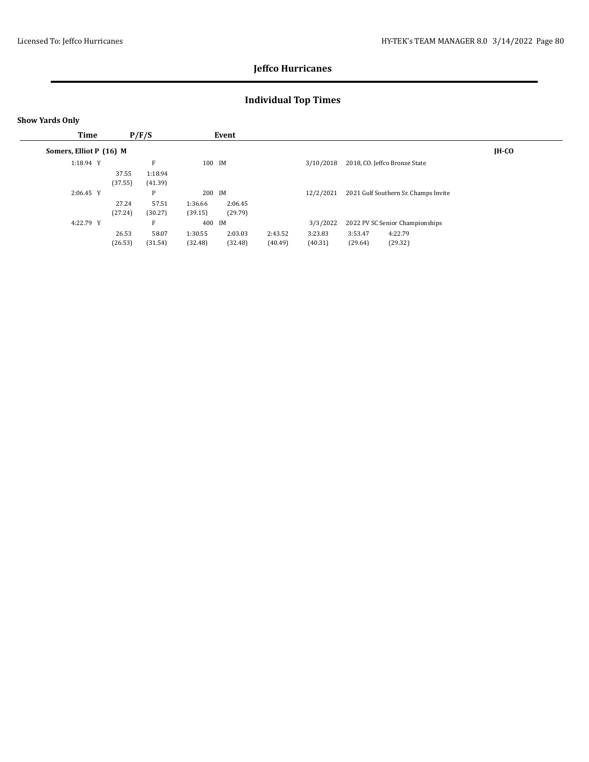# **Individual Top Times**

| Time                    |         | P/F/S   |         | Event   |         |           |         |                                      |              |
|-------------------------|---------|---------|---------|---------|---------|-----------|---------|--------------------------------------|--------------|
| Somers, Elliot P (16) M |         |         |         |         |         |           |         |                                      | <b>IH-CO</b> |
| 1:18.94 Y               |         | E       | 100 IM  |         |         | 3/10/2018 |         | 2018, CO. Jeffco Bronze State        |              |
|                         | 37.55   | 1:18.94 |         |         |         |           |         |                                      |              |
|                         | (37.55) | (41.39) |         |         |         |           |         |                                      |              |
| $2:06.45$ Y             |         | P       | 200 IM  |         |         | 12/2/2021 |         | 2021 Gulf Southern Sr. Champs Invite |              |
|                         | 27.24   | 57.51   | 1:36.66 | 2:06.45 |         |           |         |                                      |              |
|                         | (27.24) | (30.27) | (39.15) | (29.79) |         |           |         |                                      |              |
| 4:22.79 Y               |         | F       | 400 IM  |         |         | 3/3/2022  |         | 2022 PV SC Senior Championships      |              |
|                         | 26.53   | 58.07   | 1:30.55 | 2:03.03 | 2:43.52 | 3:23.83   | 3:53.47 | 4:22.79                              |              |
|                         | (26.53) | (31.54) | (32.48) | (32.48) | (40.49) | (40.31)   | (29.64) | (29.32)                              |              |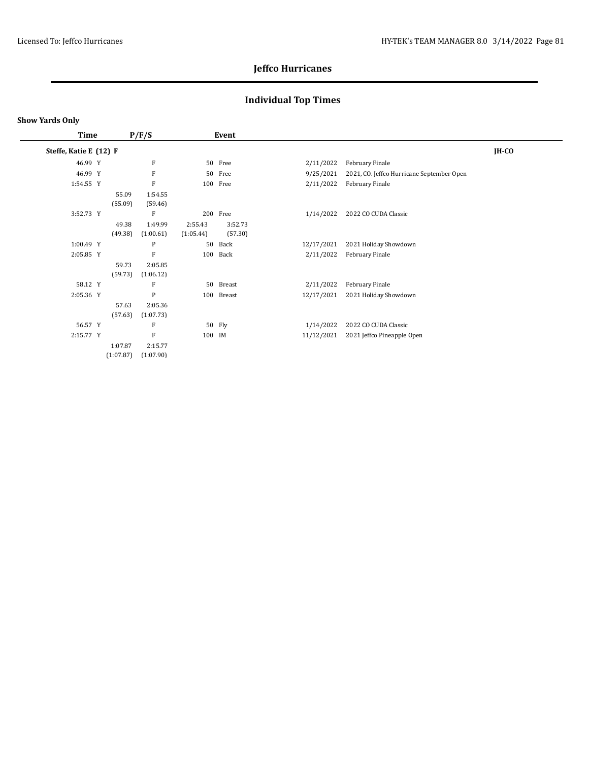# **Individual Top Times**

| Time                   |           | P/F/S     |           | Event    |            |                                           |         |
|------------------------|-----------|-----------|-----------|----------|------------|-------------------------------------------|---------|
| Steffe, Katie E (12) F |           |           |           |          |            |                                           | $IH-CO$ |
| 46.99 Y                |           | F         |           | 50 Free  | 2/11/2022  | February Finale                           |         |
| 46.99 Y                |           | F         | 50        | Free     | 9/25/2021  | 2021, CO. Jeffco Hurricane September Open |         |
| 1:54.55 Y              |           | F         |           | 100 Free | 2/11/2022  | February Finale                           |         |
|                        | 55.09     | 1:54.55   |           |          |            |                                           |         |
|                        | (55.09)   | (59.46)   |           |          |            |                                           |         |
| 3:52.73 Y              |           | F         | 200       | Free     | 1/14/2022  | 2022 CO CUDA Classic                      |         |
|                        | 49.38     | 1:49.99   | 2:55.43   | 3:52.73  |            |                                           |         |
|                        | (49.38)   | (1:00.61) | (1:05.44) | (57.30)  |            |                                           |         |
| 1:00.49 Y              |           | P         | 50        | Back     | 12/17/2021 | 2021 Holiday Showdown                     |         |
| 2:05.85 Y              |           | F         | 100       | Back     | 2/11/2022  | February Finale                           |         |
|                        | 59.73     | 2:05.85   |           |          |            |                                           |         |
|                        | (59.73)   | (1:06.12) |           |          |            |                                           |         |
| 58.12 Y                |           | F         | 50        | Breast   | 2/11/2022  | February Finale                           |         |
| 2:05.36 Y              |           | P         | 100       | Breast   | 12/17/2021 | 2021 Holiday Showdown                     |         |
|                        | 57.63     | 2:05.36   |           |          |            |                                           |         |
|                        | (57.63)   | (1:07.73) |           |          |            |                                           |         |
| 56.57 Y                |           | F         |           | 50 Fly   | 1/14/2022  | 2022 CO CUDA Classic                      |         |
| 2:15.77 Y              |           | F         | 100 IM    |          | 11/12/2021 | 2021 Jeffco Pineapple Open                |         |
|                        | 1:07.87   | 2:15.77   |           |          |            |                                           |         |
|                        | (1:07.87) | (1:07.90) |           |          |            |                                           |         |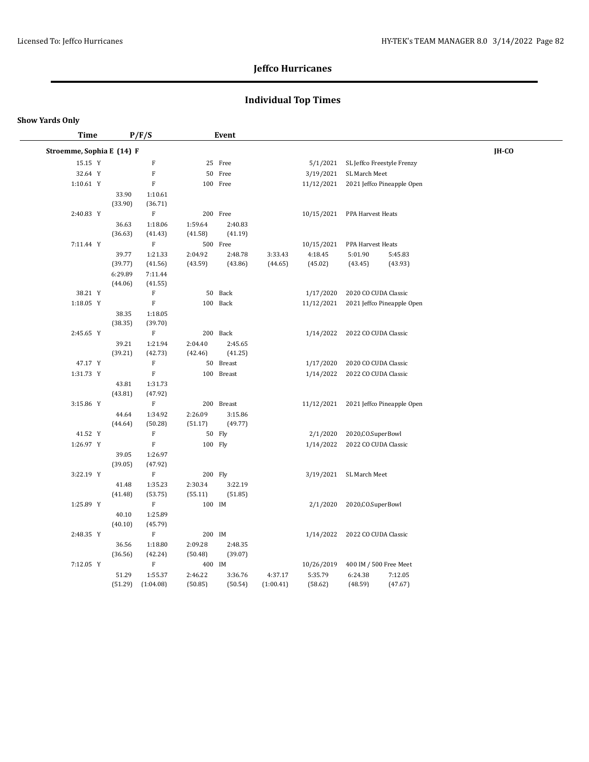# **Individual Top Times**

| <b>Time</b>               |                  | P/F/S                     |         | Event      |           |            |                                     |                                       |              |  |
|---------------------------|------------------|---------------------------|---------|------------|-----------|------------|-------------------------------------|---------------------------------------|--------------|--|
| Stroemme, Sophia E (14) F |                  |                           |         |            |           |            |                                     |                                       | <b>IH-CO</b> |  |
| 15.15 Y                   |                  | ${\bf F}$                 |         | 25 Free    |           |            | 5/1/2021 SL Jeffco Freestyle Frenzy |                                       |              |  |
| 32.64 Y                   |                  | $\mathbf F$               |         | 50 Free    |           | 3/19/2021  | SL March Meet                       |                                       |              |  |
| 1:10.61 Y                 |                  | $\mathbf F$               |         | 100 Free   |           |            |                                     | 11/12/2021 2021 Jeffco Pineapple Open |              |  |
|                           | 33.90            | 1:10.61                   |         |            |           |            |                                     |                                       |              |  |
|                           | (33.90)          | (36.71)                   |         |            |           |            |                                     |                                       |              |  |
| 2:40.83 Y                 |                  | $\rm F$                   |         | 200 Free   |           | 10/15/2021 | PPA Harvest Heats                   |                                       |              |  |
|                           | 36.63            | 1:18.06                   | 1:59.64 | 2:40.83    |           |            |                                     |                                       |              |  |
|                           | (36.63)          | (41.43)                   | (41.58) | (41.19)    |           |            |                                     |                                       |              |  |
| 7:11.44 Y                 |                  | $\mathbf F$               |         | 500 Free   |           | 10/15/2021 | PPA Harvest Heats                   |                                       |              |  |
|                           | 39.77            | 1:21.33                   | 2:04.92 | 2:48.78    | 3:33.43   | 4:18.45    | 5:01.90                             | 5:45.83                               |              |  |
|                           | (39.77)          | (41.56)                   | (43.59) | (43.86)    | (44.65)   | (45.02)    | (43.45)                             | (43.93)                               |              |  |
|                           | 6:29.89          | 7:11.44                   |         |            |           |            |                                     |                                       |              |  |
|                           | (44.06)          | (41.55)                   |         |            |           |            |                                     |                                       |              |  |
| 38.21 Y                   |                  | $\mathbf F$               |         | 50 Back    |           | 1/17/2020  | 2020 CO CUDA Classic                |                                       |              |  |
| 1:18.05 Y                 |                  | $\mathbf F$               |         | 100 Back   |           | 11/12/2021 |                                     | 2021 Jeffco Pineapple Open            |              |  |
|                           | 38.35            | 1:18.05                   |         |            |           |            |                                     |                                       |              |  |
|                           | (38.35)          | (39.70)                   |         |            |           |            |                                     |                                       |              |  |
| 2:45.65 Y                 |                  | $\mathbf F$               |         | 200 Back   |           |            | 1/14/2022 2022 CO CUDA Classic      |                                       |              |  |
|                           | 39.21            | 1:21.94                   | 2:04.40 | 2:45.65    |           |            |                                     |                                       |              |  |
|                           | (39.21)          | (42.73)                   | (42.46) | (41.25)    |           |            |                                     |                                       |              |  |
| 47.17 Y                   |                  | $\boldsymbol{\mathrm{F}}$ |         | 50 Breast  |           | 1/17/2020  | 2020 CO CUDA Classic                |                                       |              |  |
| 1:31.73 Y                 |                  | $\mathbf F$               |         | 100 Breast |           | 1/14/2022  | 2022 CO CUDA Classic                |                                       |              |  |
|                           | 43.81<br>(43.81) | 1:31.73                   |         |            |           |            |                                     |                                       |              |  |
| 3:15.86 Y                 |                  | (47.92)<br>$\mathbf F$    |         | 200 Breast |           |            |                                     | 11/12/2021 2021 Jeffco Pineapple Open |              |  |
|                           | 44.64            | 1:34.92                   | 2:26.09 | 3:15.86    |           |            |                                     |                                       |              |  |
|                           | (44.64)          | (50.28)                   | (51.17) | (49.77)    |           |            |                                     |                                       |              |  |
| 41.52 Y                   |                  | $\mathbf F$               |         | 50 Fly     |           | 2/1/2020   | 2020, CO. SuperBowl                 |                                       |              |  |
| 1:26.97 Y                 |                  | F                         | 100 Fly |            |           | 1/14/2022  | 2022 CO CUDA Classic                |                                       |              |  |
|                           | 39.05            | 1:26.97                   |         |            |           |            |                                     |                                       |              |  |
|                           | (39.05)          | (47.92)                   |         |            |           |            |                                     |                                       |              |  |
| 3:22.19 Y                 |                  | $\, {\bf F}$              | 200 Fly |            |           |            | 3/19/2021 SL March Meet             |                                       |              |  |
|                           | 41.48            | 1:35.23                   | 2:30.34 | 3:22.19    |           |            |                                     |                                       |              |  |
|                           | (41.48)          | (53.75)                   | (55.11) | (51.85)    |           |            |                                     |                                       |              |  |
| 1:25.89 Y                 |                  | $\mathbf F$               | 100 IM  |            |           | 2/1/2020   | 2020, CO. SuperBowl                 |                                       |              |  |
|                           | 40.10            | 1:25.89                   |         |            |           |            |                                     |                                       |              |  |
|                           | (40.10)          | (45.79)                   |         |            |           |            |                                     |                                       |              |  |
| 2:48.35 Y                 |                  | $\mathbf F$               | 200 IM  |            |           | 1/14/2022  | 2022 CO CUDA Classic                |                                       |              |  |
|                           | 36.56            | 1:18.80                   | 2:09.28 | 2:48.35    |           |            |                                     |                                       |              |  |
|                           | (36.56)          | (42.24)                   | (50.48) | (39.07)    |           |            |                                     |                                       |              |  |
| 7:12.05 Y                 |                  | $\mathbf F$               | 400 IM  |            |           | 10/26/2019 | 400 IM / 500 Free Meet              |                                       |              |  |
|                           | 51.29            | 1:55.37                   | 2:46.22 | 3:36.76    | 4:37.17   | 5:35.79    | 6:24.38                             | 7:12.05                               |              |  |
|                           | (51.29)          | (1:04.08)                 | (50.85) | (50.54)    | (1:00.41) | (58.62)    | (48.59)                             | (47.67)                               |              |  |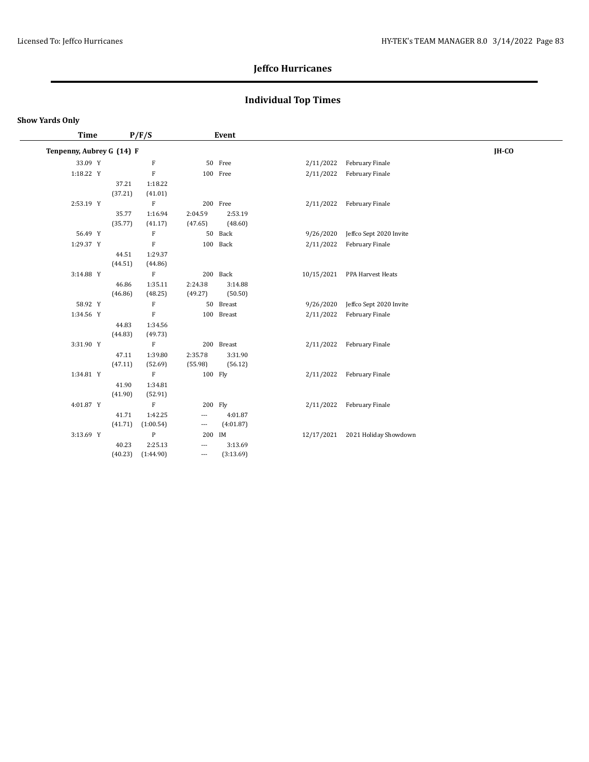# **Individual Top Times**

| <b>Time</b>               |         | P/F/S                     |         | Event      |            |                         |       |
|---------------------------|---------|---------------------------|---------|------------|------------|-------------------------|-------|
| Tenpenny, Aubrey G (14) F |         |                           |         |            |            |                         | IH-CO |
| 33.09 Y                   |         | F                         |         | 50 Free    | 2/11/2022  | February Finale         |       |
| 1:18.22 Y                 |         | ${\bf F}$                 |         | 100 Free   | 2/11/2022  | February Finale         |       |
|                           | 37.21   | 1:18.22                   |         |            |            |                         |       |
|                           | (37.21) | (41.01)                   |         |            |            |                         |       |
| 2:53.19 Y                 |         | $\rm F$                   |         | 200 Free   | 2/11/2022  | February Finale         |       |
|                           | 35.77   | 1:16.94                   | 2:04.59 | 2:53.19    |            |                         |       |
|                           | (35.77) | (41.17)                   | (47.65) | (48.60)    |            |                         |       |
| 56.49 Y                   |         | $\boldsymbol{\mathrm{F}}$ |         | 50 Back    | 9/26/2020  | Jeffco Sept 2020 Invite |       |
| 1:29.37 Y                 |         | $\boldsymbol{\mathrm{F}}$ |         | 100 Back   | 2/11/2022  | February Finale         |       |
|                           | 44.51   | 1:29.37                   |         |            |            |                         |       |
|                           | (44.51) | (44.86)                   |         |            |            |                         |       |
| 3:14.88 Y                 |         | $\mathbf F$               |         | 200 Back   | 10/15/2021 | PPA Harvest Heats       |       |
|                           | 46.86   | 1:35.11                   | 2:24.38 | 3:14.88    |            |                         |       |
|                           | (46.86) | (48.25)                   | (49.27) | (50.50)    |            |                         |       |
| 58.92 Y                   |         | $\boldsymbol{\mathrm{F}}$ |         | 50 Breast  | 9/26/2020  | Jeffco Sept 2020 Invite |       |
| 1:34.56 Y                 |         | $\boldsymbol{\mathrm{F}}$ |         | 100 Breast | 2/11/2022  | February Finale         |       |
|                           | 44.83   | 1:34.56                   |         |            |            |                         |       |
|                           | (44.83) | (49.73)                   |         |            |            |                         |       |
| 3:31.90 Y                 |         | $\rm F$                   |         | 200 Breast | 2/11/2022  | February Finale         |       |
|                           | 47.11   | 1:39.80                   | 2:35.78 | 3:31.90    |            |                         |       |
|                           | (47.11) | (52.69)                   | (55.98) | (56.12)    |            |                         |       |
| 1:34.81 Y                 |         | F                         | 100 Fly |            | 2/11/2022  | February Finale         |       |
|                           | 41.90   | 1:34.81                   |         |            |            |                         |       |
|                           | (41.90) | (52.91)                   |         |            |            |                         |       |
| 4:01.87 Y                 |         | F                         |         | 200 Fly    | 2/11/2022  | February Finale         |       |
|                           | 41.71   | 1:42.25                   | ---     | 4:01.87    |            |                         |       |
|                           | (41.71) | (1:00.54)                 | ---     | (4:01.87)  |            |                         |       |
| 3:13.69 Y                 |         | ${\bf P}$                 | 200     | IM         | 12/17/2021 | 2021 Holiday Showdown   |       |
|                           | 40.23   | 2:25.13                   | ---     | 3:13.69    |            |                         |       |
|                           | (40.23) | (1:44.90)                 | $---$   | (3:13.69)  |            |                         |       |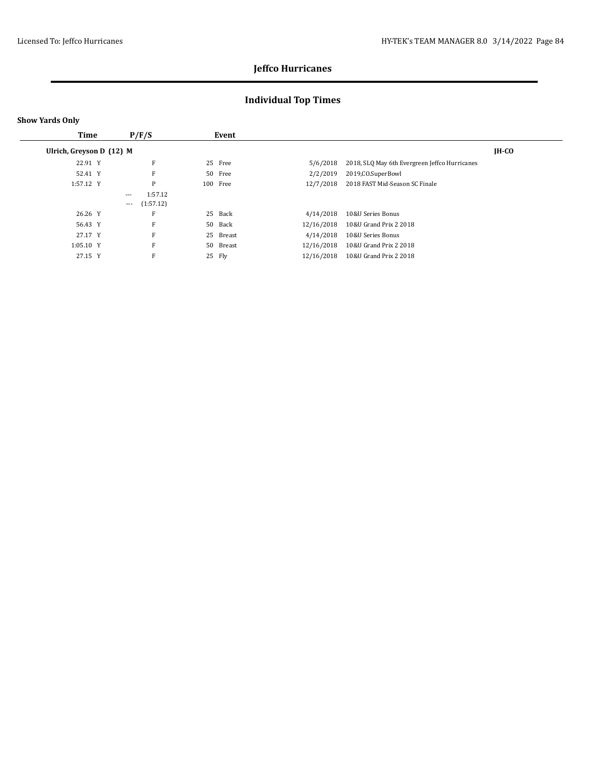# **Individual Top Times**

|  | <b>Show Yards Only</b> |  |
|--|------------------------|--|
|--|------------------------|--|

| Time                     |       | P/F/S     |    | Event    |            |                                               |       |
|--------------------------|-------|-----------|----|----------|------------|-----------------------------------------------|-------|
| Ulrich, Greyson D (12) M |       |           |    |          |            |                                               | IH-CO |
| 22.91 Y                  |       | F         |    | 25 Free  | 5/6/2018   | 2018, SLQ May 6th Evergreen Jeffco Hurricanes |       |
| 52.41 Y                  |       | F         |    | 50 Free  | 2/2/2019   | 2019.CO.SuperBowl                             |       |
| 1:57.12 Y                |       | P         |    | 100 Free | 12/7/2018  | 2018 FAST Mid-Season SC Finale                |       |
|                          | $---$ | 1:57.12   |    |          |            |                                               |       |
|                          | $---$ | (1:57.12) |    |          |            |                                               |       |
| 26.26 Y                  |       | F         |    | 25 Back  | 4/14/2018  | 10&U Series Bonus                             |       |
| 56.43 Y                  |       | F         |    | 50 Back  | 12/16/2018 | 10&U Grand Prix 2 2018                        |       |
| 27.17 Y                  |       | F         | 25 | Breast   | 4/14/2018  | 10&U Series Bonus                             |       |
| 1:05.10 Y                |       | F         | 50 | Breast   | 12/16/2018 | 10&U Grand Prix 2 2018                        |       |
| 27.15 Y                  |       | F         |    | 25 Fly   | 12/16/2018 | 10&U Grand Prix 2 2018                        |       |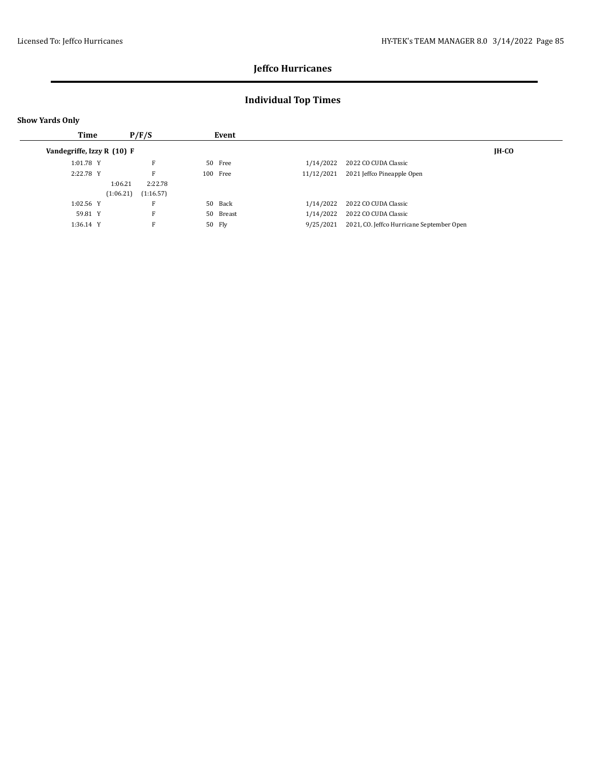# **Individual Top Times**

| <b>Show Yards Only</b>     |                        |           |            |                                           |       |
|----------------------------|------------------------|-----------|------------|-------------------------------------------|-------|
| Time                       | P/F/S                  | Event     |            |                                           |       |
| Vandegriffe, Izzy R (10) F |                        |           |            |                                           | IH-CO |
| 1:01.78 Y                  | F                      | 50 Free   | 1/14/2022  | 2022 CO CUDA Classic                      |       |
| 2:22.78 Y                  | F                      | 100 Free  | 11/12/2021 | 2021 Jeffco Pineapple Open                |       |
|                            | 2:22.78<br>1:06.21     |           |            |                                           |       |
|                            | (1:06.21)<br>(1:16.57) |           |            |                                           |       |
| 1:02.56 Y                  | F                      | 50 Back   | 1/14/2022  | 2022 CO CUDA Classic                      |       |
| 59.81 Y                    | F                      | 50 Breast | 1/14/2022  | 2022 CO CUDA Classic                      |       |
| 1:36.14 Y                  | F                      | 50 Fly    | 9/25/2021  | 2021, CO. Jeffco Hurricane September Open |       |
|                            |                        |           |            |                                           |       |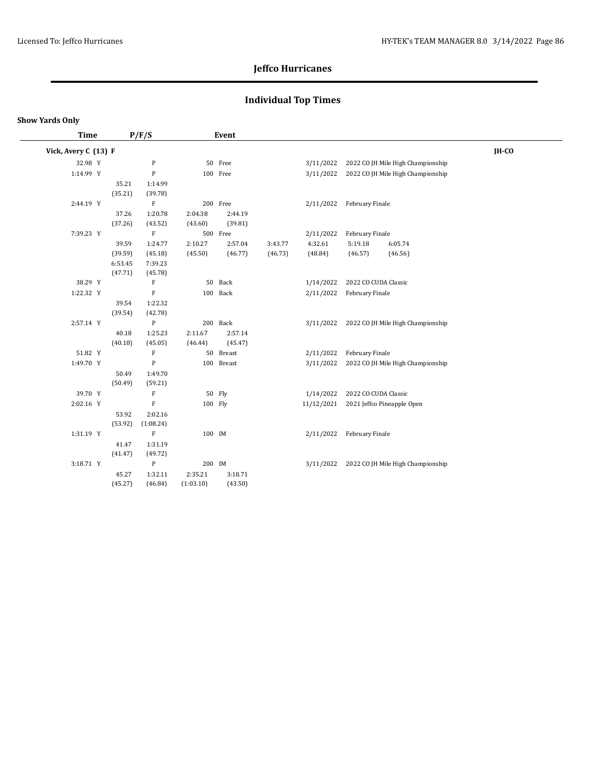# **Individual Top Times**

| <b>Time</b>          |                  | P/F/S                     |           | Event      |         |            |                      |                                   |       |
|----------------------|------------------|---------------------------|-----------|------------|---------|------------|----------------------|-----------------------------------|-------|
| Vick, Avery C (13) F |                  |                           |           |            |         |            |                      |                                   | IH-CO |
| 32.98 Y              |                  | ${\bf P}$                 |           | 50 Free    |         | 3/11/2022  |                      | 2022 CO JH Mile High Championship |       |
| 1:14.99 Y            |                  | ${\bf P}$                 |           | 100 Free   |         | 3/11/2022  |                      | 2022 CO JH Mile High Championship |       |
|                      | 35.21            | 1:14.99                   |           |            |         |            |                      |                                   |       |
|                      | (35.21)          | (39.78)                   |           |            |         |            |                      |                                   |       |
| 2:44.19 Y            |                  | $\mathbf F$               |           | 200 Free   |         | 2/11/2022  | February Finale      |                                   |       |
|                      | 37.26            | 1:20.78                   | 2:04.38   | 2:44.19    |         |            |                      |                                   |       |
|                      | (37.26)          | (43.52)                   | (43.60)   | (39.81)    |         |            |                      |                                   |       |
| 7:39.23 Y            |                  | $\mathbf F$               |           | 500 Free   |         | 2/11/2022  | February Finale      |                                   |       |
|                      | 39.59            | 1:24.77                   | 2:10.27   | 2:57.04    | 3:43.77 | 4:32.61    | 5:19.18              | 6:05.74                           |       |
|                      | (39.59)          | (45.18)                   | (45.50)   | (46.77)    | (46.73) | (48.84)    | (46.57)              | (46.56)                           |       |
|                      | 6:53.45          | 7:39.23                   |           |            |         |            |                      |                                   |       |
|                      | (47.71)          | (45.78)                   |           |            |         |            |                      |                                   |       |
| 38.29 Y              |                  | $\boldsymbol{\mathrm{F}}$ |           | 50 Back    |         | 1/14/2022  | 2022 CO CUDA Classic |                                   |       |
| 1:22.32 Y            |                  | $\mathbf F$               |           | 100 Back   |         | 2/11/2022  | February Finale      |                                   |       |
|                      | 39.54            | 1:22.32                   |           |            |         |            |                      |                                   |       |
|                      | (39.54)          | (42.78)                   |           |            |         |            |                      |                                   |       |
| 2:57.14 Y            |                  | ${\bf P}$                 |           | 200 Back   |         | 3/11/2022  |                      | 2022 CO JH Mile High Championship |       |
|                      | 40.18            | 1:25.23                   | 2:11.67   | 2:57.14    |         |            |                      |                                   |       |
|                      | (40.18)          | (45.05)                   | (46.44)   | (45.47)    |         |            |                      |                                   |       |
| 51.82 Y              |                  | F                         |           | 50 Breast  |         | 2/11/2022  | February Finale      |                                   |       |
| 1:49.70 Y            |                  | ${\bf P}$                 |           | 100 Breast |         | 3/11/2022  |                      | 2022 CO JH Mile High Championship |       |
|                      | 50.49            | 1:49.70                   |           |            |         |            |                      |                                   |       |
|                      | (50.49)          | (59.21)                   |           |            |         |            |                      |                                   |       |
| 39.70 Y              |                  | F                         |           | 50 Fly     |         | 1/14/2022  | 2022 CO CUDA Classic |                                   |       |
| 2:02.16 Y            |                  | $\mathbf F$               | 100 Fly   |            |         | 11/12/2021 |                      | 2021 Jeffco Pineapple Open        |       |
|                      | 53.92            | 2:02.16                   |           |            |         |            |                      |                                   |       |
| 1:31.19 Y            | (53.92)          | (1:08.24)<br>$\rm F$      |           |            |         |            |                      |                                   |       |
|                      |                  |                           | 100 IM    |            |         | 2/11/2022  | February Finale      |                                   |       |
|                      | 41.47<br>(41.47) | 1:31.19<br>(49.72)        |           |            |         |            |                      |                                   |       |
| 3:18.71 Y            |                  | $\, {\bf p}$              | 200 IM    |            |         | 3/11/2022  |                      | 2022 CO JH Mile High Championship |       |
|                      | 45.27            | 1:32.11                   | 2:35.21   | 3:18.71    |         |            |                      |                                   |       |
|                      | (45.27)          | (46.84)                   | (1:03.10) | (43.50)    |         |            |                      |                                   |       |
|                      |                  |                           |           |            |         |            |                      |                                   |       |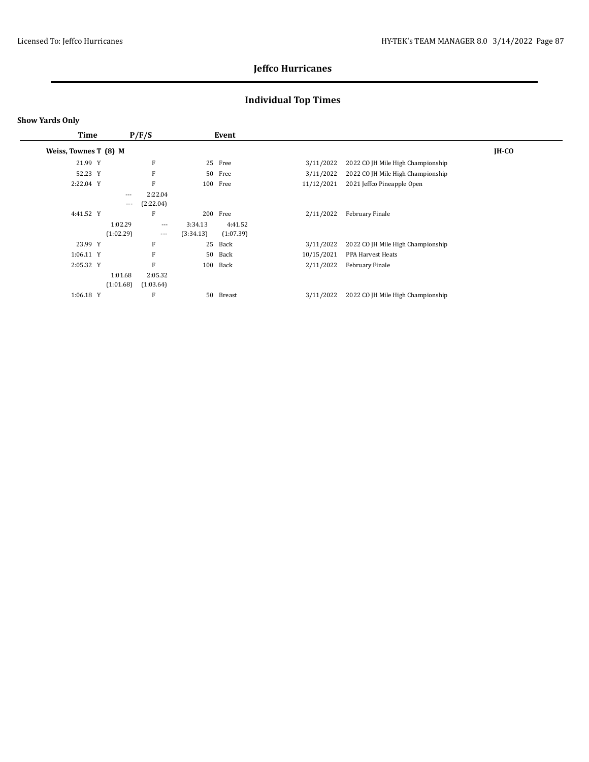# **Individual Top Times**

| <b>Time</b>           |           | P/F/S     |           | Event     |            |                                   |         |
|-----------------------|-----------|-----------|-----------|-----------|------------|-----------------------------------|---------|
| Weiss, Townes T (8) M |           |           |           |           |            |                                   | $IH-CO$ |
| 21.99 Y               |           | F         |           | 25 Free   | 3/11/2022  | 2022 CO JH Mile High Championship |         |
| 52.23 Y               |           | F         |           | 50 Free   | 3/11/2022  | 2022 CO JH Mile High Championship |         |
| 2:22.04 Y             |           | F         |           | 100 Free  | 11/12/2021 | 2021 Jeffco Pineapple Open        |         |
|                       | $\cdots$  | 2:22.04   |           |           |            |                                   |         |
|                       | $\cdots$  | (2:22.04) |           |           |            |                                   |         |
| 4:41.52 Y             |           | F         | 200       | Free      | 2/11/2022  | February Finale                   |         |
|                       | 1:02.29   | $---$     | 3:34.13   | 4:41.52   |            |                                   |         |
|                       | (1:02.29) | $---$     | (3:34.13) | (1:07.39) |            |                                   |         |
| 23.99 Y               |           | F         | 25        | Back      | 3/11/2022  | 2022 CO JH Mile High Championship |         |
| $1:06.11$ Y           |           | F         | 50        | Back      | 10/15/2021 | PPA Harvest Heats                 |         |
| 2:05.32 Y             |           | F         | 100       | Back      | 2/11/2022  | February Finale                   |         |
|                       | 1:01.68   | 2:05.32   |           |           |            |                                   |         |
|                       | (1:01.68) | (1:03.64) |           |           |            |                                   |         |
| $1:06.18$ Y           |           | F         | 50        | Breast    | 3/11/2022  | 2022 CO JH Mile High Championship |         |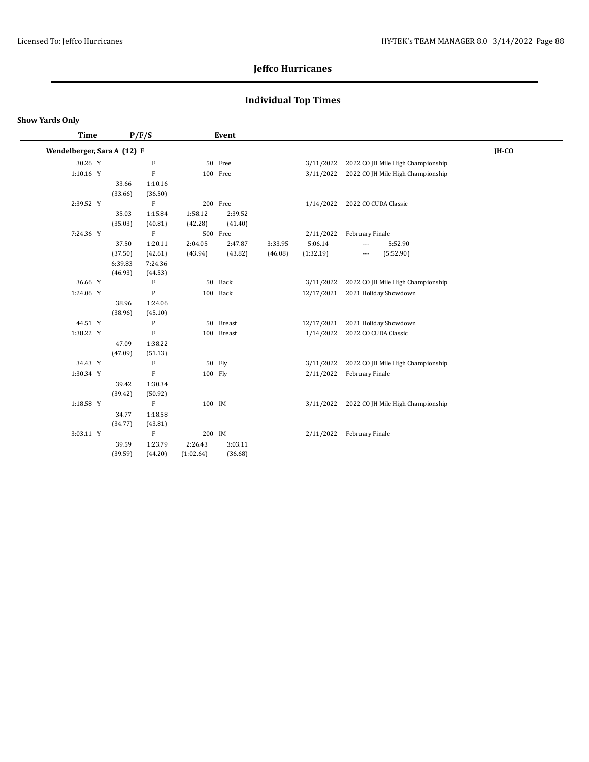# **Individual Top Times**

| <b>Time</b>                 |         | P/F/S                     |           | Event      |         |            |                          |                                   |       |  |
|-----------------------------|---------|---------------------------|-----------|------------|---------|------------|--------------------------|-----------------------------------|-------|--|
| Wendelberger, Sara A (12) F |         |                           |           |            |         |            |                          |                                   | IH-CO |  |
| 30.26 Y                     |         | ${\bf F}$                 |           | 50 Free    |         | 3/11/2022  |                          | 2022 CO JH Mile High Championship |       |  |
| 1:10.16 Y                   |         | F                         |           | 100 Free   |         | 3/11/2022  |                          | 2022 CO JH Mile High Championship |       |  |
|                             | 33.66   | 1:10.16                   |           |            |         |            |                          |                                   |       |  |
|                             | (33.66) | (36.50)                   |           |            |         |            |                          |                                   |       |  |
| 2:39.52 Y                   |         | $\rm F$                   |           | 200 Free   |         | 1/14/2022  | 2022 CO CUDA Classic     |                                   |       |  |
|                             | 35.03   | 1:15.84                   | 1:58.12   | 2:39.52    |         |            |                          |                                   |       |  |
|                             | (35.03) | (40.81)                   | (42.28)   | (41.40)    |         |            |                          |                                   |       |  |
| 7:24.36 Y                   |         | $\boldsymbol{\mathrm{F}}$ |           | 500 Free   |         | 2/11/2022  | February Finale          |                                   |       |  |
|                             | 37.50   | 1:20.11                   | 2:04.05   | 2:47.87    | 3:33.95 | 5:06.14    | $---$                    | 5:52.90                           |       |  |
|                             | (37.50) | (42.61)                   | (43.94)   | (43.82)    | (46.08) | (1:32.19)  | $\hspace{0.05cm} \ldots$ | (5:52.90)                         |       |  |
|                             | 6:39.83 | 7:24.36                   |           |            |         |            |                          |                                   |       |  |
|                             | (46.93) | (44.53)                   |           |            |         |            |                          |                                   |       |  |
| 36.66 Y                     |         | ${\bf F}$                 |           | 50 Back    |         | 3/11/2022  |                          | 2022 CO JH Mile High Championship |       |  |
| 1:24.06 Y                   |         | $\mathbf{P}$              |           | 100 Back   |         | 12/17/2021 |                          | 2021 Holiday Showdown             |       |  |
|                             | 38.96   | 1:24.06                   |           |            |         |            |                          |                                   |       |  |
|                             | (38.96) | (45.10)                   |           |            |         |            |                          |                                   |       |  |
| 44.51 Y                     |         | $\mathbf{P}$              |           | 50 Breast  |         | 12/17/2021 |                          | 2021 Holiday Showdown             |       |  |
| 1:38.22 Y                   |         | $\rm F$                   |           | 100 Breast |         | 1/14/2022  | 2022 CO CUDA Classic     |                                   |       |  |
|                             | 47.09   | 1:38.22                   |           |            |         |            |                          |                                   |       |  |
|                             | (47.09) | (51.13)                   |           |            |         |            |                          |                                   |       |  |
| 34.43 Y                     |         | F                         |           | 50 Fly     |         | 3/11/2022  |                          | 2022 CO JH Mile High Championship |       |  |
| 1:30.34 Y                   |         | F                         | 100 Flv   |            |         | 2/11/2022  | February Finale          |                                   |       |  |
|                             | 39.42   | 1:30.34                   |           |            |         |            |                          |                                   |       |  |
|                             | (39.42) | (50.92)                   |           |            |         |            |                          |                                   |       |  |
| 1:18.58 Y                   |         | F                         | 100 IM    |            |         | 3/11/2022  |                          | 2022 CO JH Mile High Championship |       |  |
|                             | 34.77   | 1:18.58                   |           |            |         |            |                          |                                   |       |  |
|                             | (34.77) | (43.81)                   |           |            |         |            |                          |                                   |       |  |
| 3:03.11 Y                   |         | $\rm F$                   | 200 IM    |            |         | 2/11/2022  | February Finale          |                                   |       |  |
|                             | 39.59   | 1:23.79                   | 2:26.43   | 3:03.11    |         |            |                          |                                   |       |  |
|                             | (39.59) | (44.20)                   | (1:02.64) | (36.68)    |         |            |                          |                                   |       |  |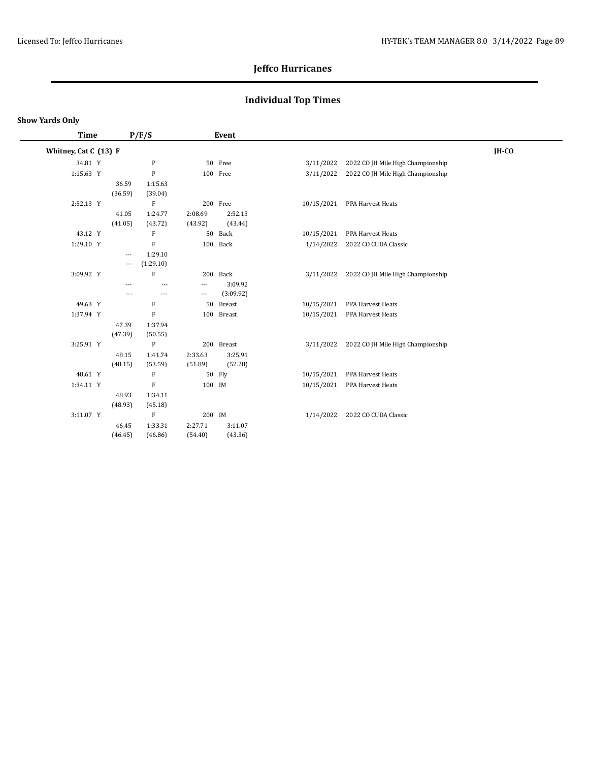# **Individual Top Times**

### **Show Yards Only**

 $\frac{1}{2}$ 

| <b>Time</b>           | P/F/S |                                      |                                 | Event                                                 |                      |            |                                   |       |
|-----------------------|-------|--------------------------------------|---------------------------------|-------------------------------------------------------|----------------------|------------|-----------------------------------|-------|
| Whitney, Cat C (13) F |       |                                      |                                 |                                                       |                      |            |                                   | IH-CO |
| 34.81 Y               |       |                                      | $\mathbf{P}$                    |                                                       | 50 Free              | 3/11/2022  | 2022 CO JH Mile High Championship |       |
| 1:15.63 Y             |       |                                      | $\mathbf{P}$                    |                                                       | 100 Free             | 3/11/2022  | 2022 CO JH Mile High Championship |       |
|                       |       | 36.59<br>(36.59)                     | 1:15.63<br>(39.04)              |                                                       |                      |            |                                   |       |
| 2:52.13 Y             |       |                                      | $\mathbf F$                     |                                                       | 200 Free             |            | 10/15/2021 PPA Harvest Heats      |       |
|                       |       | 41.05<br>(41.05)                     | 1:24.77<br>(43.72)              | 2:08.69<br>(43.92)                                    | 2:52.13<br>(43.44)   |            |                                   |       |
| 43.12 Y               |       |                                      | F                               |                                                       | 50 Back              | 10/15/2021 | PPA Harvest Heats                 |       |
| 1:29.10 Y             |       |                                      | $\mathbf F$                     |                                                       | 100 Back             | 1/14/2022  | 2022 CO CUDA Classic              |       |
|                       |       | $\overline{\phantom{a}}$<br>$\cdots$ | 1:29.10<br>(1:29.10)            |                                                       |                      |            |                                   |       |
| 3:09.92 Y             |       |                                      | $\mathbf{F}$                    |                                                       | 200 Back             | 3/11/2022  | 2022 CO JH Mile High Championship |       |
|                       |       | $---$<br>---                         | ---<br>$\overline{\phantom{a}}$ | $\overline{\phantom{a}}$<br>$\qquad \qquad -\qquad -$ | 3:09.92<br>(3:09.92) |            |                                   |       |
| 49.63 Y               |       |                                      | $\rm F$                         | 50                                                    | <b>Breast</b>        | 10/15/2021 | PPA Harvest Heats                 |       |
| 1:37.94 Y             |       |                                      | $\mathbf F$                     |                                                       | 100 Breast           |            | 10/15/2021 PPA Harvest Heats      |       |
|                       |       | 47.39<br>(47.39)                     | 1:37.94<br>(50.55)              |                                                       |                      |            |                                   |       |
| 3:25.91 Y             |       |                                      | $\mathbf{P}$                    |                                                       | 200 Breast           | 3/11/2022  | 2022 CO JH Mile High Championship |       |
|                       |       | 48.15<br>(48.15)                     | 1:41.74<br>(53.59)              | 2:33.63<br>(51.89)                                    | 3:25.91<br>(52.28)   |            |                                   |       |
| 48.61 Y               |       |                                      | F                               |                                                       | 50 Fly               | 10/15/2021 | PPA Harvest Heats                 |       |
| 1:34.11 Y             |       |                                      | $\mathbf F$                     | 100 IM                                                |                      | 10/15/2021 | PPA Harvest Heats                 |       |
|                       |       | 48.93<br>(48.93)                     | 1:34.11<br>(45.18)              |                                                       |                      |            |                                   |       |
| 3:11.07 Y             |       |                                      | $\mathbf F$                     | 200 IM                                                |                      | 1/14/2022  | 2022 CO CUDA Classic              |       |
|                       |       | 46.45<br>(46.45)                     | 1:33.31<br>(46.86)              | 2:27.71<br>(54.40)                                    | 3:11.07<br>(43.36)   |            |                                   |       |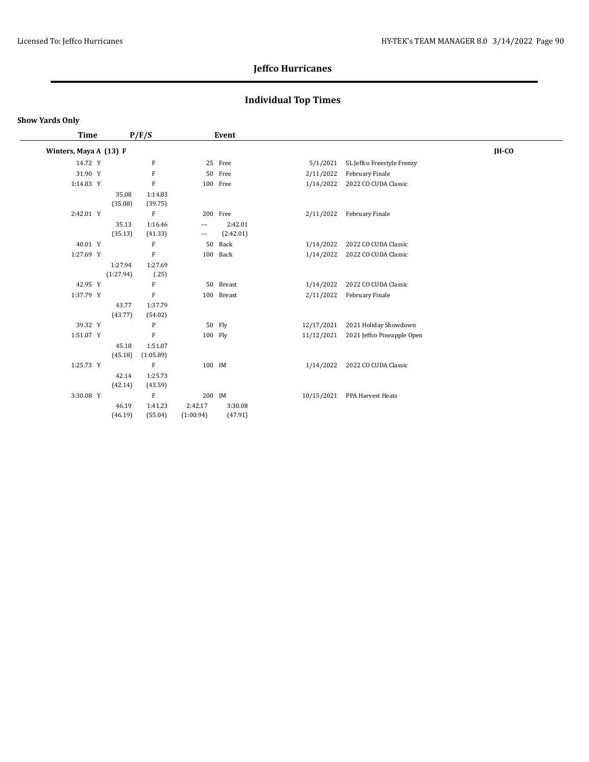# **Individual Top Times**

| Time                   |           | P/F/S        |                          | Event      |            |                            |       |
|------------------------|-----------|--------------|--------------------------|------------|------------|----------------------------|-------|
| Winters, Maya A (13) F |           |              |                          |            |            |                            | IH-CO |
| 14.72 Y                |           | F            |                          | 25 Free    | 5/1/2021   | SL Jeffco Freestyle Frenzy |       |
| 31.90 Y                |           | F            |                          | 50 Free    | 2/11/2022  | February Finale            |       |
| 1:14.83 Y              |           | F            |                          | 100 Free   | 1/14/2022  | 2022 CO CUDA Classic       |       |
|                        | 35.08     | 1:14.83      |                          |            |            |                            |       |
|                        | (35.08)   | (39.75)      |                          |            |            |                            |       |
| 2:42.01 Y              |           | F            |                          | 200 Free   | 2/11/2022  | February Finale            |       |
|                        | 35.13     | 1:16.46      | $\overline{\phantom{a}}$ | 2:42.01    |            |                            |       |
|                        | (35.13)   | (41.33)      | $\overline{\phantom{a}}$ | (2:42.01)  |            |                            |       |
| 40.01 Y                |           | F            | 50                       | Back       | 1/14/2022  | 2022 CO CUDA Classic       |       |
| 1:27.69 Y              |           | $\rm F$      |                          | 100 Back   | 1/14/2022  | 2022 CO CUDA Classic       |       |
|                        | 1:27.94   | 1:27.69      |                          |            |            |                            |       |
|                        | (1:27.94) | (.25)        |                          |            |            |                            |       |
| 42.95 Y                |           | F            | 50                       | Breast     | 1/14/2022  | 2022 CO CUDA Classic       |       |
| 1:37.79 Y              |           | F            |                          | 100 Breast | 2/11/2022  | February Finale            |       |
|                        | 43.77     | 1:37.79      |                          |            |            |                            |       |
|                        | (43.77)   | (54.02)      |                          |            |            |                            |       |
| 39.32 Y                |           | P            |                          | 50 Fly     | 12/17/2021 | 2021 Holiday Showdown      |       |
| 1:51.07 Y              |           | $\mathbf{F}$ | 100 Fly                  |            | 11/12/2021 | 2021 Jeffco Pineapple Open |       |
|                        | 45.18     | 1:51.07      |                          |            |            |                            |       |
|                        | (45.18)   | (1:05.89)    |                          |            |            |                            |       |
| 1:25.73 Y              |           | F            | 100 IM                   |            | 1/14/2022  | 2022 CO CUDA Classic       |       |
|                        | 42.14     | 1:25.73      |                          |            |            |                            |       |
|                        | (42.14)   | (43.59)      |                          |            |            |                            |       |
| 3:30.08 Y              |           | $\mathbf{F}$ | 200 IM                   |            | 10/15/2021 | PPA Harvest Heats          |       |
|                        | 46.19     | 1:41.23      | 2:42.17                  | 3:30.08    |            |                            |       |
|                        | (46.19)   | (55.04)      | (1:00.94)                | (47.91)    |            |                            |       |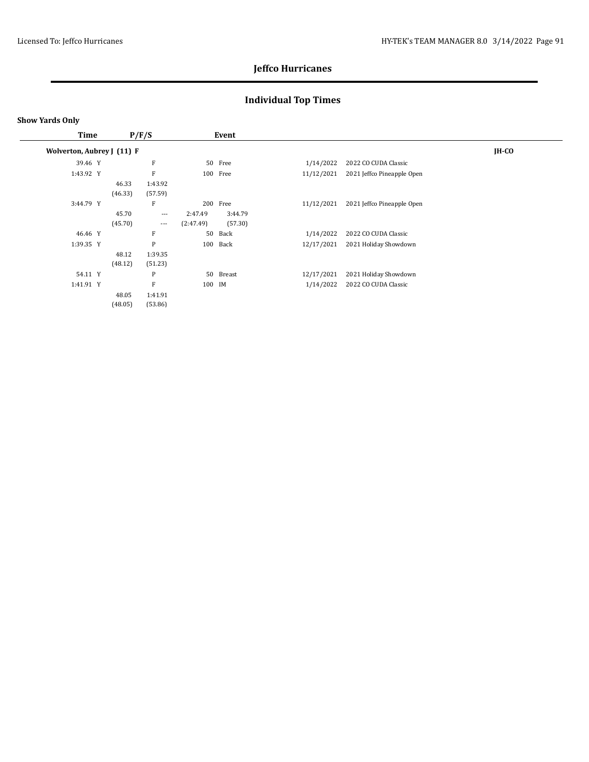# **Individual Top Times**

| <b>Time</b>                |                  | P/F/S              |                      | Event              |            |                            |              |
|----------------------------|------------------|--------------------|----------------------|--------------------|------------|----------------------------|--------------|
| Wolverton, Aubrey J (11) F |                  |                    |                      |                    |            |                            | <b>IH-CO</b> |
| 39.46 Y                    |                  | F                  |                      | 50 Free            | 1/14/2022  | 2022 CO CUDA Classic       |              |
| 1:43.92 Y                  |                  | F                  |                      | 100 Free           | 11/12/2021 | 2021 Jeffco Pineapple Open |              |
|                            | 46.33<br>(46.33) | 1:43.92<br>(57.59) |                      |                    |            |                            |              |
| 3:44.79 Y                  |                  | F                  | 200                  | Free               | 11/12/2021 | 2021 Jeffco Pineapple Open |              |
|                            | 45.70<br>(45.70) | $---$<br>$\cdots$  | 2:47.49<br>(2:47.49) | 3:44.79<br>(57.30) |            |                            |              |
| 46.46 Y                    |                  | F                  | 50                   | Back               | 1/14/2022  | 2022 CO CUDA Classic       |              |
| 1:39.35 Y                  |                  | P                  |                      | 100 Back           | 12/17/2021 | 2021 Holiday Showdown      |              |
|                            | 48.12            | 1:39.35            |                      |                    |            |                            |              |
|                            | (48.12)          | (51.23)            |                      |                    |            |                            |              |
| 54.11 Y                    |                  | P                  |                      | 50 Breast          | 12/17/2021 | 2021 Holiday Showdown      |              |
| 1:41.91 Y                  |                  | F                  | 100 IM               |                    | 1/14/2022  | 2022 CO CUDA Classic       |              |
|                            | 48.05<br>(48.05) | 1:41.91<br>(53.86) |                      |                    |            |                            |              |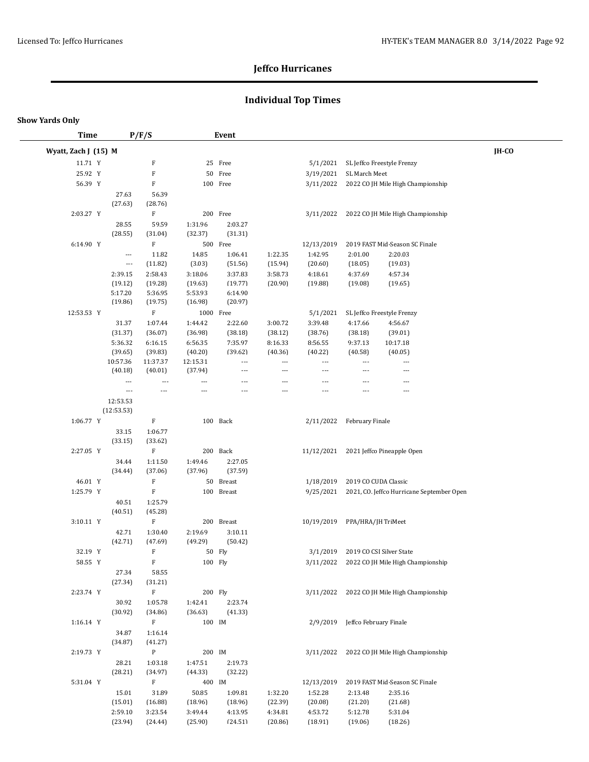# **Individual Top Times**

| <b>Time</b>          |                          | P/F/S                                |                    | Event                    |                          |                          |                          |                                             |       |
|----------------------|--------------------------|--------------------------------------|--------------------|--------------------------|--------------------------|--------------------------|--------------------------|---------------------------------------------|-------|
| Wyatt, Zach J (15) M |                          |                                      |                    |                          |                          |                          |                          |                                             | IH-CO |
| 11.71 Y              |                          | F                                    |                    | 25 Free                  |                          | 5/1/2021                 |                          | SL Jeffco Freestyle Frenzy                  |       |
| 25.92 Y              |                          | $\mathbf F$                          |                    | 50 Free                  |                          | 3/19/2021                | SL March Meet            |                                             |       |
| 56.39 Y              |                          | F                                    |                    | 100 Free                 |                          | 3/11/2022                |                          | 2022 CO JH Mile High Championship           |       |
|                      | 27.63                    | 56.39                                |                    |                          |                          |                          |                          |                                             |       |
|                      | (27.63)                  | (28.76)                              |                    |                          |                          |                          |                          |                                             |       |
| 2:03.27 Y            |                          | F                                    |                    | 200 Free                 |                          | 3/11/2022                |                          | 2022 CO JH Mile High Championship           |       |
|                      | 28.55                    | 59.59                                | 1:31.96            | 2:03.27                  |                          |                          |                          |                                             |       |
|                      | (28.55)                  | (31.04)                              | (32.37)            | (31.31)                  |                          |                          |                          |                                             |       |
| 6:14.90 Y            |                          | $\mathbf F$                          |                    | 500 Free                 |                          | 12/13/2019               |                          | 2019 FAST Mid-Season SC Finale              |       |
|                      | $\overline{\phantom{a}}$ | 11.82                                | 14.85              | 1:06.41                  | 1:22.35                  | 1:42.95                  | 2:01.00                  | 2:20.03                                     |       |
|                      | $\scriptstyle\cdots$     | (11.82)                              | (3.03)             | (51.56)                  | (15.94)                  | (20.60)                  | (18.05)                  | (19.03)                                     |       |
|                      | 2:39.15                  | 2:58.43                              | 3:18.06            | 3:37.83                  | 3:58.73                  | 4:18.61                  | 4:37.69                  | 4:57.34                                     |       |
|                      | (19.12)<br>5:17.20       | (19.28)                              | (19.63)            | (19.77)                  | (20.90)                  | (19.88)                  | (19.08)                  | (19.65)                                     |       |
|                      | (19.86)                  | 5:36.95<br>(19.75)                   | 5:53.93<br>(16.98) | 6:14.90<br>(20.97)       |                          |                          |                          |                                             |       |
| 12:53.53 Y           |                          | $\mathbf F$                          |                    | 1000 Free                |                          | 5/1/2021                 |                          | SL Jeffco Freestyle Frenzy                  |       |
|                      | 31.37                    | 1:07.44                              | 1:44.42            | 2:22.60                  | 3:00.72                  | 3:39.48                  | 4:17.66                  | 4:56.67                                     |       |
|                      | (31.37)                  | (36.07)                              | (36.98)            | (38.18)                  | (38.12)                  | (38.76)                  | (38.18)                  | (39.01)                                     |       |
|                      | 5:36.32                  | 6:16.15                              | 6:56.35            | 7:35.97                  | 8:16.33                  | 8:56.55                  | 9:37.13                  | 10:17.18                                    |       |
|                      | (39.65)                  | (39.83)                              | (40.20)            | (39.62)                  | (40.36)                  | (40.22)                  | (40.58)                  | (40.05)                                     |       |
|                      | 10:57.36                 | 11:37.37                             | 12:15.31           | $\overline{\phantom{a}}$ | $\overline{\phantom{a}}$ | $\overline{\phantom{a}}$ | $\overline{\phantom{a}}$ | $\overline{\phantom{a}}$                    |       |
|                      | (40.18)                  | (40.01)                              | (37.94)            | $\overline{\phantom{a}}$ | $\overline{a}$           | ---                      | $\overline{a}$           | $---$                                       |       |
|                      | $\overline{\phantom{a}}$ | $\overline{\phantom{a}}$             | ---                | $\overline{\phantom{a}}$ | $\qquad \qquad -$        | $\overline{\phantom{a}}$ | ---                      | $\overline{\phantom{a}}$                    |       |
|                      | $\scriptstyle\cdots$     | $---$                                | ---                | $\overline{\phantom{a}}$ | ---                      | $\overline{a}$           | $---$                    | $---$                                       |       |
|                      | 12:53.53<br>(12:53.53)   |                                      |                    |                          |                          |                          |                          |                                             |       |
| 1:06.77 Y            |                          | F                                    |                    | 100 Back                 |                          | 2/11/2022                | February Finale          |                                             |       |
|                      | 33.15                    | 1:06.77                              |                    |                          |                          |                          |                          |                                             |       |
|                      | (33.15)                  | (33.62)                              |                    |                          |                          |                          |                          |                                             |       |
| 2:27.05 Y            |                          | $\mathbf F$                          |                    | 200 Back                 |                          | 11/12/2021               |                          | 2021 Jeffco Pineapple Open                  |       |
|                      | 34.44                    | 1:11.50                              | 1:49.46            | 2:27.05                  |                          |                          |                          |                                             |       |
|                      | (34.44)                  | (37.06)                              | (37.96)            | (37.59)                  |                          |                          |                          |                                             |       |
| 46.01 Y              |                          | F                                    |                    | 50 Breast                |                          | 1/18/2019                |                          | 2019 CO CUDA Classic                        |       |
| 1:25.79 Y            |                          | $\mathbf F$                          |                    | 100 Breast               |                          | 9/25/2021                |                          | 2021, CO. Jeffco Hurricane September Open   |       |
|                      | 40.51                    | 1:25.79                              |                    |                          |                          |                          |                          |                                             |       |
|                      | (40.51)                  | (45.28)                              |                    |                          |                          |                          |                          |                                             |       |
| 3:10.11 Y            |                          | F                                    |                    | 200 Breast               |                          | 10/19/2019               | PPA/HRA/JH TriMeet       |                                             |       |
|                      | 42.71                    | 1:30.40                              | 2:19.69            | 3:10.11                  |                          |                          |                          |                                             |       |
| 32.19 Y              | (42.71)                  | (47.69)<br>$\boldsymbol{\mathrm{F}}$ | (49.29)            | (50.42)<br>50 Fly        |                          | 3/1/2019                 |                          | 2019 CO CSI Silver State                    |       |
| 58.55 Y              |                          | F                                    |                    |                          |                          |                          |                          | 3/11/2022 2022 CO JH Mile High Championship |       |
|                      | 27.34                    | 58.55                                |                    | 100 Fly                  |                          |                          |                          |                                             |       |
|                      | (27.34)                  | (31.21)                              |                    |                          |                          |                          |                          |                                             |       |
| 2:23.74 Y            |                          | $\mathbf F$                          |                    | 200 Fly                  |                          |                          |                          | 3/11/2022 2022 CO JH Mile High Championship |       |
|                      | 30.92                    | 1:05.78                              | 1:42.41            | 2:23.74                  |                          |                          |                          |                                             |       |
|                      | (30.92)                  | (34.86)                              | (36.63)            | (41.33)                  |                          |                          |                          |                                             |       |
| 1:16.14 Y            |                          | $\mathbf F$                          | 100 IM             |                          |                          | 2/9/2019                 | Jeffco February Finale   |                                             |       |
|                      | 34.87                    | 1:16.14                              |                    |                          |                          |                          |                          |                                             |       |
|                      | (34.87)                  | (41.27)                              |                    |                          |                          |                          |                          |                                             |       |
| 2:19.73 Y            |                          | $\mathbf{P}$                         |                    | 200 IM                   |                          |                          |                          | 3/11/2022 2022 CO JH Mile High Championship |       |
|                      | 28.21                    | 1:03.18                              | 1:47.51            | 2:19.73                  |                          |                          |                          |                                             |       |
|                      | (28.21)                  | (34.97)                              | (44.33)            | (32.22)                  |                          |                          |                          |                                             |       |
| 5:31.04 Y            |                          | $\mathbf F$                          | 400 IM             |                          |                          | 12/13/2019               |                          | 2019 FAST Mid-Season SC Finale              |       |
|                      | 15.01                    | 31.89                                | 50.85              | 1:09.81                  | 1:32.20                  | 1:52.28                  | 2:13.48                  | 2:35.16                                     |       |
|                      | (15.01)                  | (16.88)                              | (18.96)            | (18.96)                  | (22.39)                  | (20.08)                  | (21.20)                  | (21.68)                                     |       |
|                      | 2:59.10                  | 3:23.54                              | 3:49.44            | 4:13.95                  | 4:34.81                  | 4:53.72                  | 5:12.78                  | 5:31.04                                     |       |
|                      | (23.94)                  | (24.44)                              | (25.90)            | (24.51)                  | (20.86)                  | (18.91)                  | (19.06)                  | (18.26)                                     |       |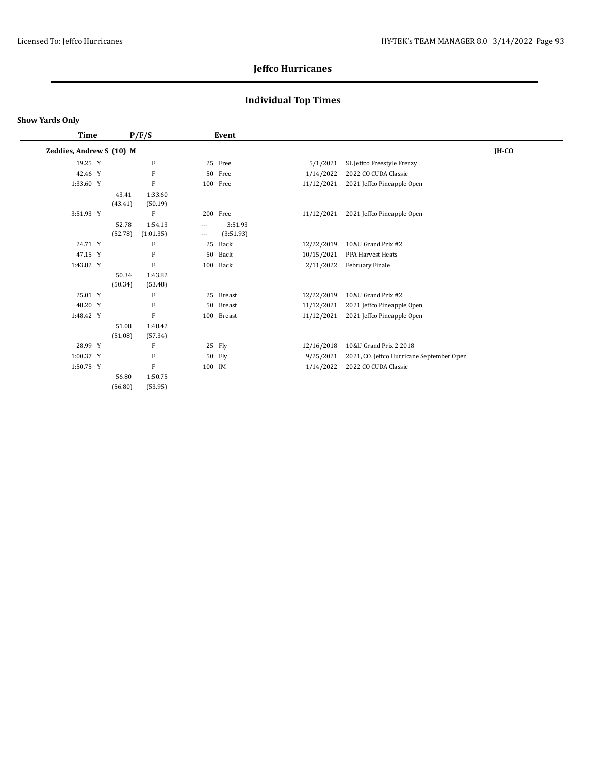# **Individual Top Times**

|  |                                                                                                                                                                 |           |                                   |           |                                                                                                                        |                                           | $IH-CO$ |
|--|-----------------------------------------------------------------------------------------------------------------------------------------------------------------|-----------|-----------------------------------|-----------|------------------------------------------------------------------------------------------------------------------------|-------------------------------------------|---------|
|  |                                                                                                                                                                 | F         |                                   |           | 5/1/2021                                                                                                               | SL Jeffco Freestyle Frenzy                |         |
|  |                                                                                                                                                                 | F         |                                   |           | 1/14/2022                                                                                                              | 2022 CO CUDA Classic                      |         |
|  |                                                                                                                                                                 | F         |                                   |           | 11/12/2021                                                                                                             | 2021 Jeffco Pineapple Open                |         |
|  | 43.41                                                                                                                                                           | 1:33.60   |                                   |           |                                                                                                                        |                                           |         |
|  | (43.41)                                                                                                                                                         | (50.19)   |                                   |           |                                                                                                                        |                                           |         |
|  |                                                                                                                                                                 | F         |                                   |           | 11/12/2021                                                                                                             | 2021 Jeffco Pineapple Open                |         |
|  | 52.78                                                                                                                                                           | 1:54.13   | $\overline{\phantom{a}}$          | 3:51.93   |                                                                                                                        |                                           |         |
|  | (52.78)                                                                                                                                                         | (1:01.35) | $\cdots$                          | (3:51.93) |                                                                                                                        |                                           |         |
|  |                                                                                                                                                                 | F         | 25                                | Back      | 12/22/2019                                                                                                             | 10&U Grand Prix #2                        |         |
|  |                                                                                                                                                                 | F         |                                   | Back      | 10/15/2021                                                                                                             | PPA Harvest Heats                         |         |
|  |                                                                                                                                                                 | F         |                                   | Back      | 2/11/2022                                                                                                              | February Finale                           |         |
|  | 50.34                                                                                                                                                           | 1:43.82   |                                   |           |                                                                                                                        |                                           |         |
|  | (50.34)                                                                                                                                                         | (53.48)   |                                   |           |                                                                                                                        |                                           |         |
|  |                                                                                                                                                                 | F         |                                   |           | 12/22/2019                                                                                                             | 10&U Grand Prix #2                        |         |
|  |                                                                                                                                                                 | F         |                                   | Breast    | 11/12/2021                                                                                                             | 2021 Jeffco Pineapple Open                |         |
|  |                                                                                                                                                                 | F         |                                   |           | 11/12/2021                                                                                                             | 2021 Jeffco Pineapple Open                |         |
|  | 51.08                                                                                                                                                           | 1:48.42   |                                   |           |                                                                                                                        |                                           |         |
|  | (51.08)                                                                                                                                                         | (57.34)   |                                   |           |                                                                                                                        |                                           |         |
|  |                                                                                                                                                                 | F         |                                   |           | 12/16/2018                                                                                                             | 10&U Grand Prix 2 2018                    |         |
|  |                                                                                                                                                                 | F         |                                   |           | 9/25/2021                                                                                                              | 2021, CO. Jeffco Hurricane September Open |         |
|  |                                                                                                                                                                 | F         |                                   |           | 1/14/2022                                                                                                              | 2022 CO CUDA Classic                      |         |
|  | 56.80                                                                                                                                                           | 1:50.75   |                                   |           |                                                                                                                        |                                           |         |
|  | (56.80)                                                                                                                                                         | (53.95)   |                                   |           |                                                                                                                        |                                           |         |
|  | Time<br>19.25 Y<br>42.46 Y<br>1:33.60 Y<br>3:51.93 Y<br>24.71 Y<br>47.15 Y<br>1:43.82 Y<br>25.01 Y<br>48.20 Y<br>1:48.42 Y<br>28.99 Y<br>1:00.37 Y<br>1:50.75 Y |           | P/F/S<br>Zeddies, Andrew S (10) M |           | 25 Free<br>50 Free<br>100 Free<br>200 Free<br>50<br>100<br>25 Breast<br>50<br>100 Breast<br>25 Fly<br>50 Fly<br>100 IM | Event                                     |         |